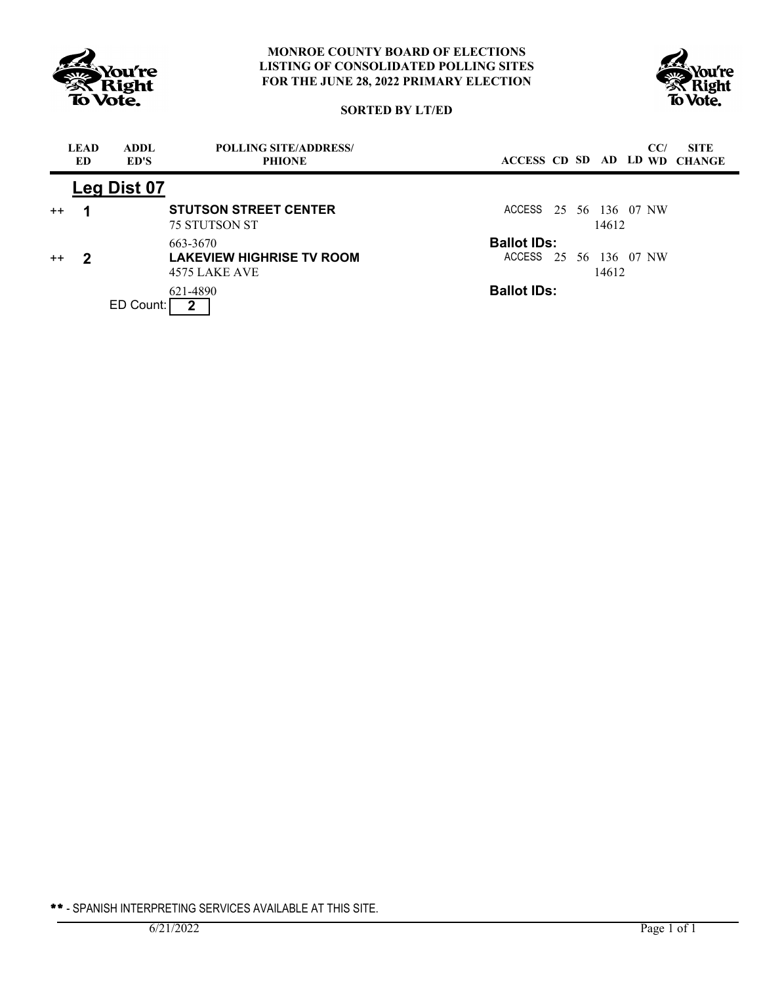



# **SORTED BY LT/ED**

|         | <b>LEAD</b><br>ED | ADDL.<br>ED'S | <b>POLLING SITE/ADDRESS/</b><br><b>PHIONE</b>                 | CC/<br><b>SITE</b><br>ACCESS CD SD AD LD WD CHANGE    |
|---------|-------------------|---------------|---------------------------------------------------------------|-------------------------------------------------------|
|         |                   | Leg Dist 07   |                                                               |                                                       |
| $++$    |                   |               | <b>STUTSON STREET CENTER</b><br><b>75 STUTSON ST</b>          | ACCESS 25 56 136 07 NW<br>14612                       |
| $^{++}$ | 2                 |               | 663-3670<br><b>LAKEVIEW HIGHRISE TV ROOM</b><br>4575 LAKE AVE | <b>Ballot IDs:</b><br>ACCESS 25 56 136 07 NW<br>14612 |
|         |                   | ED Count:     | 621-4890                                                      | <b>Ballot IDs:</b>                                    |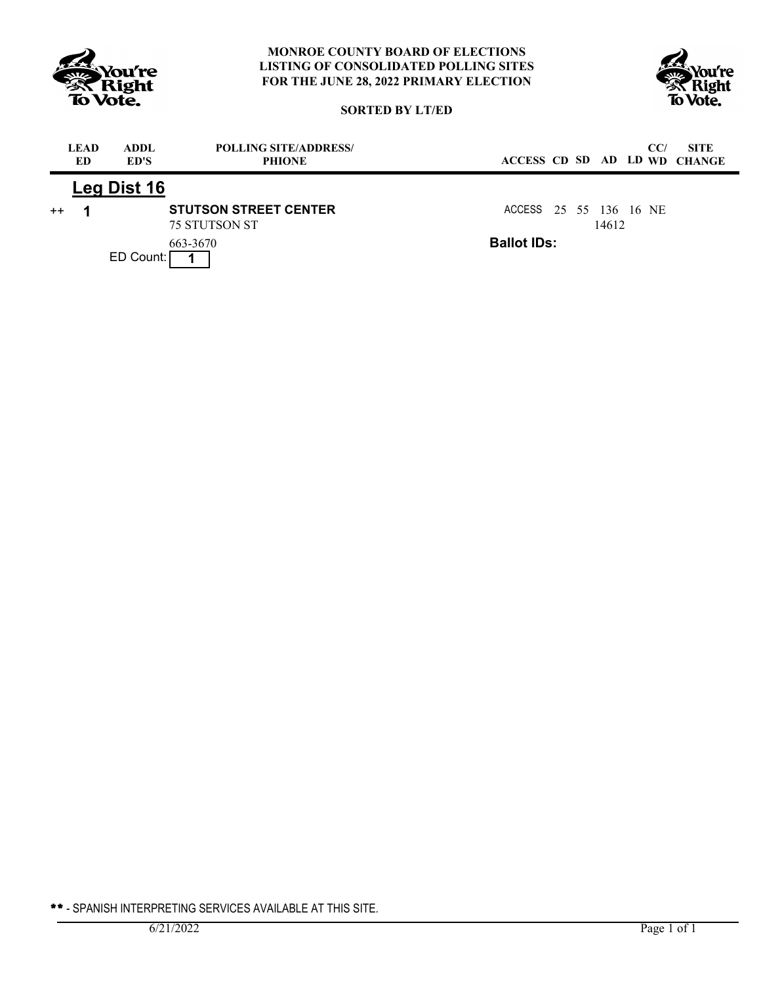



# **SORTED BY LT/ED**

|      | <b>LEAD</b><br>ED. | ADDL.<br>ED'S | <b>POLLING SITE/ADDRESS/</b><br><b>PHIONE</b>        | CC/<br><b>SITE</b><br>ACCESS CD SD AD LD WD CHANGE |
|------|--------------------|---------------|------------------------------------------------------|----------------------------------------------------|
|      |                    | Leg Dist 16   |                                                      |                                                    |
| $++$ |                    |               | <b>STUTSON STREET CENTER</b><br><b>75 STUTSON ST</b> | ACCESS 25 55 136 16 NE<br>14612                    |
|      |                    | ED Count:     | 663-3670                                             | <b>Ballot IDs:</b>                                 |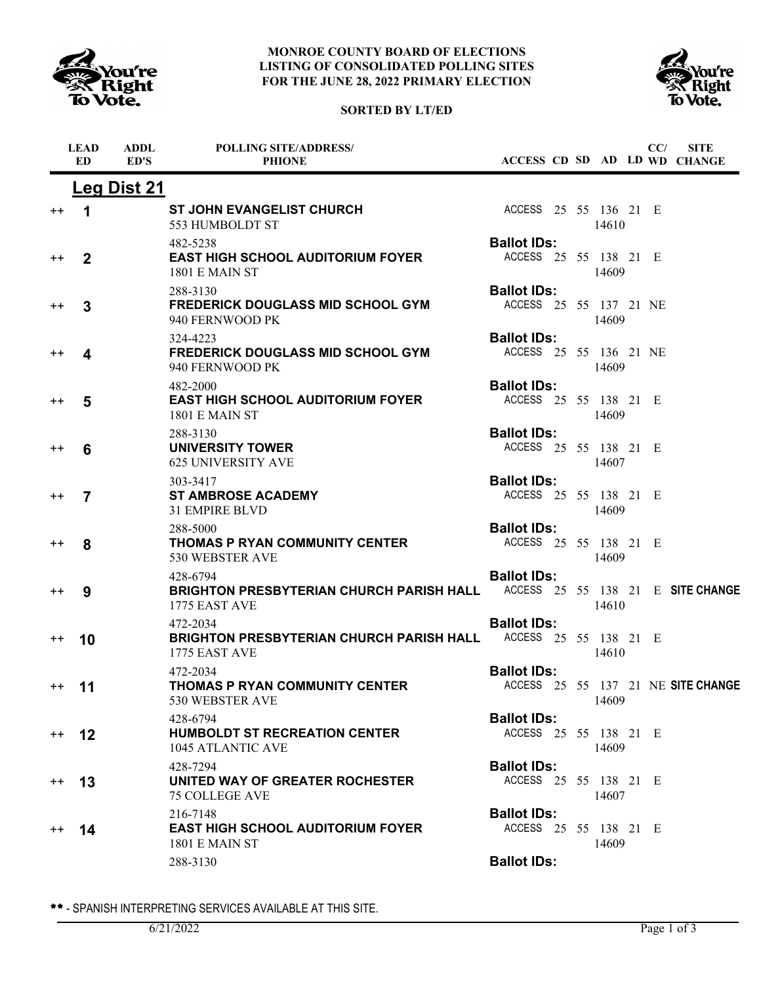

# **SORTED BY LT/ED**



|                 | <b>LEAD</b><br><b>ED</b> | <b>ADDL</b><br>ED'S | <b>POLLING SITE/ADDRESS/</b><br><b>PHIONE</b>                                                           |                                              |  |       | CC/ | <b>SITE</b><br>ACCESS CD SD AD LD WD CHANGE |
|-----------------|--------------------------|---------------------|---------------------------------------------------------------------------------------------------------|----------------------------------------------|--|-------|-----|---------------------------------------------|
|                 |                          | <b>Leg Dist 21</b>  |                                                                                                         |                                              |  |       |     |                                             |
| $^{\mathrm{+}}$ | 1                        |                     | <b>ST JOHN EVANGELIST CHURCH</b><br>553 HUMBOLDT ST                                                     | ACCESS 25 55 136 21 E                        |  | 14610 |     |                                             |
| $^{\mathrm{+}}$ | $\overline{2}$           |                     | 482-5238<br><b>EAST HIGH SCHOOL AUDITORIUM FOYER</b><br><b>1801 E MAIN ST</b>                           | <b>Ballot IDs:</b><br>ACCESS 25 55 138 21 E  |  | 14609 |     |                                             |
| $^{\mathrm{+}}$ | 3                        |                     | 288-3130<br><b>FREDERICK DOUGLASS MID SCHOOL GYM</b><br>940 FERNWOOD PK                                 | <b>Ballot IDs:</b><br>ACCESS 25 55 137 21 NE |  | 14609 |     |                                             |
| $^{\mathrm{+}}$ | 4                        |                     | 324-4223<br><b>FREDERICK DOUGLASS MID SCHOOL GYM</b><br>940 FERNWOOD PK                                 | <b>Ballot IDs:</b><br>ACCESS 25 55 136 21 NE |  | 14609 |     |                                             |
| $^{\mathrm{+}}$ | 5                        |                     | 482-2000<br><b>EAST HIGH SCHOOL AUDITORIUM FOYER</b><br><b>1801 E MAIN ST</b>                           | <b>Ballot IDs:</b><br>ACCESS 25 55 138 21 E  |  | 14609 |     |                                             |
| $^{\mathrm{+}}$ | 6                        |                     | 288-3130<br><b>UNIVERSITY TOWER</b><br><b>625 UNIVERSITY AVE</b>                                        | <b>Ballot IDs:</b><br>ACCESS 25 55 138 21 E  |  | 14607 |     |                                             |
| $^{\mathrm{+}}$ | 7                        |                     | 303-3417<br><b>ST AMBROSE ACADEMY</b><br>31 EMPIRE BLVD                                                 | <b>Ballot IDs:</b><br>ACCESS 25 55 138 21 E  |  | 14609 |     |                                             |
| $^{\mathrm{+}}$ | 8                        |                     | 288-5000<br><b>THOMAS P RYAN COMMUNITY CENTER</b><br>530 WEBSTER AVE                                    | <b>Ballot IDs:</b><br>ACCESS 25 55 138 21 E  |  | 14609 |     |                                             |
| $^{\mathrm{+}}$ | 9                        |                     | 428-6794<br>BRIGHTON PRESBYTERIAN CHURCH PARISH HALL ACCESS 25 55 138 21 E SITE CHANGE<br>1775 EAST AVE | <b>Ballot IDs:</b>                           |  | 14610 |     |                                             |
| $^{\mathrm{+}}$ | 10                       |                     | 472-2034<br><b>BRIGHTON PRESBYTERIAN CHURCH PARISH HALL</b><br>1775 EAST AVE                            | <b>Ballot IDs:</b><br>ACCESS 25 55 138 21 E  |  | 14610 |     |                                             |
| $^{++}$         | 11                       |                     | 472-2034<br><b>THOMAS P RYAN COMMUNITY CENTER</b><br>530 WEBSTER AVE                                    | <b>Ballot IDs:</b>                           |  | 14609 |     | ACCESS 25 55 137 21 NE SITE CHANGE          |
| $^{++}$         | 12                       |                     | 428-6794<br><b>HUMBOLDT ST RECREATION CENTER</b><br>1045 ATLANTIC AVE                                   | <b>Ballot IDs:</b><br>ACCESS 25 55 138 21 E  |  | 14609 |     |                                             |
| $^{\mathrm{+}}$ | 13                       |                     | 428-7294<br>UNITED WAY OF GREATER ROCHESTER<br><b>75 COLLEGE AVE</b>                                    | <b>Ballot IDs:</b><br>ACCESS 25 55 138 21 E  |  | 14607 |     |                                             |
| $^{++}$         | 14                       |                     | 216-7148<br><b>EAST HIGH SCHOOL AUDITORIUM FOYER</b><br>1801 E MAIN ST                                  | <b>Ballot IDs:</b><br>ACCESS 25 55 138 21 E  |  | 14609 |     |                                             |
|                 |                          |                     | 288-3130                                                                                                | <b>Ballot IDs:</b>                           |  |       |     |                                             |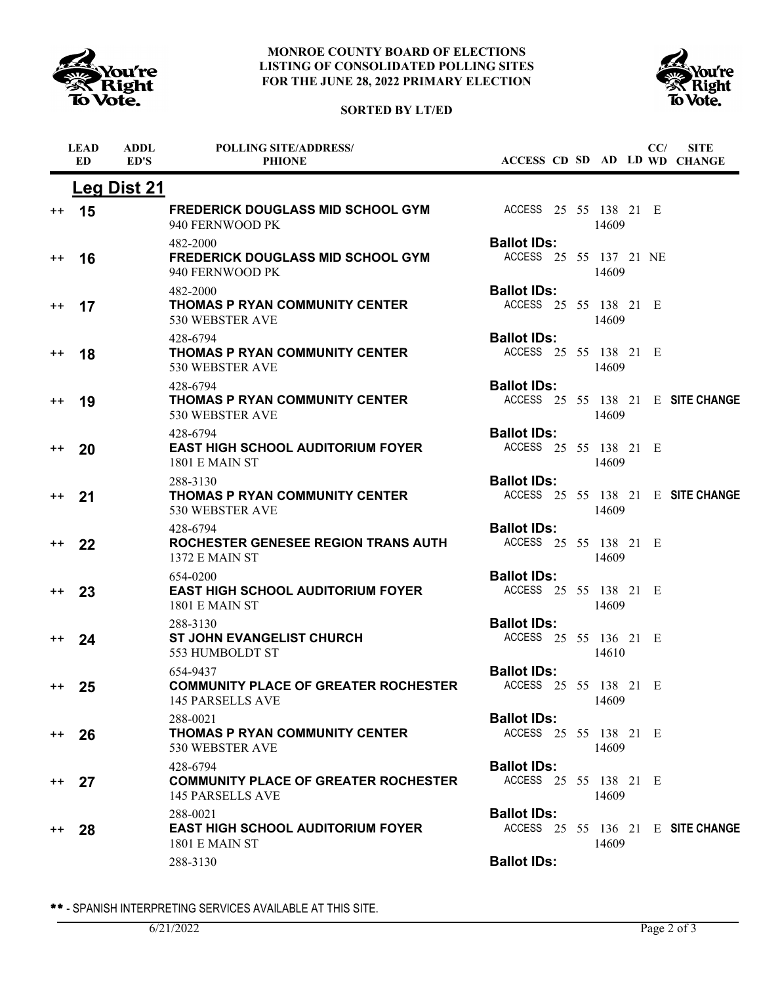





|                  | <b>LEAD</b><br>ED. | ADDL<br>ED'S       | <b>POLLING SITE/ADDRESS/</b><br><b>PHIONE</b>                                      |                                              |  |       | CC/ | <b>SITE</b><br>ACCESS CD SD AD LD WD CHANGE |
|------------------|--------------------|--------------------|------------------------------------------------------------------------------------|----------------------------------------------|--|-------|-----|---------------------------------------------|
|                  |                    | <b>Leg Dist 21</b> |                                                                                    |                                              |  |       |     |                                             |
| $++$             | 15                 |                    | <b>FREDERICK DOUGLASS MID SCHOOL GYM</b><br>940 FERNWOOD PK                        | ACCESS 25 55 138 21 E                        |  | 14609 |     |                                             |
| $^{\mathrm{+}}$  | 16                 |                    | 482-2000<br><b>FREDERICK DOUGLASS MID SCHOOL GYM</b><br>940 FERNWOOD PK            | <b>Ballot IDs:</b><br>ACCESS 25 55 137 21 NE |  | 14609 |     |                                             |
| $^{\mathrm{+}}$  | 17                 |                    | 482-2000<br><b>THOMAS P RYAN COMMUNITY CENTER</b><br>530 WEBSTER AVE               | <b>Ballot IDs:</b><br>ACCESS 25 55 138 21 E  |  | 14609 |     |                                             |
| $^{\mathrm{+}}$  | 18                 |                    | 428-6794<br><b>THOMAS P RYAN COMMUNITY CENTER</b><br>530 WEBSTER AVE               | <b>Ballot IDs:</b><br>ACCESS 25 55 138 21 E  |  | 14609 |     |                                             |
| $^{++}$          | 19                 |                    | 428-6794<br><b>THOMAS P RYAN COMMUNITY CENTER</b><br>530 WEBSTER AVE               | <b>Ballot IDs:</b>                           |  | 14609 |     | ACCESS 25 55 138 21 E SITE CHANGE           |
| $++$             | 20                 |                    | 428-6794<br><b>EAST HIGH SCHOOL AUDITORIUM FOYER</b><br>1801 E MAIN ST             | <b>Ballot IDs:</b><br>ACCESS 25 55 138 21 E  |  | 14609 |     |                                             |
| $^{\mathrm{+}}$  | 21                 |                    | 288-3130<br>THOMAS P RYAN COMMUNITY CENTER<br>530 WEBSTER AVE                      | <b>Ballot IDs:</b>                           |  | 14609 |     | ACCESS 25 55 138 21 E SITE CHANGE           |
| $^{++}$          | 22                 |                    | 428-6794<br>ROCHESTER GENESEE REGION TRANS AUTH<br>1372 E MAIN ST                  | <b>Ballot IDs:</b><br>ACCESS 25 55 138 21 E  |  | 14609 |     |                                             |
| $^{++}$          | 23                 |                    | 654-0200<br><b>EAST HIGH SCHOOL AUDITORIUM FOYER</b><br><b>1801 E MAIN ST</b>      | <b>Ballot IDs:</b><br>ACCESS 25 55 138 21 E  |  | 14609 |     |                                             |
| $^{++}$          | 24                 |                    | 288-3130<br><b>ST JOHN EVANGELIST CHURCH</b><br>553 HUMBOLDT ST                    | <b>Ballot IDs:</b><br>ACCESS 25 55 136 21 E  |  | 14610 |     |                                             |
| $^{++}$          | 25                 |                    | 654-9437<br><b>COMMUNITY PLACE OF GREATER ROCHESTER</b><br><b>145 PARSELLS AVE</b> | <b>Ballot IDs:</b><br>ACCESS 25 55 138 21 E  |  | 14609 |     |                                             |
| $^{\mathrm{++}}$ | 26                 |                    | 288-0021<br>THOMAS P RYAN COMMUNITY CENTER<br>530 WEBSTER AVE                      | <b>Ballot IDs:</b><br>ACCESS 25 55 138 21 E  |  | 14609 |     |                                             |
| $^{++}$          | 27                 |                    | 428-6794<br><b>COMMUNITY PLACE OF GREATER ROCHESTER</b><br><b>145 PARSELLS AVE</b> | <b>Ballot IDs:</b><br>ACCESS 25 55 138 21 E  |  | 14609 |     |                                             |
| $^{++}$          | 28                 |                    | 288-0021<br><b>EAST HIGH SCHOOL AUDITORIUM FOYER</b><br><b>1801 E MAIN ST</b>      | <b>Ballot IDs:</b>                           |  | 14609 |     | ACCESS 25 55 136 21 E SITE CHANGE           |
|                  |                    |                    | 288-3130                                                                           | <b>Ballot IDs:</b>                           |  |       |     |                                             |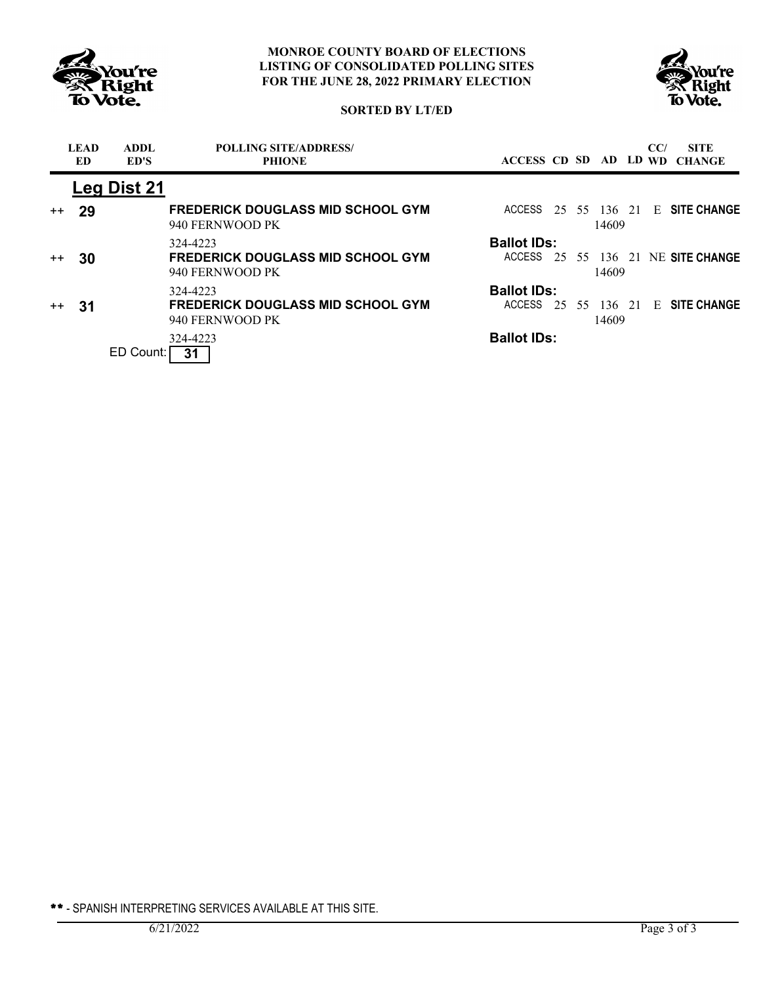



## **SORTED BY LT/ED**

|      | <b>LEAD</b><br>ED | <b>ADDL</b><br>ED'S | <b>POLLING SITE/ADDRESS/</b><br><b>PHIONE</b>               | ACCESS CD SD AD LD WD |    |    |       | CC/ | <b>SITE</b><br><b>CHANGE</b> |
|------|-------------------|---------------------|-------------------------------------------------------------|-----------------------|----|----|-------|-----|------------------------------|
|      |                   | Leg Dist 21         |                                                             |                       |    |    |       |     |                              |
| $++$ | 29                |                     | <b>FREDERICK DOUGLASS MID SCHOOL GYM</b><br>940 FERNWOOD PK | ACCESS                | 25 |    | 14609 |     | 55 136 21 E SITE CHANGE      |
|      |                   |                     | 324-4223                                                    | <b>Ballot IDs:</b>    |    |    |       |     |                              |
| $++$ | 30                |                     | <b>FREDERICK DOUGLASS MID SCHOOL GYM</b><br>940 FERNWOOD PK | ACCESS                | 25 |    | 14609 |     | 55 136 21 NE SITE CHANGE     |
|      |                   |                     | 324-4223                                                    | <b>Ballot IDs:</b>    |    |    |       |     |                              |
| $++$ | 31                |                     | <b>FREDERICK DOUGLASS MID SCHOOL GYM</b><br>940 FERNWOOD PK | <b>ACCESS</b>         | 25 | 55 | 14609 |     | 136 21 E SITE CHANGE         |
|      |                   |                     | 324-4223                                                    | <b>Ballot IDs:</b>    |    |    |       |     |                              |
|      |                   | ED Count:           | 31                                                          |                       |    |    |       |     |                              |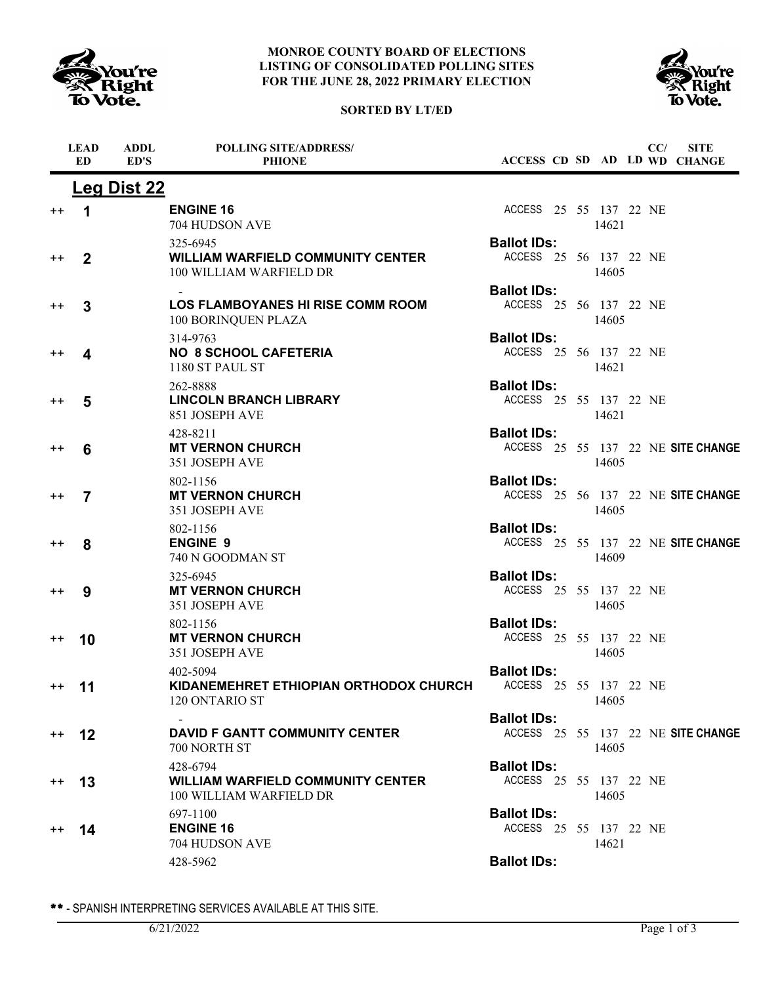





|                  | <b>LEAD</b><br><b>ED</b> | <b>ADDL</b><br>ED'S | <b>POLLING SITE/ADDRESS/</b><br><b>PHIONE</b>                                   |                                              |  |       | CC/ | <b>SITE</b><br>ACCESS CD SD AD LD WD CHANGE |
|------------------|--------------------------|---------------------|---------------------------------------------------------------------------------|----------------------------------------------|--|-------|-----|---------------------------------------------|
|                  |                          | <b>Leg Dist 22</b>  |                                                                                 |                                              |  |       |     |                                             |
| $^{\mathrm{+}}$  | $\mathbf 1$              |                     | <b>ENGINE 16</b><br>704 HUDSON AVE                                              | ACCESS 25 55 137 22 NE                       |  | 14621 |     |                                             |
| $^{\mathrm{+}}$  | $\mathbf 2$              |                     | 325-6945<br><b>WILLIAM WARFIELD COMMUNITY CENTER</b><br>100 WILLIAM WARFIELD DR | <b>Ballot IDs:</b><br>ACCESS 25 56 137 22 NE |  | 14605 |     |                                             |
| $^{\mathrm{+}}$  | 3                        |                     | <b>LOS FLAMBOYANES HI RISE COMM ROOM</b><br>100 BORINQUEN PLAZA                 | <b>Ballot IDs:</b><br>ACCESS 25 56 137 22 NE |  | 14605 |     |                                             |
| $^{\mathrm{+}}$  | 4                        |                     | 314-9763<br><b>NO 8 SCHOOL CAFETERIA</b><br>1180 ST PAUL ST                     | <b>Ballot IDs:</b><br>ACCESS 25 56 137 22 NE |  | 14621 |     |                                             |
| $^{\mathrm{+}}$  | 5                        |                     | 262-8888<br><b>LINCOLN BRANCH LIBRARY</b><br>851 JOSEPH AVE                     | <b>Ballot IDs:</b><br>ACCESS 25 55 137 22 NE |  | 14621 |     |                                             |
| $^{\mathrm{+}}$  | 6                        |                     | 428-8211<br><b>MT VERNON CHURCH</b><br>351 JOSEPH AVE                           | <b>Ballot IDs:</b>                           |  | 14605 |     | ACCESS 25 55 137 22 NE SITE CHANGE          |
| $^{\mathrm{+}}$  | 7                        |                     | 802-1156<br><b>MT VERNON CHURCH</b><br>351 JOSEPH AVE                           | <b>Ballot IDs:</b>                           |  | 14605 |     | ACCESS 25 56 137 22 NE SITE CHANGE          |
| $^{\mathrm{+}}$  | 8                        |                     | 802-1156<br><b>ENGINE 9</b><br>740 N GOODMAN ST                                 | <b>Ballot IDs:</b>                           |  | 14609 |     | ACCESS 25 55 137 22 NE SITE CHANGE          |
| $^{\mathrm{+}}$  | 9                        |                     | 325-6945<br><b>MT VERNON CHURCH</b><br>351 JOSEPH AVE                           | <b>Ballot IDs:</b><br>ACCESS 25 55 137 22 NE |  | 14605 |     |                                             |
| $^{\mathrm{+}}$  | 10                       |                     | 802-1156<br><b>MT VERNON CHURCH</b><br>351 JOSEPH AVE                           | <b>Ballot IDs:</b><br>ACCESS 25 55 137 22 NE |  | 14605 |     |                                             |
| $^{\mathrm{++}}$ | 11                       |                     | 402-5094<br>KIDANEMEHRET ETHIOPIAN ORTHODOX CHURCH<br>120 ONTARIO ST            | <b>Ballot IDs:</b><br>ACCESS 25 55 137 22 NE |  | 14605 |     |                                             |
| $^{++}$          | 12                       |                     | <b>DAVID F GANTT COMMUNITY CENTER</b><br>700 NORTH ST                           | <b>Ballot IDs:</b>                           |  | 14605 |     | ACCESS 25 55 137 22 NE SITE CHANGE          |
| $^{\mathrm{++}}$ | 13                       |                     | 428-6794<br><b>WILLIAM WARFIELD COMMUNITY CENTER</b><br>100 WILLIAM WARFIELD DR | <b>Ballot IDs:</b><br>ACCESS 25 55 137 22 NE |  | 14605 |     |                                             |
| $^{++}$          | 14                       |                     | 697-1100<br><b>ENGINE 16</b><br>704 HUDSON AVE                                  | <b>Ballot IDs:</b><br>ACCESS 25 55 137 22 NE |  | 14621 |     |                                             |
|                  |                          |                     | 428-5962                                                                        | <b>Ballot IDs:</b>                           |  |       |     |                                             |
|                  |                          |                     |                                                                                 |                                              |  |       |     |                                             |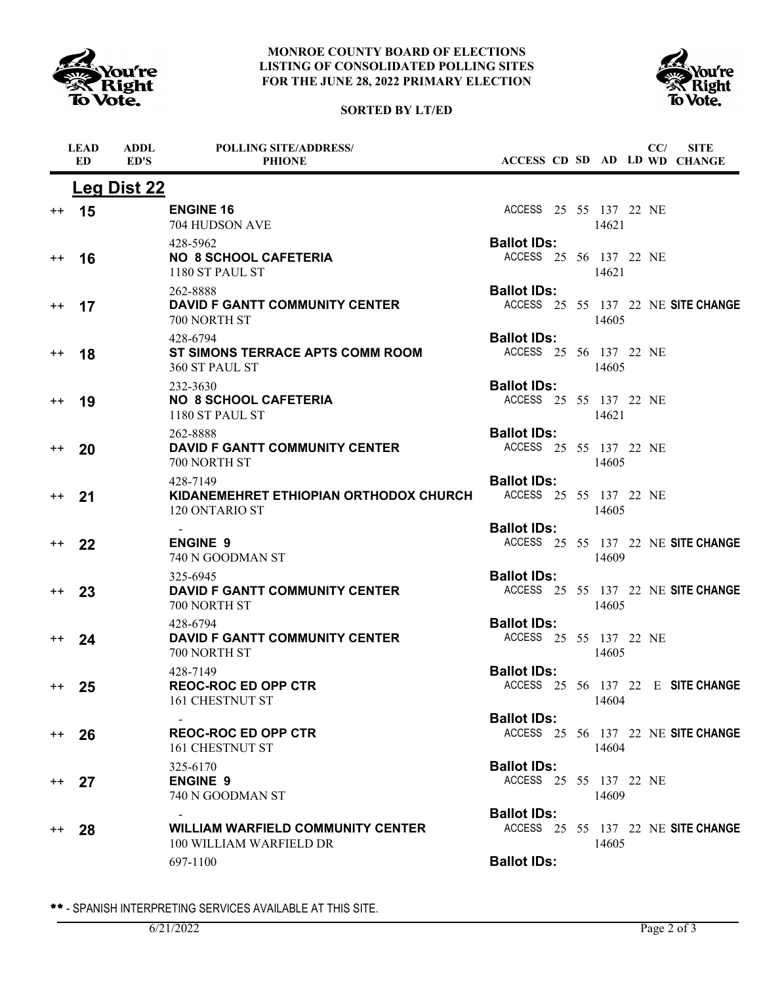





|                 | <b>LEAD</b><br><b>ED</b> | <b>ADDL</b><br>ED'S | <b>POLLING SITE/ADDRESS/</b><br><b>PHIONE</b>                        |                                              |  |       | CC/ | <b>SITE</b><br>ACCESS CD SD AD LD WD CHANGE |
|-----------------|--------------------------|---------------------|----------------------------------------------------------------------|----------------------------------------------|--|-------|-----|---------------------------------------------|
|                 |                          | Leg Dist 22         |                                                                      |                                              |  |       |     |                                             |
| $^{++}$         | 15                       |                     | <b>ENGINE 16</b><br>704 HUDSON AVE                                   | ACCESS 25 55 137 22 NE                       |  | 14621 |     |                                             |
| $^{++}$         | 16                       |                     | 428-5962<br><b>NO 8 SCHOOL CAFETERIA</b><br>1180 ST PAUL ST          | <b>Ballot IDs:</b><br>ACCESS 25 56 137 22 NE |  | 14621 |     |                                             |
| $^{++}$         | 17                       |                     | 262-8888<br><b>DAVID F GANTT COMMUNITY CENTER</b><br>700 NORTH ST    | <b>Ballot IDs:</b>                           |  | 14605 |     | ACCESS 25 55 137 22 NE SITE CHANGE          |
| $^{++}$         | 18                       |                     | 428-6794<br>ST SIMONS TERRACE APTS COMM ROOM<br>360 ST PAUL ST       | <b>Ballot IDs:</b><br>ACCESS 25 56 137 22 NE |  | 14605 |     |                                             |
| $^{\mathrm{+}}$ | 19                       |                     | 232-3630<br><b>NO 8 SCHOOL CAFETERIA</b><br>1180 ST PAUL ST          | <b>Ballot IDs:</b><br>ACCESS 25 55 137 22 NE |  | 14621 |     |                                             |
| $++$            | 20                       |                     | 262-8888<br><b>DAVID F GANTT COMMUNITY CENTER</b><br>700 NORTH ST    | <b>Ballot IDs:</b><br>ACCESS 25 55 137 22 NE |  | 14605 |     |                                             |
| $^{++}$         | 21                       |                     | 428-7149<br>KIDANEMEHRET ETHIOPIAN ORTHODOX CHURCH<br>120 ONTARIO ST | <b>Ballot IDs:</b><br>ACCESS 25 55 137 22 NE |  | 14605 |     |                                             |
| $^{++}$         | 22                       |                     | <b>ENGINE 9</b><br>740 N GOODMAN ST                                  | <b>Ballot IDs:</b>                           |  | 14609 |     | ACCESS 25 55 137 22 NE SITE CHANGE          |
| $^{++}$         | 23                       |                     | 325-6945<br><b>DAVID F GANTT COMMUNITY CENTER</b><br>700 NORTH ST    | <b>Ballot IDs:</b>                           |  | 14605 |     | ACCESS 25 55 137 22 NE SITE CHANGE          |
| $++$            | 24                       |                     | 428-6794<br><b>DAVID F GANTT COMMUNITY CENTER</b><br>700 NORTH ST    | <b>Ballot IDs:</b><br>ACCESS 25 55 137 22 NE |  | 14605 |     |                                             |
| $^{++}$         | 25                       |                     | 428-7149<br><b>REOC-ROC ED OPP CTR</b><br>161 CHESTNUT ST            | <b>Ballot IDs:</b>                           |  | 14604 |     | ACCESS 25 56 137 22 E SITE CHANGE           |
| $^{++}$         | 26                       |                     | <b>REOC-ROC ED OPP CTR</b><br>161 CHESTNUT ST                        | <b>Ballot IDs:</b>                           |  | 14604 |     | ACCESS 25 56 137 22 NE SITE CHANGE          |
| $^{++}$         | 27                       |                     | 325-6170<br><b>ENGINE 9</b><br>740 N GOODMAN ST                      | <b>Ballot IDs:</b><br>ACCESS 25 55 137 22 NE |  | 14609 |     |                                             |
| $^{++}$         | 28                       |                     | <b>WILLIAM WARFIELD COMMUNITY CENTER</b><br>100 WILLIAM WARFIELD DR  | <b>Ballot IDs:</b>                           |  | 14605 |     | ACCESS 25 55 137 22 NE SITE CHANGE          |
|                 |                          |                     | 697-1100                                                             | <b>Ballot IDs:</b>                           |  |       |     |                                             |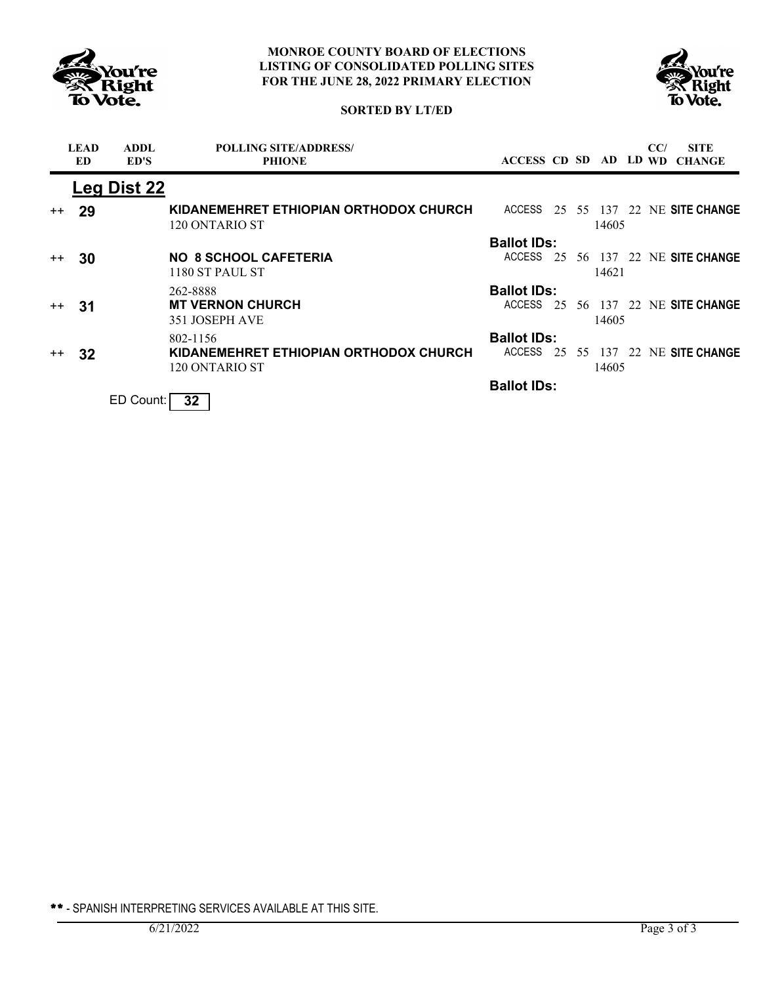



# **SORTED BY LT/ED**

|         | <b>LEAD</b><br>ED | <b>ADDL</b><br>ED'S | <b>POLLING SITE/ADDRESS/</b><br><b>PHIONE</b>            | ACCESS CD SD AD LD WD |    |       | CC/ | <b>SITE</b><br><b>CHANGE</b>       |
|---------|-------------------|---------------------|----------------------------------------------------------|-----------------------|----|-------|-----|------------------------------------|
|         |                   | Leg Dist 22         |                                                          |                       |    |       |     |                                    |
| $^{++}$ | -29               |                     | KIDANEMEHRET ETHIOPIAN ORTHODOX CHURCH<br>120 ONTARIO ST |                       |    | 14605 |     | ACCESS 25 55 137 22 NE SITE CHANGE |
|         |                   |                     |                                                          | <b>Ballot IDs:</b>    |    |       |     |                                    |
| $++$    | 30                |                     | <b>NO 8 SCHOOL CAFETERIA</b><br>1180 ST PAUL ST          | <b>ACCESS</b>         | 25 | 14621 |     | 56 137 22 NE SITE CHANGE           |
|         |                   |                     | 262-8888                                                 | <b>Ballot IDs:</b>    |    |       |     |                                    |
| $++$    | -31               |                     | <b>MT VERNON CHURCH</b><br>351 JOSEPH AVE                | <b>ACCESS</b>         |    | 14605 |     | 25 56 137 22 NE SITE CHANGE        |
|         |                   |                     | 802-1156                                                 | <b>Ballot IDs:</b>    |    |       |     |                                    |
| $++$    | 32                |                     | KIDANEMEHRET ETHIOPIAN ORTHODOX CHURCH<br>120 ONTARIO ST |                       |    | 14605 |     | ACCESS 25 55 137 22 NE SITE CHANGE |
|         |                   |                     |                                                          | <b>Ballot IDs:</b>    |    |       |     |                                    |
|         |                   | ED Count:           | 32 <sub>2</sub>                                          |                       |    |       |     |                                    |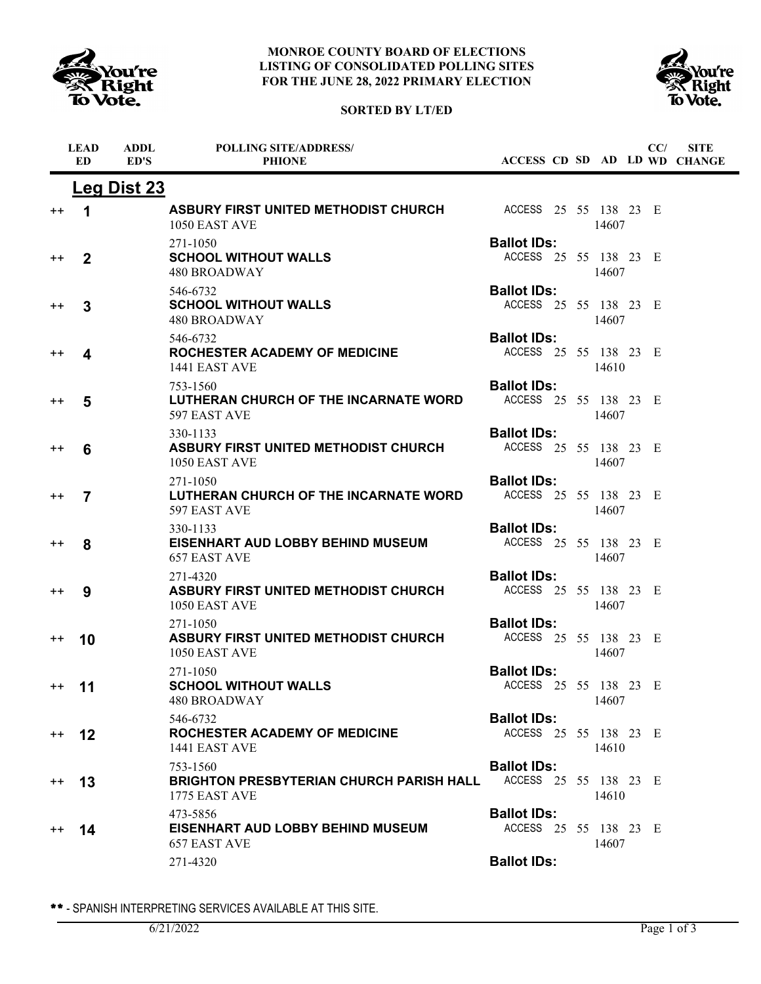





|                 | <b>LEAD</b><br><b>ED</b> | <b>ADDL</b><br>ED'S | <b>POLLING SITE/ADDRESS/</b><br><b>PHIONE</b>                                |                                             |  |       | CC/ | <b>SITE</b><br>ACCESS CD SD AD LD WD CHANGE |
|-----------------|--------------------------|---------------------|------------------------------------------------------------------------------|---------------------------------------------|--|-------|-----|---------------------------------------------|
|                 |                          | <b>Leg Dist 23</b>  |                                                                              |                                             |  |       |     |                                             |
| $^{\mathrm{+}}$ | 1                        |                     | ASBURY FIRST UNITED METHODIST CHURCH<br>1050 EAST AVE                        | ACCESS 25 55 138 23 E                       |  | 14607 |     |                                             |
| $^{\mathrm{+}}$ | $\mathbf 2$              |                     | 271-1050<br><b>SCHOOL WITHOUT WALLS</b><br><b>480 BROADWAY</b>               | <b>Ballot IDs:</b><br>ACCESS 25 55 138 23 E |  | 14607 |     |                                             |
| $^{\mathrm{+}}$ | 3                        |                     | 546-6732<br><b>SCHOOL WITHOUT WALLS</b><br><b>480 BROADWAY</b>               | <b>Ballot IDs:</b><br>ACCESS 25 55 138 23 E |  | 14607 |     |                                             |
| $^{\mathrm{+}}$ | 4                        |                     | 546-6732<br><b>ROCHESTER ACADEMY OF MEDICINE</b><br>1441 EAST AVE            | <b>Ballot IDs:</b><br>ACCESS 25 55 138 23 E |  | 14610 |     |                                             |
| $^{\mathrm{+}}$ | 5                        |                     | 753-1560<br>LUTHERAN CHURCH OF THE INCARNATE WORD<br>597 EAST AVE            | <b>Ballot IDs:</b><br>ACCESS 25 55 138 23 E |  | 14607 |     |                                             |
| $^{\mathrm{+}}$ | 6                        |                     | 330-1133<br>ASBURY FIRST UNITED METHODIST CHURCH<br>1050 EAST AVE            | <b>Ballot IDs:</b><br>ACCESS 25 55 138 23 E |  | 14607 |     |                                             |
| $^{\mathrm{+}}$ | $\overline{7}$           |                     | 271-1050<br>LUTHERAN CHURCH OF THE INCARNATE WORD<br>597 EAST AVE            | <b>Ballot IDs:</b><br>ACCESS 25 55 138 23 E |  | 14607 |     |                                             |
| $^{\mathrm{+}}$ | 8                        |                     | 330-1133<br>EISENHART AUD LOBBY BEHIND MUSEUM<br><b>657 EAST AVE</b>         | <b>Ballot IDs:</b><br>ACCESS 25 55 138 23 E |  | 14607 |     |                                             |
| $^{\mathrm{+}}$ | 9                        |                     | 271-4320<br><b>ASBURY FIRST UNITED METHODIST CHURCH</b><br>1050 EAST AVE     | <b>Ballot IDs:</b><br>ACCESS 25 55 138 23 E |  | 14607 |     |                                             |
| $^{\mathrm{+}}$ | 10                       |                     | 271-1050<br>ASBURY FIRST UNITED METHODIST CHURCH<br>1050 EAST AVE            | <b>Ballot IDs:</b><br>ACCESS 25 55 138 23 E |  | 14607 |     |                                             |
| $^{\mathrm{+}}$ | 11                       |                     | 271-1050<br><b>SCHOOL WITHOUT WALLS</b><br>480 BROADWAY                      | <b>Ballot IDs:</b><br>ACCESS 25 55 138 23 E |  | 14607 |     |                                             |
| $+ +$           | 12                       |                     | 546-6732<br>ROCHESTER ACADEMY OF MEDICINE<br>1441 EAST AVE                   | <b>Ballot IDs:</b><br>ACCESS 25 55 138 23 E |  | 14610 |     |                                             |
| $^{++}$         | 13                       |                     | 753-1560<br><b>BRIGHTON PRESBYTERIAN CHURCH PARISH HALL</b><br>1775 EAST AVE | <b>Ballot IDs:</b><br>ACCESS 25 55 138 23 E |  | 14610 |     |                                             |
| $^{++}$         | 14                       |                     | 473-5856<br>EISENHART AUD LOBBY BEHIND MUSEUM<br>657 EAST AVE                | <b>Ballot IDs:</b><br>ACCESS 25 55 138 23 E |  | 14607 |     |                                             |
|                 |                          |                     | 271-4320                                                                     | <b>Ballot IDs:</b>                          |  |       |     |                                             |

\*\* - SPANISH INTERPRETING SERVICES AVAILABLE AT THIS SITE.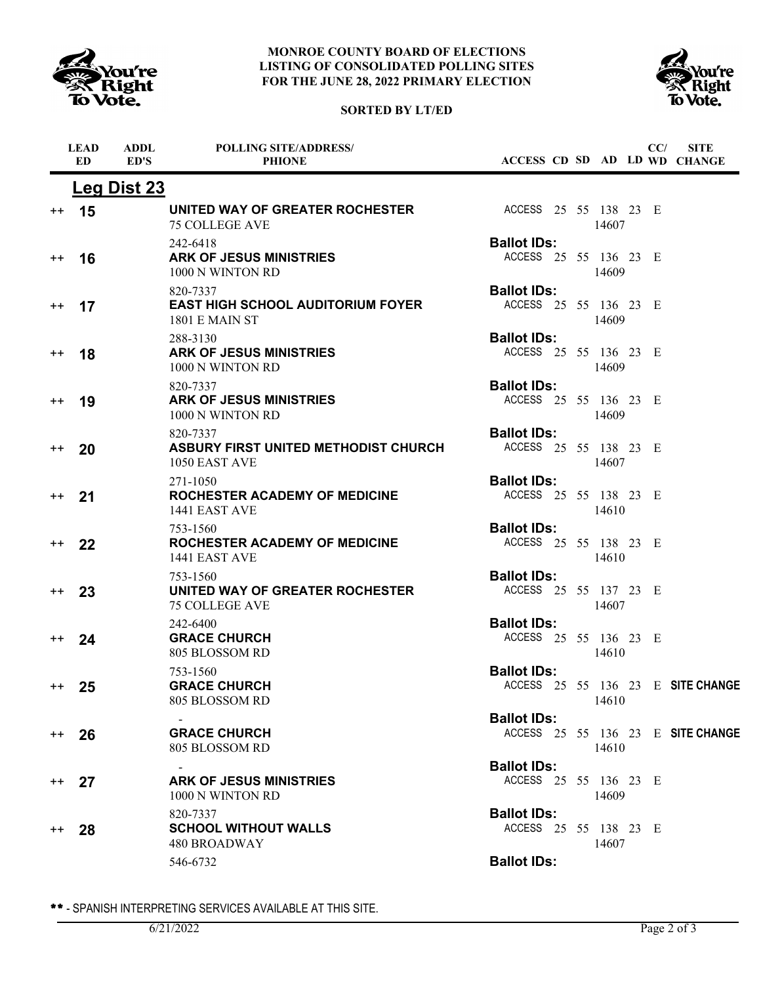

### **MONROE COUNTY BOARD OF ELECTIONS LISTING OF CONSOLIDATED POLLING SITES FOR THE JUNE 28, 2022 PRIMARY ELECTION**





|                  | <b>LEAD</b><br>ED. | <b>ADDL</b><br>ED'S | <b>POLLING SITE/ADDRESS/</b><br><b>PHIONE</b>                                 |                                             |  |       | CC/ | <b>SITE</b><br>ACCESS CD SD AD LD WD CHANGE |
|------------------|--------------------|---------------------|-------------------------------------------------------------------------------|---------------------------------------------|--|-------|-----|---------------------------------------------|
|                  |                    | <b>Leg Dist 23</b>  |                                                                               |                                             |  |       |     |                                             |
| $^{\mathrm{+}}$  | 15                 |                     | UNITED WAY OF GREATER ROCHESTER<br><b>75 COLLEGE AVE</b>                      | ACCESS 25 55 138 23 E                       |  | 14607 |     |                                             |
| $^{\mathrm{+}}$  | 16                 |                     | 242-6418<br><b>ARK OF JESUS MINISTRIES</b><br>1000 N WINTON RD                | <b>Ballot IDs:</b><br>ACCESS 25 55 136 23 E |  | 14609 |     |                                             |
| $^{\mathrm{+}}$  | 17                 |                     | 820-7337<br><b>EAST HIGH SCHOOL AUDITORIUM FOYER</b><br><b>1801 E MAIN ST</b> | <b>Ballot IDs:</b><br>ACCESS 25 55 136 23 E |  | 14609 |     |                                             |
| $^{\mathrm{+}}$  | 18                 |                     | 288-3130<br><b>ARK OF JESUS MINISTRIES</b><br>1000 N WINTON RD                | <b>Ballot IDs:</b><br>ACCESS 25 55 136 23 E |  | 14609 |     |                                             |
| $^{++}$          | 19                 |                     | 820-7337<br><b>ARK OF JESUS MINISTRIES</b><br>1000 N WINTON RD                | <b>Ballot IDs:</b><br>ACCESS 25 55 136 23 E |  | 14609 |     |                                             |
| $^{++}$          | 20                 |                     | 820-7337<br><b>ASBURY FIRST UNITED METHODIST CHURCH</b><br>1050 EAST AVE      | <b>Ballot IDs:</b><br>ACCESS 25 55 138 23 E |  | 14607 |     |                                             |
| $^{\mathrm{+}}$  | 21                 |                     | 271-1050<br><b>ROCHESTER ACADEMY OF MEDICINE</b><br>1441 EAST AVE             | <b>Ballot IDs:</b><br>ACCESS 25 55 138 23 E |  | 14610 |     |                                             |
| $^{++}$          | 22                 |                     | 753-1560<br><b>ROCHESTER ACADEMY OF MEDICINE</b><br>1441 EAST AVE             | <b>Ballot IDs:</b><br>ACCESS 25 55 138 23 E |  | 14610 |     |                                             |
| $^{++}$          | 23                 |                     | 753-1560<br>UNITED WAY OF GREATER ROCHESTER<br><b>75 COLLEGE AVE</b>          | <b>Ballot IDs:</b><br>ACCESS 25 55 137 23 E |  | 14607 |     |                                             |
| $^{++}$          | 24                 |                     | 242-6400<br><b>GRACE CHURCH</b><br>805 BLOSSOM RD                             | <b>Ballot IDs:</b><br>ACCESS 25 55 136 23 E |  | 14610 |     |                                             |
| $++$             | 25                 |                     | 753-1560<br><b>GRACE CHURCH</b><br>805 BLOSSOM RD                             | <b>Ballot IDs:</b>                          |  | 14610 |     | ACCESS 25 55 136 23 E SITE CHANGE           |
| $^{\mathrm{++}}$ | 26                 |                     | <b>GRACE CHURCH</b><br>805 BLOSSOM RD                                         | <b>Ballot IDs:</b>                          |  | 14610 |     | ACCESS 25 55 136 23 E SITE CHANGE           |
| $^{++}$          | 27                 |                     | <b>ARK OF JESUS MINISTRIES</b><br>1000 N WINTON RD                            | <b>Ballot IDs:</b><br>ACCESS 25 55 136 23 E |  | 14609 |     |                                             |
| $^{\mathrm{+}}$  | 28                 |                     | 820-7337<br><b>SCHOOL WITHOUT WALLS</b><br>480 BROADWAY                       | <b>Ballot IDs:</b><br>ACCESS 25 55 138 23 E |  | 14607 |     |                                             |
|                  |                    |                     | 546-6732                                                                      | <b>Ballot IDs:</b>                          |  |       |     |                                             |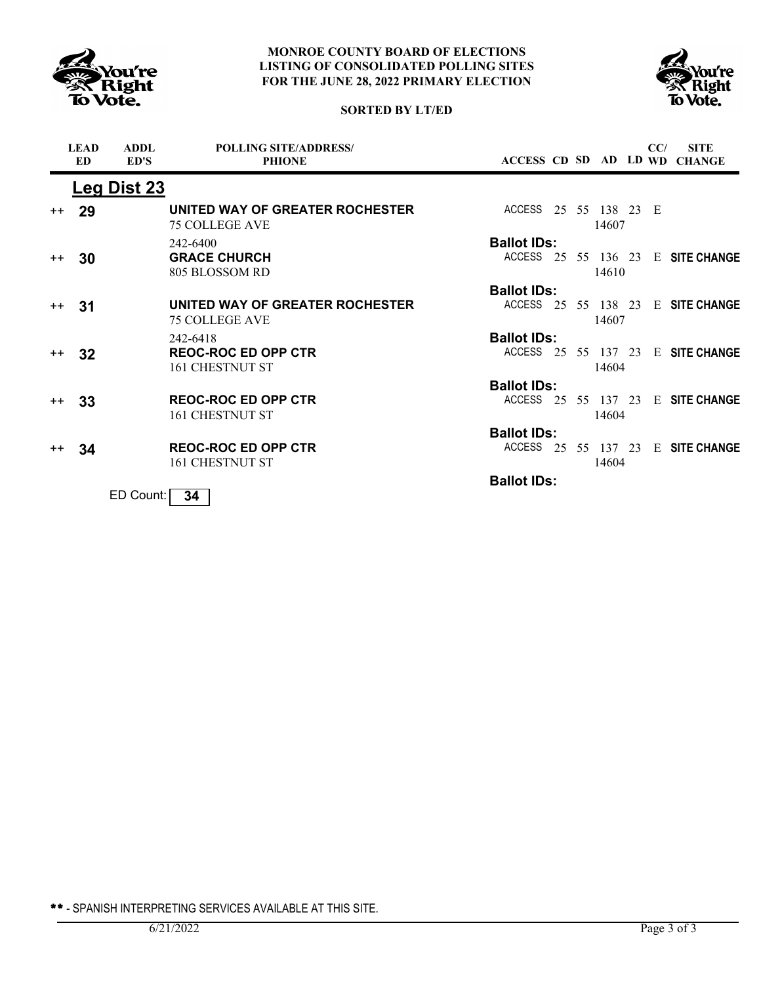



# **SORTED BY LT/ED**

|      | <b>LEAD</b><br><b>ED</b> | <b>ADDL</b><br>ED'S | <b>POLLING SITE/ADDRESS/</b><br><b>PHIONE</b>            |                                           |  |                    | CC/ | <b>SITE</b><br>ACCESS CD SD AD LD WD CHANGE |
|------|--------------------------|---------------------|----------------------------------------------------------|-------------------------------------------|--|--------------------|-----|---------------------------------------------|
|      |                          | Leg Dist 23         |                                                          |                                           |  |                    |     |                                             |
| $++$ | 29                       |                     | UNITED WAY OF GREATER ROCHESTER<br><b>75 COLLEGE AVE</b> | ACCESS 25 55 138 23 E                     |  | 14607              |     |                                             |
| $++$ | 30                       |                     | 242-6400<br><b>GRACE CHURCH</b><br>805 BLOSSOM RD        | <b>Ballot IDs:</b><br>ACCESS 25 55 136 23 |  | 14610              |     | <b>E</b> SITE CHANGE                        |
|      |                          |                     |                                                          | <b>Ballot IDs:</b>                        |  |                    |     |                                             |
| $++$ | 31                       |                     | UNITED WAY OF GREATER ROCHESTER<br><b>75 COLLEGE AVE</b> | ACCESS 25                                 |  | 55 138 23<br>14607 |     | <b>E</b> SITE CHANGE                        |
|      |                          |                     | 242-6418                                                 | <b>Ballot IDs:</b>                        |  |                    |     |                                             |
| $++$ | 32                       |                     | <b>REOC-ROC ED OPP CTR</b><br>161 CHESTNUT ST            | ACCESS 25 55 137 23                       |  | 14604              |     | <b>E</b> SITE CHANGE                        |
|      |                          |                     |                                                          | <b>Ballot IDs:</b>                        |  |                    |     |                                             |
| $++$ | 33                       |                     | <b>REOC-ROC ED OPP CTR</b><br>161 CHESTNUT ST            | ACCESS 25 55 137 23                       |  | 14604              |     | E SITE CHANGE                               |
|      |                          |                     |                                                          | <b>Ballot IDs:</b>                        |  |                    |     |                                             |
| $++$ | 34                       |                     | <b>REOC-ROC ED OPP CTR</b><br>161 CHESTNUT ST            | ACCESS 25                                 |  | 55 137 23<br>14604 |     | E SITE CHANGE                               |
|      |                          |                     |                                                          | <b>Ballot IDs:</b>                        |  |                    |     |                                             |
|      |                          | ED Count:           | 34                                                       |                                           |  |                    |     |                                             |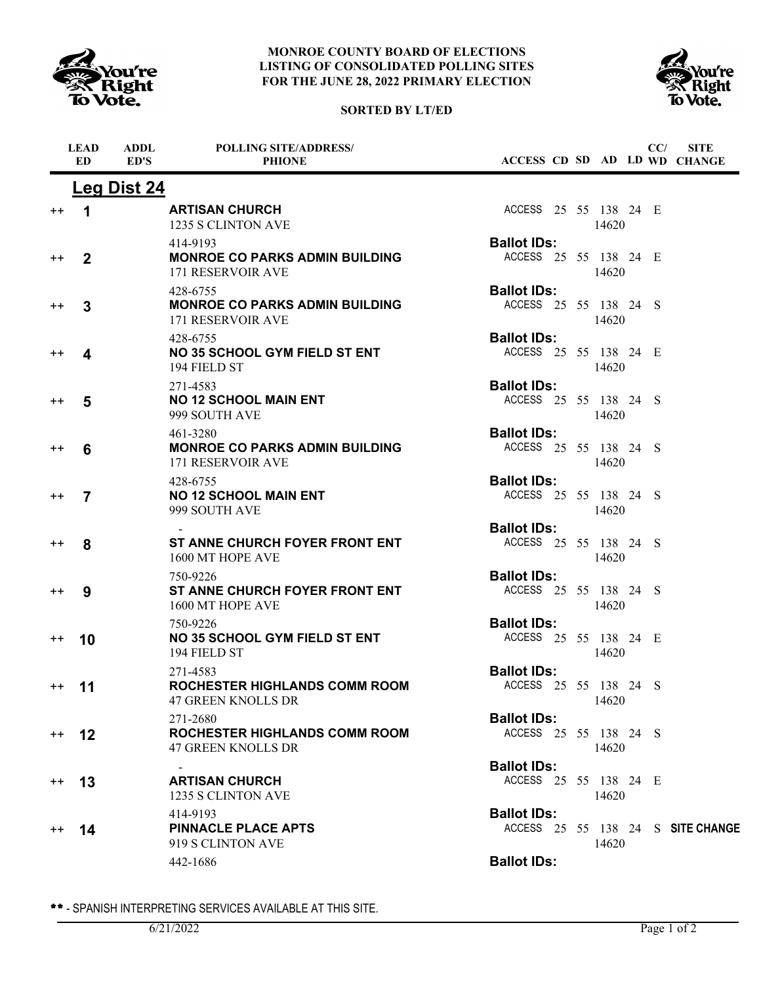

#### **MONROE COUNTY BOARD OF ELECTIONS LISTING OF CONSOLIDATED POLLING SITES FOR THE JUNE 28, 2022 PRIMARY ELECTION**





|                  | <b>LEAD</b><br><b>ED</b> | <b>ADDL</b><br>ED'S | <b>POLLING SITE/ADDRESS/</b><br><b>PHIONE</b>                                 | ACCESS CD SD AD LD WD CHANGE                |       | CC/ | <b>SITE</b>                       |
|------------------|--------------------------|---------------------|-------------------------------------------------------------------------------|---------------------------------------------|-------|-----|-----------------------------------|
|                  |                          | <b>Leg Dist 24</b>  |                                                                               |                                             |       |     |                                   |
| $^{\mathrm{+}}$  | 1                        |                     | <b>ARTISAN CHURCH</b><br>1235 S CLINTON AVE                                   | ACCESS 25 55 138 24 E                       | 14620 |     |                                   |
| $^{++}$          | $\overline{2}$           |                     | 414-9193<br><b>MONROE CO PARKS ADMIN BUILDING</b><br><b>171 RESERVOIR AVE</b> | <b>Ballot IDs:</b><br>ACCESS 25 55 138 24 E | 14620 |     |                                   |
| $^{\mathrm{+}}$  | 3                        |                     | 428-6755<br><b>MONROE CO PARKS ADMIN BUILDING</b><br>171 RESERVOIR AVE        | <b>Ballot IDs:</b><br>ACCESS 25 55 138 24 S | 14620 |     |                                   |
| $^{\mathrm{+}}$  | 4                        |                     | 428-6755<br><b>NO 35 SCHOOL GYM FIELD ST ENT</b><br>194 FIELD ST              | <b>Ballot IDs:</b><br>ACCESS 25 55 138 24 E | 14620 |     |                                   |
| $^{\mathrm{+}}$  | 5                        |                     | 271-4583<br><b>NO 12 SCHOOL MAIN ENT</b><br>999 SOUTH AVE                     | <b>Ballot IDs:</b><br>ACCESS 25 55 138 24 S | 14620 |     |                                   |
| $^{\mathrm{+}}$  | 6                        |                     | 461-3280<br><b>MONROE CO PARKS ADMIN BUILDING</b><br><b>171 RESERVOIR AVE</b> | <b>Ballot IDs:</b><br>ACCESS 25 55 138 24 S | 14620 |     |                                   |
| $^{\mathrm{+}}$  | $\overline{7}$           |                     | 428-6755<br><b>NO 12 SCHOOL MAIN ENT</b><br>999 SOUTH AVE                     | <b>Ballot IDs:</b><br>ACCESS 25 55 138 24 S | 14620 |     |                                   |
| $^{\mathrm{+}}$  | 8                        |                     | ST ANNE CHURCH FOYER FRONT ENT<br>1600 MT HOPE AVE                            | <b>Ballot IDs:</b><br>ACCESS 25 55 138 24 S | 14620 |     |                                   |
| $^{\mathrm{+}}$  | 9                        |                     | 750-9226<br>ST ANNE CHURCH FOYER FRONT ENT<br>1600 MT HOPE AVE                | <b>Ballot IDs:</b><br>ACCESS 25 55 138 24 S | 14620 |     |                                   |
| $^{\mathrm{+}}$  | 10                       |                     | 750-9226<br><b>NO 35 SCHOOL GYM FIELD ST ENT</b><br>194 FIELD ST              | <b>Ballot IDs:</b><br>ACCESS 25 55 138 24 E | 14620 |     |                                   |
| $^{\mathrm{+}}$  | 11                       |                     | 271-4583<br><b>ROCHESTER HIGHLANDS COMM ROOM</b><br>47 GREEN KNOLLS DR        | <b>Ballot IDs:</b><br>ACCESS 25 55 138 24 S | 14620 |     |                                   |
| $^{\mathrm{+}}$  | 12                       |                     | 271-2680<br><b>ROCHESTER HIGHLANDS COMM ROOM</b><br><b>47 GREEN KNOLLS DR</b> | <b>Ballot IDs:</b><br>ACCESS 25 55 138 24 S | 14620 |     |                                   |
| $^{++}$          | 13                       |                     | <b>ARTISAN CHURCH</b><br>1235 S CLINTON AVE                                   | <b>Ballot IDs:</b><br>ACCESS 25 55 138 24 E | 14620 |     |                                   |
| $^{\mathrm{++}}$ | 14                       |                     | 414-9193<br><b>PINNACLE PLACE APTS</b><br>919 S CLINTON AVE                   | <b>Ballot IDs:</b>                          | 14620 |     | ACCESS 25 55 138 24 S SITE CHANGE |
|                  |                          |                     | 442-1686                                                                      | <b>Ballot IDs:</b>                          |       |     |                                   |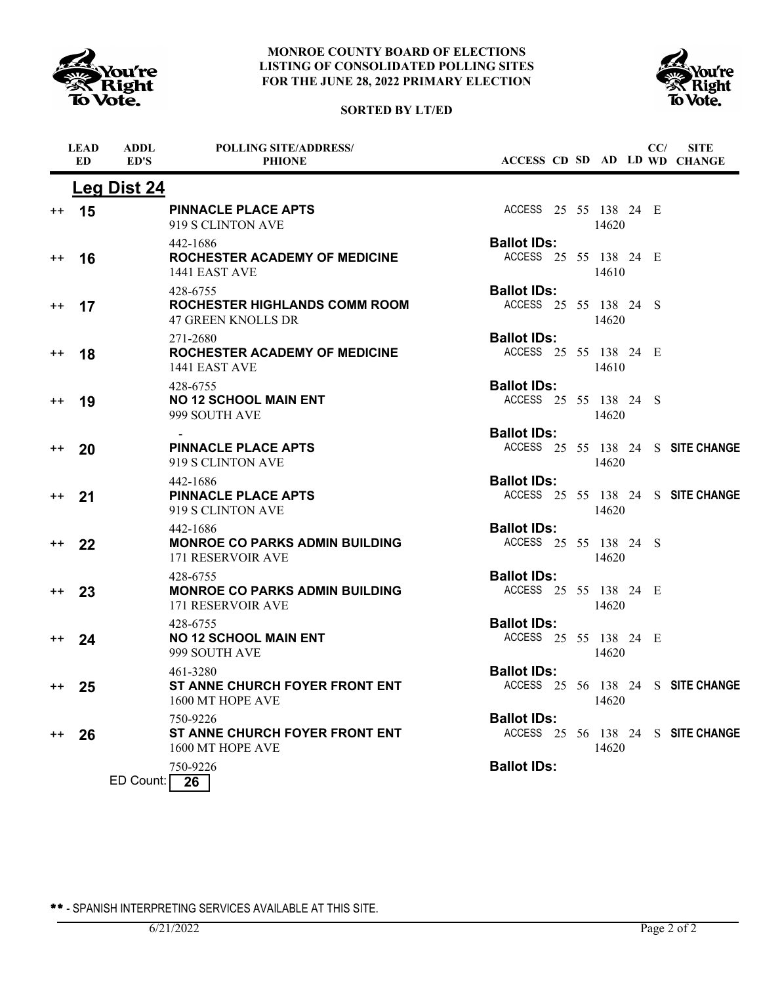





|                 | <b>LEAD</b><br>ED | <b>ADDL</b><br>ED'S | <b>POLLING SITE/ADDRESS/</b><br><b>PHIONE</b>                                 |                                             |  |       | CC/ | <b>SITE</b><br>ACCESS CD SD AD LD WD CHANGE |
|-----------------|-------------------|---------------------|-------------------------------------------------------------------------------|---------------------------------------------|--|-------|-----|---------------------------------------------|
|                 |                   | <b>Leg Dist 24</b>  |                                                                               |                                             |  |       |     |                                             |
| $^{\mathrm{+}}$ | 15                |                     | <b>PINNACLE PLACE APTS</b><br>919 S CLINTON AVE                               | ACCESS 25 55 138 24 E                       |  | 14620 |     |                                             |
| $^{++}$         | 16                |                     | 442-1686<br><b>ROCHESTER ACADEMY OF MEDICINE</b><br>1441 EAST AVE             | <b>Ballot IDs:</b><br>ACCESS 25 55 138 24 E |  | 14610 |     |                                             |
| $^{\mathrm{+}}$ | 17                |                     | 428-6755<br><b>ROCHESTER HIGHLANDS COMM ROOM</b><br><b>47 GREEN KNOLLS DR</b> | <b>Ballot IDs:</b><br>ACCESS 25 55 138 24 S |  | 14620 |     |                                             |
| $^{\mathrm{+}}$ | 18                |                     | 271-2680<br>ROCHESTER ACADEMY OF MEDICINE<br>1441 EAST AVE                    | <b>Ballot IDs:</b><br>ACCESS 25 55 138 24 E |  | 14610 |     |                                             |
| $^{++}$         | 19                |                     | 428-6755<br><b>NO 12 SCHOOL MAIN ENT</b><br>999 SOUTH AVE                     | <b>Ballot IDs:</b><br>ACCESS 25 55 138 24 S |  | 14620 |     |                                             |
| $^{\mathrm{+}}$ | 20                |                     | <b>PINNACLE PLACE APTS</b><br>919 S CLINTON AVE                               | <b>Ballot IDs:</b>                          |  | 14620 |     | ACCESS 25 55 138 24 S SITE CHANGE           |
| $^{++}$         | 21                |                     | 442-1686<br><b>PINNACLE PLACE APTS</b><br>919 S CLINTON AVE                   | <b>Ballot IDs:</b>                          |  | 14620 |     | ACCESS 25 55 138 24 S SITE CHANGE           |
| $^{++}$         | 22                |                     | 442-1686<br><b>MONROE CO PARKS ADMIN BUILDING</b><br><b>171 RESERVOIR AVE</b> | <b>Ballot IDs:</b><br>ACCESS 25 55 138 24 S |  | 14620 |     |                                             |
| $^{++}$         | 23                |                     | 428-6755<br><b>MONROE CO PARKS ADMIN BUILDING</b><br><b>171 RESERVOIR AVE</b> | <b>Ballot IDs:</b><br>ACCESS 25 55 138 24 E |  | 14620 |     |                                             |
| $^{++}$         | 24                |                     | 428-6755<br><b>NO 12 SCHOOL MAIN ENT</b><br>999 SOUTH AVE                     | <b>Ballot IDs:</b><br>ACCESS 25 55 138 24 E |  | 14620 |     |                                             |
| $+$ +           | 25                |                     | 461-3280<br><b>ST ANNE CHURCH FOYER FRONT ENT</b><br>1600 MT HOPE AVE         | <b>Ballot IDs:</b>                          |  | 14620 |     | ACCESS 25 56 138 24 S SITE CHANGE           |
| $^{++}$         | 26                |                     | 750-9226<br>ST ANNE CHURCH FOYER FRONT ENT<br>1600 MT HOPE AVE                | <b>Ballot IDs:</b>                          |  | 14620 |     | ACCESS 25 56 138 24 S SITE CHANGE           |
|                 |                   | ED Count:           | 750-9226<br>26                                                                | <b>Ballot IDs:</b>                          |  |       |     |                                             |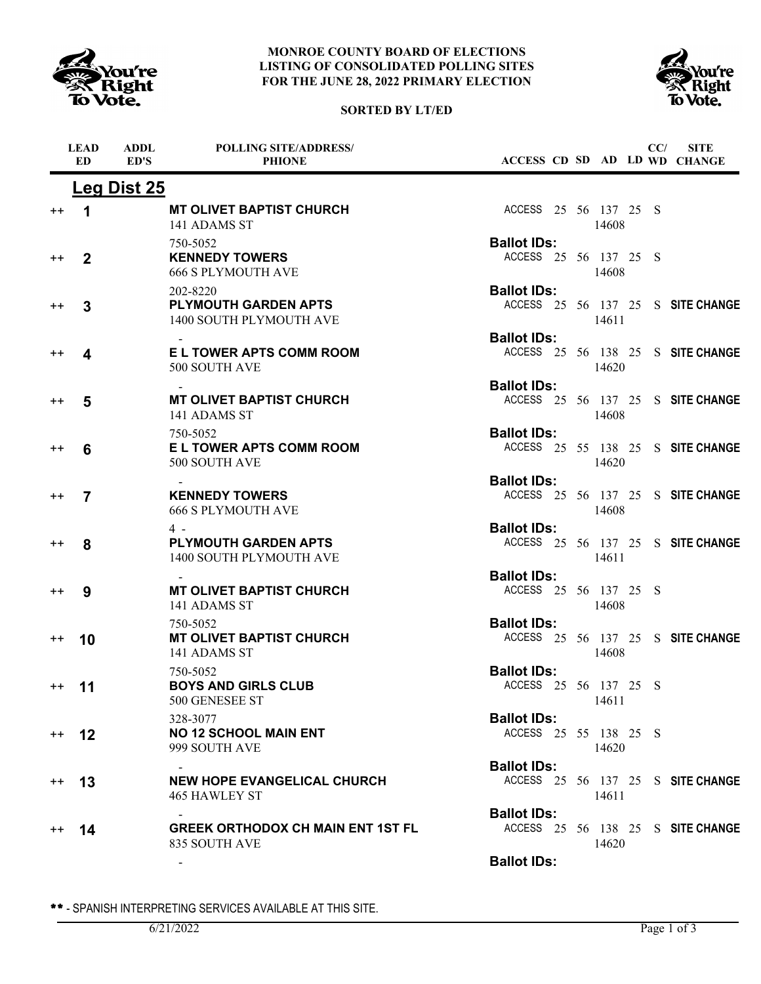





|                 | <b>LEAD</b><br><b>ED</b> | <b>ADDL</b><br>ED'S | <b>POLLING SITE/ADDRESS/</b><br><b>PHIONE</b>                      |                                             |  |       | CC/ | <b>SITE</b><br>ACCESS CD SD AD LD WD CHANGE |
|-----------------|--------------------------|---------------------|--------------------------------------------------------------------|---------------------------------------------|--|-------|-----|---------------------------------------------|
|                 |                          | <b>Leg Dist 25</b>  |                                                                    |                                             |  |       |     |                                             |
| $^{\mathrm{+}}$ | 1                        |                     | <b>MT OLIVET BAPTIST CHURCH</b><br>141 ADAMS ST                    | ACCESS 25 56 137 25 S                       |  | 14608 |     |                                             |
| $^{\mathrm{+}}$ | $\overline{2}$           |                     | 750-5052<br><b>KENNEDY TOWERS</b><br><b>666 S PLYMOUTH AVE</b>     | <b>Ballot IDs:</b><br>ACCESS 25 56 137 25 S |  | 14608 |     |                                             |
| $^{\mathrm{+}}$ | 3                        |                     | 202-8220<br><b>PLYMOUTH GARDEN APTS</b><br>1400 SOUTH PLYMOUTH AVE | <b>Ballot IDs:</b>                          |  | 14611 |     | ACCESS 25 56 137 25 S SITE CHANGE           |
| $^{++}$         | 4                        |                     | E L TOWER APTS COMM ROOM<br>500 SOUTH AVE                          | <b>Ballot IDs:</b>                          |  | 14620 |     | ACCESS 25 56 138 25 S SITE CHANGE           |
| $^{++}$         | 5                        |                     | <b>MT OLIVET BAPTIST CHURCH</b><br>141 ADAMS ST                    | <b>Ballot IDs:</b>                          |  | 14608 |     | ACCESS 25 56 137 25 S SITE CHANGE           |
| $^{++}$         | 6                        |                     | 750-5052<br>E L TOWER APTS COMM ROOM<br>500 SOUTH AVE              | <b>Ballot IDs:</b>                          |  | 14620 |     | ACCESS 25 55 138 25 S SITE CHANGE           |
| $^{\mathrm{+}}$ | $\overline{7}$           |                     | <b>KENNEDY TOWERS</b><br><b>666 S PLYMOUTH AVE</b>                 | <b>Ballot IDs:</b>                          |  | 14608 |     | ACCESS 25 56 137 25 S SITE CHANGE           |
| $^{++}$         | 8                        |                     | $4 -$<br><b>PLYMOUTH GARDEN APTS</b><br>1400 SOUTH PLYMOUTH AVE    | <b>Ballot IDs:</b>                          |  | 14611 |     | ACCESS 25 56 137 25 S SITE CHANGE           |
| $^{\mathrm{+}}$ | 9                        |                     | <b>MT OLIVET BAPTIST CHURCH</b><br>141 ADAMS ST                    | <b>Ballot IDs:</b><br>ACCESS 25 56 137 25 S |  | 14608 |     |                                             |
| $^{\mathrm{+}}$ | 10                       |                     | 750-5052<br><b>MT OLIVET BAPTIST CHURCH</b><br>141 ADAMS ST        | <b>Ballot IDs:</b>                          |  | 14608 |     | ACCESS 25 56 137 25 S SITE CHANGE           |
| $^{++}$         | 11                       |                     | 750-5052<br><b>BOYS AND GIRLS CLUB</b><br>500 GENESEE ST           | <b>Ballot IDs:</b><br>ACCESS 25 56 137 25 S |  | 14611 |     |                                             |
| $++$            | $12 \,$                  |                     | 328-3077<br><b>NO 12 SCHOOL MAIN ENT</b><br>999 SOUTH AVE          | <b>Ballot IDs:</b><br>ACCESS 25 55 138 25 S |  | 14620 |     |                                             |
| $^{++}$         | 13                       |                     | <b>NEW HOPE EVANGELICAL CHURCH</b><br><b>465 HAWLEY ST</b>         | <b>Ballot IDs:</b>                          |  | 14611 |     | ACCESS 25 56 137 25 S SITE CHANGE           |
| $^{++}$         | 14                       |                     | <b>GREEK ORTHODOX CH MAIN ENT 1ST FL</b><br>835 SOUTH AVE          | <b>Ballot IDs:</b>                          |  | 14620 |     | ACCESS 25 56 138 25 S SITE CHANGE           |
|                 |                          |                     |                                                                    | <b>Ballot IDs:</b>                          |  |       |     |                                             |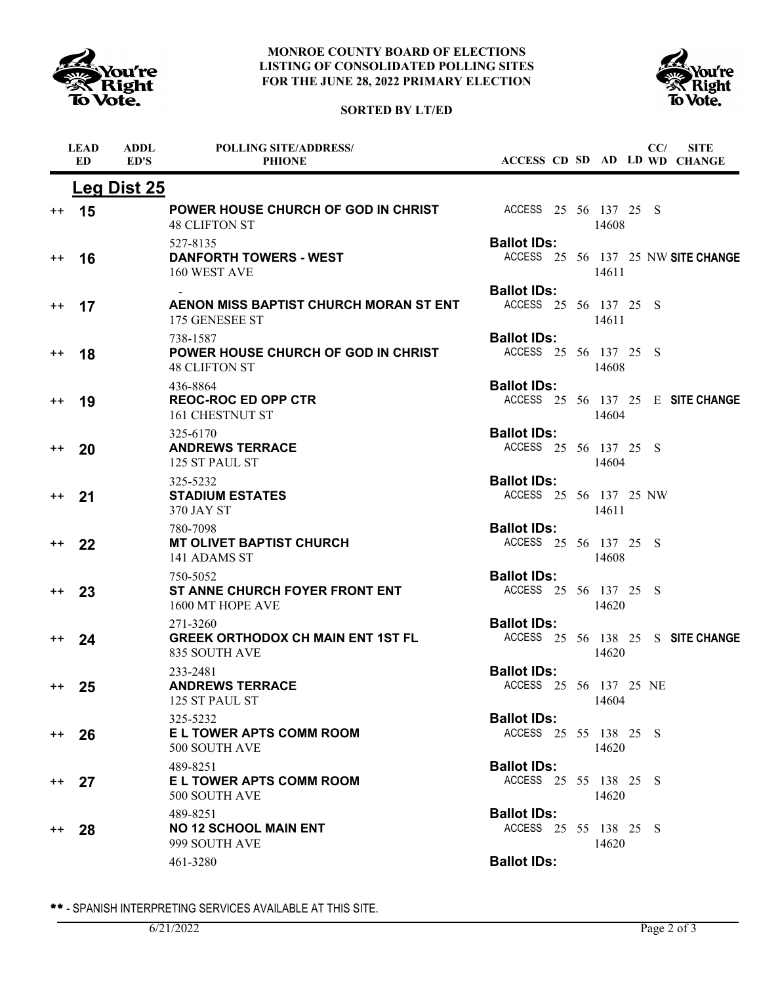





|                  | <b>LEAD</b><br><b>ED</b> | <b>ADDL</b><br>ED'S | <b>POLLING SITE/ADDRESS/</b><br><b>PHIONE</b>                           | ACCESS CD SD AD LD WD CHANGE                 |       | CC/ | <b>SITE</b>                        |
|------------------|--------------------------|---------------------|-------------------------------------------------------------------------|----------------------------------------------|-------|-----|------------------------------------|
|                  |                          | <b>Leg Dist 25</b>  |                                                                         |                                              |       |     |                                    |
| $^{\mathrm{+}}$  | 15                       |                     | POWER HOUSE CHURCH OF GOD IN CHRIST<br><b>48 CLIFTON ST</b>             | ACCESS 25 56 137 25 S                        | 14608 |     |                                    |
| $^{\mathrm{++}}$ | 16                       |                     | 527-8135<br><b>DANFORTH TOWERS - WEST</b><br>160 WEST AVE               | <b>Ballot IDs:</b>                           | 14611 |     | ACCESS 25 56 137 25 NW SITE CHANGE |
| $^{\mathrm{+}}$  | 17                       |                     | AENON MISS BAPTIST CHURCH MORAN ST ENT<br>175 GENESEE ST                | <b>Ballot IDs:</b><br>ACCESS 25 56 137 25 S  | 14611 |     |                                    |
| $^{\mathrm{+}}$  | 18                       |                     | 738-1587<br>POWER HOUSE CHURCH OF GOD IN CHRIST<br><b>48 CLIFTON ST</b> | <b>Ballot IDs:</b><br>ACCESS 25 56 137 25 S  | 14608 |     |                                    |
| $^{\mathrm{+}}$  | 19                       |                     | 436-8864<br><b>REOC-ROC ED OPP CTR</b><br>161 CHESTNUT ST               | <b>Ballot IDs:</b>                           | 14604 |     | ACCESS 25 56 137 25 E SITE CHANGE  |
| $^{\mathrm{+}}$  | 20                       |                     | 325-6170<br><b>ANDREWS TERRACE</b><br>125 ST PAUL ST                    | <b>Ballot IDs:</b><br>ACCESS 25 56 137 25 S  | 14604 |     |                                    |
| $^{++}$          | 21                       |                     | 325-5232<br><b>STADIUM ESTATES</b><br>370 JAY ST                        | <b>Ballot IDs:</b><br>ACCESS 25 56 137 25 NW | 14611 |     |                                    |
| $^{\mathrm{++}}$ | 22                       |                     | 780-7098<br><b>MT OLIVET BAPTIST CHURCH</b><br>141 ADAMS ST             | <b>Ballot IDs:</b><br>ACCESS 25 56 137 25 S  | 14608 |     |                                    |
| $^{\mathrm{+}}$  | 23                       |                     | 750-5052<br>ST ANNE CHURCH FOYER FRONT ENT<br>1600 MT HOPE AVE          | <b>Ballot IDs:</b><br>ACCESS 25 56 137 25 S  | 14620 |     |                                    |
| $^{\mathrm{++}}$ | 24                       |                     | 271-3260<br><b>GREEK ORTHODOX CH MAIN ENT 1ST FL</b><br>835 SOUTH AVE   | <b>Ballot IDs:</b>                           | 14620 |     | ACCESS 25 56 138 25 S SITE CHANGE  |
| $^{\mathrm{++}}$ | 25                       |                     | 233-2481<br><b>ANDREWS TERRACE</b><br>125 ST PAUL ST                    | <b>Ballot IDs:</b><br>ACCESS 25 56 137 25 NE | 14604 |     |                                    |
| $^{\mathrm{++}}$ | 26                       |                     | 325-5232<br><b>EL TOWER APTS COMM ROOM</b><br>500 SOUTH AVE             | <b>Ballot IDs:</b><br>ACCESS 25 55 138 25 S  | 14620 |     |                                    |
| $^{++}$          | 27                       |                     | 489-8251<br>E L TOWER APTS COMM ROOM<br>500 SOUTH AVE                   | <b>Ballot IDs:</b><br>ACCESS 25 55 138 25 S  | 14620 |     |                                    |
| $^{\mathrm{+}}$  | 28                       |                     | 489-8251<br><b>NO 12 SCHOOL MAIN ENT</b><br>999 SOUTH AVE               | <b>Ballot IDs:</b><br>ACCESS 25 55 138 25 S  | 14620 |     |                                    |
|                  |                          |                     | 461-3280                                                                | <b>Ballot IDs:</b>                           |       |     |                                    |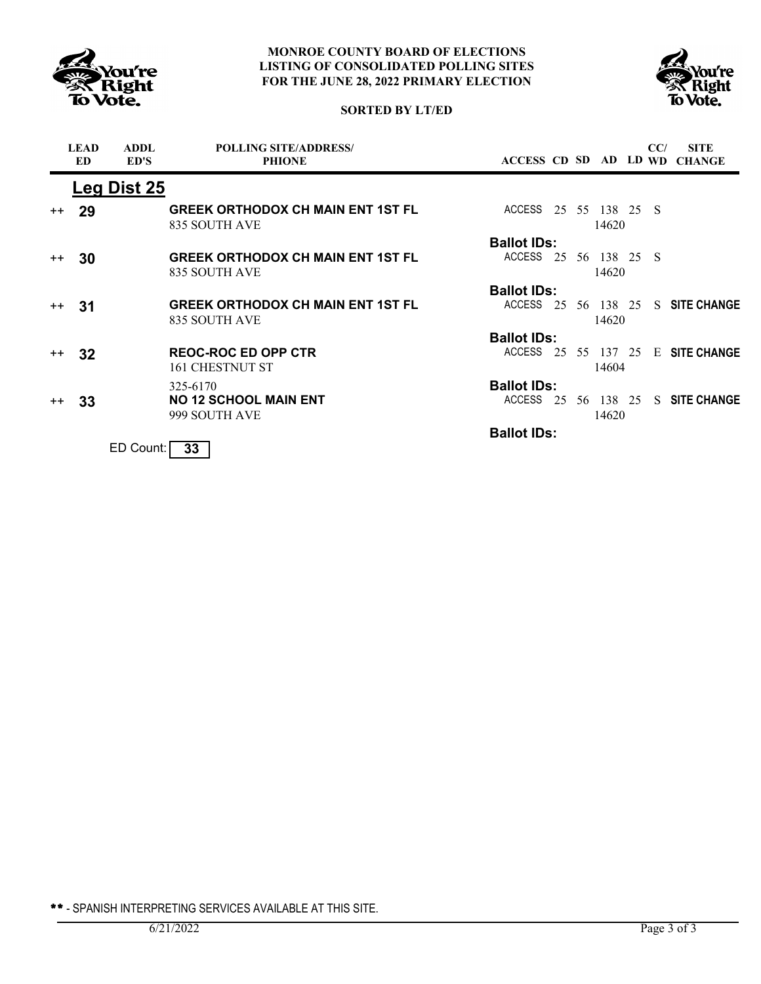



## **SORTED BY LT/ED**

|      | <b>LEAD</b><br><b>ED</b> | <b>ADDL</b><br>ED'S | <b>POLLING SITE/ADDRESS/</b><br><b>PHIONE</b>             |                       |  |       | CC/ | <b>SITE</b><br>ACCESS CD SD AD LD WD CHANGE |
|------|--------------------------|---------------------|-----------------------------------------------------------|-----------------------|--|-------|-----|---------------------------------------------|
|      |                          | Leg Dist 25         |                                                           |                       |  |       |     |                                             |
| $++$ | 29                       |                     | <b>GREEK ORTHODOX CH MAIN ENT 1ST FL</b><br>835 SOUTH AVE | ACCESS 25 55 138 25 S |  | 14620 |     |                                             |
|      |                          |                     |                                                           | <b>Ballot IDs:</b>    |  |       |     |                                             |
| $++$ | 30                       |                     | <b>GREEK ORTHODOX CH MAIN ENT 1ST FL</b><br>835 SOUTH AVE | ACCESS 25 56 138 25 S |  | 14620 |     |                                             |
|      |                          |                     |                                                           | <b>Ballot IDs:</b>    |  |       |     |                                             |
| $++$ | -31                      |                     | <b>GREEK ORTHODOX CH MAIN ENT 1ST FL</b><br>835 SOUTH AVE | ACCESS 25 56 138 25   |  | 14620 |     | S SITE CHANGE                               |
|      |                          |                     |                                                           | <b>Ballot IDs:</b>    |  |       |     |                                             |
| $++$ | 32                       |                     | <b>REOC-ROC ED OPP CTR</b><br>161 CHESTNUT ST             | ACCESS                |  | 14604 |     | 25 55 137 25 E SITE CHANGE                  |
|      |                          |                     | 325-6170                                                  | <b>Ballot IDs:</b>    |  |       |     |                                             |
| $++$ | 33                       |                     | <b>NO 12 SCHOOL MAIN ENT</b><br>999 SOUTH AVE             | ACCESS                |  | 14620 |     | 25 56 138 25 S SITE CHANGE                  |
|      |                          |                     |                                                           | <b>Ballot IDs:</b>    |  |       |     |                                             |
|      |                          | ED Count:           | 33                                                        |                       |  |       |     |                                             |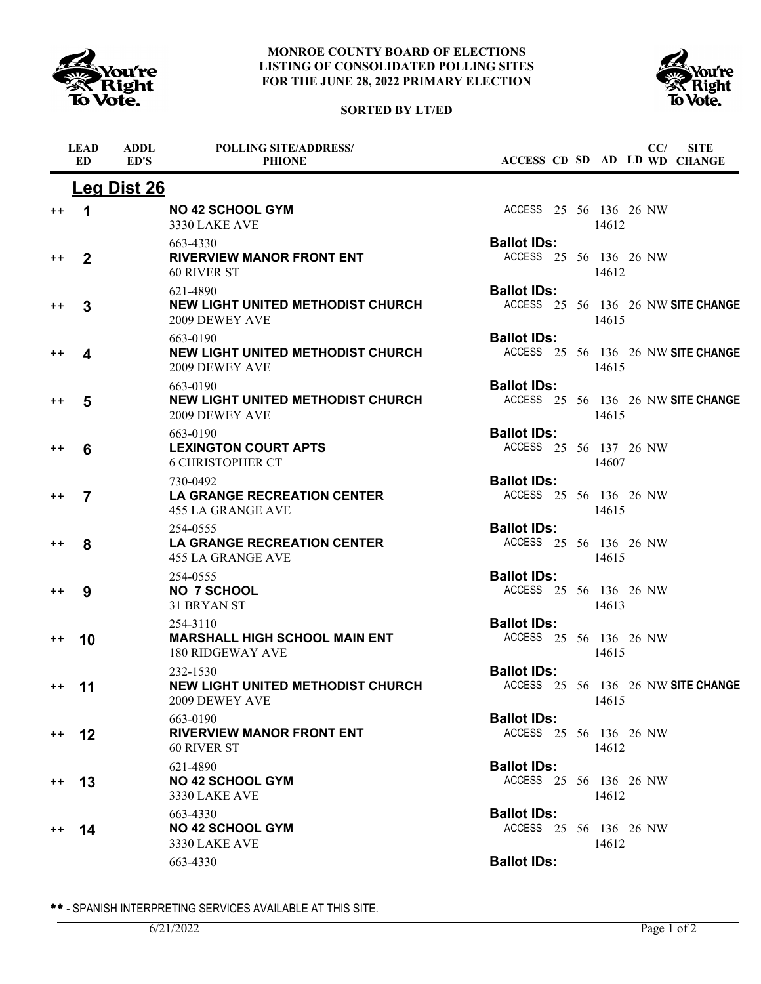





|                  | <b>LEAD</b><br><b>ED</b> | <b>ADDL</b><br>ED'S | <b>POLLING SITE/ADDRESS/</b><br><b>PHIONE</b>                               | ACCESS CD SD AD LD WD CHANGE                             |       | CC/ | <b>SITE</b> |
|------------------|--------------------------|---------------------|-----------------------------------------------------------------------------|----------------------------------------------------------|-------|-----|-------------|
|                  |                          | <b>Leg Dist 26</b>  |                                                                             |                                                          |       |     |             |
| $^{\mathrm{+}}$  | 1                        |                     | <b>NO 42 SCHOOL GYM</b><br>3330 LAKE AVE                                    | ACCESS 25 56 136 26 NW                                   | 14612 |     |             |
| $^{\mathrm{+}}$  | $\overline{2}$           |                     | 663-4330<br><b>RIVERVIEW MANOR FRONT ENT</b><br>60 RIVER ST                 | <b>Ballot IDs:</b><br>ACCESS 25 56 136 26 NW             | 14612 |     |             |
| $^{\mathrm{+}}$  | 3                        |                     | 621-4890<br><b>NEW LIGHT UNITED METHODIST CHURCH</b><br>2009 DEWEY AVE      | <b>Ballot IDs:</b><br>ACCESS 25 56 136 26 NW SITE CHANGE | 14615 |     |             |
| $^{\mathrm{+}}$  | 4                        |                     | 663-0190<br>NEW LIGHT UNITED METHODIST CHURCH<br>2009 DEWEY AVE             | <b>Ballot IDs:</b><br>ACCESS 25 56 136 26 NW SITE CHANGE | 14615 |     |             |
| $^{\mathrm{+}}$  | 5                        |                     | 663-0190<br>NEW LIGHT UNITED METHODIST CHURCH<br>2009 DEWEY AVE             | <b>Ballot IDs:</b><br>ACCESS 25 56 136 26 NW SITE CHANGE | 14615 |     |             |
| $^{\mathrm{+}}$  | 6                        |                     | 663-0190<br><b>LEXINGTON COURT APTS</b><br><b>6 CHRISTOPHER CT</b>          | <b>Ballot IDs:</b><br>ACCESS 25 56 137 26 NW             | 14607 |     |             |
| $^{\mathrm{+}}$  | $\overline{7}$           |                     | 730-0492<br><b>LA GRANGE RECREATION CENTER</b><br><b>455 LA GRANGE AVE</b>  | <b>Ballot IDs:</b><br>ACCESS 25 56 136 26 NW             | 14615 |     |             |
| $^{\mathrm{+}}$  | 8                        |                     | 254-0555<br><b>LA GRANGE RECREATION CENTER</b><br><b>455 LA GRANGE AVE</b>  | <b>Ballot IDs:</b><br>ACCESS 25 56 136 26 NW             | 14615 |     |             |
| $^{\mathrm{+}}$  | 9                        |                     | 254-0555<br><b>NO 7 SCHOOL</b><br>31 BRYAN ST                               | <b>Ballot IDs:</b><br>ACCESS 25 56 136 26 NW             | 14613 |     |             |
| $^{\mathrm{+}}$  | 10                       |                     | 254-3110<br><b>MARSHALL HIGH SCHOOL MAIN ENT</b><br><b>180 RIDGEWAY AVE</b> | <b>Ballot IDs:</b><br>ACCESS 25 56 136 26 NW             | 14615 |     |             |
| $^{\mathrm{+}}$  | 11                       |                     | 232-1530<br><b>NEW LIGHT UNITED METHODIST CHURCH</b><br>2009 DEWEY AVE      | <b>Ballot IDs:</b><br>ACCESS 25 56 136 26 NW SITE CHANGE | 14615 |     |             |
| $^{++}$          | 12                       |                     | 663-0190<br><b>RIVERVIEW MANOR FRONT ENT</b><br>60 RIVER ST                 | <b>Ballot IDs:</b><br>ACCESS 25 56 136 26 NW             | 14612 |     |             |
| $^{\mathrm{+}}$  | 13                       |                     | 621-4890<br><b>NO 42 SCHOOL GYM</b><br><b>3330 LAKE AVE</b>                 | <b>Ballot IDs:</b><br>ACCESS 25 56 136 26 NW             | 14612 |     |             |
| $^{\mathrm{++}}$ | 14                       |                     | 663-4330<br><b>NO 42 SCHOOL GYM</b><br><b>3330 LAKE AVE</b>                 | <b>Ballot IDs:</b><br>ACCESS 25 56 136 26 NW             | 14612 |     |             |
|                  |                          |                     | 663-4330                                                                    | <b>Ballot IDs:</b>                                       |       |     |             |
|                  |                          |                     |                                                                             |                                                          |       |     |             |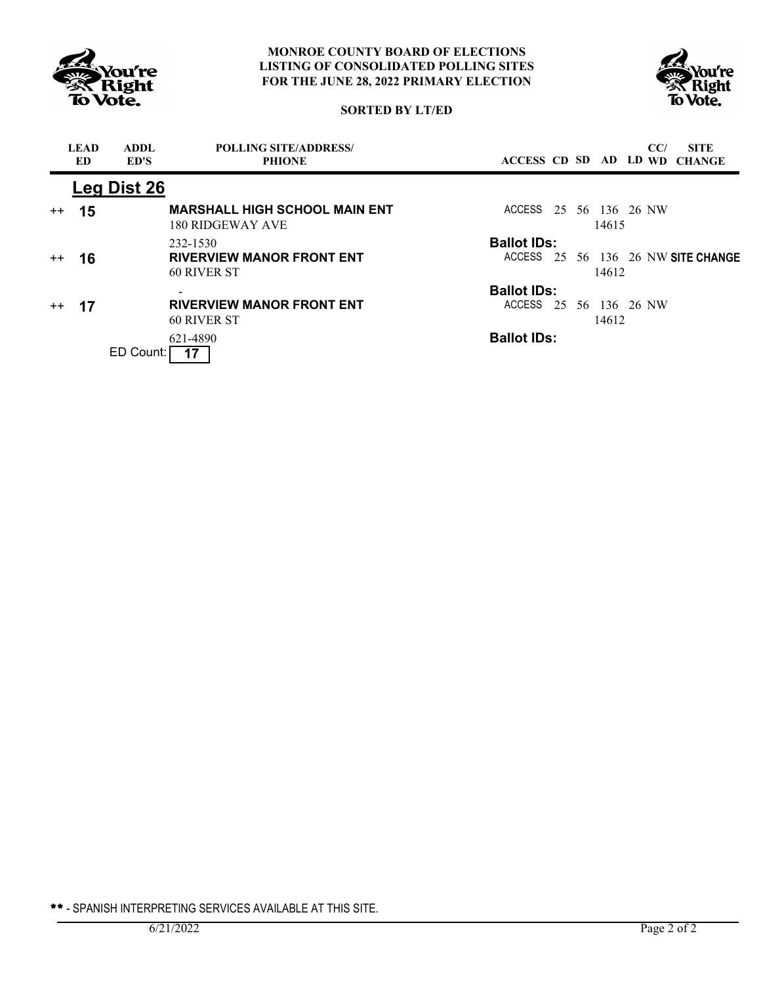



# **SORTED BY LT/ED**

|         | <b>LEAD</b><br>ED. | <b>ADDL</b><br>ED'S | <b>POLLING SITE/ADDRESS/</b><br><b>PHIONE</b>            | ACCESS CD SD AD LD WD  |  |              | CC/ | <b>SITE</b><br><b>CHANGE</b>       |
|---------|--------------------|---------------------|----------------------------------------------------------|------------------------|--|--------------|-----|------------------------------------|
|         |                    | Leg Dist 26         |                                                          |                        |  |              |     |                                    |
| $^{++}$ | 15                 |                     | <b>MARSHALL HIGH SCHOOL MAIN ENT</b><br>180 RIDGEWAY AVE | ACCESS 25 56 136 26 NW |  | 14615        |     |                                    |
|         |                    |                     | 232-1530                                                 | <b>Ballot IDs:</b>     |  |              |     |                                    |
| $++$    | 16                 |                     | <b>RIVERVIEW MANOR FRONT ENT</b>                         |                        |  |              |     | ACCESS 25 56 136 26 NW SITE CHANGE |
|         |                    |                     | 60 RIVER ST                                              |                        |  | 14612        |     |                                    |
|         |                    |                     |                                                          | <b>Ballot IDs:</b>     |  |              |     |                                    |
| $++$    | 17                 |                     | <b>RIVERVIEW MANOR FRONT ENT</b>                         | ACCESS 25              |  | 56 136 26 NW |     |                                    |
|         |                    |                     | 60 RIVER ST                                              |                        |  | 14612        |     |                                    |
|         |                    |                     | 621-4890                                                 | <b>Ballot IDs:</b>     |  |              |     |                                    |
|         |                    | ED Count:           |                                                          |                        |  |              |     |                                    |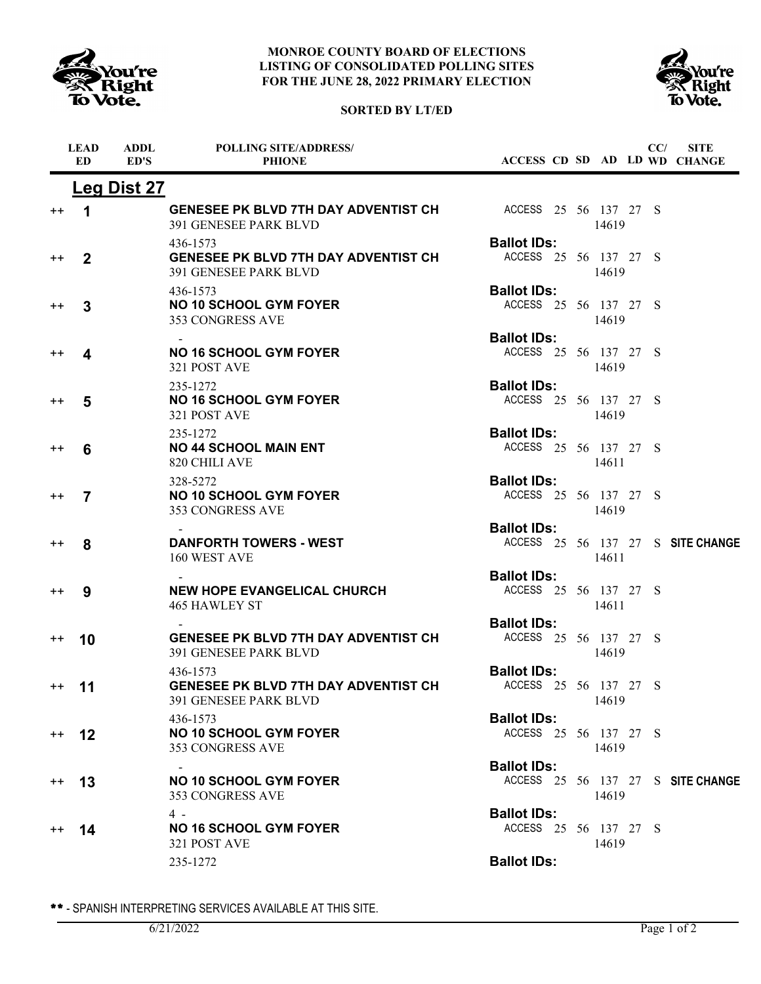



### **SORTED BY LT/ED**

|                  | <b>LEAD</b><br>ED    | <b>ADDL</b><br>ED'S | <b>POLLING SITE/ADDRESS/</b><br><b>PHIONE</b>                                    |                                             |  |       | CC/ | <b>SITE</b><br>ACCESS CD SD AD LD WD CHANGE |
|------------------|----------------------|---------------------|----------------------------------------------------------------------------------|---------------------------------------------|--|-------|-----|---------------------------------------------|
|                  |                      | <b>Leg Dist 27</b>  |                                                                                  |                                             |  |       |     |                                             |
| $^{\mathrm{+}}$  | $\blacktriangleleft$ |                     | <b>GENESEE PK BLVD 7TH DAY ADVENTIST CH</b><br>391 GENESEE PARK BLVD             | ACCESS 25 56 137 27 S                       |  | 14619 |     |                                             |
| $^{\mathrm{+}}$  | $\mathbf{2}$         |                     | 436-1573<br><b>GENESEE PK BLVD 7TH DAY ADVENTIST CH</b><br>391 GENESEE PARK BLVD | <b>Ballot IDs:</b><br>ACCESS 25 56 137 27 S |  | 14619 |     |                                             |
| $^{++}$          | 3                    |                     | 436-1573<br><b>NO 10 SCHOOL GYM FOYER</b><br>353 CONGRESS AVE                    | <b>Ballot IDs:</b><br>ACCESS 25 56 137 27 S |  | 14619 |     |                                             |
| $^{\mathrm{+}}$  | 4                    |                     | <b>NO 16 SCHOOL GYM FOYER</b><br>321 POST AVE                                    | <b>Ballot IDs:</b><br>ACCESS 25 56 137 27 S |  | 14619 |     |                                             |
| $^{\mathrm{+}}$  | 5                    |                     | 235-1272<br><b>NO 16 SCHOOL GYM FOYER</b><br>321 POST AVE                        | <b>Ballot IDs:</b><br>ACCESS 25 56 137 27 S |  | 14619 |     |                                             |
| $^{\mathrm{+}}$  | 6                    |                     | 235-1272<br><b>NO 44 SCHOOL MAIN ENT</b><br>820 CHILI AVE                        | <b>Ballot IDs:</b><br>ACCESS 25 56 137 27 S |  | 14611 |     |                                             |
| $^{\mathrm{+}}$  | 7                    |                     | 328-5272<br><b>NO 10 SCHOOL GYM FOYER</b><br><b>353 CONGRESS AVE</b>             | <b>Ballot IDs:</b><br>ACCESS 25 56 137 27 S |  | 14619 |     |                                             |
| $^{\mathrm{+}}$  | 8                    |                     | <b>DANFORTH TOWERS - WEST</b><br>160 WEST AVE                                    | <b>Ballot IDs:</b>                          |  | 14611 |     | ACCESS 25 56 137 27 S SITE CHANGE           |
| $^{\mathrm{+}}$  | 9                    |                     | <b>NEW HOPE EVANGELICAL CHURCH</b><br><b>465 HAWLEY ST</b>                       | <b>Ballot IDs:</b><br>ACCESS 25 56 137 27 S |  | 14611 |     |                                             |
| $^{\mathrm{+}}$  | 10                   |                     | <b>GENESEE PK BLVD 7TH DAY ADVENTIST CH</b><br><b>391 GENESEE PARK BLVD</b>      | <b>Ballot IDs:</b><br>ACCESS 25 56 137 27 S |  | 14619 |     |                                             |
| $^{\mathrm{++}}$ | 11                   |                     | 436-1573<br><b>GENESEE PK BLVD 7TH DAY ADVENTIST CH</b><br>391 GENESEE PARK BLVD | <b>Ballot IDs:</b><br>ACCESS 25 56 137 27 S |  | 14619 |     |                                             |
| $^{++}$          | 12                   |                     | 436-1573<br><b>NO 10 SCHOOL GYM FOYER</b><br>353 CONGRESS AVE                    | <b>Ballot IDs:</b><br>ACCESS 25 56 137 27 S |  | 14619 |     |                                             |
| $^{++}$          | 13                   |                     | <b>NO 10 SCHOOL GYM FOYER</b><br>353 CONGRESS AVE                                | <b>Ballot IDs:</b>                          |  | 14619 |     | ACCESS 25 56 137 27 S SITE CHANGE           |
| $^{++}$          | 14                   |                     | 4 -<br><b>NO 16 SCHOOL GYM FOYER</b><br>321 POST AVE                             | <b>Ballot IDs:</b><br>ACCESS 25 56 137 27 S |  | 14619 |     |                                             |
|                  |                      |                     | 235-1272                                                                         | <b>Ballot IDs:</b>                          |  |       |     |                                             |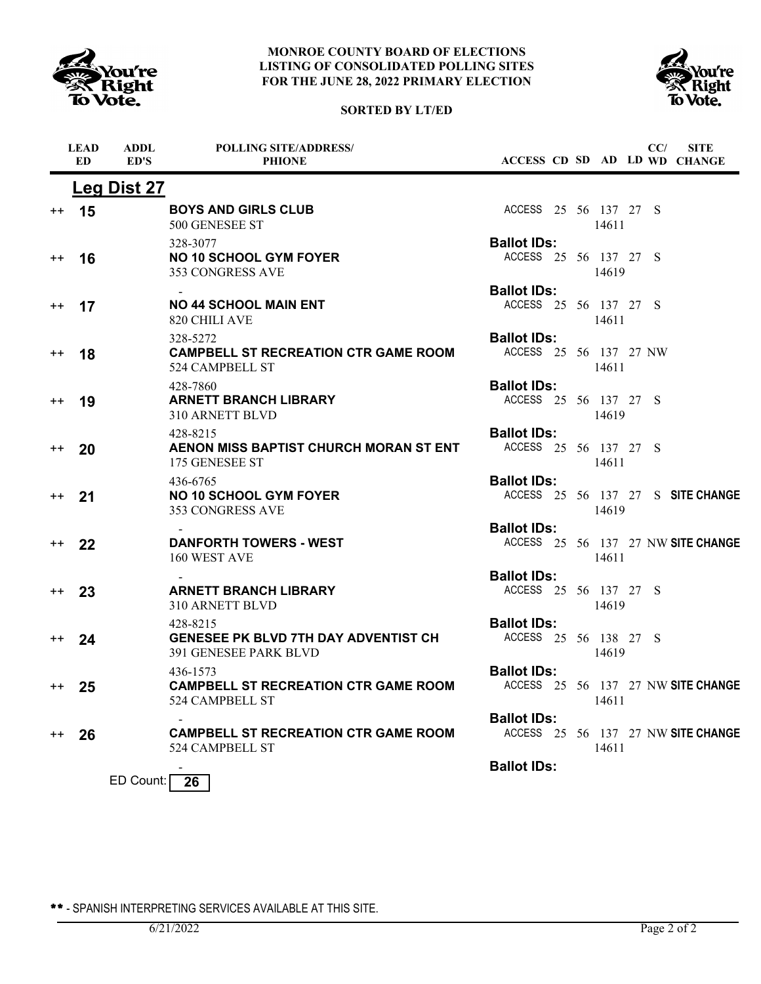





|                  | <b>LEAD</b><br><b>ED</b> | <b>ADDL</b><br>ED'S | <b>POLLING SITE/ADDRESS/</b><br><b>PHIONE</b>                                    |                                              |  |       | CC/ | <b>SITE</b><br>ACCESS CD SD AD LD WD CHANGE |
|------------------|--------------------------|---------------------|----------------------------------------------------------------------------------|----------------------------------------------|--|-------|-----|---------------------------------------------|
|                  |                          | <b>Leg Dist 27</b>  |                                                                                  |                                              |  |       |     |                                             |
| $^{\mathrm{++}}$ | 15                       |                     | <b>BOYS AND GIRLS CLUB</b><br>500 GENESEE ST                                     | ACCESS 25 56 137 27 S                        |  | 14611 |     |                                             |
| $^{\mathrm{+}}$  | 16                       |                     | 328-3077<br><b>NO 10 SCHOOL GYM FOYER</b><br>353 CONGRESS AVE                    | <b>Ballot IDs:</b><br>ACCESS 25 56 137 27 S  |  | 14619 |     |                                             |
| $^{\mathrm{++}}$ | 17                       |                     | <b>NO 44 SCHOOL MAIN ENT</b><br>820 CHILI AVE                                    | <b>Ballot IDs:</b><br>ACCESS 25 56 137 27 S  |  | 14611 |     |                                             |
| $^{\mathrm{+}}$  | 18                       |                     | 328-5272<br><b>CAMPBELL ST RECREATION CTR GAME ROOM</b><br>524 CAMPBELL ST       | <b>Ballot IDs:</b><br>ACCESS 25 56 137 27 NW |  | 14611 |     |                                             |
| $^{\mathrm{+}}$  | 19                       |                     | 428-7860<br><b>ARNETT BRANCH LIBRARY</b><br>310 ARNETT BLVD                      | <b>Ballot IDs:</b><br>ACCESS 25 56 137 27 S  |  | 14619 |     |                                             |
| $^{\mathrm{+}}$  | 20                       |                     | 428-8215<br>AENON MISS BAPTIST CHURCH MORAN ST ENT<br>175 GENESEE ST             | <b>Ballot IDs:</b><br>ACCESS 25 56 137 27 S  |  | 14611 |     |                                             |
| $^{++}$          | 21                       |                     | 436-6765<br><b>NO 10 SCHOOL GYM FOYER</b><br>353 CONGRESS AVE                    | <b>Ballot IDs:</b>                           |  | 14619 |     | ACCESS 25 56 137 27 S SITE CHANGE           |
| $^{++}$          | 22                       |                     | <b>DANFORTH TOWERS - WEST</b><br>160 WEST AVE                                    | <b>Ballot IDs:</b>                           |  | 14611 |     | ACCESS 25 56 137 27 NW SITE CHANGE          |
| $^{++}$          | 23                       |                     | <b>ARNETT BRANCH LIBRARY</b><br>310 ARNETT BLVD                                  | <b>Ballot IDs:</b><br>ACCESS 25 56 137 27 S  |  | 14619 |     |                                             |
| $++$             | 24                       |                     | 428-8215<br><b>GENESEE PK BLVD 7TH DAY ADVENTIST CH</b><br>391 GENESEE PARK BLVD | <b>Ballot IDs:</b><br>ACCESS 25 56 138 27 S  |  | 14619 |     |                                             |
| $+ +$            | 25                       |                     | 436-1573<br><b>CAMPBELL ST RECREATION CTR GAME ROOM</b><br>524 CAMPBELL ST       | <b>Ballot IDs:</b>                           |  | 14611 |     | ACCESS 25 56 137 27 NW SITE CHANGE          |
| $^{\mathrm{+}}$  | 26                       |                     | <b>CAMPBELL ST RECREATION CTR GAME ROOM</b><br>524 CAMPBELL ST                   | <b>Ballot IDs:</b>                           |  | 14611 |     | ACCESS 25 56 137 27 NW SITE CHANGE          |
|                  |                          | ED Count:           | - 26                                                                             | <b>Ballot IDs:</b>                           |  |       |     |                                             |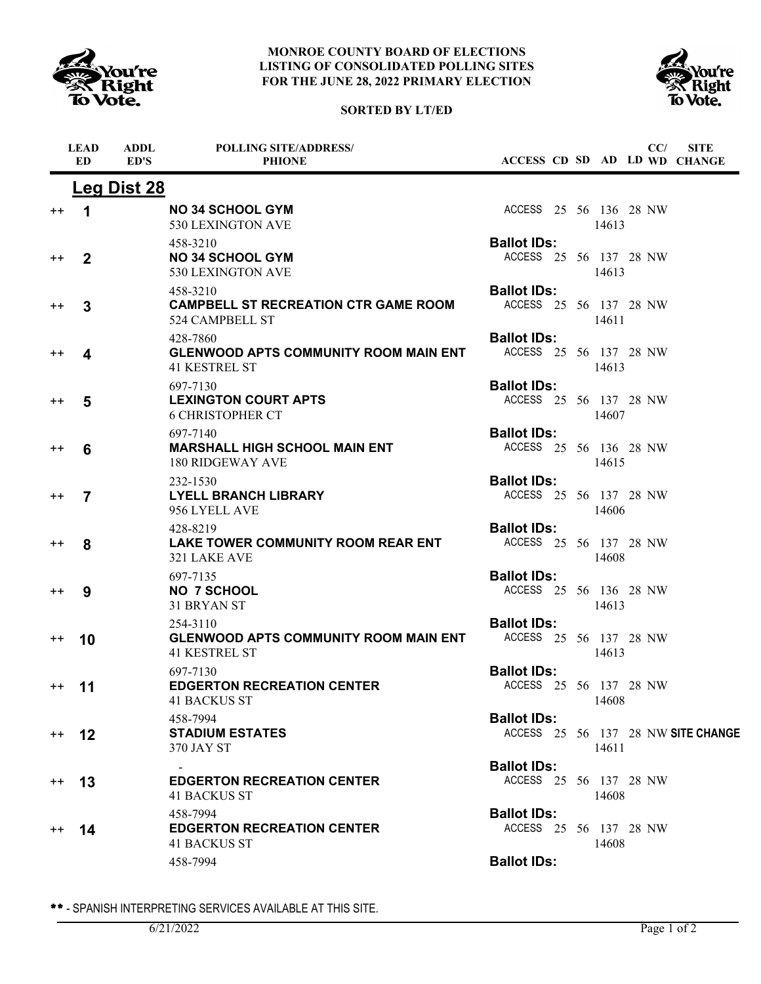

# **SORTED BY LT/ED**



|                 | <b>LEAD</b><br><b>ED</b> | <b>ADDL</b><br>ED'S | <b>POLLING SITE/ADDRESS/</b><br><b>PHIONE</b>                                    | ACCESS CD SD AD LD WD CHANGE                             |       | CC/ | <b>SITE</b> |
|-----------------|--------------------------|---------------------|----------------------------------------------------------------------------------|----------------------------------------------------------|-------|-----|-------------|
|                 |                          | <b>Leg Dist 28</b>  |                                                                                  |                                                          |       |     |             |
| $^{\mathrm{+}}$ | 1                        |                     | <b>NO 34 SCHOOL GYM</b><br>530 LEXINGTON AVE                                     | ACCESS 25 56 136 28 NW                                   | 14613 |     |             |
| $^{\mathrm{+}}$ | $\mathbf{2}$             |                     | 458-3210<br><b>NO 34 SCHOOL GYM</b><br>530 LEXINGTON AVE                         | <b>Ballot IDs:</b><br>ACCESS 25 56 137 28 NW             | 14613 |     |             |
| $^{\mathrm{+}}$ | 3                        |                     | 458-3210<br><b>CAMPBELL ST RECREATION CTR GAME ROOM</b><br>524 CAMPBELL ST       | <b>Ballot IDs:</b><br>ACCESS 25 56 137 28 NW             | 14611 |     |             |
| $^{\mathrm{+}}$ | 4                        |                     | 428-7860<br><b>GLENWOOD APTS COMMUNITY ROOM MAIN ENT</b><br><b>41 KESTREL ST</b> | <b>Ballot IDs:</b><br>ACCESS 25 56 137 28 NW             | 14613 |     |             |
| $^{\mathrm{+}}$ | 5                        |                     | 697-7130<br><b>LEXINGTON COURT APTS</b><br><b>6 CHRISTOPHER CT</b>               | <b>Ballot IDs:</b><br>ACCESS 25 56 137 28 NW             | 14607 |     |             |
| $^{++}$         | 6                        |                     | 697-7140<br><b>MARSHALL HIGH SCHOOL MAIN ENT</b><br>180 RIDGEWAY AVE             | <b>Ballot IDs:</b><br>ACCESS 25 56 136 28 NW             | 14615 |     |             |
| $^{\mathrm{+}}$ | $\overline{7}$           |                     | 232-1530<br><b>LYELL BRANCH LIBRARY</b><br>956 LYELL AVE                         | <b>Ballot IDs:</b><br>ACCESS 25 56 137 28 NW             | 14606 |     |             |
| $^{\mathrm{+}}$ | 8                        |                     | 428-8219<br>LAKE TOWER COMMUNITY ROOM REAR ENT<br>321 LAKE AVE                   | <b>Ballot IDs:</b><br>ACCESS 25 56 137 28 NW             | 14608 |     |             |
| $^{\mathrm{+}}$ | 9                        |                     | 697-7135<br><b>NO 7 SCHOOL</b><br>31 BRYAN ST                                    | <b>Ballot IDs:</b><br>ACCESS 25 56 136 28 NW             | 14613 |     |             |
| $^{\mathrm{+}}$ | 10                       |                     | 254-3110<br><b>GLENWOOD APTS COMMUNITY ROOM MAIN ENT</b><br><b>41 KESTREL ST</b> | <b>Ballot IDs:</b><br>ACCESS 25 56 137 28 NW             | 14613 |     |             |
| $^{++}$         | 11                       |                     | 697-7130<br><b>EDGERTON RECREATION CENTER</b><br><b>41 BACKUS ST</b>             | <b>Ballot IDs:</b><br>ACCESS 25 56 137 28 NW             | 14608 |     |             |
| $+ +$           | 12                       |                     | 458-7994<br><b>STADIUM ESTATES</b><br>370 JAY ST                                 | <b>Ballot IDs:</b><br>ACCESS 25 56 137 28 NW SITE CHANGE | 14611 |     |             |
| $^{++}$         | 13                       |                     | <b>EDGERTON RECREATION CENTER</b><br>41 BACKUS ST                                | <b>Ballot IDs:</b><br>ACCESS 25 56 137 28 NW             | 14608 |     |             |
| $^{++}$         | 14                       |                     | 458-7994<br><b>EDGERTON RECREATION CENTER</b><br><b>41 BACKUS ST</b>             | <b>Ballot IDs:</b><br>ACCESS 25 56 137 28 NW             | 14608 |     |             |
|                 |                          |                     | 458-7994                                                                         | <b>Ballot IDs:</b>                                       |       |     |             |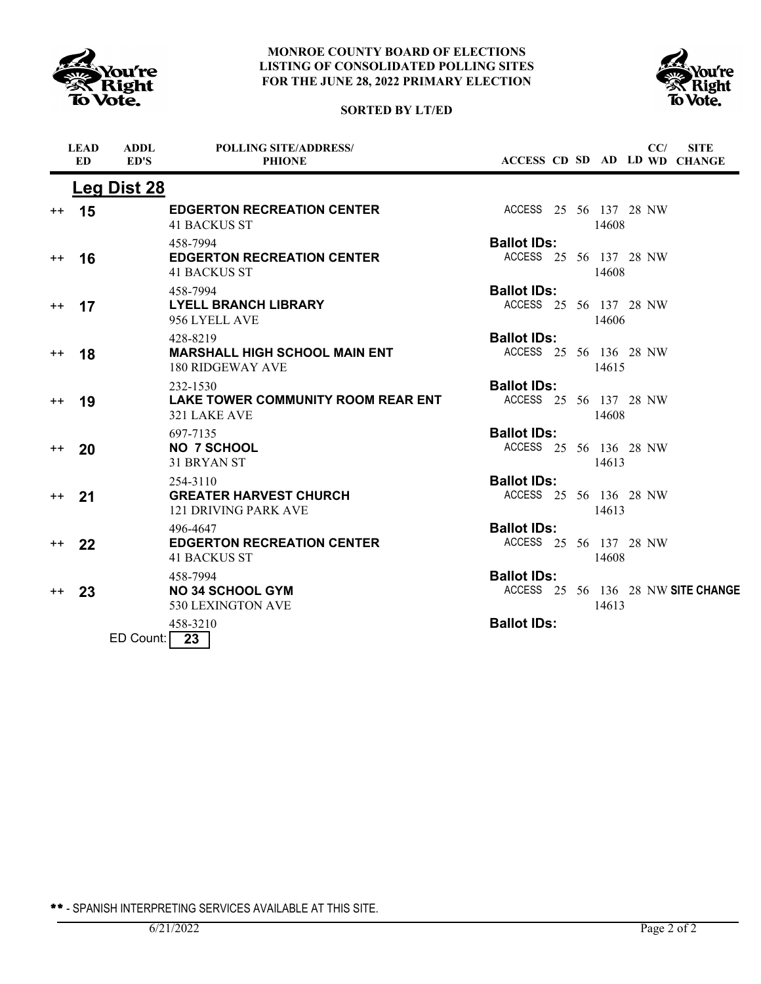





|                 | <b>LEAD</b><br>ED | <b>ADDL</b><br>ED'S | <b>POLLING SITE/ADDRESS/</b><br><b>PHIONE</b>                            | ACCESS CD SD AD LD WD CHANGE                                      | <b>SITE</b><br>CC/ |
|-----------------|-------------------|---------------------|--------------------------------------------------------------------------|-------------------------------------------------------------------|--------------------|
|                 |                   | Leg Dist 28         |                                                                          |                                                                   |                    |
| $^{\mathrm{+}}$ | 15                |                     | <b>EDGERTON RECREATION CENTER</b><br><b>41 BACKUS ST</b>                 | ACCESS 25 56 137 28 NW<br>14608                                   |                    |
| $++$            | 16                |                     | 458-7994<br><b>EDGERTON RECREATION CENTER</b><br><b>41 BACKUS ST</b>     | <b>Ballot IDs:</b><br>ACCESS 25 56 137 28 NW<br>14608             |                    |
| $^{\mathrm{+}}$ | 17                |                     | 458-7994<br><b>LYELL BRANCH LIBRARY</b><br>956 LYELL AVE                 | <b>Ballot IDs:</b><br>ACCESS 25 56 137 28 NW<br>14606             |                    |
| $++$            | 18                |                     | 428-8219<br><b>MARSHALL HIGH SCHOOL MAIN ENT</b><br>180 RIDGEWAY AVE     | <b>Ballot IDs:</b><br>ACCESS 25 56 136 28 NW<br>14615             |                    |
| $++$            | 19                |                     | 232-1530<br><b>LAKE TOWER COMMUNITY ROOM REAR ENT</b><br>321 LAKE AVE    | <b>Ballot IDs:</b><br>ACCESS 25 56 137 28 NW<br>14608             |                    |
| $++$            | 20                |                     | 697-7135<br><b>NO 7 SCHOOL</b><br>31 BRYAN ST                            | <b>Ballot IDs:</b><br>ACCESS 25 56 136 28 NW<br>14613             |                    |
| $^{++}$         | 21                |                     | 254-3110<br><b>GREATER HARVEST CHURCH</b><br><b>121 DRIVING PARK AVE</b> | <b>Ballot IDs:</b><br>ACCESS 25 56 136 28 NW<br>14613             |                    |
| $^{\mathrm{+}}$ | 22                |                     | 496-4647<br><b>EDGERTON RECREATION CENTER</b><br><b>41 BACKUS ST</b>     | <b>Ballot IDs:</b><br>ACCESS 25 56 137 28 NW<br>14608             |                    |
| $^{++}$         | 23                |                     | 458-7994<br><b>NO 34 SCHOOL GYM</b><br>530 LEXINGTON AVE                 | <b>Ballot IDs:</b><br>ACCESS 25 56 136 28 NW SITE CHANGE<br>14613 |                    |
|                 |                   | ED Count:           | 458-3210<br>23                                                           | <b>Ballot IDs:</b>                                                |                    |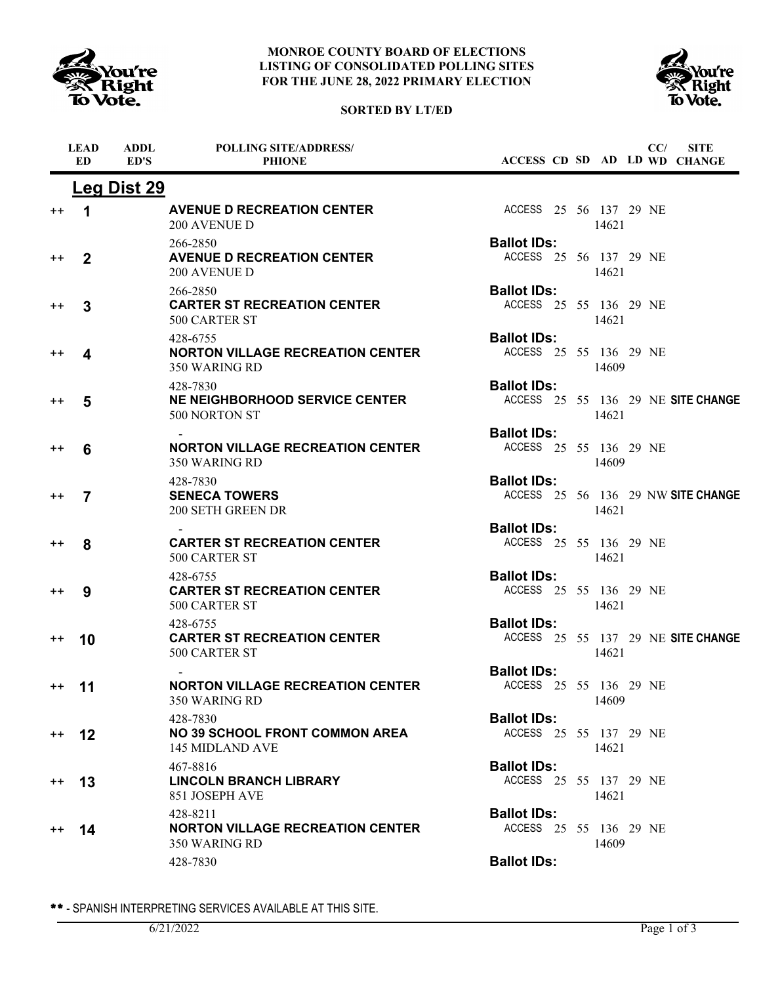

## **SORTED BY LT/ED**



|                 | <b>LEAD</b><br>ED. | <b>ADDL</b><br>ED'S | <b>POLLING SITE/ADDRESS/</b><br><b>PHIONE</b>                        |                                              |  |       | CC/ | <b>SITE</b><br>ACCESS CD SD AD LD WD CHANGE |
|-----------------|--------------------|---------------------|----------------------------------------------------------------------|----------------------------------------------|--|-------|-----|---------------------------------------------|
|                 |                    | <b>Leg Dist 29</b>  |                                                                      |                                              |  |       |     |                                             |
| $^{++}$         | 1                  |                     | <b>AVENUE D RECREATION CENTER</b><br><b>200 AVENUE D</b>             | ACCESS 25 56 137 29 NE                       |  | 14621 |     |                                             |
| $^{++}$         | $\mathbf{2}$       |                     | 266-2850<br><b>AVENUE D RECREATION CENTER</b><br><b>200 AVENUE D</b> | <b>Ballot IDs:</b><br>ACCESS 25 56 137 29 NE |  | 14621 |     |                                             |
| $^{++}$         | 3                  |                     | 266-2850<br><b>CARTER ST RECREATION CENTER</b><br>500 CARTER ST      | <b>Ballot IDs:</b><br>ACCESS 25 55 136 29 NE |  | 14621 |     |                                             |
| $^{\mathrm{+}}$ | 4                  |                     | 428-6755<br><b>NORTON VILLAGE RECREATION CENTER</b><br>350 WARING RD | <b>Ballot IDs:</b><br>ACCESS 25 55 136 29 NE |  | 14609 |     |                                             |
| $^{++}$         | 5                  |                     | 428-7830<br><b>NE NEIGHBORHOOD SERVICE CENTER</b><br>500 NORTON ST   | <b>Ballot IDs:</b>                           |  | 14621 |     | ACCESS 25 55 136 29 NE SITE CHANGE          |
| $^{++}$         | 6                  |                     | <b>NORTON VILLAGE RECREATION CENTER</b><br>350 WARING RD             | <b>Ballot IDs:</b><br>ACCESS 25 55 136 29 NE |  | 14609 |     |                                             |
| $^{\mathrm{+}}$ | 7                  |                     | 428-7830<br><b>SENECA TOWERS</b><br>200 SETH GREEN DR                | <b>Ballot IDs:</b>                           |  | 14621 |     | ACCESS 25 56 136 29 NW SITE CHANGE          |
| $^{++}$         | 8                  |                     | <b>CARTER ST RECREATION CENTER</b><br>500 CARTER ST                  | <b>Ballot IDs:</b><br>ACCESS 25 55 136 29 NE |  | 14621 |     |                                             |
| $^{\mathrm{+}}$ | 9                  |                     | 428-6755<br><b>CARTER ST RECREATION CENTER</b><br>500 CARTER ST      | <b>Ballot IDs:</b><br>ACCESS 25 55 136 29 NE |  | 14621 |     |                                             |
| $^{++}$         | 10                 |                     | 428-6755<br><b>CARTER ST RECREATION CENTER</b><br>500 CARTER ST      | <b>Ballot IDs:</b>                           |  | 14621 |     | ACCESS 25 55 137 29 NE SITE CHANGE          |
| $++$ 11         |                    |                     | <b>NORTON VILLAGE RECREATION CENTER</b><br>350 WARING RD             | <b>Ballot IDs:</b><br>ACCESS 25 55 136 29 NE |  | 14609 |     |                                             |
| $++$            | $12 \,$            |                     | 428-7830<br><b>NO 39 SCHOOL FRONT COMMON AREA</b><br>145 MIDLAND AVE | <b>Ballot IDs:</b><br>ACCESS 25 55 137 29 NE |  | 14621 |     |                                             |
| $++$            | 13                 |                     | 467-8816<br><b>LINCOLN BRANCH LIBRARY</b><br>851 JOSEPH AVE          | <b>Ballot IDs:</b><br>ACCESS 25 55 137 29 NE |  | 14621 |     |                                             |
| $^{++}$         | 14                 |                     | 428-8211<br><b>NORTON VILLAGE RECREATION CENTER</b><br>350 WARING RD | <b>Ballot IDs:</b><br>ACCESS 25 55 136 29 NE |  | 14609 |     |                                             |
|                 |                    |                     | 428-7830                                                             | <b>Ballot IDs:</b>                           |  |       |     |                                             |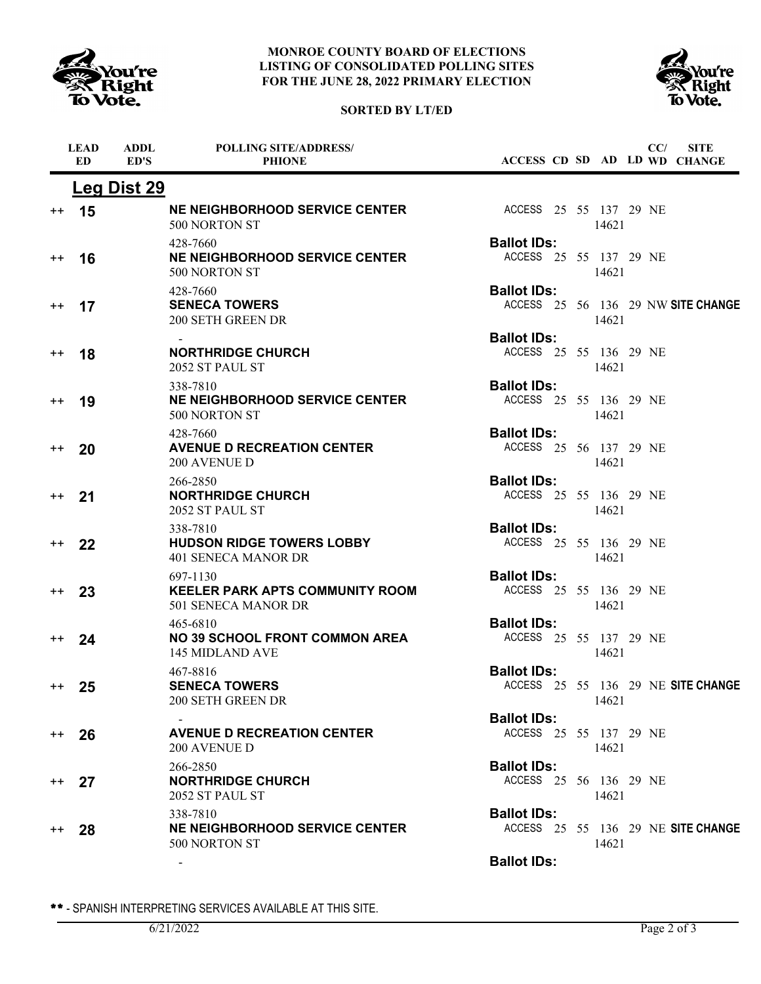

**ADDL**

**LEAD**

#### **MONROE COUNTY BOARD OF ELECTIONS LISTING OF CONSOLIDATED POLLING SITES FOR THE JUNE 28, 2022 PRIMARY ELECTION**

**POLLING SITE/ADDRESS/**





**SITE**

**CC/**

|                 | ED | ED'S        | <b>PHIONE</b>                                                             | ACCESS CD SD AD LD WD CHANGE                 |       |  |                                    |
|-----------------|----|-------------|---------------------------------------------------------------------------|----------------------------------------------|-------|--|------------------------------------|
|                 |    | Leg Dist 29 |                                                                           |                                              |       |  |                                    |
| $^{++}$         | 15 |             | <b>NE NEIGHBORHOOD SERVICE CENTER</b><br>500 NORTON ST                    | ACCESS 25 55 137 29 NE                       | 14621 |  |                                    |
| $^{\mathrm{+}}$ | 16 |             | 428-7660<br><b>NE NEIGHBORHOOD SERVICE CENTER</b><br>500 NORTON ST        | <b>Ballot IDs:</b><br>ACCESS 25 55 137 29 NE | 14621 |  |                                    |
| $^{\mathrm{+}}$ | 17 |             | 428-7660<br><b>SENECA TOWERS</b><br>200 SETH GREEN DR                     | <b>Ballot IDs:</b>                           | 14621 |  | ACCESS 25 56 136 29 NW SITE CHANGE |
| $^{++}$         | 18 |             | <b>NORTHRIDGE CHURCH</b><br>2052 ST PAUL ST                               | <b>Ballot IDs:</b><br>ACCESS 25 55 136 29 NE | 14621 |  |                                    |
| $^{\mathrm{+}}$ | 19 |             | 338-7810<br><b>NE NEIGHBORHOOD SERVICE CENTER</b><br>500 NORTON ST        | <b>Ballot IDs:</b><br>ACCESS 25 55 136 29 NE | 14621 |  |                                    |
| $^{\mathrm{+}}$ | 20 |             | 428-7660<br><b>AVENUE D RECREATION CENTER</b><br>200 AVENUE D             | <b>Ballot IDs:</b><br>ACCESS 25 56 137 29 NE | 14621 |  |                                    |
| $^{\mathrm{+}}$ | 21 |             | 266-2850<br><b>NORTHRIDGE CHURCH</b><br>2052 ST PAUL ST                   | <b>Ballot IDs:</b><br>ACCESS 25 55 136 29 NE | 14621 |  |                                    |
| $++$            | 22 |             | 338-7810<br><b>HUDSON RIDGE TOWERS LOBBY</b><br>401 SENECA MANOR DR       | <b>Ballot IDs:</b><br>ACCESS 25 55 136 29 NE | 14621 |  |                                    |
| $^{++}$         | 23 |             | 697-1130<br><b>KEELER PARK APTS COMMUNITY ROOM</b><br>501 SENECA MANOR DR | <b>Ballot IDs:</b><br>ACCESS 25 55 136 29 NE | 14621 |  |                                    |
| $^{\mathrm{+}}$ | 24 |             | 465-6810<br><b>NO 39 SCHOOL FRONT COMMON AREA</b><br>145 MIDLAND AVE      | <b>Ballot IDs:</b><br>ACCESS 25 55 137 29 NE | 14621 |  |                                    |
| $^{\mathrm{+}}$ | 25 |             | 467-8816<br><b>SENECA TOWERS</b><br>200 SETH GREEN DR                     | <b>Ballot IDs:</b>                           | 14621 |  | ACCESS 25 55 136 29 NE SITE CHANGE |
| $++$            | 26 |             | <b>AVENUE D RECREATION CENTER</b><br>200 AVENUE D                         | <b>Ballot IDs:</b><br>ACCESS 25 55 137 29 NE | 14621 |  |                                    |
| $^{++}$         | 27 |             | 266-2850<br><b>NORTHRIDGE CHURCH</b><br>2052 ST PAUL ST                   | <b>Ballot IDs:</b><br>ACCESS 25 56 136 29 NE | 14621 |  |                                    |
| $++$            | 28 |             | 338-7810<br><b>NE NEIGHBORHOOD SERVICE CENTER</b><br>500 NORTON ST        | <b>Ballot IDs:</b>                           | 14621 |  | ACCESS 25 55 136 29 NE SITE CHANGE |
|                 |    |             |                                                                           | <b>Ballot IDs:</b>                           |       |  |                                    |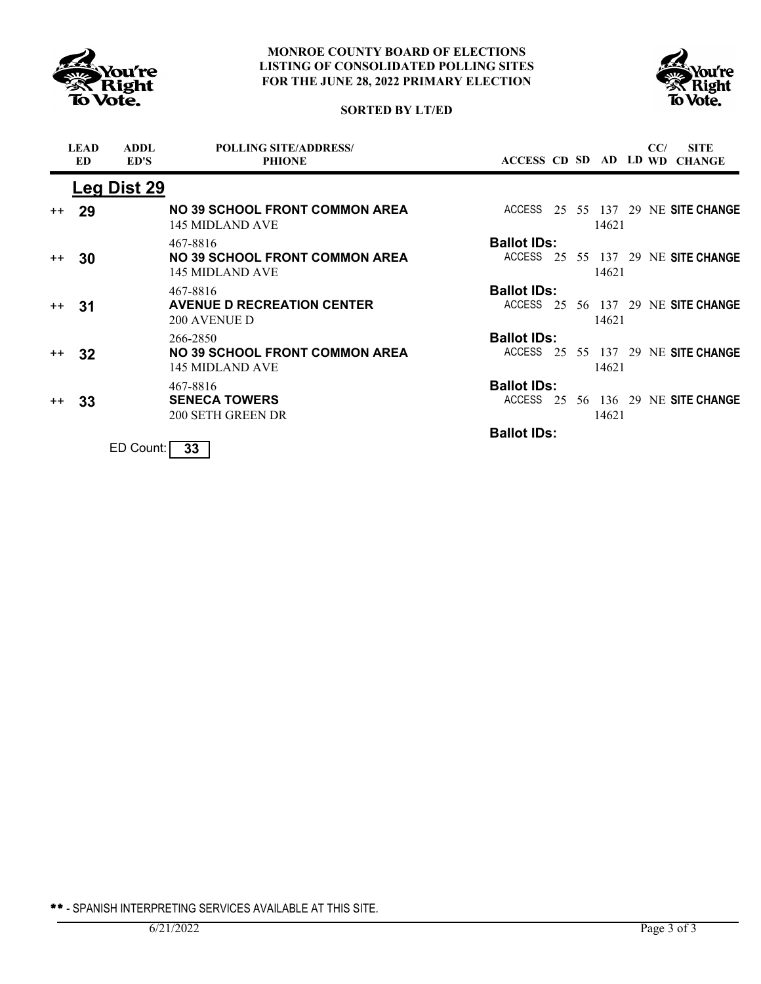



# **SORTED BY LT/ED**

|      | <b>LEAD</b><br>ED | <b>ADDL</b><br>ED'S | <b>POLLING SITE/ADDRESS/</b><br><b>PHIONE</b>            |                    |  |       | CC/ | <b>SITE</b><br>ACCESS CD SD AD LD WD CHANGE |
|------|-------------------|---------------------|----------------------------------------------------------|--------------------|--|-------|-----|---------------------------------------------|
|      |                   | Leg Dist 29         |                                                          |                    |  |       |     |                                             |
| $++$ | 29                |                     | <b>NO 39 SCHOOL FRONT COMMON AREA</b><br>145 MIDLAND AVE | ACCESS             |  | 14621 |     | 25 55 137 29 NE SITE CHANGE                 |
|      |                   |                     | 467-8816                                                 | <b>Ballot IDs:</b> |  |       |     |                                             |
| $++$ | 30                |                     | <b>NO 39 SCHOOL FRONT COMMON AREA</b><br>145 MIDLAND AVE |                    |  | 14621 |     | ACCESS 25 55 137 29 NE SITE CHANGE          |
|      |                   |                     | 467-8816                                                 | <b>Ballot IDs:</b> |  |       |     |                                             |
| $++$ | -31               |                     | <b>AVENUE D RECREATION CENTER</b><br><b>200 AVENUE D</b> |                    |  | 14621 |     | ACCESS 25 56 137 29 NE SITE CHANGE          |
|      |                   |                     | 266-2850                                                 | <b>Ballot IDs:</b> |  |       |     |                                             |
| $++$ | 32                |                     | <b>NO 39 SCHOOL FRONT COMMON AREA</b><br>145 MIDLAND AVE |                    |  | 14621 |     | ACCESS 25 55 137 29 NE SITE CHANGE          |
|      |                   |                     | 467-8816                                                 | <b>Ballot IDs:</b> |  |       |     |                                             |
| $++$ | 33                |                     | <b>SENECA TOWERS</b><br>200 SETH GREEN DR                | ACCESS             |  | 14621 |     | 25 56 136 29 NE SITE CHANGE                 |
|      |                   |                     |                                                          | <b>Ballot IDs:</b> |  |       |     |                                             |
|      |                   | ED Count:           | 33                                                       |                    |  |       |     |                                             |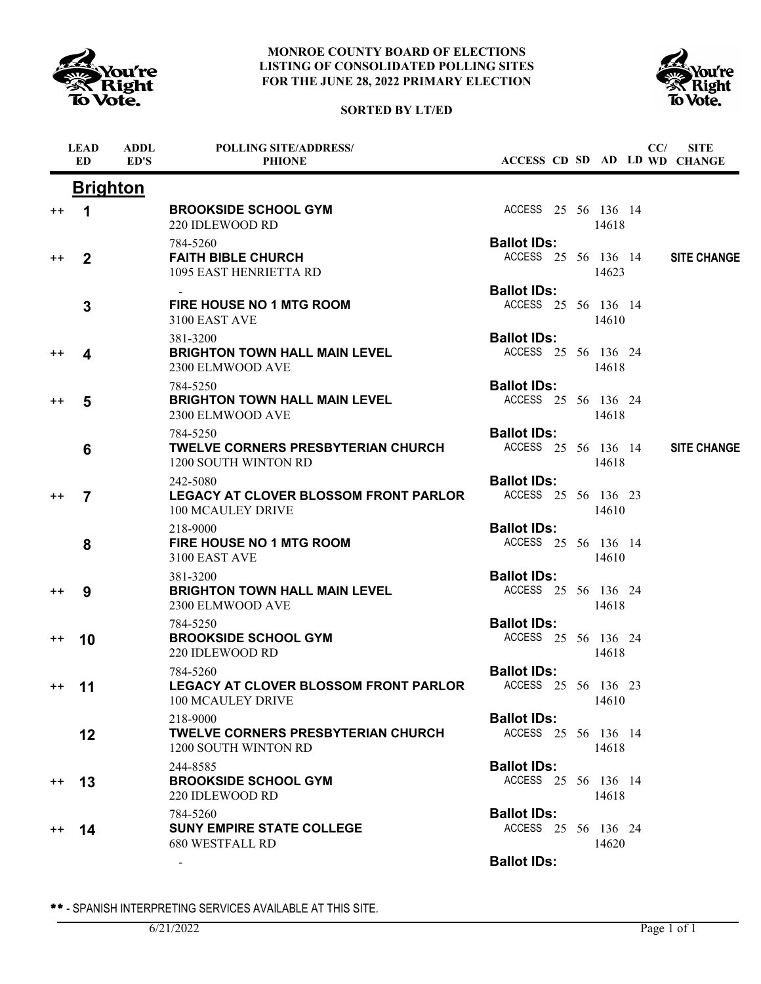





|                 | <b>LEAD</b><br><b>ED</b> | <b>ADDL</b><br>ED'S | <b>POLLING SITE/ADDRESS/</b><br><b>PHIONE</b>                                 |                                           |  |       | CC/ | <b>SITE</b><br>ACCESS CD SD AD LD WD CHANGE |
|-----------------|--------------------------|---------------------|-------------------------------------------------------------------------------|-------------------------------------------|--|-------|-----|---------------------------------------------|
|                 | <b>Brighton</b>          |                     |                                                                               |                                           |  |       |     |                                             |
| $^{\mathrm{+}}$ | 1                        |                     | <b>BROOKSIDE SCHOOL GYM</b><br>220 IDLEWOOD RD                                | ACCESS 25 56 136 14                       |  | 14618 |     |                                             |
| $^{\mathrm{+}}$ | $\overline{2}$           |                     | 784-5260<br><b>FAITH BIBLE CHURCH</b><br>1095 EAST HENRIETTA RD               | <b>Ballot IDs:</b><br>ACCESS 25 56 136 14 |  | 14623 |     | <b>SITE CHANGE</b>                          |
|                 | 3                        |                     | <b>FIRE HOUSE NO 1 MTG ROOM</b><br>3100 EAST AVE                              | <b>Ballot IDs:</b><br>ACCESS 25 56 136 14 |  | 14610 |     |                                             |
| $^{\mathrm{+}}$ | 4                        |                     | 381-3200<br><b>BRIGHTON TOWN HALL MAIN LEVEL</b><br>2300 ELMWOOD AVE          | <b>Ballot IDs:</b><br>ACCESS 25 56 136 24 |  | 14618 |     |                                             |
| $^{\mathrm{+}}$ | 5                        |                     | 784-5250<br><b>BRIGHTON TOWN HALL MAIN LEVEL</b><br>2300 ELMWOOD AVE          | <b>Ballot IDs:</b><br>ACCESS 25 56 136 24 |  | 14618 |     |                                             |
|                 | 6                        |                     | 784-5250<br><b>TWELVE CORNERS PRESBYTERIAN CHURCH</b><br>1200 SOUTH WINTON RD | <b>Ballot IDs:</b><br>ACCESS 25 56 136 14 |  | 14618 |     | <b>SITE CHANGE</b>                          |
| $^{\mathrm{+}}$ | $\overline{7}$           |                     | 242-5080<br>LEGACY AT CLOVER BLOSSOM FRONT PARLOR<br>100 MCAULEY DRIVE        | <b>Ballot IDs:</b><br>ACCESS 25 56 136 23 |  | 14610 |     |                                             |
|                 | 8                        |                     | 218-9000<br>FIRE HOUSE NO 1 MTG ROOM<br>3100 EAST AVE                         | <b>Ballot IDs:</b><br>ACCESS 25 56 136 14 |  | 14610 |     |                                             |
| $^{\mathrm{+}}$ | 9                        |                     | 381-3200<br><b>BRIGHTON TOWN HALL MAIN LEVEL</b><br>2300 ELMWOOD AVE          | <b>Ballot IDs:</b><br>ACCESS 25 56 136 24 |  | 14618 |     |                                             |
| $^{\mathrm{+}}$ | 10                       |                     | 784-5250<br><b>BROOKSIDE SCHOOL GYM</b><br>220 IDLEWOOD RD                    | <b>Ballot IDs:</b><br>ACCESS 25 56 136 24 |  | 14618 |     |                                             |
| $^{++}$         | 11                       |                     | 784-5260<br><b>LEGACY AT CLOVER BLOSSOM FRONT PARLOR</b><br>100 MCAULEY DRIVE | <b>Ballot IDs:</b><br>ACCESS 25 56 136 23 |  | 14610 |     |                                             |
|                 | 12                       |                     | 218-9000<br><b>TWELVE CORNERS PRESBYTERIAN CHURCH</b><br>1200 SOUTH WINTON RD | <b>Ballot IDs:</b><br>ACCESS 25 56 136 14 |  | 14618 |     |                                             |
| $^{\mathrm{+}}$ | 13                       |                     | 244-8585<br><b>BROOKSIDE SCHOOL GYM</b><br>220 IDLEWOOD RD                    | <b>Ballot IDs:</b><br>ACCESS 25 56 136 14 |  | 14618 |     |                                             |
| $^{\mathrm{+}}$ | 14                       |                     | 784-5260<br><b>SUNY EMPIRE STATE COLLEGE</b><br>680 WESTFALL RD               | <b>Ballot IDs:</b><br>ACCESS 25 56 136 24 |  | 14620 |     |                                             |
|                 |                          |                     | $\sim$                                                                        | <b>Ballot IDs:</b>                        |  |       |     |                                             |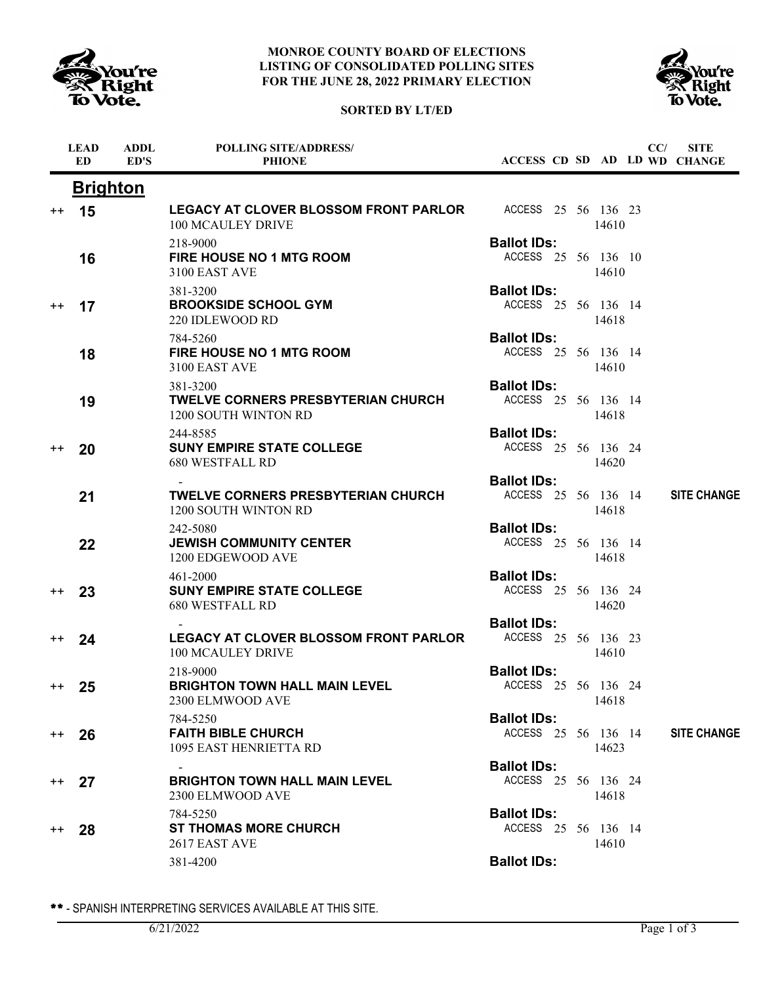





|                  | <b>LEAD</b><br><b>ED</b> | <b>ADDL</b><br>ED'S | <b>POLLING SITE/ADDRESS/</b><br><b>PHIONE</b>                                         | ACCESS CD SD AD LD WD CHANGE              |  |       | CC/ | <b>SITE</b>        |
|------------------|--------------------------|---------------------|---------------------------------------------------------------------------------------|-------------------------------------------|--|-------|-----|--------------------|
|                  | <u>Brighton</u>          |                     |                                                                                       |                                           |  |       |     |                    |
| $^{\mathrm{+}}$  | 15                       |                     | <b>LEGACY AT CLOVER BLOSSOM FRONT PARLOR</b> ACCESS 25 56 136 23<br>100 MCAULEY DRIVE |                                           |  | 14610 |     |                    |
|                  | 16                       |                     | 218-9000<br>FIRE HOUSE NO 1 MTG ROOM<br>3100 EAST AVE                                 | <b>Ballot IDs:</b><br>ACCESS 25 56 136 10 |  | 14610 |     |                    |
| $^{\mathrm{+}}$  | 17                       |                     | 381-3200<br><b>BROOKSIDE SCHOOL GYM</b><br>220 IDLEWOOD RD                            | <b>Ballot IDs:</b><br>ACCESS 25 56 136 14 |  | 14618 |     |                    |
|                  | 18                       |                     | 784-5260<br><b>FIRE HOUSE NO 1 MTG ROOM</b><br>3100 EAST AVE                          | <b>Ballot IDs:</b><br>ACCESS 25 56 136 14 |  | 14610 |     |                    |
|                  | 19                       |                     | 381-3200<br>TWELVE CORNERS PRESBYTERIAN CHURCH<br>1200 SOUTH WINTON RD                | <b>Ballot IDs:</b><br>ACCESS 25 56 136 14 |  | 14618 |     |                    |
| $^{\mathrm{+}}$  | 20                       |                     | 244-8585<br><b>SUNY EMPIRE STATE COLLEGE</b><br><b>680 WESTFALL RD</b>                | <b>Ballot IDs:</b><br>ACCESS 25 56 136 24 |  | 14620 |     |                    |
|                  | 21                       |                     | <b>TWELVE CORNERS PRESBYTERIAN CHURCH</b><br>1200 SOUTH WINTON RD                     | <b>Ballot IDs:</b><br>ACCESS 25 56 136 14 |  | 14618 |     | <b>SITE CHANGE</b> |
|                  | 22                       |                     | 242-5080<br><b>JEWISH COMMUNITY CENTER</b><br>1200 EDGEWOOD AVE                       | <b>Ballot IDs:</b><br>ACCESS 25 56 136 14 |  | 14618 |     |                    |
| $^{++}$          | 23                       |                     | 461-2000<br><b>SUNY EMPIRE STATE COLLEGE</b><br><b>680 WESTFALL RD</b>                | <b>Ballot IDs:</b><br>ACCESS 25 56 136 24 |  | 14620 |     |                    |
| $^{++}$          | 24                       |                     | <b>LEGACY AT CLOVER BLOSSOM FRONT PARLOR</b><br>100 MCAULEY DRIVE                     | <b>Ballot IDs:</b><br>ACCESS 25 56 136 23 |  | 14610 |     |                    |
| $^{\mathrm{++}}$ | 25                       |                     | 218-9000<br><b>BRIGHTON TOWN HALL MAIN LEVEL</b><br>2300 ELMWOOD AVE                  | <b>Ballot IDs:</b><br>ACCESS 25 56 136 24 |  | 14618 |     |                    |
| $^{++}$          | 26                       |                     | 784-5250<br><b>FAITH BIBLE CHURCH</b><br>1095 EAST HENRIETTA RD                       | <b>Ballot IDs:</b><br>ACCESS 25 56 136 14 |  | 14623 |     | <b>SITE CHANGE</b> |
| $^{\mathrm{++}}$ | 27                       |                     | <b>BRIGHTON TOWN HALL MAIN LEVEL</b><br>2300 ELMWOOD AVE                              | <b>Ballot IDs:</b><br>ACCESS 25 56 136 24 |  | 14618 |     |                    |
| $^{\mathrm{++}}$ | 28                       |                     | 784-5250<br><b>ST THOMAS MORE CHURCH</b><br>2617 EAST AVE                             | <b>Ballot IDs:</b><br>ACCESS 25 56 136 14 |  | 14610 |     |                    |
|                  |                          |                     | 381-4200                                                                              | <b>Ballot IDs:</b>                        |  |       |     |                    |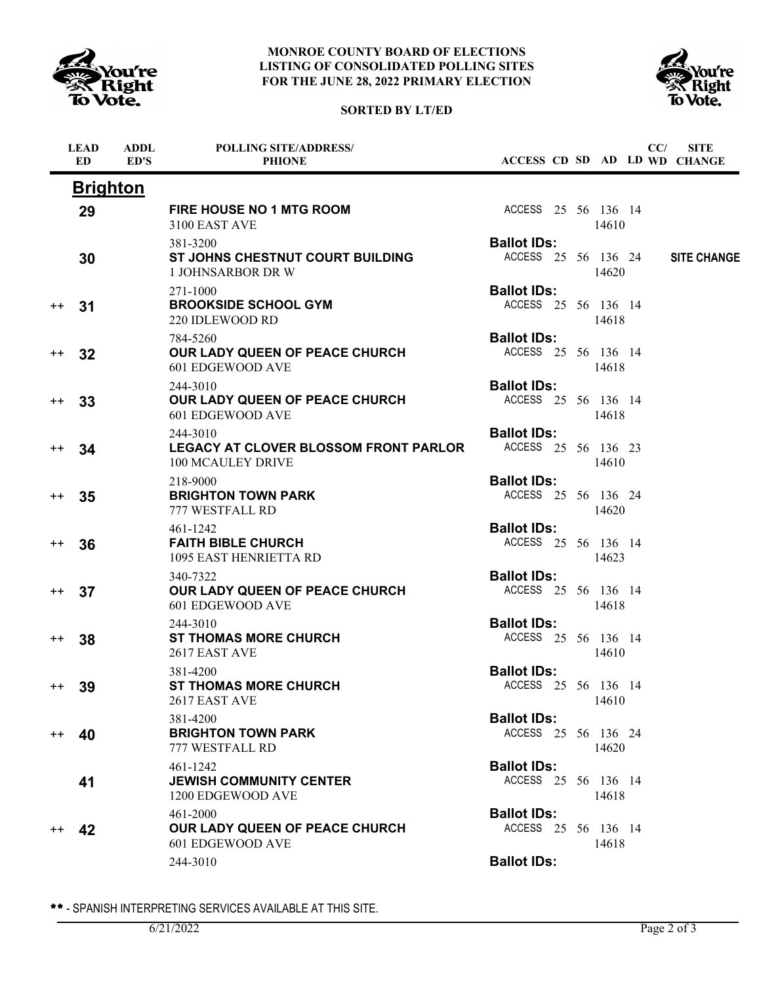

# **SORTED BY LT/ED**



|         | <b>LEAD</b><br><b>ED</b> | <b>ADDL</b><br>ED'S | <b>POLLING SITE/ADDRESS/</b><br><b>PHIONE</b>                                 |                                           |  |       | CC/ | <b>SITE</b><br>ACCESS CD SD AD LD WD CHANGE |
|---------|--------------------------|---------------------|-------------------------------------------------------------------------------|-------------------------------------------|--|-------|-----|---------------------------------------------|
|         | <b>Brighton</b>          |                     |                                                                               |                                           |  |       |     |                                             |
|         | 29                       |                     | FIRE HOUSE NO 1 MTG ROOM<br>3100 EAST AVE                                     | ACCESS 25 56 136 14                       |  | 14610 |     |                                             |
|         | 30                       |                     | 381-3200<br>ST JOHNS CHESTNUT COURT BUILDING<br><b>1 JOHNSARBOR DR W</b>      | <b>Ballot IDs:</b><br>ACCESS 25 56 136 24 |  | 14620 |     | <b>SITE CHANGE</b>                          |
| $^{++}$ | 31                       |                     | 271-1000<br><b>BROOKSIDE SCHOOL GYM</b><br>220 IDLEWOOD RD                    | <b>Ballot IDs:</b><br>ACCESS 25 56 136 14 |  | 14618 |     |                                             |
| $^{++}$ | 32                       |                     | 784-5260<br>OUR LADY QUEEN OF PEACE CHURCH<br>601 EDGEWOOD AVE                | <b>Ballot IDs:</b><br>ACCESS 25 56 136 14 |  | 14618 |     |                                             |
| $^{++}$ | 33                       |                     | 244-3010<br>OUR LADY QUEEN OF PEACE CHURCH<br>601 EDGEWOOD AVE                | <b>Ballot IDs:</b><br>ACCESS 25 56 136 14 |  | 14618 |     |                                             |
| $^{++}$ | 34                       |                     | 244-3010<br><b>LEGACY AT CLOVER BLOSSOM FRONT PARLOR</b><br>100 MCAULEY DRIVE | <b>Ballot IDs:</b><br>ACCESS 25 56 136 23 |  | 14610 |     |                                             |
| $^{++}$ | 35                       |                     | 218-9000<br><b>BRIGHTON TOWN PARK</b><br>777 WESTFALL RD                      | <b>Ballot IDs:</b><br>ACCESS 25 56 136 24 |  | 14620 |     |                                             |
| $^{++}$ | 36                       |                     | 461-1242<br><b>FAITH BIBLE CHURCH</b><br>1095 EAST HENRIETTA RD               | <b>Ballot IDs:</b><br>ACCESS 25 56 136 14 |  | 14623 |     |                                             |
| $^{++}$ | 37                       |                     | 340-7322<br>OUR LADY QUEEN OF PEACE CHURCH<br>601 EDGEWOOD AVE                | <b>Ballot IDs:</b><br>ACCESS 25 56 136 14 |  | 14618 |     |                                             |
| $^{++}$ | 38                       |                     | 244-3010<br><b>ST THOMAS MORE CHURCH</b><br>2617 EAST AVE                     | <b>Ballot IDs:</b><br>ACCESS 25 56 136 14 |  | 14610 |     |                                             |
| $^{++}$ | 39                       |                     | 381-4200<br><b>ST THOMAS MORE CHURCH</b><br>2617 EAST AVE                     | <b>Ballot IDs:</b><br>ACCESS 25 56 136 14 |  | 14610 |     |                                             |
| $^{++}$ | 40                       |                     | 381-4200<br><b>BRIGHTON TOWN PARK</b><br>777 WESTFALL RD                      | <b>Ballot IDs:</b><br>ACCESS 25 56 136 24 |  | 14620 |     |                                             |
|         | 41                       |                     | 461-1242<br><b>JEWISH COMMUNITY CENTER</b><br>1200 EDGEWOOD AVE               | <b>Ballot IDs:</b><br>ACCESS 25 56 136 14 |  | 14618 |     |                                             |
| $^{++}$ | 42                       |                     | 461-2000<br><b>OUR LADY QUEEN OF PEACE CHURCH</b><br>601 EDGEWOOD AVE         | <b>Ballot IDs:</b><br>ACCESS 25 56 136 14 |  | 14618 |     |                                             |
|         |                          |                     | 244-3010                                                                      | <b>Ballot IDs:</b>                        |  |       |     |                                             |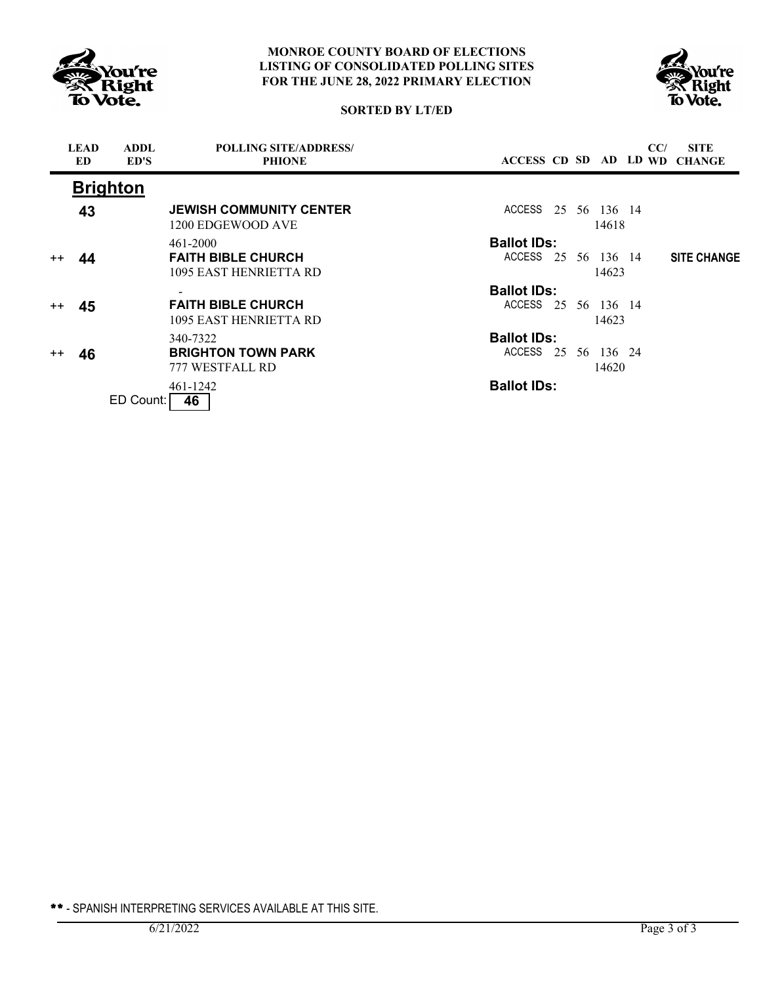



# **SORTED BY LT/ED**

|         | <b>LEAD</b><br>ED. | <b>ADDL</b><br>ED'S | <b>POLLING SITE/ADDRESS/</b><br><b>PHIONE</b>       |                     |  |                       | CC/ | <b>SITE</b><br>ACCESS CD SD AD LD WD CHANGE |
|---------|--------------------|---------------------|-----------------------------------------------------|---------------------|--|-----------------------|-----|---------------------------------------------|
|         |                    | <b>Brighton</b>     |                                                     |                     |  |                       |     |                                             |
|         | 43                 |                     | <b>JEWISH COMMUNITY CENTER</b><br>1200 EDGEWOOD AVE | ACCESS              |  | 25 56 136 14<br>14618 |     |                                             |
|         |                    |                     | 461-2000                                            | <b>Ballot IDs:</b>  |  |                       |     |                                             |
| $^{++}$ | 44                 |                     | <b>FAITH BIBLE CHURCH</b><br>1095 EAST HENRIETTA RD | ACCESS 25 56 136 14 |  | 14623                 |     | <b>SITE CHANGE</b>                          |
|         |                    |                     |                                                     | <b>Ballot IDs:</b>  |  |                       |     |                                             |
| $^{++}$ | 45                 |                     | <b>FAITH BIBLE CHURCH</b><br>1095 EAST HENRIETTA RD | ACCESS 25 56 136 14 |  | 14623                 |     |                                             |
|         |                    |                     | 340-7322                                            | <b>Ballot IDs:</b>  |  |                       |     |                                             |
| $^{++}$ | 46                 |                     | <b>BRIGHTON TOWN PARK</b><br>777 WESTFALL RD        | ACCESS 25 56 136 24 |  | 14620                 |     |                                             |
|         |                    |                     | 461-1242                                            | <b>Ballot IDs:</b>  |  |                       |     |                                             |
|         |                    | ED Count:           | 46                                                  |                     |  |                       |     |                                             |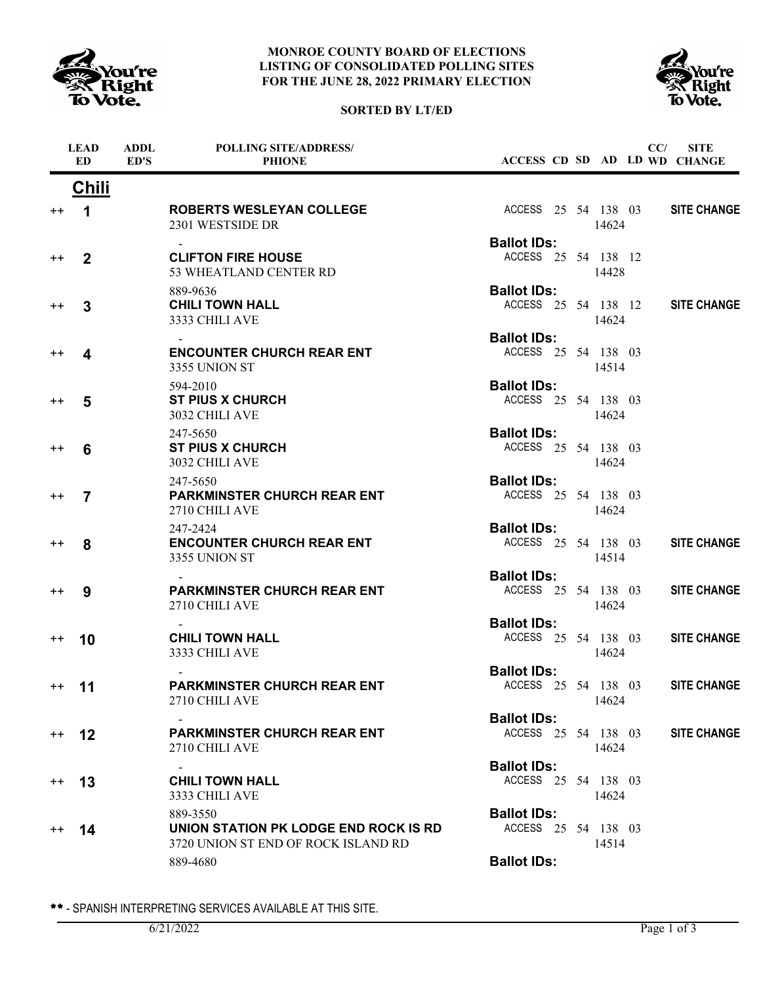





|                  | <b>LEAD</b><br>$\mathbf{ED}$ | <b>ADDL</b><br>ED'S | POLLING SITE/ADDRESS/<br><b>PHIONE</b>                                                   |                                           |  |       | CC/ | <b>SITE</b><br>ACCESS CD SD AD LD WD CHANGE |
|------------------|------------------------------|---------------------|------------------------------------------------------------------------------------------|-------------------------------------------|--|-------|-----|---------------------------------------------|
|                  | <b>Chili</b>                 |                     |                                                                                          |                                           |  |       |     |                                             |
| $^{\mathrm{+}}$  | 1                            |                     | ROBERTS WESLEYAN COLLEGE<br>2301 WESTSIDE DR                                             | ACCESS 25 54 138 03                       |  | 14624 |     | <b>SITE CHANGE</b>                          |
|                  |                              |                     |                                                                                          | <b>Ballot IDs:</b>                        |  |       |     |                                             |
| $^{\mathrm{+}}$  | $\overline{2}$               |                     | <b>CLIFTON FIRE HOUSE</b><br>53 WHEATLAND CENTER RD                                      | ACCESS 25 54 138 12                       |  | 14428 |     |                                             |
| $^{\mathrm{+}}$  | 3                            |                     | 889-9636<br><b>CHILI TOWN HALL</b><br>3333 CHILI AVE                                     | <b>Ballot IDs:</b><br>ACCESS 25 54 138 12 |  | 14624 |     | <b>SITE CHANGE</b>                          |
| $^{\mathrm{+}}$  | 4                            |                     | <b>ENCOUNTER CHURCH REAR ENT</b><br>3355 UNION ST                                        | <b>Ballot IDs:</b><br>ACCESS 25 54 138 03 |  | 14514 |     |                                             |
| $^{\mathrm{+}}$  | 5                            |                     | 594-2010<br><b>ST PIUS X CHURCH</b><br>3032 CHILI AVE                                    | <b>Ballot IDs:</b><br>ACCESS 25 54 138 03 |  | 14624 |     |                                             |
| $^{\mathrm{+}}$  | 6                            |                     | 247-5650<br><b>ST PIUS X CHURCH</b><br>3032 CHILI AVE                                    | <b>Ballot IDs:</b><br>ACCESS 25 54 138 03 |  | 14624 |     |                                             |
| $^{\mathrm{+}}$  | $\overline{7}$               |                     | 247-5650<br><b>PARKMINSTER CHURCH REAR ENT</b><br>2710 CHILI AVE                         | <b>Ballot IDs:</b><br>ACCESS 25 54 138 03 |  | 14624 |     |                                             |
| $^{\mathrm{+}}$  | 8                            |                     | 247-2424<br><b>ENCOUNTER CHURCH REAR ENT</b><br>3355 UNION ST                            | <b>Ballot IDs:</b><br>ACCESS 25 54 138 03 |  | 14514 |     | <b>SITE CHANGE</b>                          |
| $^{\mathrm{+}}$  | 9                            |                     | <b>PARKMINSTER CHURCH REAR ENT</b><br>2710 CHILI AVE                                     | <b>Ballot IDs:</b><br>ACCESS 25 54 138 03 |  | 14624 |     | <b>SITE CHANGE</b>                          |
| $^{\mathrm{+}}$  | 10                           |                     | <b>CHILI TOWN HALL</b><br>3333 CHILI AVE                                                 | <b>Ballot IDs:</b><br>ACCESS 25 54 138 03 |  | 14624 |     | <b>SITE CHANGE</b>                          |
| $^{\mathrm{++}}$ | 11                           |                     | <b>PARKMINSTER CHURCH REAR ENT</b><br>2710 CHILI AVE                                     | <b>Ballot IDs:</b><br>ACCESS 25 54 138 03 |  | 14624 |     | <b>SITE CHANGE</b>                          |
|                  |                              |                     |                                                                                          | <b>Ballot IDs:</b>                        |  |       |     |                                             |
| $^{\mathrm{+}}$  | 12                           |                     | <b>PARKMINSTER CHURCH REAR ENT</b><br>2710 CHILI AVE                                     | ACCESS 25 54 138 03                       |  | 14624 |     | <b>SITE CHANGE</b>                          |
| $^{\mathrm{++}}$ | 13                           |                     | <b>CHILI TOWN HALL</b><br>3333 CHILI AVE                                                 | <b>Ballot IDs:</b><br>ACCESS 25 54 138 03 |  | 14624 |     |                                             |
| $^{++}$          | 14                           |                     | 889-3550<br>UNION STATION PK LODGE END ROCK IS RD<br>3720 UNION ST END OF ROCK ISLAND RD | <b>Ballot IDs:</b><br>ACCESS 25 54 138 03 |  | 14514 |     |                                             |
|                  |                              |                     | 889-4680                                                                                 | <b>Ballot IDs:</b>                        |  |       |     |                                             |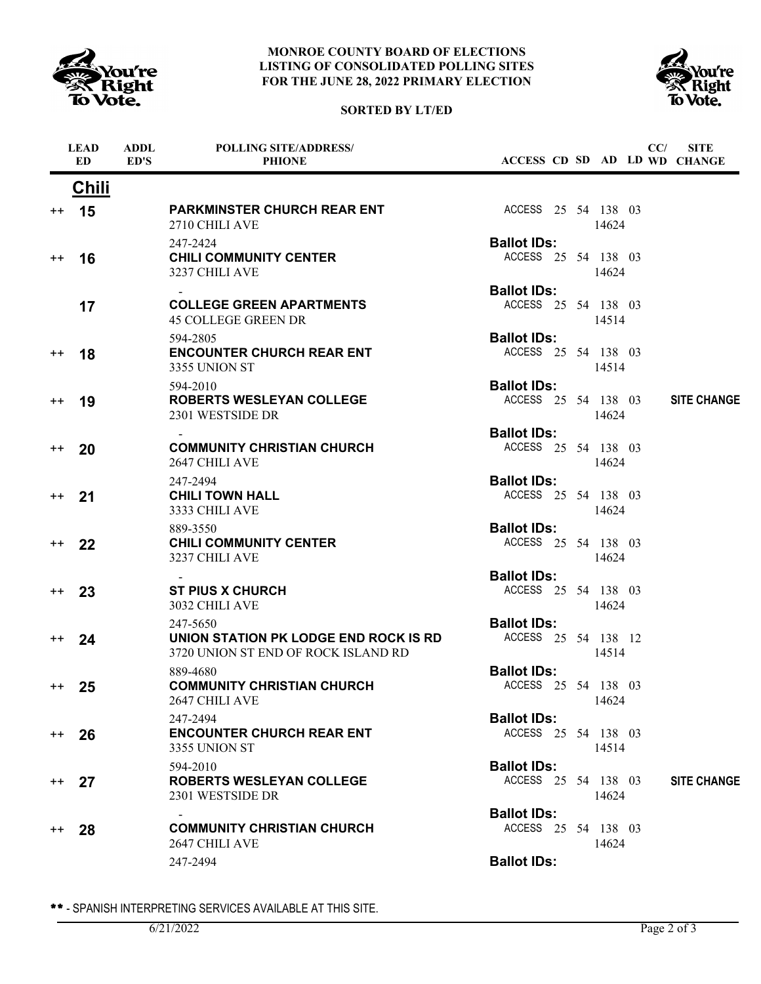





|         | <b>LEAD</b><br><b>ED</b> | <b>ADDL</b><br>ED'S | <b>POLLING SITE/ADDRESS/</b><br><b>PHIONE</b>                                            |                                           |  |       | CC/ | <b>SITE</b><br>ACCESS CD SD AD LD WD CHANGE |
|---------|--------------------------|---------------------|------------------------------------------------------------------------------------------|-------------------------------------------|--|-------|-----|---------------------------------------------|
|         | <u>Chili</u>             |                     |                                                                                          |                                           |  |       |     |                                             |
| $++$    | 15                       |                     | <b>PARKMINSTER CHURCH REAR ENT</b><br>2710 CHILI AVE                                     | ACCESS 25 54 138 03                       |  | 14624 |     |                                             |
| $^{++}$ | 16                       |                     | 247-2424<br><b>CHILI COMMUNITY CENTER</b><br>3237 CHILI AVE                              | <b>Ballot IDs:</b><br>ACCESS 25 54 138 03 |  | 14624 |     |                                             |
|         | 17                       |                     | <b>COLLEGE GREEN APARTMENTS</b><br><b>45 COLLEGE GREEN DR</b>                            | <b>Ballot IDs:</b><br>ACCESS 25 54 138 03 |  | 14514 |     |                                             |
| $^{++}$ | 18                       |                     | 594-2805<br><b>ENCOUNTER CHURCH REAR ENT</b><br>3355 UNION ST                            | <b>Ballot IDs:</b><br>ACCESS 25 54 138 03 |  | 14514 |     |                                             |
| $^{++}$ | 19                       |                     | 594-2010<br><b>ROBERTS WESLEYAN COLLEGE</b><br>2301 WESTSIDE DR                          | <b>Ballot IDs:</b><br>ACCESS 25 54 138 03 |  | 14624 |     | <b>SITE CHANGE</b>                          |
| $++$    | 20                       |                     | <b>COMMUNITY CHRISTIAN CHURCH</b><br>2647 CHILI AVE                                      | <b>Ballot IDs:</b><br>ACCESS 25 54 138 03 |  | 14624 |     |                                             |
| $++$    | 21                       |                     | 247-2494<br><b>CHILI TOWN HALL</b><br>3333 CHILI AVE                                     | <b>Ballot IDs:</b><br>ACCESS 25 54 138 03 |  | 14624 |     |                                             |
| $^{++}$ | 22                       |                     | 889-3550<br><b>CHILI COMMUNITY CENTER</b><br>3237 CHILI AVE                              | <b>Ballot IDs:</b><br>ACCESS 25 54 138 03 |  | 14624 |     |                                             |
| $++$    | 23                       |                     | <b>ST PIUS X CHURCH</b><br>3032 CHILI AVE                                                | <b>Ballot IDs:</b><br>ACCESS 25 54 138 03 |  | 14624 |     |                                             |
| $^{++}$ | 24                       |                     | 247-5650<br>UNION STATION PK LODGE END ROCK IS RD<br>3720 UNION ST END OF ROCK ISLAND RD | <b>Ballot IDs:</b><br>ACCESS 25 54 138 12 |  | 14514 |     |                                             |
| $^{++}$ | 25                       |                     | 889-4680<br><b>COMMUNITY CHRISTIAN CHURCH</b><br>2647 CHILI AVE                          | <b>Ballot IDs:</b><br>ACCESS 25 54 138 03 |  | 14624 |     |                                             |
| $^{++}$ | 26                       |                     | 247-2494<br><b>ENCOUNTER CHURCH REAR ENT</b><br>3355 UNION ST                            | <b>Ballot IDs:</b><br>ACCESS 25 54 138 03 |  | 14514 |     |                                             |
| $^{++}$ | 27                       |                     | 594-2010<br><b>ROBERTS WESLEYAN COLLEGE</b><br>2301 WESTSIDE DR                          | <b>Ballot IDs:</b><br>ACCESS 25 54 138 03 |  | 14624 |     | <b>SITE CHANGE</b>                          |
| $^{++}$ | 28                       |                     | <b>COMMUNITY CHRISTIAN CHURCH</b><br>2647 CHILI AVE                                      | <b>Ballot IDs:</b><br>ACCESS 25 54 138 03 |  | 14624 |     |                                             |
|         |                          |                     | 247-2494                                                                                 | <b>Ballot IDs:</b>                        |  |       |     |                                             |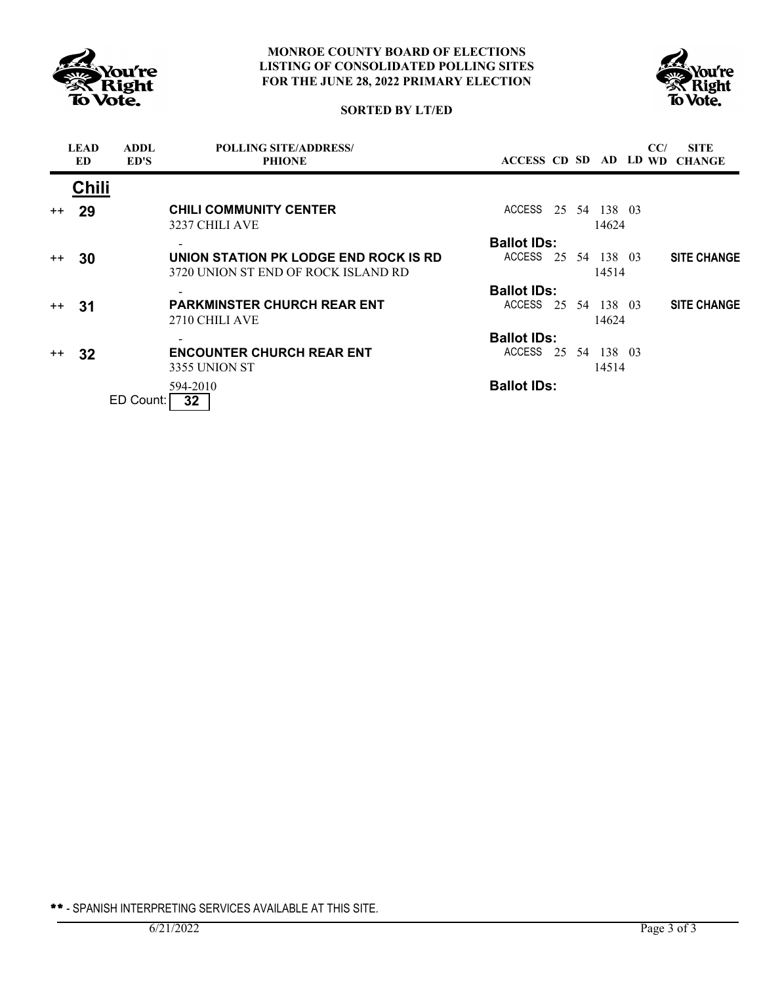



### **SORTED BY LT/ED**

|         | <b>LEAD</b><br>ED. | <b>ADDL</b><br>ED'S | <b>POLLING SITE/ADDRESS/</b><br><b>PHIONE</b>                                |                     |  |       | CC/ | <b>SITE</b><br>ACCESS CD SD AD LD WD CHANGE |
|---------|--------------------|---------------------|------------------------------------------------------------------------------|---------------------|--|-------|-----|---------------------------------------------|
|         | <b>Chili</b>       |                     |                                                                              |                     |  |       |     |                                             |
| $++$    | 29                 |                     | <b>CHILI COMMUNITY CENTER</b><br>3237 CHILI AVE                              | ACCESS 25 54 138 03 |  | 14624 |     |                                             |
|         |                    |                     |                                                                              | <b>Ballot IDs:</b>  |  |       |     |                                             |
| $++$    | 30                 |                     | UNION STATION PK LODGE END ROCK IS RD<br>3720 UNION ST END OF ROCK ISLAND RD | ACCESS 25 54 138 03 |  | 14514 |     | <b>SITE CHANGE</b>                          |
|         |                    |                     |                                                                              | <b>Ballot IDs:</b>  |  |       |     |                                             |
| $++$    | -31                |                     | <b>PARKMINSTER CHURCH REAR ENT</b><br>2710 CHILI AVE                         | ACCESS 25 54 138 03 |  | 14624 |     | <b>SITE CHANGE</b>                          |
|         |                    |                     |                                                                              | <b>Ballot IDs:</b>  |  |       |     |                                             |
| $^{++}$ | 32                 |                     | <b>ENCOUNTER CHURCH REAR ENT</b><br>3355 UNION ST                            | ACCESS 25 54 138 03 |  | 14514 |     |                                             |
|         |                    | ED Count:           | 594-2010<br>32 <sub>2</sub>                                                  | <b>Ballot IDs:</b>  |  |       |     |                                             |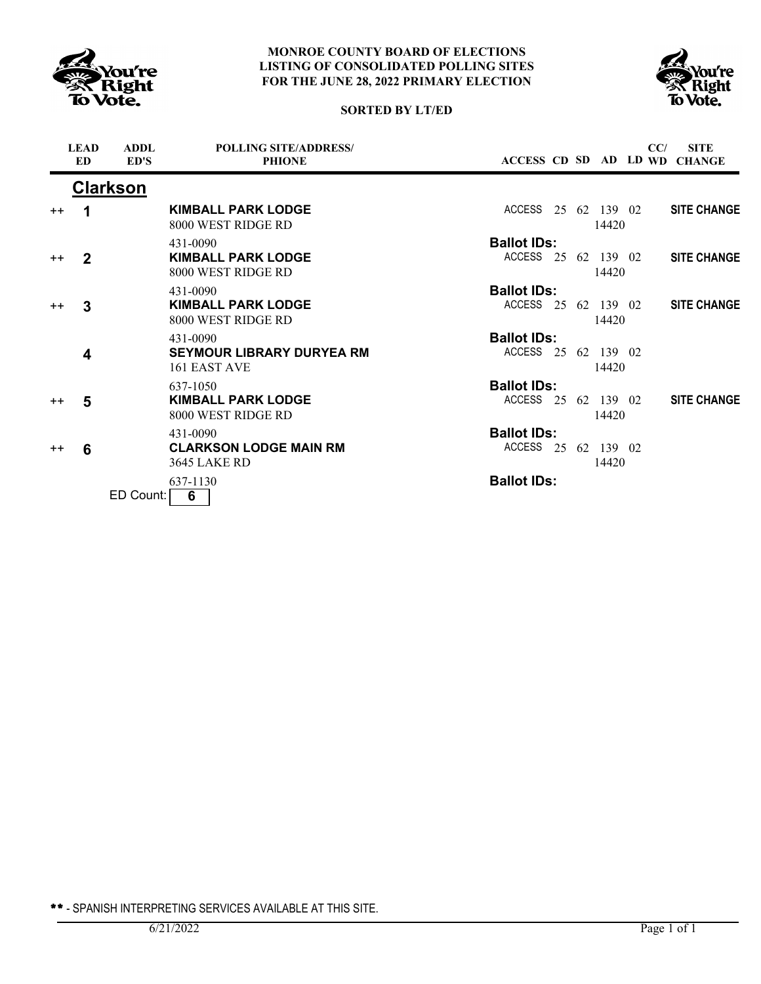



# **SORTED BY LT/ED**

|      | <b>LEAD</b><br><b>ED</b> | <b>ADDL</b><br>ED'S | <b>POLLING SITE/ADDRESS/</b><br><b>PHIONE</b>                    |                                           |  |                       | CC/ | <b>SITE</b><br>ACCESS CD SD AD LD WD CHANGE |
|------|--------------------------|---------------------|------------------------------------------------------------------|-------------------------------------------|--|-----------------------|-----|---------------------------------------------|
|      |                          | <b>Clarkson</b>     |                                                                  |                                           |  |                       |     |                                             |
| $++$ | 1                        |                     | <b>KIMBALL PARK LODGE</b><br>8000 WEST RIDGE RD                  | ACCESS                                    |  | 25 62 139 02<br>14420 |     | <b>SITE CHANGE</b>                          |
| $++$ | $\mathbf{2}$             |                     | 431-0090<br><b>KIMBALL PARK LODGE</b><br>8000 WEST RIDGE RD      | <b>Ballot IDs:</b><br>ACCESS 25 62 139 02 |  | 14420                 |     | <b>SITE CHANGE</b>                          |
| $++$ | 3                        |                     | 431-0090<br><b>KIMBALL PARK LODGE</b><br>8000 WEST RIDGE RD      | <b>Ballot IDs:</b><br>ACCESS 25 62 139 02 |  | 14420                 |     | <b>SITE CHANGE</b>                          |
|      | 4                        |                     | 431-0090<br><b>SEYMOUR LIBRARY DURYEA RM</b><br>161 EAST AVE     | <b>Ballot IDs:</b><br>ACCESS 25 62 139 02 |  | 14420                 |     |                                             |
| $++$ | 5                        |                     | 637-1050<br><b>KIMBALL PARK LODGE</b><br>8000 WEST RIDGE RD      | <b>Ballot IDs:</b><br>ACCESS 25 62 139 02 |  | 14420                 |     | <b>SITE CHANGE</b>                          |
| $++$ | 6                        |                     | 431-0090<br><b>CLARKSON LODGE MAIN RM</b><br><b>3645 LAKE RD</b> | <b>Ballot IDs:</b><br>ACCESS              |  | 25 62 139 02<br>14420 |     |                                             |
|      |                          | ED Count:           | 637-1130<br>6                                                    | <b>Ballot IDs:</b>                        |  |                       |     |                                             |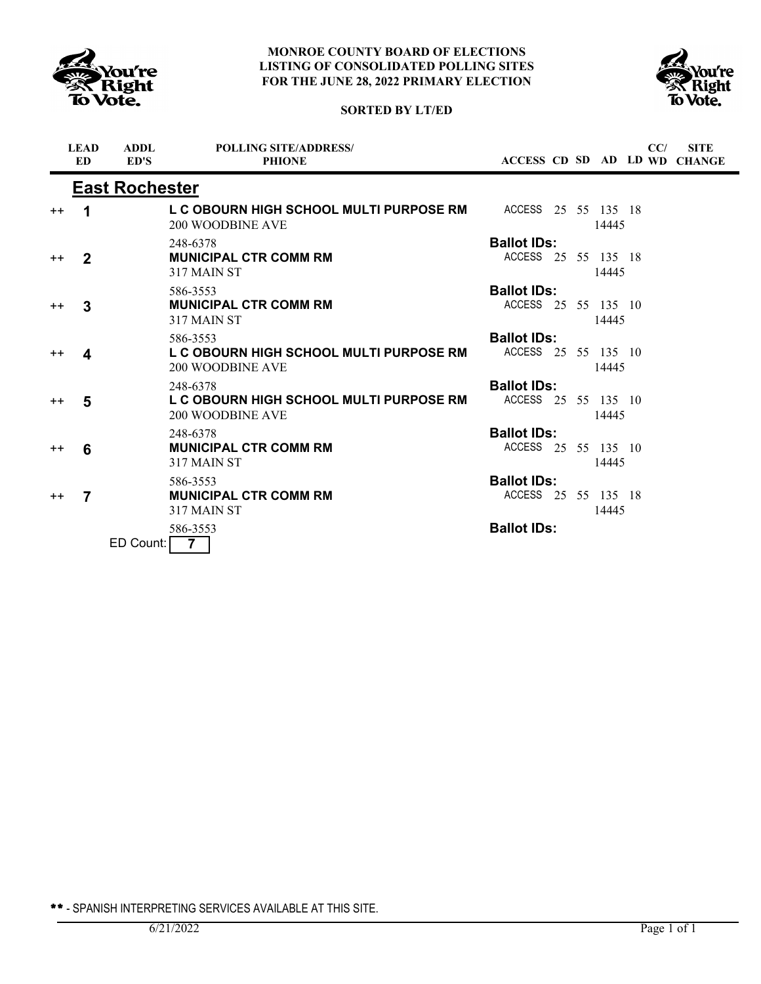



# **SORTED BY LT/ED**

|                 | <b>LEAD</b><br><b>ED</b> | <b>ADDL</b><br>ED'S   | <b>POLLING SITE/ADDRESS/</b><br><b>PHIONE</b>                      |                     |  |       | CC/ | <b>SITE</b><br>ACCESS CD SD AD LD WD CHANGE |
|-----------------|--------------------------|-----------------------|--------------------------------------------------------------------|---------------------|--|-------|-----|---------------------------------------------|
|                 |                          | <b>East Rochester</b> |                                                                    |                     |  |       |     |                                             |
| $++$            | 1                        |                       | L C OBOURN HIGH SCHOOL MULTI PURPOSE RM<br>200 WOODBINE AVE        | ACCESS 25 55 135 18 |  | 14445 |     |                                             |
|                 |                          |                       | 248-6378                                                           | <b>Ballot IDs:</b>  |  |       |     |                                             |
| $^{\mathrm{+}}$ | 2                        |                       | <b>MUNICIPAL CTR COMM RM</b><br>317 MAIN ST                        | ACCESS 25 55 135 18 |  | 14445 |     |                                             |
|                 |                          |                       | 586-3553                                                           | <b>Ballot IDs:</b>  |  |       |     |                                             |
| $^{++}$         | 3                        |                       | <b>MUNICIPAL CTR COMM RM</b><br>317 MAIN ST                        | ACCESS 25 55 135 10 |  | 14445 |     |                                             |
|                 |                          |                       | 586-3553                                                           | <b>Ballot IDs:</b>  |  |       |     |                                             |
| $++$            | 4                        |                       | L C OBOURN HIGH SCHOOL MULTI PURPOSE RM<br>200 WOODBINE AVE        | ACCESS 25 55 135 10 |  | 14445 |     |                                             |
|                 |                          |                       | 248-6378                                                           | <b>Ballot IDs:</b>  |  |       |     |                                             |
| $^{++}$         | 5                        |                       | L C OBOURN HIGH SCHOOL MULTI PURPOSE RM<br><b>200 WOODBINE AVE</b> | ACCESS 25 55 135 10 |  | 14445 |     |                                             |
|                 |                          |                       | 248-6378                                                           | <b>Ballot IDs:</b>  |  |       |     |                                             |
| $^{++}$         | 6                        |                       | <b>MUNICIPAL CTR COMM RM</b><br>317 MAIN ST                        | ACCESS 25 55 135 10 |  | 14445 |     |                                             |
|                 |                          |                       | 586-3553                                                           | <b>Ballot IDs:</b>  |  |       |     |                                             |
| $++$            | 7                        |                       | <b>MUNICIPAL CTR COMM RM</b><br>317 MAIN ST                        | ACCESS 25 55 135 18 |  | 14445 |     |                                             |
|                 |                          | ED Count:             | 586-3553<br>$\overline{7}$                                         | <b>Ballot IDs:</b>  |  |       |     |                                             |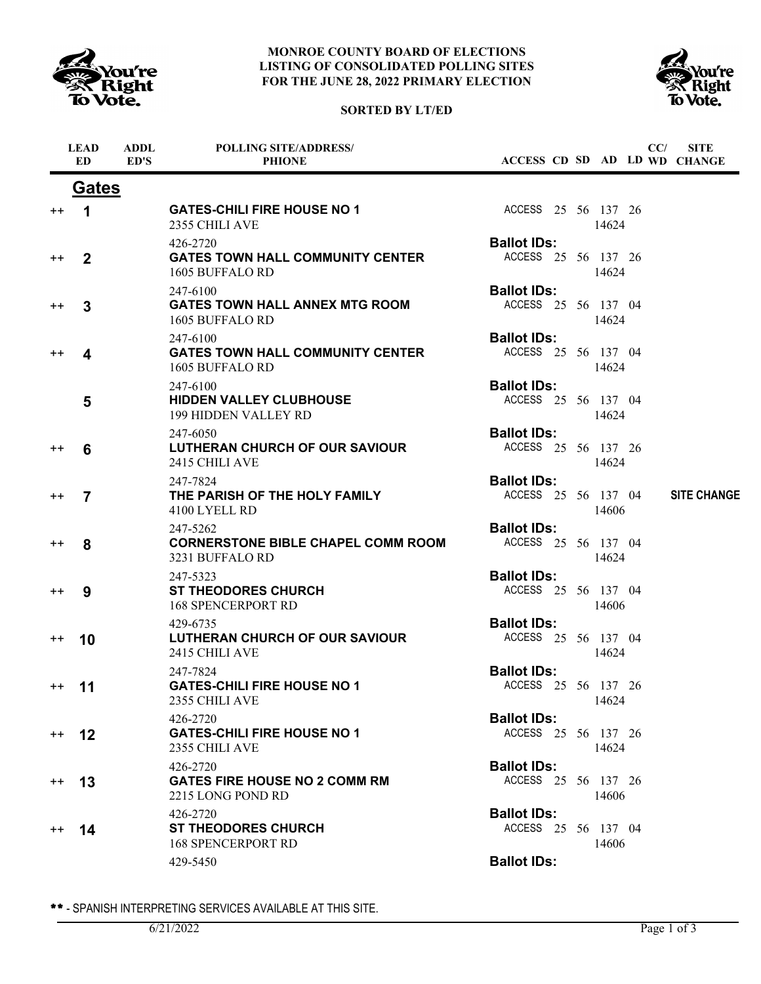

## **SORTED BY LT/ED**



|                  | <b>LEAD</b><br><b>ED</b> | <b>ADDL</b><br>ED'S | <b>POLLING SITE/ADDRESS/</b><br><b>PHIONE</b>                            | ACCESS CD SD AD LD WD CHANGE              |  |       | CC/ | <b>SITE</b>        |
|------------------|--------------------------|---------------------|--------------------------------------------------------------------------|-------------------------------------------|--|-------|-----|--------------------|
|                  | <b>Gates</b>             |                     |                                                                          |                                           |  |       |     |                    |
| $^{\mathrm{+}}$  | 1                        |                     | <b>GATES-CHILI FIRE HOUSE NO 1</b><br>2355 CHILI AVE                     | ACCESS 25 56 137 26                       |  | 14624 |     |                    |
| $^{\mathrm{+}}$  | 2                        |                     | 426-2720<br><b>GATES TOWN HALL COMMUNITY CENTER</b><br>1605 BUFFALO RD   | <b>Ballot IDs:</b><br>ACCESS 25 56 137 26 |  | 14624 |     |                    |
| $^{\mathrm{+}}$  | 3                        |                     | 247-6100<br><b>GATES TOWN HALL ANNEX MTG ROOM</b><br>1605 BUFFALO RD     | <b>Ballot IDs:</b><br>ACCESS 25 56 137 04 |  | 14624 |     |                    |
| $^{\mathrm{+}}$  | 4                        |                     | 247-6100<br><b>GATES TOWN HALL COMMUNITY CENTER</b><br>1605 BUFFALO RD   | <b>Ballot IDs:</b><br>ACCESS 25 56 137 04 |  | 14624 |     |                    |
|                  | 5                        |                     | 247-6100<br><b>HIDDEN VALLEY CLUBHOUSE</b><br>199 HIDDEN VALLEY RD       | <b>Ballot IDs:</b><br>ACCESS 25 56 137 04 |  | 14624 |     |                    |
| ++               | 6                        |                     | 247-6050<br>LUTHERAN CHURCH OF OUR SAVIOUR<br>2415 CHILI AVE             | <b>Ballot IDs:</b><br>ACCESS 25 56 137 26 |  | 14624 |     |                    |
| $^{\mathrm{+}}$  | 7                        |                     | 247-7824<br>THE PARISH OF THE HOLY FAMILY<br>4100 LYELL RD               | <b>Ballot IDs:</b><br>ACCESS 25 56 137 04 |  | 14606 |     | <b>SITE CHANGE</b> |
| ++               | 8                        |                     | 247-5262<br><b>CORNERSTONE BIBLE CHAPEL COMM ROOM</b><br>3231 BUFFALO RD | <b>Ballot IDs:</b><br>ACCESS 25 56 137 04 |  | 14624 |     |                    |
| $^{\mathrm{+}}$  | 9                        |                     | 247-5323<br><b>ST THEODORES CHURCH</b><br><b>168 SPENCERPORT RD</b>      | <b>Ballot IDs:</b><br>ACCESS 25 56 137 04 |  | 14606 |     |                    |
| $^{\mathrm{+}}$  | 10                       |                     | 429-6735<br>LUTHERAN CHURCH OF OUR SAVIOUR<br>2415 CHILI AVE             | <b>Ballot IDs:</b><br>ACCESS 25 56 137 04 |  | 14624 |     |                    |
| $^{\mathrm{++}}$ | 11                       |                     | 247-7824<br><b>GATES-CHILI FIRE HOUSE NO 1</b><br>2355 CHILI AVE         | <b>Ballot IDs:</b><br>ACCESS 25 56 137 26 |  | 14624 |     |                    |
| $^{\mathrm{+}}$  | 12                       |                     | 426-2720<br><b>GATES-CHILI FIRE HOUSE NO 1</b><br>2355 CHILI AVE         | <b>Ballot IDs:</b><br>ACCESS 25 56 137 26 |  | 14624 |     |                    |
| $^{\mathrm{+}}$  | 13                       |                     | 426-2720<br><b>GATES FIRE HOUSE NO 2 COMM RM</b><br>2215 LONG POND RD    | <b>Ballot IDs:</b><br>ACCESS 25 56 137 26 |  | 14606 |     |                    |
| $^{\mathrm{+}}$  | 14                       |                     | 426-2720<br><b>ST THEODORES CHURCH</b><br><b>168 SPENCERPORT RD</b>      | <b>Ballot IDs:</b><br>ACCESS 25 56 137 04 |  | 14606 |     |                    |
|                  |                          |                     | 429-5450                                                                 | <b>Ballot IDs:</b>                        |  |       |     |                    |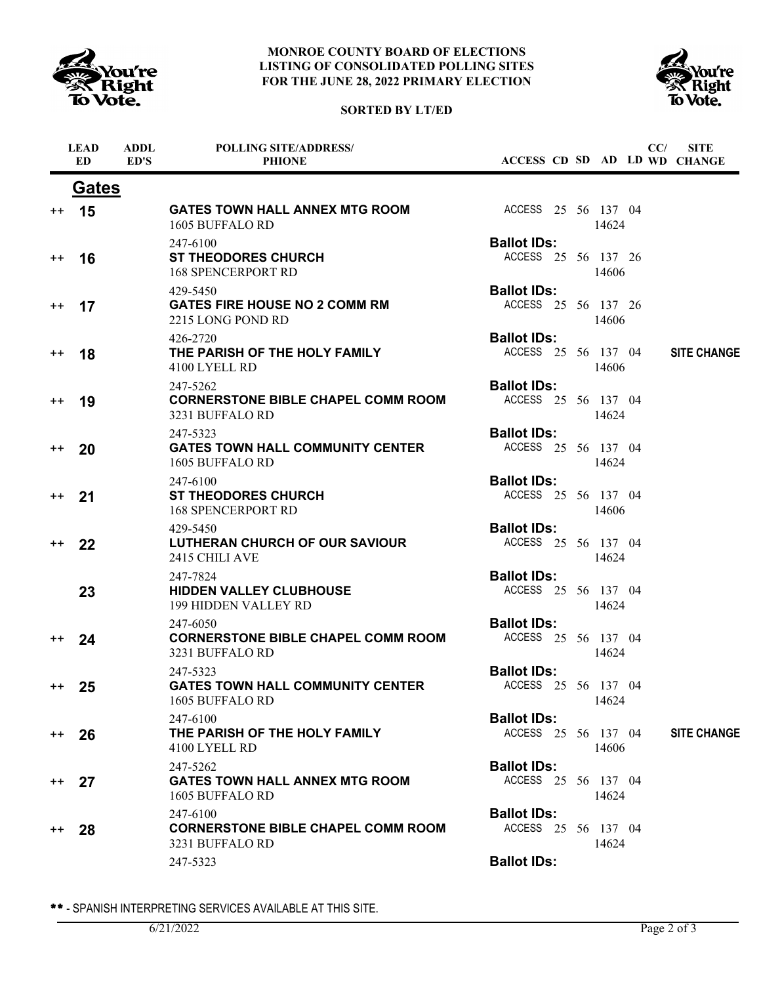

# **SORTED BY LT/ED**



|                 | <b>LEAD</b><br><b>ED</b> | <b>ADDL</b><br>ED'S | <b>POLLING SITE/ADDRESS/</b><br><b>PHIONE</b>                            |                                           |  |       | CC/ | <b>SITE</b><br>ACCESS CD SD AD LD WD CHANGE |
|-----------------|--------------------------|---------------------|--------------------------------------------------------------------------|-------------------------------------------|--|-------|-----|---------------------------------------------|
|                 | <b>Gates</b>             |                     |                                                                          |                                           |  |       |     |                                             |
| $^{++}$         | 15                       |                     | <b>GATES TOWN HALL ANNEX MTG ROOM</b><br>1605 BUFFALO RD                 | ACCESS 25 56 137 04                       |  | 14624 |     |                                             |
| $^{\mathrm{+}}$ | 16                       |                     | 247-6100<br><b>ST THEODORES CHURCH</b><br><b>168 SPENCERPORT RD</b>      | <b>Ballot IDs:</b><br>ACCESS 25 56 137 26 |  | 14606 |     |                                             |
| $^{++}$         | 17                       |                     | 429-5450<br><b>GATES FIRE HOUSE NO 2 COMM RM</b><br>2215 LONG POND RD    | <b>Ballot IDs:</b><br>ACCESS 25 56 137 26 |  | 14606 |     |                                             |
| $^{\mathrm{+}}$ | 18                       |                     | 426-2720<br>THE PARISH OF THE HOLY FAMILY<br>4100 LYELL RD               | <b>Ballot IDs:</b><br>ACCESS 25 56 137 04 |  | 14606 |     | <b>SITE CHANGE</b>                          |
| $^{\mathrm{+}}$ | 19                       |                     | 247-5262<br><b>CORNERSTONE BIBLE CHAPEL COMM ROOM</b><br>3231 BUFFALO RD | <b>Ballot IDs:</b><br>ACCESS 25 56 137 04 |  | 14624 |     |                                             |
| $^{\mathrm{+}}$ | 20                       |                     | 247-5323<br><b>GATES TOWN HALL COMMUNITY CENTER</b><br>1605 BUFFALO RD   | <b>Ballot IDs:</b><br>ACCESS 25 56 137 04 |  | 14624 |     |                                             |
| $^{++}$         | 21                       |                     | 247-6100<br><b>ST THEODORES CHURCH</b><br><b>168 SPENCERPORT RD</b>      | <b>Ballot IDs:</b><br>ACCESS 25 56 137 04 |  | 14606 |     |                                             |
| $^{++}$         | 22                       |                     | 429-5450<br>LUTHERAN CHURCH OF OUR SAVIOUR<br>2415 CHILI AVE             | <b>Ballot IDs:</b><br>ACCESS 25 56 137 04 |  | 14624 |     |                                             |
|                 | 23                       |                     | 247-7824<br><b>HIDDEN VALLEY CLUBHOUSE</b><br>199 HIDDEN VALLEY RD       | <b>Ballot IDs:</b><br>ACCESS 25 56 137 04 |  | 14624 |     |                                             |
| $^{\mathrm{+}}$ | 24                       |                     | 247-6050<br><b>CORNERSTONE BIBLE CHAPEL COMM ROOM</b><br>3231 BUFFALO RD | <b>Ballot IDs:</b><br>ACCESS 25 56 137 04 |  | 14624 |     |                                             |
| $^{++}$         | 25                       |                     | 247-5323<br><b>GATES TOWN HALL COMMUNITY CENTER</b><br>1605 BUFFALO RD   | <b>Ballot IDs:</b><br>ACCESS 25 56 137 04 |  | 14624 |     |                                             |
| $^{++}$         | 26                       |                     | 247-6100<br>THE PARISH OF THE HOLY FAMILY<br>4100 LYELL RD               | <b>Ballot IDs:</b><br>ACCESS 25 56 137 04 |  | 14606 |     | <b>SITE CHANGE</b>                          |
| $^{++}$         | 27                       |                     | 247-5262<br><b>GATES TOWN HALL ANNEX MTG ROOM</b><br>1605 BUFFALO RD     | <b>Ballot IDs:</b><br>ACCESS 25 56 137 04 |  | 14624 |     |                                             |
| $^{++}$         | 28                       |                     | 247-6100<br><b>CORNERSTONE BIBLE CHAPEL COMM ROOM</b><br>3231 BUFFALO RD | <b>Ballot IDs:</b><br>ACCESS 25 56 137 04 |  | 14624 |     |                                             |
|                 |                          |                     | 247-5323                                                                 | <b>Ballot IDs:</b>                        |  |       |     |                                             |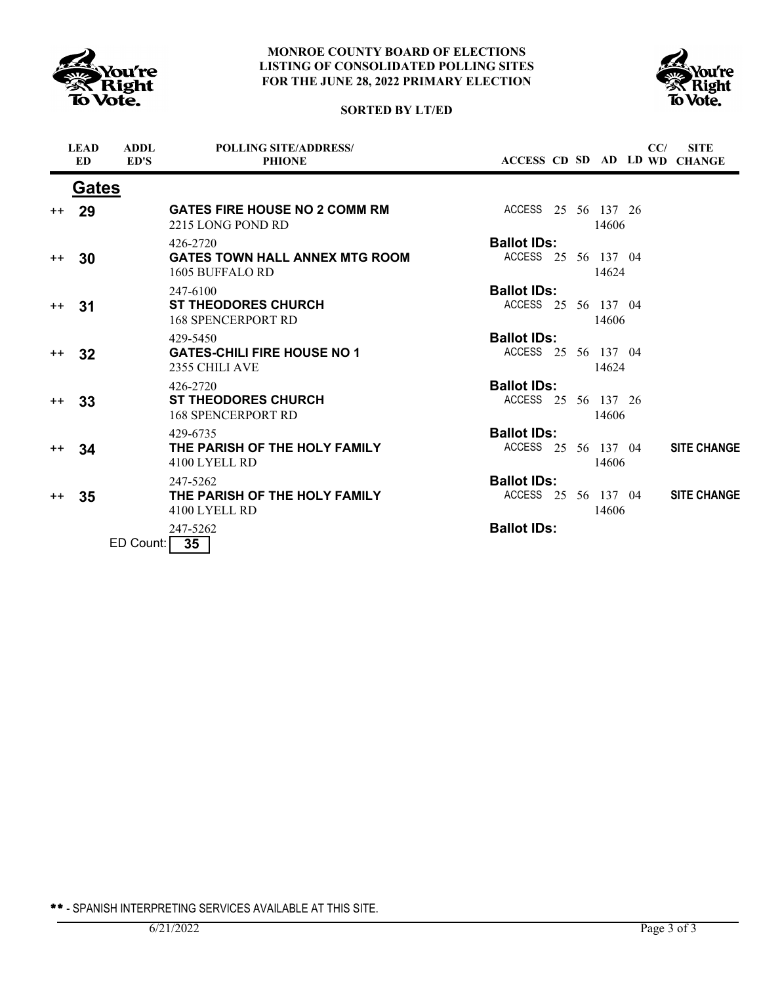





|      | <b>LEAD</b><br>ED | <b>ADDL</b><br>ED'S | <b>POLLING SITE/ADDRESS/</b><br><b>PHIONE</b>             |                     |  |       | CC/ | <b>SITE</b><br>ACCESS CD SD AD LD WD CHANGE |
|------|-------------------|---------------------|-----------------------------------------------------------|---------------------|--|-------|-----|---------------------------------------------|
|      | Gates             |                     |                                                           |                     |  |       |     |                                             |
| $++$ | 29                |                     | <b>GATES FIRE HOUSE NO 2 COMM RM</b><br>2215 LONG POND RD | ACCESS 25 56 137 26 |  | 14606 |     |                                             |
|      |                   |                     | 426-2720                                                  | <b>Ballot IDs:</b>  |  |       |     |                                             |
| $++$ | 30                |                     | <b>GATES TOWN HALL ANNEX MTG ROOM</b><br>1605 BUFFALO RD  | ACCESS 25 56 137 04 |  | 14624 |     |                                             |
|      |                   |                     | 247-6100                                                  | <b>Ballot IDs:</b>  |  |       |     |                                             |
| $++$ | -31               |                     | <b>ST THEODORES CHURCH</b><br><b>168 SPENCERPORT RD</b>   | ACCESS 25 56 137 04 |  | 14606 |     |                                             |
|      |                   |                     | 429-5450                                                  | <b>Ballot IDs:</b>  |  |       |     |                                             |
| $++$ | 32                |                     | <b>GATES-CHILI FIRE HOUSE NO 1</b><br>2355 CHILI AVE      | ACCESS 25 56 137 04 |  | 14624 |     |                                             |
|      |                   |                     | 426-2720                                                  | <b>Ballot IDs:</b>  |  |       |     |                                             |
| $++$ | 33                |                     | <b>ST THEODORES CHURCH</b><br><b>168 SPENCERPORT RD</b>   | ACCESS 25 56 137 26 |  | 14606 |     |                                             |
|      |                   |                     | 429-6735                                                  | <b>Ballot IDs:</b>  |  |       |     |                                             |
| $++$ | 34                |                     | THE PARISH OF THE HOLY FAMILY<br>4100 LYELL RD            | ACCESS 25 56 137 04 |  | 14606 |     | <b>SITE CHANGE</b>                          |
|      |                   |                     | 247-5262                                                  | <b>Ballot IDs:</b>  |  |       |     |                                             |
| $++$ | 35                |                     | THE PARISH OF THE HOLY FAMILY<br>4100 LYELL RD            | ACCESS 25 56 137 04 |  | 14606 |     | <b>SITE CHANGE</b>                          |
|      |                   | ED Count:           | 247-5262<br>35                                            | <b>Ballot IDs:</b>  |  |       |     |                                             |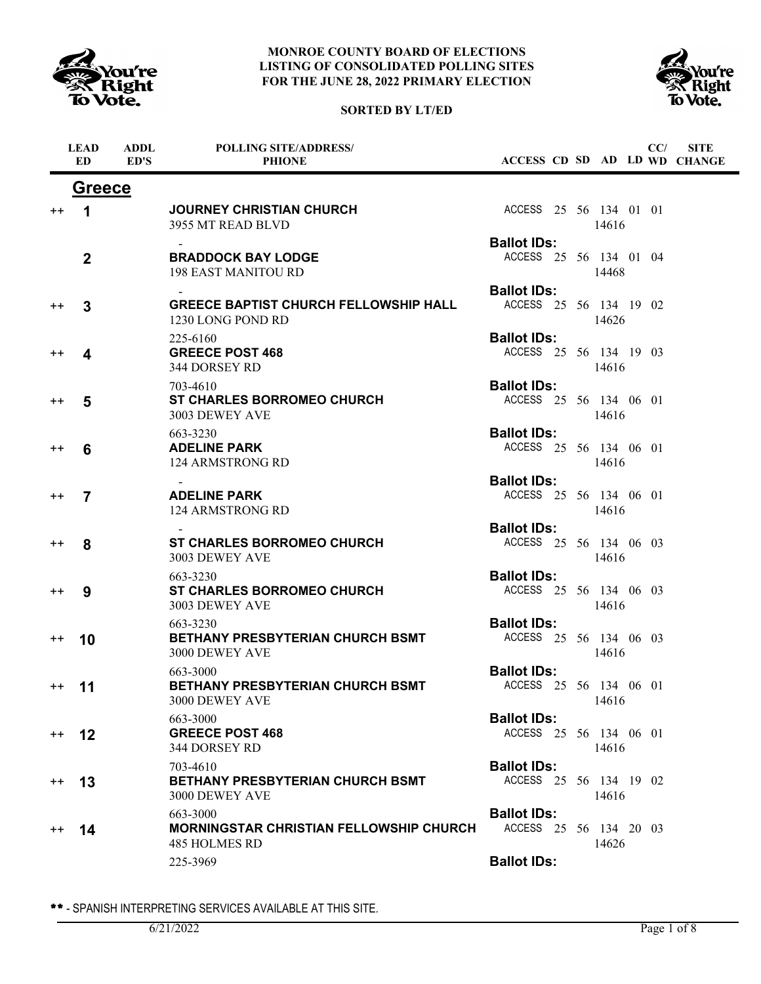

**ADDL**

**LEAD**

### **MONROE COUNTY BOARD OF ELECTIONS LISTING OF CONSOLIDATED POLLING SITES FOR THE JUNE 28, 2022 PRIMARY ELECTION**

## **SORTED BY LT/ED**

**POLLING SITE/ADDRESS/**



**SITE**

**CC/**

|                 | <b>ED</b>      | ED'S | <b>PHIONE</b>                                                                      |                                              |  |       |  | ACCESS CD SD AD LD WD CHANGE |
|-----------------|----------------|------|------------------------------------------------------------------------------------|----------------------------------------------|--|-------|--|------------------------------|
|                 | <b>Greece</b>  |      |                                                                                    |                                              |  |       |  |                              |
| $^{\mathrm{+}}$ | 1              |      | <b>JOURNEY CHRISTIAN CHURCH</b><br>3955 MT READ BLVD                               | ACCESS 25 56 134 01 01                       |  | 14616 |  |                              |
|                 | $\overline{2}$ |      | <b>BRADDOCK BAY LODGE</b><br><b>198 EAST MANITOU RD</b>                            | <b>Ballot IDs:</b><br>ACCESS 25 56 134 01 04 |  | 14468 |  |                              |
| $^{\mathrm{+}}$ | 3              |      | <b>GREECE BAPTIST CHURCH FELLOWSHIP HALL</b><br>1230 LONG POND RD                  | <b>Ballot IDs:</b><br>ACCESS 25 56 134 19 02 |  | 14626 |  |                              |
| ++              | 4              |      | 225-6160<br><b>GREECE POST 468</b><br>344 DORSEY RD                                | <b>Ballot IDs:</b><br>ACCESS 25 56 134 19 03 |  | 14616 |  |                              |
| $^{\mathrm{+}}$ | 5              |      | 703-4610<br><b>ST CHARLES BORROMEO CHURCH</b><br>3003 DEWEY AVE                    | <b>Ballot IDs:</b><br>ACCESS 25 56 134 06 01 |  | 14616 |  |                              |
| $^{\mathrm{+}}$ | 6              |      | 663-3230<br><b>ADELINE PARK</b><br>124 ARMSTRONG RD                                | <b>Ballot IDs:</b><br>ACCESS 25 56 134 06 01 |  | 14616 |  |                              |
| $^{\mathrm{+}}$ | 7              |      | <b>ADELINE PARK</b><br>124 ARMSTRONG RD                                            | <b>Ballot IDs:</b><br>ACCESS 25 56 134 06 01 |  | 14616 |  |                              |
| $^{\mathrm{+}}$ | 8              |      | <b>ST CHARLES BORROMEO CHURCH</b><br>3003 DEWEY AVE                                | <b>Ballot IDs:</b><br>ACCESS 25 56 134 06 03 |  | 14616 |  |                              |
| $^{\mathrm{+}}$ | 9              |      | 663-3230<br><b>ST CHARLES BORROMEO CHURCH</b><br>3003 DEWEY AVE                    | <b>Ballot IDs:</b><br>ACCESS 25 56 134 06 03 |  | 14616 |  |                              |
| $^{\mathrm{+}}$ | 10             |      | 663-3230<br><b>BETHANY PRESBYTERIAN CHURCH BSMT</b><br>3000 DEWEY AVE              | <b>Ballot IDs:</b><br>ACCESS 25 56 134 06 03 |  | 14616 |  |                              |
| $^{\mathrm{+}}$ | 11             |      | 663-3000<br><b>BETHANY PRESBYTERIAN CHURCH BSMT</b><br>3000 DEWEY AVE              | <b>Ballot IDs:</b><br>ACCESS 25 56 134 06 01 |  | 14616 |  |                              |
| $+ +$           | 12             |      | 663-3000<br><b>GREECE POST 468</b><br>344 DORSEY RD                                | <b>Ballot IDs:</b><br>ACCESS 25 56 134 06 01 |  | 14616 |  |                              |
| $^{\mathrm{+}}$ | 13             |      | 703-4610<br>BETHANY PRESBYTERIAN CHURCH BSMT<br>3000 DEWEY AVE                     | <b>Ballot IDs:</b><br>ACCESS 25 56 134 19 02 |  | 14616 |  |                              |
| $^{\rm ++}$     | 14             |      | 663-3000<br><b>MORNINGSTAR CHRISTIAN FELLOWSHIP CHURCH</b><br><b>485 HOLMES RD</b> | <b>Ballot IDs:</b><br>ACCESS 25 56 134 20 03 |  | 14626 |  |                              |
|                 |                |      | 225-3969                                                                           | <b>Ballot IDs:</b>                           |  |       |  |                              |
|                 |                |      |                                                                                    |                                              |  |       |  |                              |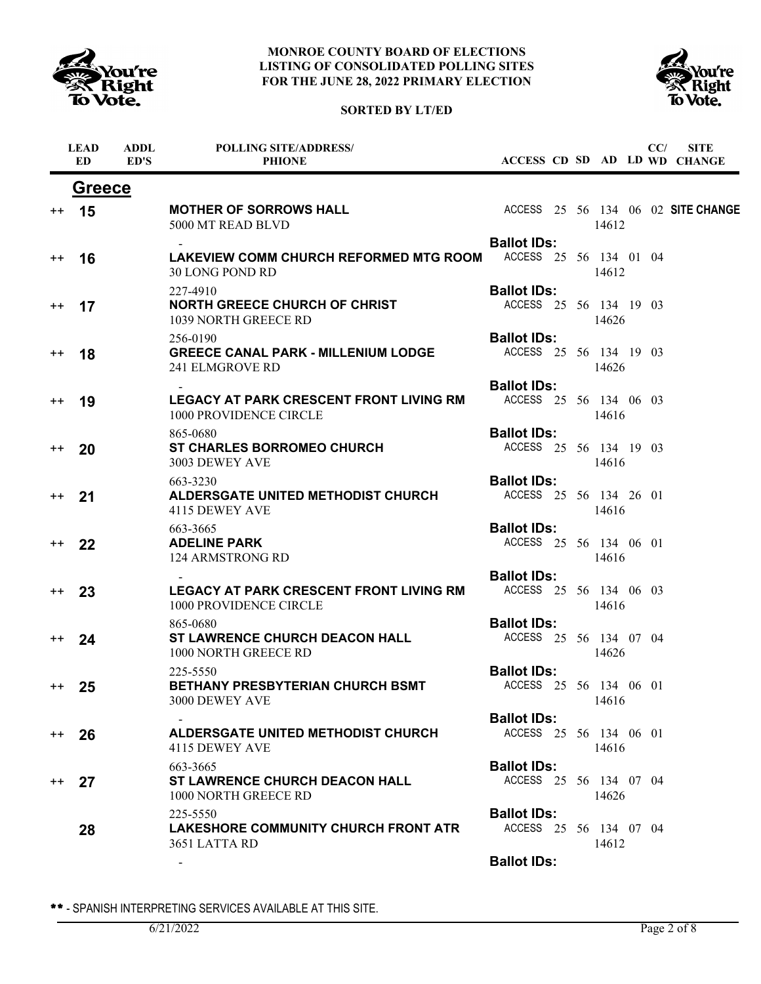

ń

### **MONROE COUNTY BOARD OF ELECTIONS LISTING OF CONSOLIDATED POLLING SITES FOR THE JUNE 28, 2022 PRIMARY ELECTION**





|                  | <b>LEAD</b><br>ED | <b>ADDL</b><br>ED'S | <b>POLLING SITE/ADDRESS/</b><br><b>PHIONE</b>                             |                                              |  |       | CC/ | <b>SITE</b><br>ACCESS CD SD AD LD WD CHANGE |
|------------------|-------------------|---------------------|---------------------------------------------------------------------------|----------------------------------------------|--|-------|-----|---------------------------------------------|
|                  | <b>Greece</b>     |                     |                                                                           |                                              |  |       |     |                                             |
| $^{\mathrm{+}}$  | 15                |                     | <b>MOTHER OF SORROWS HALL</b><br>5000 MT READ BLVD                        |                                              |  | 14612 |     | ACCESS 25 56 134 06 02 SITE CHANGE          |
| $^{\mathrm{+}}$  | 16                |                     | LAKEVIEW COMM CHURCH REFORMED MTG ROOM<br>30 LONG POND RD                 | <b>Ballot IDs:</b><br>ACCESS 25 56 134 01 04 |  | 14612 |     |                                             |
| $^{\mathrm{++}}$ | 17                |                     | 227-4910<br><b>NORTH GREECE CHURCH OF CHRIST</b><br>1039 NORTH GREECE RD  | <b>Ballot IDs:</b><br>ACCESS 25 56 134 19 03 |  | 14626 |     |                                             |
| $^{\mathrm{+}}$  | 18                |                     | 256-0190<br><b>GREECE CANAL PARK - MILLENIUM LODGE</b><br>241 ELMGROVE RD | <b>Ballot IDs:</b><br>ACCESS 25 56 134 19 03 |  | 14626 |     |                                             |
| $^{\mathrm{+}}$  | 19                |                     | <b>LEGACY AT PARK CRESCENT FRONT LIVING RM</b><br>1000 PROVIDENCE CIRCLE  | <b>Ballot IDs:</b><br>ACCESS 25 56 134 06 03 |  | 14616 |     |                                             |
| $^{\mathrm{+}}$  | 20                |                     | 865-0680<br><b>ST CHARLES BORROMEO CHURCH</b><br>3003 DEWEY AVE           | <b>Ballot IDs:</b><br>ACCESS 25 56 134 19 03 |  | 14616 |     |                                             |
| $^{++}$          | 21                |                     | 663-3230<br>ALDERSGATE UNITED METHODIST CHURCH<br>4115 DEWEY AVE          | <b>Ballot IDs:</b><br>ACCESS 25 56 134 26 01 |  | 14616 |     |                                             |
| $^{++}$          | 22                |                     | 663-3665<br><b>ADELINE PARK</b><br>124 ARMSTRONG RD                       | <b>Ballot IDs:</b><br>ACCESS 25 56 134 06 01 |  | 14616 |     |                                             |
| $^{\mathrm{+}}$  | 23                |                     | <b>LEGACY AT PARK CRESCENT FRONT LIVING RM</b><br>1000 PROVIDENCE CIRCLE  | <b>Ballot IDs:</b><br>ACCESS 25 56 134 06 03 |  | 14616 |     |                                             |
| $^{++}$          | 24                |                     | 865-0680<br><b>ST LAWRENCE CHURCH DEACON HALL</b><br>1000 NORTH GREECE RD | <b>Ballot IDs:</b><br>ACCESS 25 56 134 07 04 |  | 14626 |     |                                             |
| $^{++}$          | 25                |                     | 225-5550<br><b>BETHANY PRESBYTERIAN CHURCH BSMT</b><br>3000 DEWEY AVE     | <b>Ballot IDs:</b><br>ACCESS 25 56 134 06 01 |  | 14616 |     |                                             |
| $^{\mathrm{+}}$  | 26                |                     | <b>ALDERSGATE UNITED METHODIST CHURCH</b><br>4115 DEWEY AVE               | <b>Ballot IDs:</b><br>ACCESS 25 56 134 06 01 |  | 14616 |     |                                             |
| $^{++}$          | 27                |                     | 663-3665<br><b>ST LAWRENCE CHURCH DEACON HALL</b><br>1000 NORTH GREECE RD | <b>Ballot IDs:</b><br>ACCESS 25 56 134 07 04 |  | 14626 |     |                                             |
|                  | 28                |                     | 225-5550<br>LAKESHORE COMMUNITY CHURCH FRONT ATR<br>3651 LATTA RD         | <b>Ballot IDs:</b><br>ACCESS 25 56 134 07 04 |  | 14612 |     |                                             |
|                  |                   |                     |                                                                           | <b>Ballot IDs:</b>                           |  |       |     |                                             |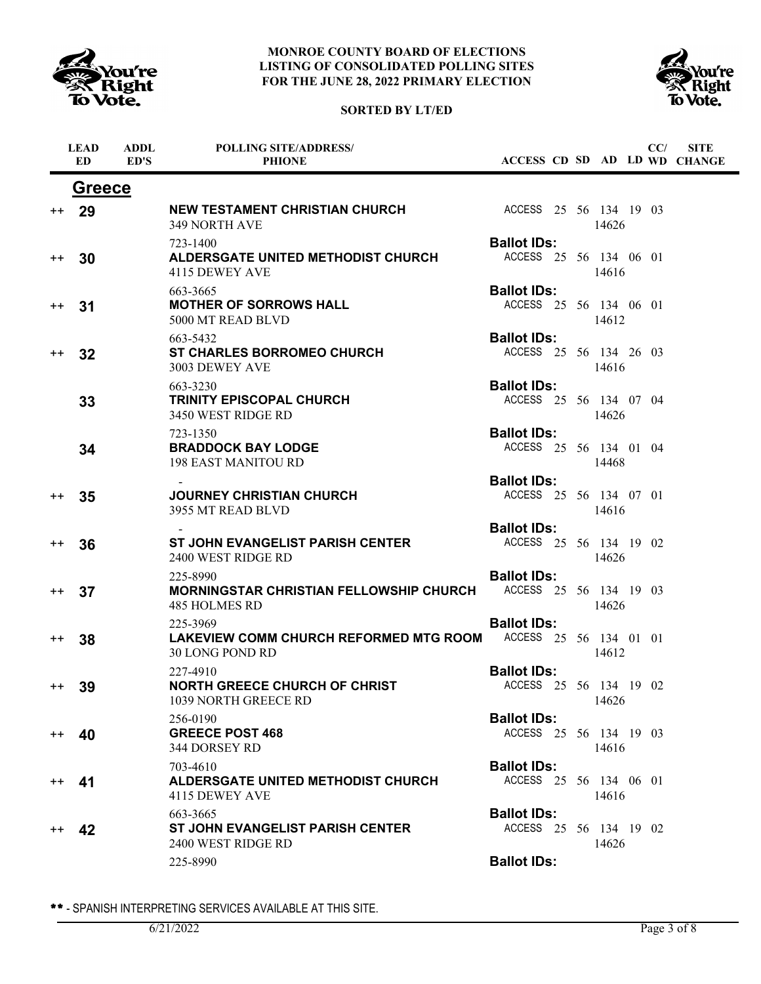





|                  | <b>LEAD</b><br><b>ED</b> | <b>ADDL</b><br>ED'S | <b>POLLING SITE/ADDRESS/</b><br><b>PHIONE</b>                               |                                              |  |       | CC/ | <b>SITE</b><br>ACCESS CD SD AD LD WD CHANGE |
|------------------|--------------------------|---------------------|-----------------------------------------------------------------------------|----------------------------------------------|--|-------|-----|---------------------------------------------|
|                  |                          | <b>Greece</b>       |                                                                             |                                              |  |       |     |                                             |
| $^{\mathrm{++}}$ | 29                       |                     | <b>NEW TESTAMENT CHRISTIAN CHURCH</b><br><b>349 NORTH AVE</b>               | ACCESS 25 56 134 19 03                       |  | 14626 |     |                                             |
| $^{\mathrm{+}}$  | 30                       |                     | 723-1400<br>ALDERSGATE UNITED METHODIST CHURCH<br>4115 DEWEY AVE            | <b>Ballot IDs:</b><br>ACCESS 25 56 134 06 01 |  | 14616 |     |                                             |
| $^{\mathrm{+}}$  | 31                       |                     | 663-3665<br><b>MOTHER OF SORROWS HALL</b><br>5000 MT READ BLVD              | <b>Ballot IDs:</b><br>ACCESS 25 56 134 06 01 |  | 14612 |     |                                             |
| $^{\mathrm{+}}$  | 32                       |                     | 663-5432<br><b>ST CHARLES BORROMEO CHURCH</b><br>3003 DEWEY AVE             | <b>Ballot IDs:</b><br>ACCESS 25 56 134 26 03 |  | 14616 |     |                                             |
|                  | 33                       |                     | 663-3230<br><b>TRINITY EPISCOPAL CHURCH</b><br>3450 WEST RIDGE RD           | <b>Ballot IDs:</b><br>ACCESS 25 56 134 07 04 |  | 14626 |     |                                             |
|                  | 34                       |                     | 723-1350<br><b>BRADDOCK BAY LODGE</b><br><b>198 EAST MANITOU RD</b>         | <b>Ballot IDs:</b><br>ACCESS 25 56 134 01 04 |  | 14468 |     |                                             |
| $^{\mathrm{++}}$ | 35                       |                     | <b>JOURNEY CHRISTIAN CHURCH</b><br>3955 MT READ BLVD                        | <b>Ballot IDs:</b><br>ACCESS 25 56 134 07 01 |  | 14616 |     |                                             |
| $^{\mathrm{+}}$  | 36                       |                     | <b>ST JOHN EVANGELIST PARISH CENTER</b><br>2400 WEST RIDGE RD               | <b>Ballot IDs:</b><br>ACCESS 25 56 134 19 02 |  | 14626 |     |                                             |
| $^{\mathrm{++}}$ | 37                       |                     | 225-8990<br><b>MORNINGSTAR CHRISTIAN FELLOWSHIP CHURCH</b><br>485 HOLMES RD | <b>Ballot IDs:</b><br>ACCESS 25 56 134 19 03 |  | 14626 |     |                                             |
| $^{\mathrm{++}}$ | 38                       |                     | 225-3969<br>LAKEVIEW COMM CHURCH REFORMED MTG ROOM<br>30 LONG POND RD       | <b>Ballot IDs:</b><br>ACCESS 25 56 134 01 01 |  | 14612 |     |                                             |
| $^{\mathrm{++}}$ | 39                       |                     | 227-4910<br><b>NORTH GREECE CHURCH OF CHRIST</b><br>1039 NORTH GREECE RD    | <b>Ballot IDs:</b><br>ACCESS 25 56 134 19 02 |  | 14626 |     |                                             |
| $^{++}$          | 40                       |                     | 256-0190<br><b>GREECE POST 468</b><br>344 DORSEY RD                         | <b>Ballot IDs:</b><br>ACCESS 25 56 134 19 03 |  | 14616 |     |                                             |
| $^{\mathrm{++}}$ | 41                       |                     | 703-4610<br><b>ALDERSGATE UNITED METHODIST CHURCH</b><br>4115 DEWEY AVE     | <b>Ballot IDs:</b><br>ACCESS 25 56 134 06 01 |  | 14616 |     |                                             |
| $^{\mathrm{++}}$ | 42                       |                     | 663-3665<br>ST JOHN EVANGELIST PARISH CENTER<br>2400 WEST RIDGE RD          | <b>Ballot IDs:</b><br>ACCESS 25 56 134 19 02 |  | 14626 |     |                                             |
|                  |                          |                     | 225-8990                                                                    | <b>Ballot IDs:</b>                           |  |       |     |                                             |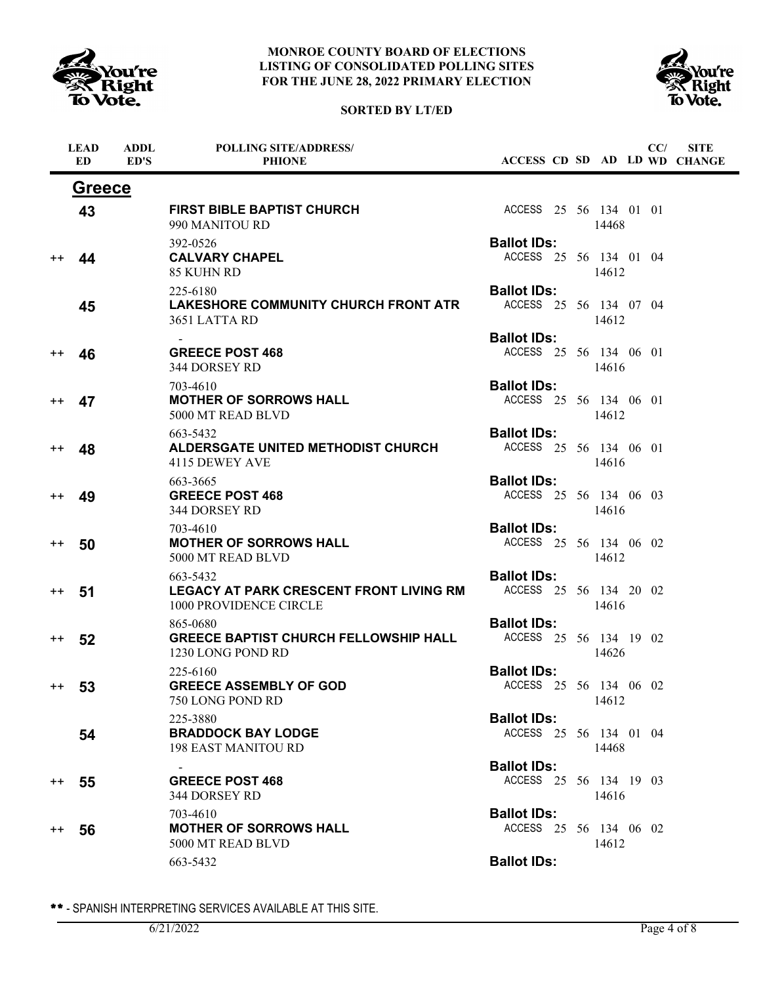

# **SORTED BY LT/ED**



|                 | <b>LEAD</b><br><b>ED</b> | <b>ADDL</b><br>ED'S | <b>POLLING SITE/ADDRESS/</b><br><b>PHIONE</b>                                        | ACCESS CD SD AD LD WD CHANGE                 |       | CC/ | <b>SITE</b> |
|-----------------|--------------------------|---------------------|--------------------------------------------------------------------------------------|----------------------------------------------|-------|-----|-------------|
|                 | <b>Greece</b>            |                     |                                                                                      |                                              |       |     |             |
|                 | 43                       |                     | <b>FIRST BIBLE BAPTIST CHURCH</b><br>990 MANITOU RD                                  | ACCESS 25 56 134 01 01                       | 14468 |     |             |
| $^{++}$         | 44                       |                     | 392-0526<br><b>CALVARY CHAPEL</b><br>85 KUHN RD                                      | <b>Ballot IDs:</b><br>ACCESS 25 56 134 01 04 | 14612 |     |             |
|                 | 45                       |                     | 225-6180<br>LAKESHORE COMMUNITY CHURCH FRONT ATR<br>3651 LATTA RD                    | <b>Ballot IDs:</b><br>ACCESS 25 56 134 07 04 | 14612 |     |             |
| $^{++}$         | 46                       |                     | <b>GREECE POST 468</b><br>344 DORSEY RD                                              | <b>Ballot IDs:</b><br>ACCESS 25 56 134 06 01 | 14616 |     |             |
| $^{\mathrm{+}}$ | 47                       |                     | 703-4610<br><b>MOTHER OF SORROWS HALL</b><br>5000 MT READ BLVD                       | <b>Ballot IDs:</b><br>ACCESS 25 56 134 06 01 | 14612 |     |             |
| $^{\mathrm{+}}$ | 48                       |                     | 663-5432<br>ALDERSGATE UNITED METHODIST CHURCH<br>4115 DEWEY AVE                     | <b>Ballot IDs:</b><br>ACCESS 25 56 134 06 01 | 14616 |     |             |
| $^{\mathrm{+}}$ | 49                       |                     | 663-3665<br><b>GREECE POST 468</b><br>344 DORSEY RD                                  | <b>Ballot IDs:</b><br>ACCESS 25 56 134 06 03 | 14616 |     |             |
| $^{\mathrm{+}}$ | 50                       |                     | 703-4610<br><b>MOTHER OF SORROWS HALL</b><br>5000 MT READ BLVD                       | <b>Ballot IDs:</b><br>ACCESS 25 56 134 06 02 | 14612 |     |             |
| $^{\mathrm{+}}$ | 51                       |                     | 663-5432<br><b>LEGACY AT PARK CRESCENT FRONT LIVING RM</b><br>1000 PROVIDENCE CIRCLE | <b>Ballot IDs:</b><br>ACCESS 25 56 134 20 02 | 14616 |     |             |
| $^{\mathrm{+}}$ | 52                       |                     | 865-0680<br><b>GREECE BAPTIST CHURCH FELLOWSHIP HALL</b><br>1230 LONG POND RD        | <b>Ballot IDs:</b><br>ACCESS 25 56 134 19 02 | 14626 |     |             |
| $^{\mathrm{+}}$ | 53                       |                     | 225-6160<br><b>GREECE ASSEMBLY OF GOD</b><br>750 LONG POND RD                        | <b>Ballot IDs:</b><br>ACCESS 25 56 134 06 02 | 14612 |     |             |
|                 | 54                       |                     | 225-3880<br><b>BRADDOCK BAY LODGE</b><br><b>198 EAST MANITOU RD</b>                  | <b>Ballot IDs:</b><br>ACCESS 25 56 134 01 04 | 14468 |     |             |
| $^{\mathrm{+}}$ | 55                       |                     | <b>GREECE POST 468</b><br>344 DORSEY RD                                              | <b>Ballot IDs:</b><br>ACCESS 25 56 134 19 03 | 14616 |     |             |
| $^{\mathrm{+}}$ | 56                       |                     | 703-4610<br><b>MOTHER OF SORROWS HALL</b><br>5000 MT READ BLVD                       | <b>Ballot IDs:</b><br>ACCESS 25 56 134 06 02 | 14612 |     |             |
|                 |                          |                     | 663-5432                                                                             | <b>Ballot IDs:</b>                           |       |     |             |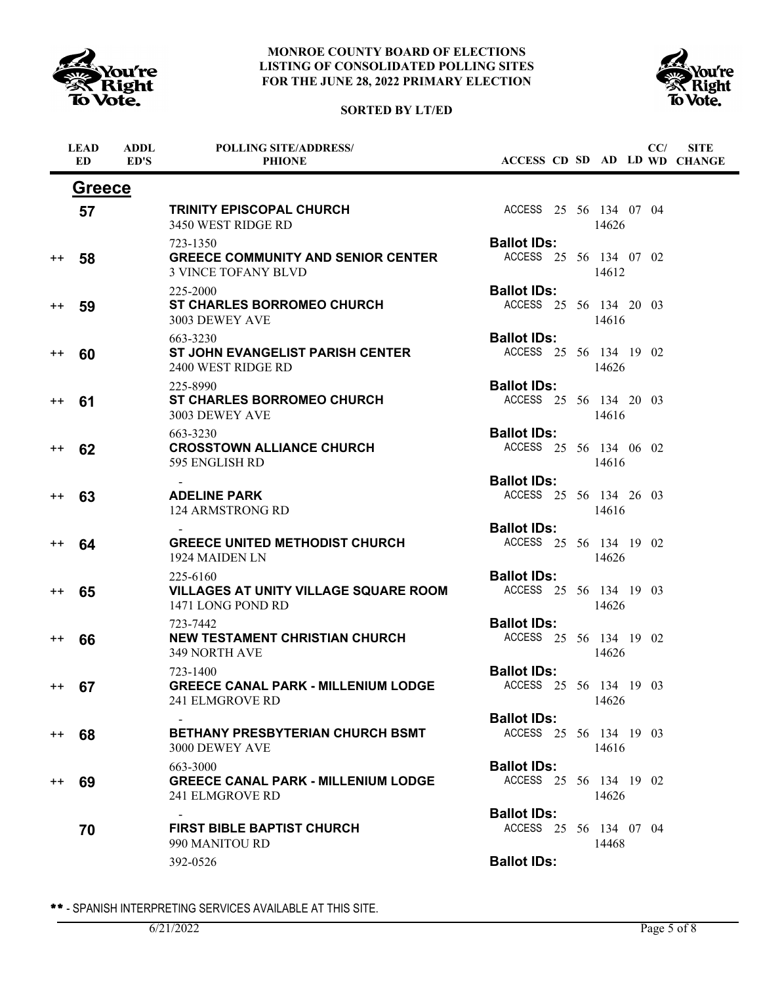

# **SORTED BY LT/ED**



|                  | <b>LEAD</b><br><b>ED</b> | <b>ADDL</b><br>ED'S | <b>POLLING SITE/ADDRESS/</b><br><b>PHIONE</b>                                       |                                              |  |       | CC/ | <b>SITE</b><br>ACCESS CD SD AD LD WD CHANGE |
|------------------|--------------------------|---------------------|-------------------------------------------------------------------------------------|----------------------------------------------|--|-------|-----|---------------------------------------------|
|                  | <b>Greece</b>            |                     |                                                                                     |                                              |  |       |     |                                             |
|                  | 57                       |                     | <b>TRINITY EPISCOPAL CHURCH</b><br>3450 WEST RIDGE RD                               | ACCESS 25 56 134 07 04                       |  | 14626 |     |                                             |
| $^{\mathrm{+}}$  | 58                       |                     | 723-1350<br><b>GREECE COMMUNITY AND SENIOR CENTER</b><br><b>3 VINCE TOFANY BLVD</b> | <b>Ballot IDs:</b><br>ACCESS 25 56 134 07 02 |  | 14612 |     |                                             |
| $^{\mathrm{++}}$ | 59                       |                     | 225-2000<br><b>ST CHARLES BORROMEO CHURCH</b><br>3003 DEWEY AVE                     | <b>Ballot IDs:</b><br>ACCESS 25 56 134 20 03 |  | 14616 |     |                                             |
| $^{\mathrm{+}}$  | 60                       |                     | 663-3230<br><b>ST JOHN EVANGELIST PARISH CENTER</b><br>2400 WEST RIDGE RD           | <b>Ballot IDs:</b><br>ACCESS 25 56 134 19 02 |  | 14626 |     |                                             |
| $^{\mathrm{+}}$  | 61                       |                     | 225-8990<br><b>ST CHARLES BORROMEO CHURCH</b><br>3003 DEWEY AVE                     | <b>Ballot IDs:</b><br>ACCESS 25 56 134 20 03 |  | 14616 |     |                                             |
| $^{\mathrm{+}}$  | 62                       |                     | 663-3230<br><b>CROSSTOWN ALLIANCE CHURCH</b><br>595 ENGLISH RD                      | <b>Ballot IDs:</b><br>ACCESS 25 56 134 06 02 |  | 14616 |     |                                             |
| $^{\mathrm{+}}$  | 63                       |                     | <b>ADELINE PARK</b><br>124 ARMSTRONG RD                                             | <b>Ballot IDs:</b><br>ACCESS 25 56 134 26 03 |  | 14616 |     |                                             |
| $^{\mathrm{+}}$  | 64                       |                     | <b>GREECE UNITED METHODIST CHURCH</b><br>1924 MAIDEN LN                             | <b>Ballot IDs:</b><br>ACCESS 25 56 134 19 02 |  | 14626 |     |                                             |
| $^{\mathrm{+}}$  | 65                       |                     | 225-6160<br><b>VILLAGES AT UNITY VILLAGE SQUARE ROOM</b><br>1471 LONG POND RD       | <b>Ballot IDs:</b><br>ACCESS 25 56 134 19 03 |  | 14626 |     |                                             |
| $^{\mathrm{+}}$  | 66                       |                     | 723-7442<br><b>NEW TESTAMENT CHRISTIAN CHURCH</b><br><b>349 NORTH AVE</b>           | <b>Ballot IDs:</b><br>ACCESS 25 56 134 19 02 |  | 14626 |     |                                             |
| $+ +$            | 67                       |                     | 723-1400<br><b>GREECE CANAL PARK - MILLENIUM LODGE</b><br>241 ELMGROVE RD           | <b>Ballot IDs:</b><br>ACCESS 25 56 134 19 03 |  | 14626 |     |                                             |
| $^{\mathrm{+}}$  | 68                       |                     | <b>BETHANY PRESBYTERIAN CHURCH BSMT</b><br>3000 DEWEY AVE                           | <b>Ballot IDs:</b><br>ACCESS 25 56 134 19 03 |  | 14616 |     |                                             |
| $^{\mathrm{+}}$  | 69                       |                     | 663-3000<br><b>GREECE CANAL PARK - MILLENIUM LODGE</b><br><b>241 ELMGROVE RD</b>    | <b>Ballot IDs:</b><br>ACCESS 25 56 134 19 02 |  | 14626 |     |                                             |
|                  | 70                       |                     | <b>FIRST BIBLE BAPTIST CHURCH</b><br>990 MANITOU RD                                 | <b>Ballot IDs:</b><br>ACCESS 25 56 134 07 04 |  | 14468 |     |                                             |
|                  |                          |                     | 392-0526                                                                            | <b>Ballot IDs:</b>                           |  |       |     |                                             |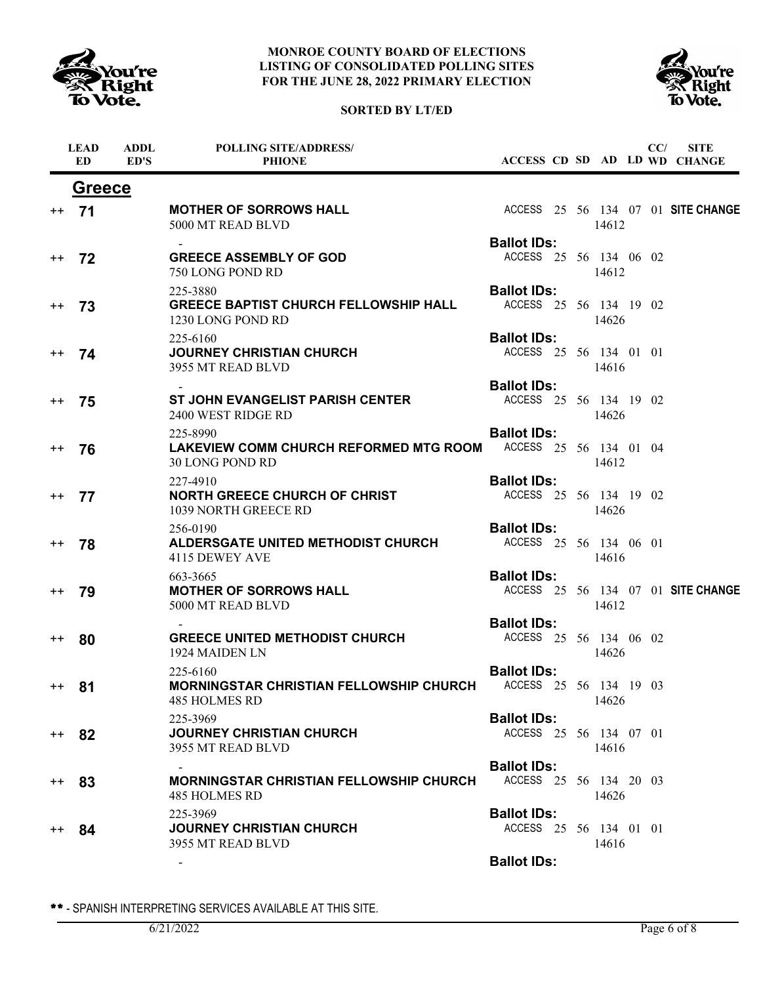

# **SORTED BY LT/ED**



|                 | <b>LEAD</b><br><b>ED</b> | <b>ADDL</b><br>ED'S | <b>POLLING SITE/ADDRESS/</b><br><b>PHIONE</b>                                 |                                              |  |       | CC/ | <b>SITE</b><br>ACCESS CD SD AD LD WD CHANGE |
|-----------------|--------------------------|---------------------|-------------------------------------------------------------------------------|----------------------------------------------|--|-------|-----|---------------------------------------------|
|                 | <b>Greece</b>            |                     |                                                                               |                                              |  |       |     |                                             |
| $^{++}$         | 71                       |                     | <b>MOTHER OF SORROWS HALL</b><br>5000 MT READ BLVD                            |                                              |  | 14612 |     | ACCESS 25 56 134 07 01 SITE CHANGE          |
|                 |                          |                     |                                                                               | <b>Ballot IDs:</b>                           |  |       |     |                                             |
| $++$            | 72                       |                     | <b>GREECE ASSEMBLY OF GOD</b><br>750 LONG POND RD                             | ACCESS 25 56 134 06 02                       |  | 14612 |     |                                             |
| $^{\mathrm{+}}$ | 73                       |                     | 225-3880<br><b>GREECE BAPTIST CHURCH FELLOWSHIP HALL</b><br>1230 LONG POND RD | <b>Ballot IDs:</b><br>ACCESS 25 56 134 19 02 |  | 14626 |     |                                             |
| $^{++}$         | 74                       |                     | 225-6160<br><b>JOURNEY CHRISTIAN CHURCH</b><br>3955 MT READ BLVD              | <b>Ballot IDs:</b><br>ACCESS 25 56 134 01 01 |  | 14616 |     |                                             |
|                 |                          |                     |                                                                               | <b>Ballot IDs:</b>                           |  |       |     |                                             |
| $^{++}$         | 75                       |                     | <b>ST JOHN EVANGELIST PARISH CENTER</b><br>2400 WEST RIDGE RD                 | ACCESS 25 56 134 19 02                       |  | 14626 |     |                                             |
|                 |                          |                     | 225-8990                                                                      | <b>Ballot IDs:</b>                           |  |       |     |                                             |
| $^{++}$         | 76                       |                     | LAKEVIEW COMM CHURCH REFORMED MTG ROOM<br>30 LONG POND RD                     | ACCESS 25 56 134 01 04                       |  | 14612 |     |                                             |
|                 |                          |                     | 227-4910                                                                      | <b>Ballot IDs:</b>                           |  |       |     |                                             |
| $++$            | 77                       |                     | <b>NORTH GREECE CHURCH OF CHRIST</b><br>1039 NORTH GREECE RD                  | ACCESS 25 56 134 19 02                       |  | 14626 |     |                                             |
|                 |                          |                     | 256-0190                                                                      | <b>Ballot IDs:</b>                           |  |       |     |                                             |
| $^{++}$         | 78                       |                     | ALDERSGATE UNITED METHODIST CHURCH<br>4115 DEWEY AVE                          | ACCESS 25 56 134 06 01                       |  | 14616 |     |                                             |
|                 |                          |                     | 663-3665                                                                      | <b>Ballot IDs:</b>                           |  |       |     |                                             |
| $^{++}$         | 79                       |                     | <b>MOTHER OF SORROWS HALL</b><br>5000 MT READ BLVD                            |                                              |  | 14612 |     | ACCESS 25 56 134 07 01 SITE CHANGE          |
|                 |                          |                     |                                                                               | <b>Ballot IDs:</b>                           |  |       |     |                                             |
| $^{++}$         | 80                       |                     | <b>GREECE UNITED METHODIST CHURCH</b><br>1924 MAIDEN LN                       | ACCESS 25 56 134 06 02                       |  | 14626 |     |                                             |
| $^{++}$         | 81                       |                     | 225-6160<br><b>MORNINGSTAR CHRISTIAN FELLOWSHIP CHURCH</b><br>485 HOLMES RD   | <b>Ballot IDs:</b><br>ACCESS 25 56 134 19 03 |  | 14626 |     |                                             |
| $^{++}$         | 82                       |                     | 225-3969<br><b>JOURNEY CHRISTIAN CHURCH</b><br>3955 MT READ BLVD              | <b>Ballot IDs:</b><br>ACCESS 25 56 134 07 01 |  | 14616 |     |                                             |
| $^{++}$         | 83                       |                     | MORNINGSTAR CHRISTIAN FELLOWSHIP CHURCH<br>485 HOLMES RD                      | <b>Ballot IDs:</b><br>ACCESS 25 56 134 20 03 |  | 14626 |     |                                             |
| $^{++}$         | 84                       |                     | 225-3969<br><b>JOURNEY CHRISTIAN CHURCH</b><br>3955 MT READ BLVD              | <b>Ballot IDs:</b><br>ACCESS 25 56 134 01 01 |  | 14616 |     |                                             |
|                 |                          |                     |                                                                               | <b>Ballot IDs:</b>                           |  |       |     |                                             |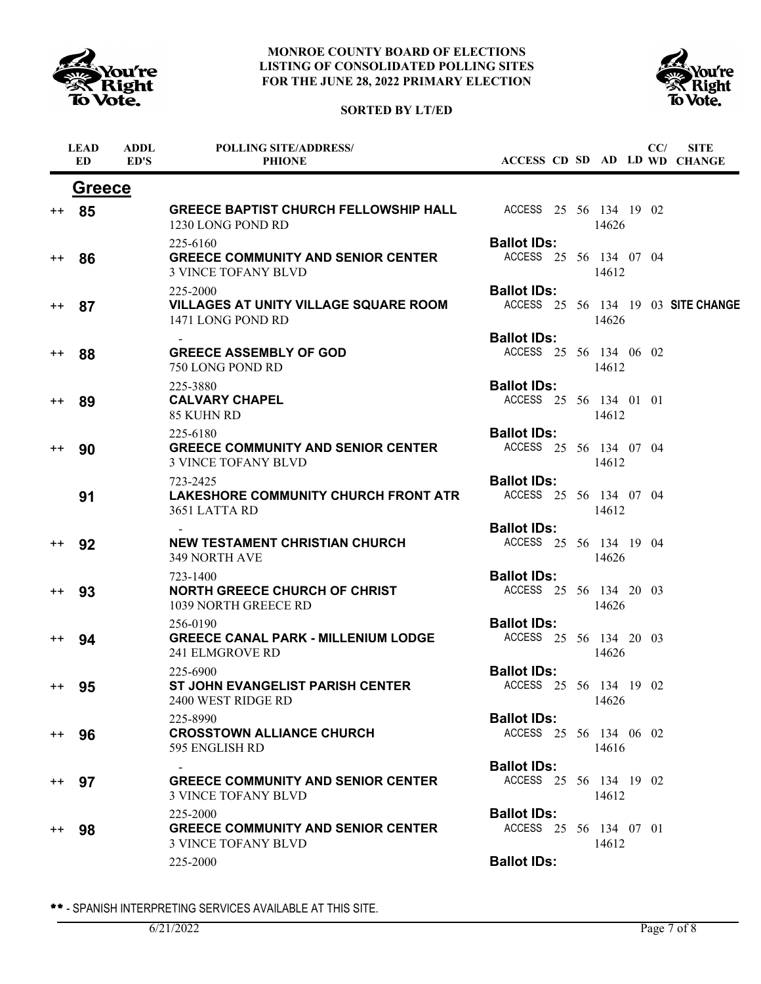





|                  | <b>LEAD</b><br><b>ED</b> | <b>ADDL</b><br>ED'S | <b>POLLING SITE/ADDRESS/</b><br><b>PHIONE</b>                                       |                                              |  |       | CC/ | <b>SITE</b><br>ACCESS CD SD AD LD WD CHANGE |
|------------------|--------------------------|---------------------|-------------------------------------------------------------------------------------|----------------------------------------------|--|-------|-----|---------------------------------------------|
|                  | <b>Greece</b>            |                     |                                                                                     |                                              |  |       |     |                                             |
| $^{\mathrm{+}}$  | 85                       |                     | GREECE BAPTIST CHURCH FELLOWSHIP HALL ACCESS 25 56 134 19 02<br>1230 LONG POND RD   |                                              |  | 14626 |     |                                             |
| $^{\mathrm{++}}$ | 86                       |                     | 225-6160<br><b>GREECE COMMUNITY AND SENIOR CENTER</b><br><b>3 VINCE TOFANY BLVD</b> | <b>Ballot IDs:</b><br>ACCESS 25 56 134 07 04 |  | 14612 |     |                                             |
| $^{\mathrm{+}}$  | 87                       |                     | 225-2000<br>VILLAGES AT UNITY VILLAGE SQUARE ROOM<br>1471 LONG POND RD              | <b>Ballot IDs:</b>                           |  | 14626 |     | ACCESS 25 56 134 19 03 SITE CHANGE          |
| $^{\mathrm{+}}$  | 88                       |                     | <b>GREECE ASSEMBLY OF GOD</b><br>750 LONG POND RD                                   | <b>Ballot IDs:</b><br>ACCESS 25 56 134 06 02 |  | 14612 |     |                                             |
| $^{\mathrm{+}}$  | 89                       |                     | 225-3880<br><b>CALVARY CHAPEL</b><br>85 KUHN RD                                     | <b>Ballot IDs:</b><br>ACCESS 25 56 134 01 01 |  | 14612 |     |                                             |
| $^{\mathrm{+}}$  | 90                       |                     | 225-6180<br><b>GREECE COMMUNITY AND SENIOR CENTER</b><br><b>3 VINCE TOFANY BLVD</b> | <b>Ballot IDs:</b><br>ACCESS 25 56 134 07 04 |  | 14612 |     |                                             |
|                  | 91                       |                     | 723-2425<br><b>LAKESHORE COMMUNITY CHURCH FRONT ATR</b><br>3651 LATTA RD            | <b>Ballot IDs:</b><br>ACCESS 25 56 134 07 04 |  | 14612 |     |                                             |
| $^{\mathrm{++}}$ | 92                       |                     | <b>NEW TESTAMENT CHRISTIAN CHURCH</b><br>349 NORTH AVE                              | <b>Ballot IDs:</b><br>ACCESS 25 56 134 19 04 |  | 14626 |     |                                             |
| $^{\mathrm{+}}$  | 93                       |                     | 723-1400<br><b>NORTH GREECE CHURCH OF CHRIST</b><br>1039 NORTH GREECE RD            | <b>Ballot IDs:</b><br>ACCESS 25 56 134 20 03 |  | 14626 |     |                                             |
| $^{\mathrm{+}}$  | 94                       |                     | 256-0190<br><b>GREECE CANAL PARK - MILLENIUM LODGE</b><br>241 ELMGROVE RD           | <b>Ballot IDs:</b><br>ACCESS 25 56 134 20 03 |  | 14626 |     |                                             |
| $^{\mathrm{++}}$ | 95                       |                     | 225-6900<br><b>ST JOHN EVANGELIST PARISH CENTER</b><br>2400 WEST RIDGE RD           | <b>Ballot IDs:</b><br>ACCESS 25 56 134 19 02 |  | 14626 |     |                                             |
| $^{\mathrm{+}}$  | 96                       |                     | 225-8990<br><b>CROSSTOWN ALLIANCE CHURCH</b><br>595 ENGLISH RD                      | <b>Ballot IDs:</b><br>ACCESS 25 56 134 06 02 |  | 14616 |     |                                             |
| $^{++}$          | 97                       |                     | <b>GREECE COMMUNITY AND SENIOR CENTER</b><br><b>3 VINCE TOFANY BLVD</b>             | <b>Ballot IDs:</b><br>ACCESS 25 56 134 19 02 |  | 14612 |     |                                             |
| $^{\mathrm{+}}$  | 98                       |                     | 225-2000<br><b>GREECE COMMUNITY AND SENIOR CENTER</b><br><b>3 VINCE TOFANY BLVD</b> | <b>Ballot IDs:</b><br>ACCESS 25 56 134 07 01 |  | 14612 |     |                                             |
|                  |                          |                     | 225-2000                                                                            | <b>Ballot IDs:</b>                           |  |       |     |                                             |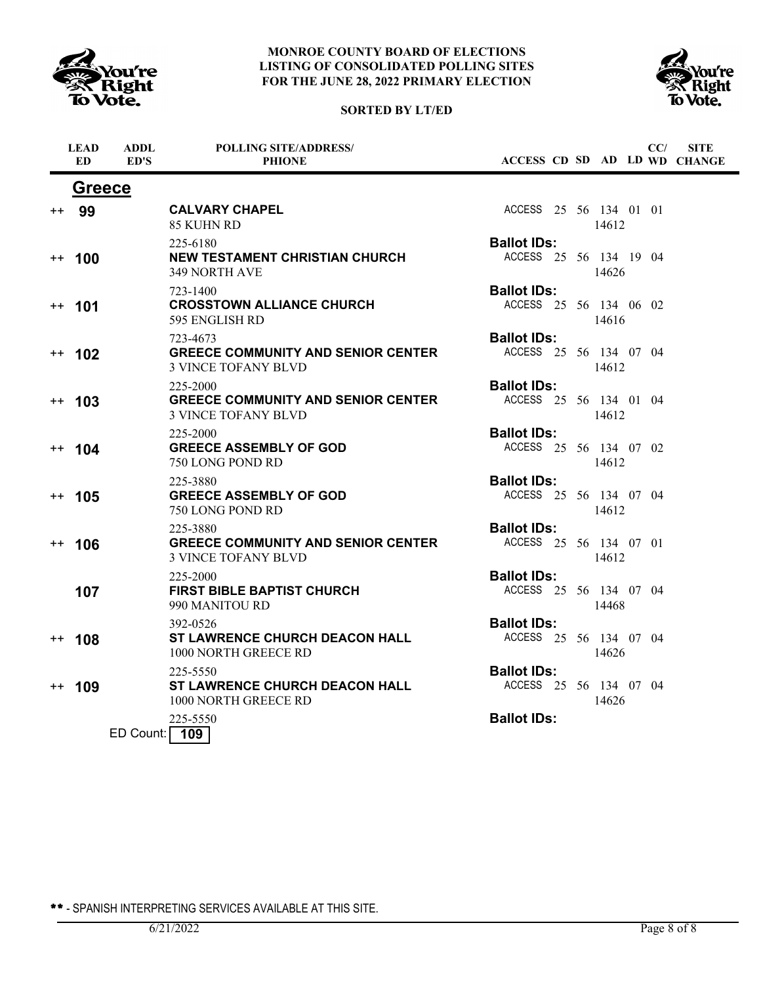

# **SORTED BY LT/ED**



|      | <b>LEAD</b><br>ED. | ADDL<br>ED'S | <b>POLLING SITE/ADDRESS/</b><br><b>PHIONE</b>                                       |                                              |  |       | CC/ | <b>SITE</b><br>ACCESS CD SD AD LD WD CHANGE |
|------|--------------------|--------------|-------------------------------------------------------------------------------------|----------------------------------------------|--|-------|-----|---------------------------------------------|
|      | <b>Greece</b>      |              |                                                                                     |                                              |  |       |     |                                             |
|      | ++ 99              |              | <b>CALVARY CHAPEL</b><br>85 KUHN RD                                                 | ACCESS 25 56 134 01 01                       |  | 14612 |     |                                             |
|      | $++ 100$           |              | 225-6180<br><b>NEW TESTAMENT CHRISTIAN CHURCH</b><br>349 NORTH AVE                  | <b>Ballot IDs:</b><br>ACCESS 25 56 134 19 04 |  | 14626 |     |                                             |
|      | $++$ 101           |              | 723-1400<br><b>CROSSTOWN ALLIANCE CHURCH</b><br>595 ENGLISH RD                      | <b>Ballot IDs:</b><br>ACCESS 25 56 134 06 02 |  | 14616 |     |                                             |
|      | $++ 102$           |              | 723-4673<br><b>GREECE COMMUNITY AND SENIOR CENTER</b><br><b>3 VINCE TOFANY BLVD</b> | <b>Ballot IDs:</b><br>ACCESS 25 56 134 07 04 |  | 14612 |     |                                             |
|      | $++ 103$           |              | 225-2000<br><b>GREECE COMMUNITY AND SENIOR CENTER</b><br><b>3 VINCE TOFANY BLVD</b> | <b>Ballot IDs:</b><br>ACCESS 25 56 134 01 04 |  | 14612 |     |                                             |
|      | $++ 104$           |              | 225-2000<br><b>GREECE ASSEMBLY OF GOD</b><br>750 LONG POND RD                       | <b>Ballot IDs:</b><br>ACCESS 25 56 134 07 02 |  | 14612 |     |                                             |
|      | $++ 105$           |              | 225-3880<br><b>GREECE ASSEMBLY OF GOD</b><br>750 LONG POND RD                       | <b>Ballot IDs:</b><br>ACCESS 25 56 134 07 04 |  | 14612 |     |                                             |
| $++$ | 106                |              | 225-3880<br><b>GREECE COMMUNITY AND SENIOR CENTER</b><br><b>3 VINCE TOFANY BLVD</b> | <b>Ballot IDs:</b><br>ACCESS 25 56 134 07 01 |  | 14612 |     |                                             |
|      | 107                |              | 225-2000<br><b>FIRST BIBLE BAPTIST CHURCH</b><br>990 MANITOU RD                     | <b>Ballot IDs:</b><br>ACCESS 25 56 134 07 04 |  | 14468 |     |                                             |
| $++$ | 108                |              | 392-0526<br><b>ST LAWRENCE CHURCH DEACON HALL</b><br>1000 NORTH GREECE RD           | <b>Ballot IDs:</b><br>ACCESS 25 56 134 07 04 |  | 14626 |     |                                             |
| $++$ | 109                |              | 225-5550<br><b>ST LAWRENCE CHURCH DEACON HALL</b><br>1000 NORTH GREECE RD           | <b>Ballot IDs:</b><br>ACCESS 25 56 134 07 04 |  | 14626 |     |                                             |
|      |                    | ED Count:    | 225-5550<br>109                                                                     | <b>Ballot IDs:</b>                           |  |       |     |                                             |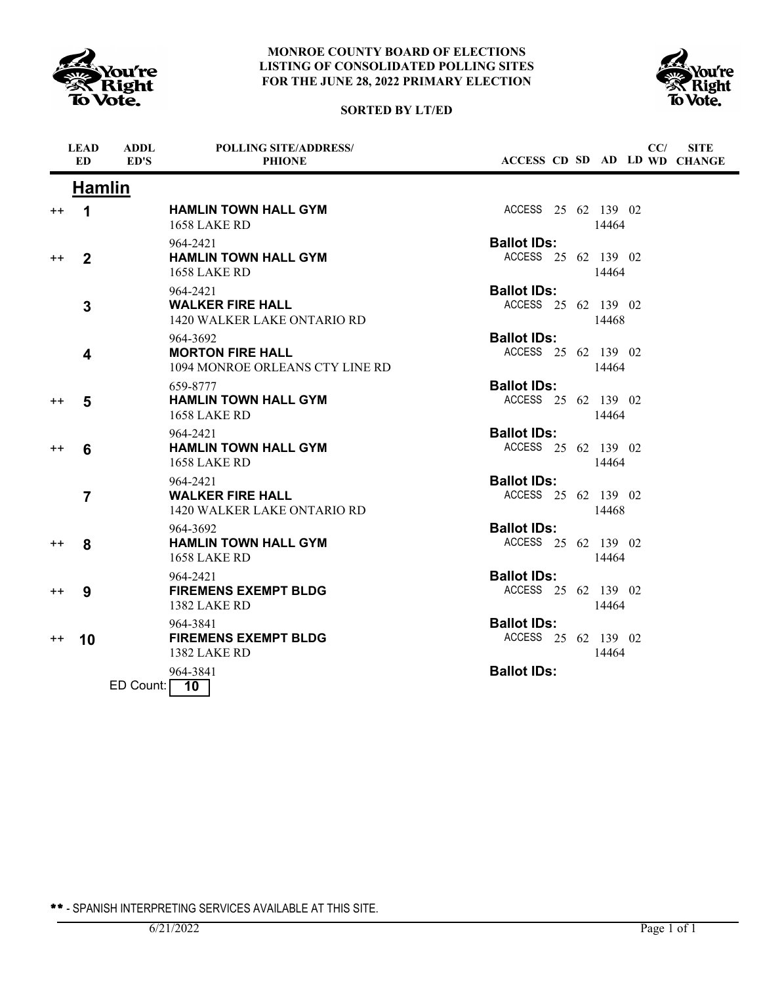





|      | <b>LEAD</b><br><b>ED</b> | <b>ADDL</b><br>ED'S | <b>POLLING SITE/ADDRESS/</b><br><b>PHIONE</b>                          | ACCESS CD SD AD LD WD CHANGE              |  |       | CC/ | <b>SITE</b> |
|------|--------------------------|---------------------|------------------------------------------------------------------------|-------------------------------------------|--|-------|-----|-------------|
|      | <b>Hamlin</b>            |                     |                                                                        |                                           |  |       |     |             |
| $++$ | 1                        |                     | <b>HAMLIN TOWN HALL GYM</b><br><b>1658 LAKE RD</b>                     | ACCESS 25 62 139 02                       |  | 14464 |     |             |
| $++$ | $\mathbf{2}$             |                     | 964-2421<br><b>HAMLIN TOWN HALL GYM</b><br><b>1658 LAKE RD</b>         | <b>Ballot IDs:</b><br>ACCESS 25 62 139 02 |  | 14464 |     |             |
|      | 3                        |                     | 964-2421<br><b>WALKER FIRE HALL</b><br>1420 WALKER LAKE ONTARIO RD     | <b>Ballot IDs:</b><br>ACCESS 25 62 139 02 |  | 14468 |     |             |
|      | 4                        |                     | 964-3692<br><b>MORTON FIRE HALL</b><br>1094 MONROE ORLEANS CTY LINE RD | <b>Ballot IDs:</b><br>ACCESS 25 62 139 02 |  | 14464 |     |             |
| $++$ | 5                        |                     | 659-8777<br><b>HAMLIN TOWN HALL GYM</b><br><b>1658 LAKE RD</b>         | <b>Ballot IDs:</b><br>ACCESS 25 62 139 02 |  | 14464 |     |             |
| $++$ | 6                        |                     | 964-2421<br><b>HAMLIN TOWN HALL GYM</b><br>1658 LAKE RD                | <b>Ballot IDs:</b><br>ACCESS 25 62 139 02 |  | 14464 |     |             |
|      | $\overline{7}$           |                     | 964-2421<br><b>WALKER FIRE HALL</b><br>1420 WALKER LAKE ONTARIO RD     | <b>Ballot IDs:</b><br>ACCESS 25 62 139 02 |  | 14468 |     |             |
| $++$ | 8                        |                     | 964-3692<br><b>HAMLIN TOWN HALL GYM</b><br>1658 LAKE RD                | <b>Ballot IDs:</b><br>ACCESS 25 62 139 02 |  | 14464 |     |             |
| $++$ | 9                        |                     | 964-2421<br><b>FIREMENS EXEMPT BLDG</b><br><b>1382 LAKE RD</b>         | <b>Ballot IDs:</b><br>ACCESS 25 62 139 02 |  | 14464 |     |             |
| $++$ | 10                       |                     | 964-3841<br><b>FIREMENS EXEMPT BLDG</b><br><b>1382 LAKE RD</b>         | <b>Ballot IDs:</b><br>ACCESS 25 62 139 02 |  | 14464 |     |             |
|      |                          | ED Count:           | 964-3841<br>10                                                         | <b>Ballot IDs:</b>                        |  |       |     |             |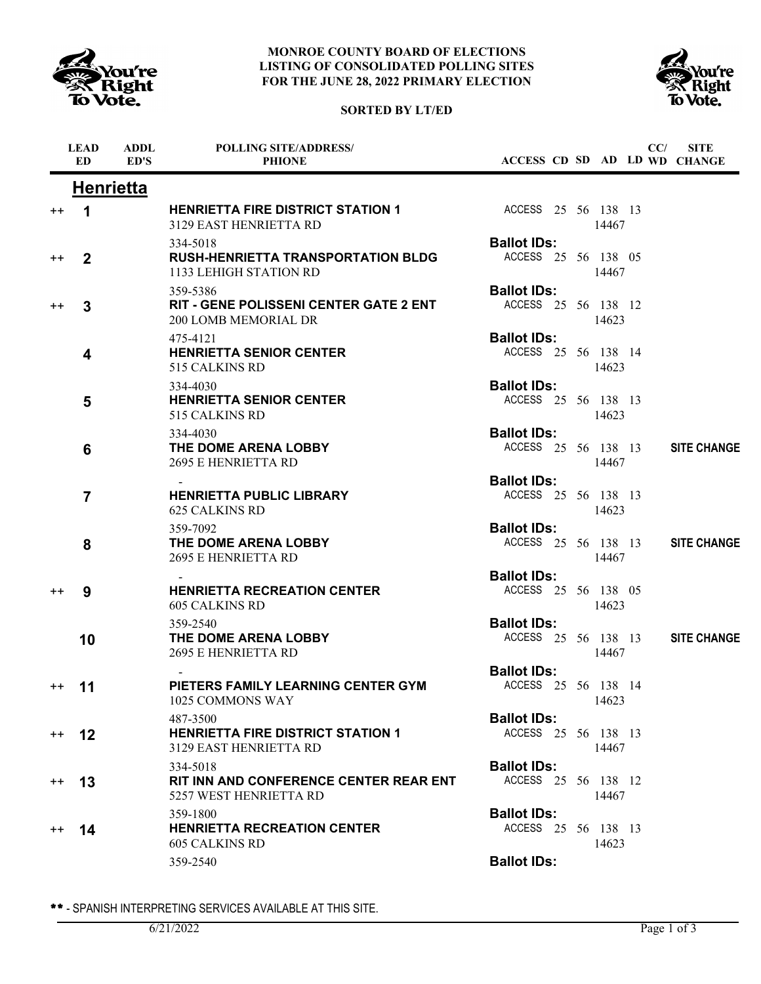





|                  | <b>LEAD</b><br><b>ED</b> | <b>ADDL</b><br>ED'S | <b>POLLING SITE/ADDRESS/</b><br><b>PHIONE</b>                                       |                                           |  |       | CC/ | <b>SITE</b><br>ACCESS CD SD AD LD WD CHANGE |
|------------------|--------------------------|---------------------|-------------------------------------------------------------------------------------|-------------------------------------------|--|-------|-----|---------------------------------------------|
|                  | <b>Henrietta</b>         |                     |                                                                                     |                                           |  |       |     |                                             |
| $^{\mathrm{+}}$  | 1                        |                     | <b>HENRIETTA FIRE DISTRICT STATION 1</b><br>3129 EAST HENRIETTA RD                  | ACCESS 25 56 138 13                       |  | 14467 |     |                                             |
| $^{\mathrm{+}}$  | $\mathbf 2$              |                     | 334-5018<br><b>RUSH-HENRIETTA TRANSPORTATION BLDG</b><br>1133 LEHIGH STATION RD     | <b>Ballot IDs:</b><br>ACCESS 25 56 138 05 |  | 14467 |     |                                             |
| $^{\mathrm{+}}$  | 3                        |                     | 359-5386<br><b>RIT - GENE POLISSENI CENTER GATE 2 ENT</b><br>200 LOMB MEMORIAL DR   | <b>Ballot IDs:</b><br>ACCESS 25 56 138 12 |  | 14623 |     |                                             |
|                  | 4                        |                     | 475-4121<br><b>HENRIETTA SENIOR CENTER</b><br>515 CALKINS RD                        | <b>Ballot IDs:</b><br>ACCESS 25 56 138 14 |  | 14623 |     |                                             |
|                  | 5                        |                     | 334-4030<br><b>HENRIETTA SENIOR CENTER</b><br>515 CALKINS RD                        | <b>Ballot IDs:</b><br>ACCESS 25 56 138 13 |  | 14623 |     |                                             |
|                  | 6                        |                     | 334-4030<br>THE DOME ARENA LOBBY<br><b>2695 E HENRIETTA RD</b>                      | <b>Ballot IDs:</b><br>ACCESS 25 56 138 13 |  | 14467 |     | <b>SITE CHANGE</b>                          |
|                  | $\overline{7}$           |                     | <b>HENRIETTA PUBLIC LIBRARY</b><br><b>625 CALKINS RD</b>                            | <b>Ballot IDs:</b><br>ACCESS 25 56 138 13 |  | 14623 |     |                                             |
|                  | 8                        |                     | 359-7092<br>THE DOME ARENA LOBBY<br><b>2695 E HENRIETTA RD</b>                      | <b>Ballot IDs:</b><br>ACCESS 25 56 138 13 |  | 14467 |     | <b>SITE CHANGE</b>                          |
| $^{\mathrm{+}}$  | 9                        |                     | <b>HENRIETTA RECREATION CENTER</b><br><b>605 CALKINS RD</b>                         | <b>Ballot IDs:</b><br>ACCESS 25 56 138 05 |  | 14623 |     |                                             |
|                  | 10                       |                     | 359-2540<br>THE DOME ARENA LOBBY<br><b>2695 E HENRIETTA RD</b>                      | <b>Ballot IDs:</b><br>ACCESS 25 56 138 13 |  | 14467 |     | <b>SITE CHANGE</b>                          |
| $^{\mathrm{++}}$ | 11                       |                     | PIETERS FAMILY LEARNING CENTER GYM<br>1025 COMMONS WAY                              | <b>Ballot IDs:</b><br>ACCESS 25 56 138 14 |  | 14623 |     |                                             |
| $^{\mathrm{+}}$  | 12                       |                     | 487-3500<br><b>HENRIETTA FIRE DISTRICT STATION 1</b><br>3129 EAST HENRIETTA RD      | <b>Ballot IDs:</b><br>ACCESS 25 56 138 13 |  | 14467 |     |                                             |
| $^{\mathrm{++}}$ | 13                       |                     | 334-5018<br><b>RIT INN AND CONFERENCE CENTER REAR ENT</b><br>5257 WEST HENRIETTA RD | <b>Ballot IDs:</b><br>ACCESS 25 56 138 12 |  | 14467 |     |                                             |
| $^{\mathrm{++}}$ | 14                       |                     | 359-1800<br><b>HENRIETTA RECREATION CENTER</b><br><b>605 CALKINS RD</b>             | <b>Ballot IDs:</b><br>ACCESS 25 56 138 13 |  | 14623 |     |                                             |
|                  |                          |                     | 359-2540                                                                            | <b>Ballot IDs:</b>                        |  |       |     |                                             |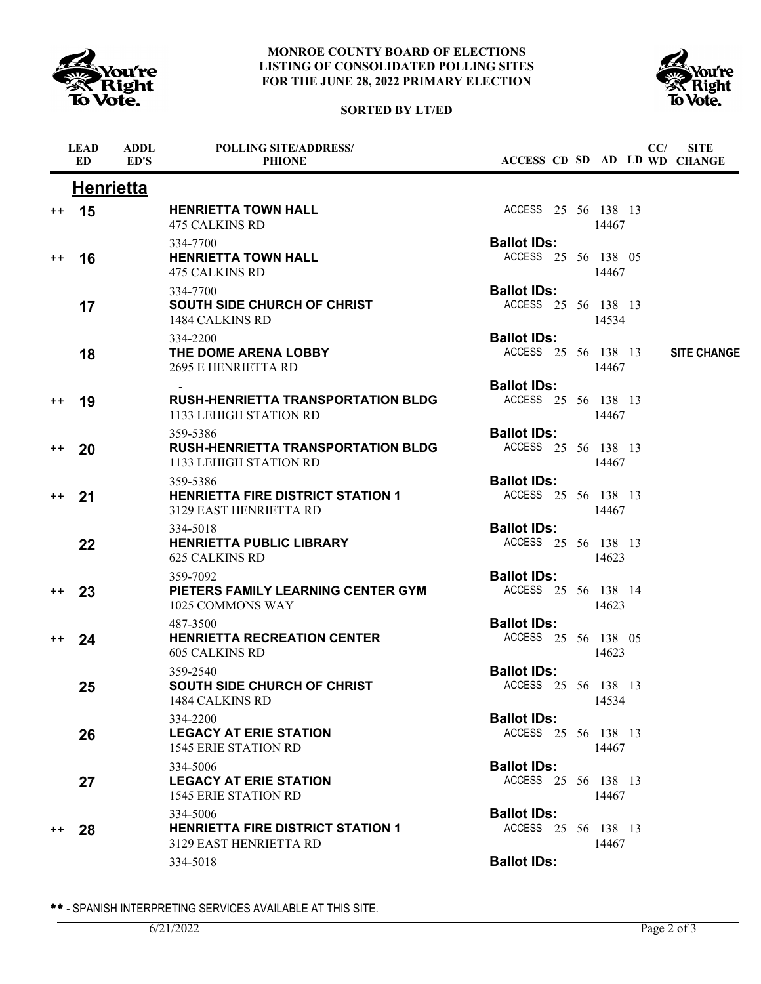

# **SORTED BY LT/ED**



|                 | <b>LEAD</b><br>ED. | <b>ADDL</b><br>ED'S | <b>POLLING SITE/ADDRESS/</b><br><b>PHIONE</b>                                          |                                           |  |       | CC/ | <b>SITE</b><br>ACCESS CD SD AD LD WD CHANGE |
|-----------------|--------------------|---------------------|----------------------------------------------------------------------------------------|-------------------------------------------|--|-------|-----|---------------------------------------------|
|                 | <b>Henrietta</b>   |                     |                                                                                        |                                           |  |       |     |                                             |
| $^{++}$         | 15                 |                     | <b>HENRIETTA TOWN HALL</b><br><b>475 CALKINS RD</b>                                    | ACCESS 25 56 138 13                       |  | 14467 |     |                                             |
| $^{++}$         | 16                 |                     | 334-7700<br><b>HENRIETTA TOWN HALL</b><br><b>475 CALKINS RD</b>                        | <b>Ballot IDs:</b><br>ACCESS 25 56 138 05 |  | 14467 |     |                                             |
|                 | 17                 |                     | 334-7700<br><b>SOUTH SIDE CHURCH OF CHRIST</b><br>1484 CALKINS RD                      | <b>Ballot IDs:</b><br>ACCESS 25 56 138 13 |  | 14534 |     |                                             |
|                 | 18                 |                     | 334-2200<br>THE DOME ARENA LOBBY<br><b>2695 E HENRIETTA RD</b>                         | <b>Ballot IDs:</b><br>ACCESS 25 56 138 13 |  | 14467 |     | <b>SITE CHANGE</b>                          |
| $^{++}$         | 19                 |                     | <b>RUSH-HENRIETTA TRANSPORTATION BLDG</b><br>1133 LEHIGH STATION RD                    | <b>Ballot IDs:</b><br>ACCESS 25 56 138 13 |  | 14467 |     |                                             |
| $^{++}$         | 20                 |                     | 359-5386<br><b>RUSH-HENRIETTA TRANSPORTATION BLDG</b><br><b>1133 LEHIGH STATION RD</b> | <b>Ballot IDs:</b><br>ACCESS 25 56 138 13 |  | 14467 |     |                                             |
| $^{\mathrm{+}}$ | 21                 |                     | 359-5386<br><b>HENRIETTA FIRE DISTRICT STATION 1</b><br>3129 EAST HENRIETTA RD         | <b>Ballot IDs:</b><br>ACCESS 25 56 138 13 |  | 14467 |     |                                             |
|                 | 22                 |                     | 334-5018<br><b>HENRIETTA PUBLIC LIBRARY</b><br><b>625 CALKINS RD</b>                   | <b>Ballot IDs:</b><br>ACCESS 25 56 138 13 |  | 14623 |     |                                             |
| $++$            | 23                 |                     | 359-7092<br>PIETERS FAMILY LEARNING CENTER GYM<br>1025 COMMONS WAY                     | <b>Ballot IDs:</b><br>ACCESS 25 56 138 14 |  | 14623 |     |                                             |
| $^{++}$         | 24                 |                     | 487-3500<br><b>HENRIETTA RECREATION CENTER</b><br><b>605 CALKINS RD</b>                | <b>Ballot IDs:</b><br>ACCESS 25 56 138 05 |  | 14623 |     |                                             |
|                 | 25                 |                     | 359-2540<br><b>SOUTH SIDE CHURCH OF CHRIST</b><br>1484 CALKINS RD                      | <b>Ballot IDs:</b><br>ACCESS 25 56 138 13 |  | 14534 |     |                                             |
|                 | 26                 |                     | 334-2200<br><b>LEGACY AT ERIE STATION</b><br><b>1545 ERIE STATION RD</b>               | <b>Ballot IDs:</b><br>ACCESS 25 56 138 13 |  | 14467 |     |                                             |
|                 | 27                 |                     | 334-5006<br><b>LEGACY AT ERIE STATION</b><br><b>1545 ERIE STATION RD</b>               | <b>Ballot IDs:</b><br>ACCESS 25 56 138 13 |  | 14467 |     |                                             |
| $^{++}$         | 28                 |                     | 334-5006<br><b>HENRIETTA FIRE DISTRICT STATION 1</b><br>3129 EAST HENRIETTA RD         | <b>Ballot IDs:</b><br>ACCESS 25 56 138 13 |  | 14467 |     |                                             |
|                 |                    |                     | 334-5018                                                                               | <b>Ballot IDs:</b>                        |  |       |     |                                             |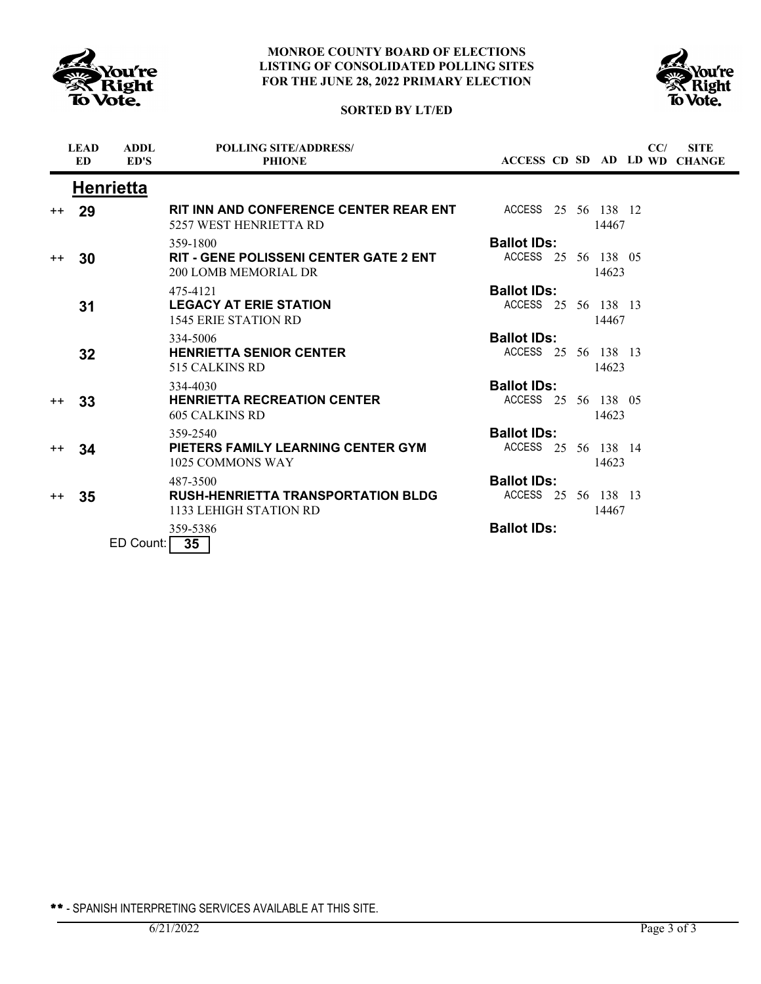





|         | <b>LEAD</b><br>ED. | <b>ADDL</b><br>ED'S | <b>POLLING SITE/ADDRESS/</b><br><b>PHIONE</b>                                     |                                           |  |       | CC/ | <b>SITE</b><br><b>ACCESS CD SD AD LD WD CHANGE</b> |
|---------|--------------------|---------------------|-----------------------------------------------------------------------------------|-------------------------------------------|--|-------|-----|----------------------------------------------------|
|         |                    | <b>Henrietta</b>    |                                                                                   |                                           |  |       |     |                                                    |
| $++$    | 29                 |                     | RIT INN AND CONFERENCE CENTER REAR ENT<br>5257 WEST HENRIETTA RD                  | ACCESS 25 56 138 12                       |  | 14467 |     |                                                    |
| $^{++}$ | 30                 |                     | 359-1800<br><b>RIT - GENE POLISSENI CENTER GATE 2 ENT</b><br>200 LOMB MEMORIAL DR | <b>Ballot IDs:</b><br>ACCESS 25 56 138 05 |  | 14623 |     |                                                    |
|         | 31                 |                     | 475-4121<br><b>LEGACY AT ERIE STATION</b><br><b>1545 ERIE STATION RD</b>          | <b>Ballot IDs:</b><br>ACCESS 25 56 138 13 |  | 14467 |     |                                                    |
|         | 32                 |                     | 334-5006<br><b>HENRIETTA SENIOR CENTER</b><br>515 CALKINS RD                      | <b>Ballot IDs:</b><br>ACCESS 25 56 138 13 |  | 14623 |     |                                                    |
| $++$    | 33                 |                     | 334-4030<br><b>HENRIETTA RECREATION CENTER</b><br>605 CALKINS RD                  | <b>Ballot IDs:</b><br>ACCESS 25 56 138 05 |  | 14623 |     |                                                    |
| $^{++}$ | 34                 |                     | 359-2540<br>PIETERS FAMILY LEARNING CENTER GYM<br>1025 COMMONS WAY                | <b>Ballot IDs:</b><br>ACCESS 25 56 138 14 |  | 14623 |     |                                                    |
| $++$    | 35                 |                     | 487-3500<br><b>RUSH-HENRIETTA TRANSPORTATION BLDG</b><br>1133 LEHIGH STATION RD   | <b>Ballot IDs:</b><br>ACCESS 25 56 138 13 |  | 14467 |     |                                                    |
|         |                    | ED Count:           | 359-5386<br>$\overline{35}$                                                       | <b>Ballot IDs:</b>                        |  |       |     |                                                    |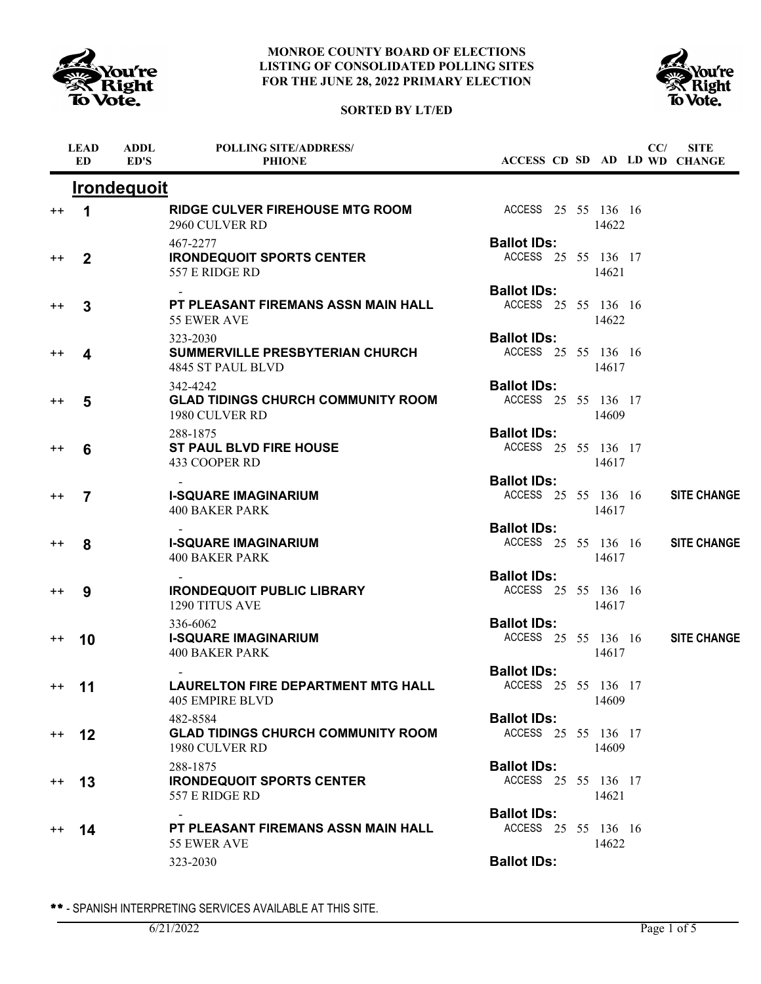





|                 | <b>LEAD</b><br><b>ED</b> | <b>ADDL</b><br>ED'S | <b>POLLING SITE/ADDRESS/</b><br><b>PHIONE</b>                           |                                           |  |       | CC/ | <b>SITE</b><br>ACCESS CD SD AD LD WD CHANGE |
|-----------------|--------------------------|---------------------|-------------------------------------------------------------------------|-------------------------------------------|--|-------|-----|---------------------------------------------|
|                 |                          | <b>Irondequoit</b>  |                                                                         |                                           |  |       |     |                                             |
| $^{\mathrm{+}}$ | 1                        |                     | <b>RIDGE CULVER FIREHOUSE MTG ROOM</b><br>2960 CULVER RD                | ACCESS 25 55 136 16                       |  | 14622 |     |                                             |
| $^{\mathrm{+}}$ | $\mathbf 2$              |                     | 467-2277<br><b>IRONDEQUOIT SPORTS CENTER</b><br>557 E RIDGE RD          | <b>Ballot IDs:</b><br>ACCESS 25 55 136 17 |  | 14621 |     |                                             |
| $^{\mathrm{+}}$ | 3                        |                     | PT PLEASANT FIREMANS ASSN MAIN HALL<br>55 EWER AVE                      | <b>Ballot IDs:</b><br>ACCESS 25 55 136 16 |  | 14622 |     |                                             |
| $^{\mathrm{+}}$ | 4                        |                     | 323-2030<br><b>SUMMERVILLE PRESBYTERIAN CHURCH</b><br>4845 ST PAUL BLVD | <b>Ballot IDs:</b><br>ACCESS 25 55 136 16 |  | 14617 |     |                                             |
| $^{\mathrm{+}}$ | 5                        |                     | 342-4242<br><b>GLAD TIDINGS CHURCH COMMUNITY ROOM</b><br>1980 CULVER RD | <b>Ballot IDs:</b><br>ACCESS 25 55 136 17 |  | 14609 |     |                                             |
| $^{\mathrm{+}}$ | 6                        |                     | 288-1875<br><b>ST PAUL BLVD FIRE HOUSE</b><br>433 COOPER RD             | <b>Ballot IDs:</b><br>ACCESS 25 55 136 17 |  | 14617 |     |                                             |
| $^{\mathrm{+}}$ | 7                        |                     | <b>I-SQUARE IMAGINARIUM</b><br><b>400 BAKER PARK</b>                    | <b>Ballot IDs:</b><br>ACCESS 25 55 136 16 |  | 14617 |     | <b>SITE CHANGE</b>                          |
| $^{\mathrm{+}}$ | 8                        |                     | <b>I-SQUARE IMAGINARIUM</b><br><b>400 BAKER PARK</b>                    | <b>Ballot IDs:</b><br>ACCESS 25 55 136 16 |  | 14617 |     | <b>SITE CHANGE</b>                          |
| $^{\mathrm{+}}$ | 9                        |                     | <b>IRONDEQUOIT PUBLIC LIBRARY</b><br>1290 TITUS AVE                     | <b>Ballot IDs:</b><br>ACCESS 25 55 136 16 |  | 14617 |     |                                             |
| $^{\mathrm{+}}$ | 10                       |                     | 336-6062<br><b>I-SQUARE IMAGINARIUM</b><br><b>400 BAKER PARK</b>        | <b>Ballot IDs:</b><br>ACCESS 25 55 136 16 |  | 14617 |     | <b>SITE CHANGE</b>                          |
| $++$            | 11                       |                     | <b>LAURELTON FIRE DEPARTMENT MTG HALL</b><br><b>405 EMPIRE BLVD</b>     | <b>Ballot IDs:</b><br>ACCESS 25 55 136 17 |  | 14609 |     |                                             |
| $++$            | 12                       |                     | 482-8584<br><b>GLAD TIDINGS CHURCH COMMUNITY ROOM</b><br>1980 CULVER RD | <b>Ballot IDs:</b><br>ACCESS 25 55 136 17 |  | 14609 |     |                                             |
| $^{\rm ++}$     | 13                       |                     | 288-1875<br><b>IRONDEQUOIT SPORTS CENTER</b><br>557 E RIDGE RD          | <b>Ballot IDs:</b><br>ACCESS 25 55 136 17 |  | 14621 |     |                                             |
| $^{\mathrm{+}}$ | 14                       |                     | PT PLEASANT FIREMANS ASSN MAIN HALL                                     | <b>Ballot IDs:</b><br>ACCESS 25 55 136 16 |  |       |     |                                             |
|                 |                          |                     | 55 EWER AVE<br>323-2030                                                 | <b>Ballot IDs:</b>                        |  | 14622 |     |                                             |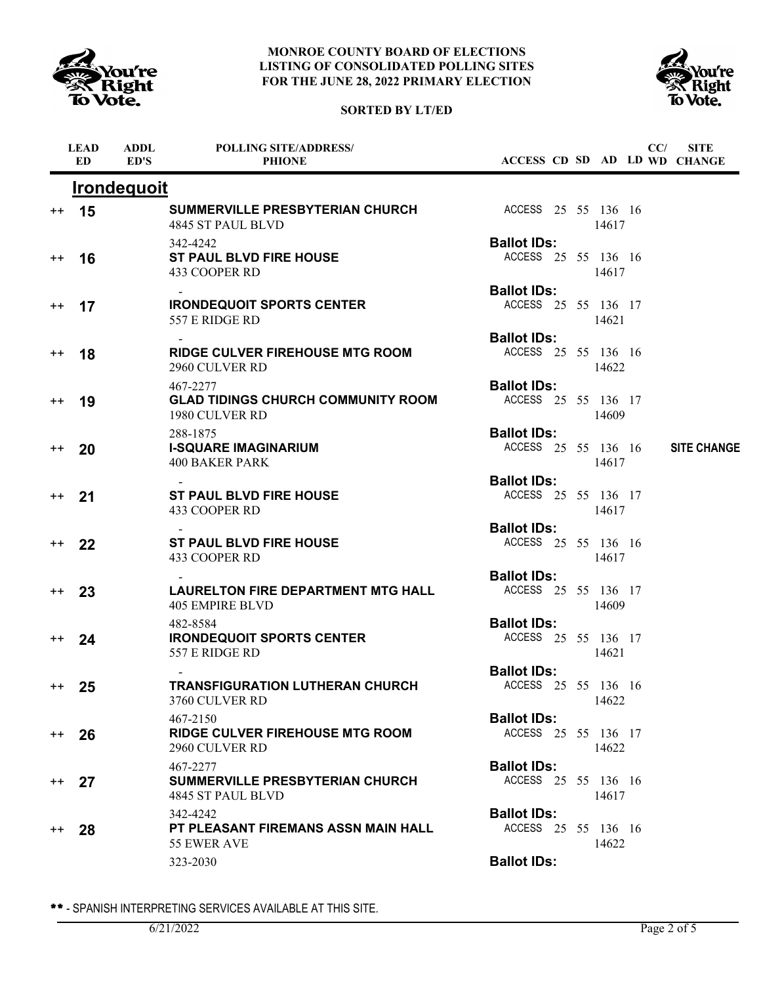





|                 | <b>LEAD</b><br><b>ED</b> | <b>ADDL</b><br>ED'S | <b>POLLING SITE/ADDRESS/</b><br><b>PHIONE</b>                           |                                           |  |       | CC/ | <b>SITE</b><br>ACCESS CD SD AD LD WD CHANGE |
|-----------------|--------------------------|---------------------|-------------------------------------------------------------------------|-------------------------------------------|--|-------|-----|---------------------------------------------|
|                 |                          | <b>Irondequoit</b>  |                                                                         |                                           |  |       |     |                                             |
| $^{++}$         | 15                       |                     | <b>SUMMERVILLE PRESBYTERIAN CHURCH</b><br>4845 ST PAUL BLVD             | ACCESS 25 55 136 16                       |  | 14617 |     |                                             |
| $^{\mathrm{+}}$ | 16                       |                     | 342-4242<br><b>ST PAUL BLVD FIRE HOUSE</b><br>433 COOPER RD             | <b>Ballot IDs:</b><br>ACCESS 25 55 136 16 |  | 14617 |     |                                             |
| $^{++}$         | 17                       |                     | <b>IRONDEQUOIT SPORTS CENTER</b><br>557 E RIDGE RD                      | <b>Ballot IDs:</b><br>ACCESS 25 55 136 17 |  | 14621 |     |                                             |
| $^{\mathrm{+}}$ | 18                       |                     | <b>RIDGE CULVER FIREHOUSE MTG ROOM</b><br>2960 CULVER RD                | <b>Ballot IDs:</b><br>ACCESS 25 55 136 16 |  | 14622 |     |                                             |
| $^{++}$         | 19                       |                     | 467-2277<br><b>GLAD TIDINGS CHURCH COMMUNITY ROOM</b><br>1980 CULVER RD | <b>Ballot IDs:</b><br>ACCESS 25 55 136 17 |  | 14609 |     |                                             |
| $^{++}$         | 20                       |                     | 288-1875<br><b>I-SQUARE IMAGINARIUM</b><br><b>400 BAKER PARK</b>        | <b>Ballot IDs:</b><br>ACCESS 25 55 136 16 |  | 14617 |     | <b>SITE CHANGE</b>                          |
| $^{\mathrm{+}}$ | 21                       |                     | <b>ST PAUL BLVD FIRE HOUSE</b><br>433 COOPER RD                         | <b>Ballot IDs:</b><br>ACCESS 25 55 136 17 |  | 14617 |     |                                             |
| $^{++}$         | 22                       |                     | <b>ST PAUL BLVD FIRE HOUSE</b><br>433 COOPER RD                         | <b>Ballot IDs:</b><br>ACCESS 25 55 136 16 |  | 14617 |     |                                             |
| $^{\mathrm{+}}$ | 23                       |                     | <b>LAURELTON FIRE DEPARTMENT MTG HALL</b><br>405 EMPIRE BLVD            | <b>Ballot IDs:</b><br>ACCESS 25 55 136 17 |  | 14609 |     |                                             |
| $^{++}$         | 24                       |                     | 482-8584<br><b>IRONDEQUOIT SPORTS CENTER</b><br>557 E RIDGE RD          | <b>Ballot IDs:</b><br>ACCESS 25 55 136 17 |  | 14621 |     |                                             |
| $++$            | 25                       |                     | <b>TRANSFIGURATION LUTHERAN CHURCH</b><br>3760 CULVER RD                | <b>Ballot IDs:</b><br>ACCESS 25 55 136 16 |  | 14622 |     |                                             |
| $^{++}$         | 26                       |                     | 467-2150<br><b>RIDGE CULVER FIREHOUSE MTG ROOM</b><br>2960 CULVER RD    | <b>Ballot IDs:</b><br>ACCESS 25 55 136 17 |  | 14622 |     |                                             |
| $^{++}$         | 27                       |                     | 467-2277<br><b>SUMMERVILLE PRESBYTERIAN CHURCH</b><br>4845 ST PAUL BLVD | <b>Ballot IDs:</b><br>ACCESS 25 55 136 16 |  | 14617 |     |                                             |
| $^{++}$         | 28                       |                     | 342-4242<br>PT PLEASANT FIREMANS ASSN MAIN HALL<br>55 EWER AVE          | <b>Ballot IDs:</b><br>ACCESS 25 55 136 16 |  | 14622 |     |                                             |
|                 |                          |                     | 323-2030                                                                | <b>Ballot IDs:</b>                        |  |       |     |                                             |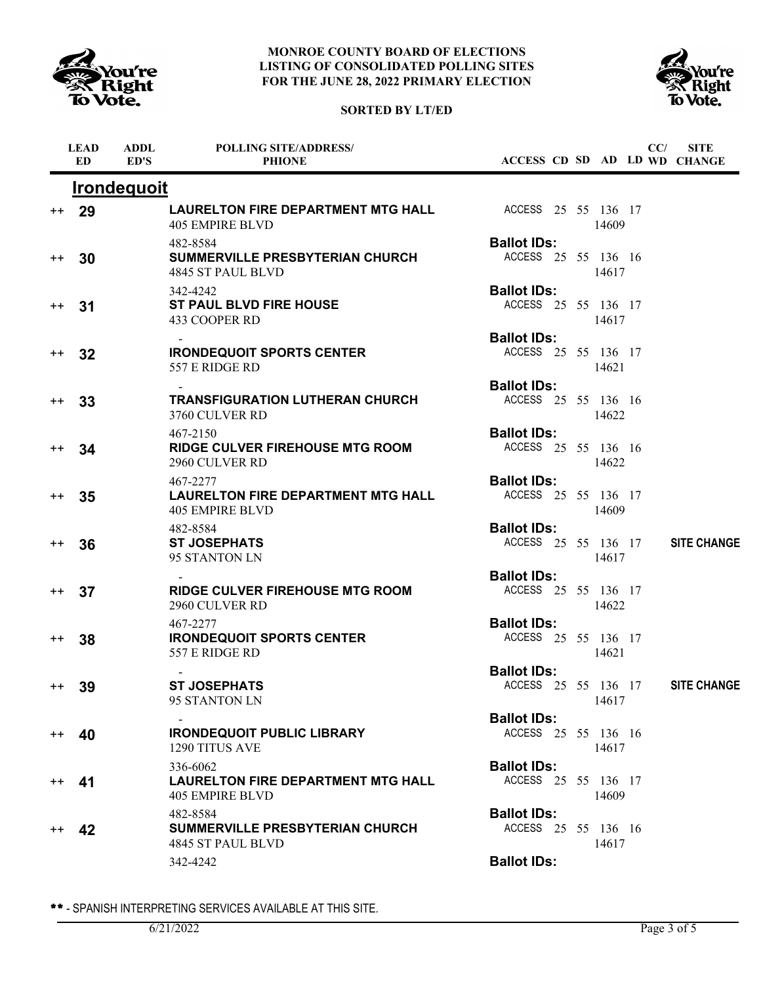



## **SORTED BY LT/ED**

|                 | <b>LEAD</b><br>ED | <b>ADDL</b><br>ED'S | <b>POLLING SITE/ADDRESS/</b><br><b>PHIONE</b>                                   |                                           |  |       | CC/ | <b>SITE</b><br>ACCESS CD SD AD LD WD CHANGE |
|-----------------|-------------------|---------------------|---------------------------------------------------------------------------------|-------------------------------------------|--|-------|-----|---------------------------------------------|
|                 |                   | <b>Irondequoit</b>  |                                                                                 |                                           |  |       |     |                                             |
| $^{++}$         | 29                |                     | <b>LAURELTON FIRE DEPARTMENT MTG HALL</b><br><b>405 EMPIRE BLVD</b>             | ACCESS 25 55 136 17                       |  | 14609 |     |                                             |
| $^{\mathrm{+}}$ | 30                |                     | 482-8584<br>SUMMERVILLE PRESBYTERIAN CHURCH<br>4845 ST PAUL BLVD                | <b>Ballot IDs:</b><br>ACCESS 25 55 136 16 |  | 14617 |     |                                             |
| $^{++}$         | 31                |                     | 342-4242<br><b>ST PAUL BLVD FIRE HOUSE</b><br>433 COOPER RD                     | <b>Ballot IDs:</b><br>ACCESS 25 55 136 17 |  | 14617 |     |                                             |
| $^{++}$         | 32                |                     | <b>IRONDEQUOIT SPORTS CENTER</b><br>557 E RIDGE RD                              | <b>Ballot IDs:</b><br>ACCESS 25 55 136 17 |  | 14621 |     |                                             |
| $^{\mathrm{+}}$ | 33                |                     | <b>TRANSFIGURATION LUTHERAN CHURCH</b><br>3760 CULVER RD                        | <b>Ballot IDs:</b><br>ACCESS 25 55 136 16 |  | 14622 |     |                                             |
| $^{\mathrm{+}}$ | 34                |                     | 467-2150<br><b>RIDGE CULVER FIREHOUSE MTG ROOM</b><br>2960 CULVER RD            | <b>Ballot IDs:</b><br>ACCESS 25 55 136 16 |  | 14622 |     |                                             |
| $++$            | 35                |                     | 467-2277<br><b>LAURELTON FIRE DEPARTMENT MTG HALL</b><br><b>405 EMPIRE BLVD</b> | <b>Ballot IDs:</b><br>ACCESS 25 55 136 17 |  | 14609 |     |                                             |
| $++$            | 36                |                     | 482-8584<br><b>ST JOSEPHATS</b><br>95 STANTON LN                                | <b>Ballot IDs:</b><br>ACCESS 25 55 136 17 |  | 14617 |     | <b>SITE CHANGE</b>                          |
| $^{++}$         | 37                |                     | <b>RIDGE CULVER FIREHOUSE MTG ROOM</b><br>2960 CULVER RD                        | <b>Ballot IDs:</b><br>ACCESS 25 55 136 17 |  | 14622 |     |                                             |
| $^{\mathrm{+}}$ | 38                |                     | 467-2277<br><b>IRONDEQUOIT SPORTS CENTER</b><br>557 E RIDGE RD                  | <b>Ballot IDs:</b><br>ACCESS 25 55 136 17 |  | 14621 |     |                                             |
| $^{++}$         | 39                |                     | <b>ST JOSEPHATS</b><br>95 STANTON LN                                            | <b>Ballot IDs:</b><br>ACCESS 25 55 136 17 |  | 14617 |     | <b>SITE CHANGE</b>                          |
| $^{++}$         | 40                |                     | <b>IRONDEQUOIT PUBLIC LIBRARY</b><br>1290 TITUS AVE                             | <b>Ballot IDs:</b><br>ACCESS 25 55 136 16 |  | 14617 |     |                                             |
|                 | 41                |                     | 336-6062<br><b>LAURELTON FIRE DEPARTMENT MTG HALL</b><br>405 EMPIRE BLVD        | <b>Ballot IDs:</b><br>ACCESS 25 55 136 17 |  | 14609 |     |                                             |
|                 | 42                |                     | 482-8584<br><b>SUMMERVILLE PRESBYTERIAN CHURCH</b><br>4845 ST PAUL BLVD         | <b>Ballot IDs:</b><br>ACCESS 25 55 136 16 |  | 14617 |     |                                             |
|                 |                   |                     | 342-4242                                                                        | <b>Ballot IDs:</b>                        |  |       |     |                                             |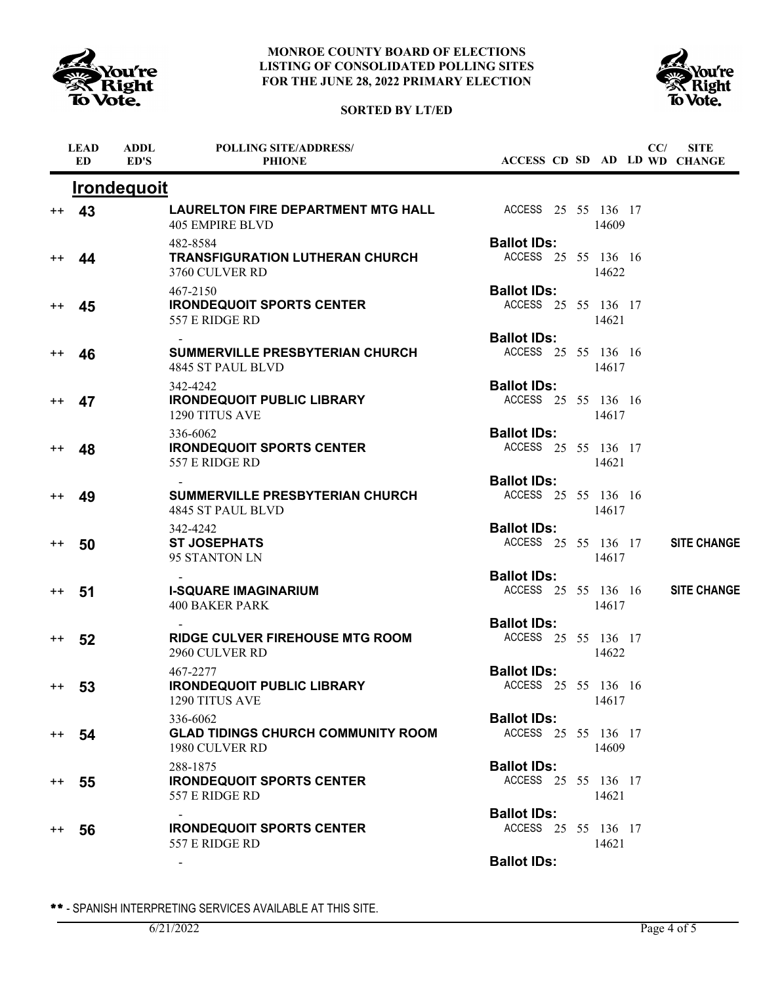





|                  | <b>LEAD</b><br>ED. | <b>ADDL</b><br>ED'S | <b>POLLING SITE/ADDRESS/</b><br><b>PHIONE</b>                           |                                           |  |       | CC/ | <b>SITE</b><br>ACCESS CD SD AD LD WD CHANGE |
|------------------|--------------------|---------------------|-------------------------------------------------------------------------|-------------------------------------------|--|-------|-----|---------------------------------------------|
|                  |                    | <b>Irondequoit</b>  |                                                                         |                                           |  |       |     |                                             |
| $^{\mathrm{+}}$  | 43                 |                     | LAURELTON FIRE DEPARTMENT MTG HALL<br><b>405 EMPIRE BLVD</b>            | ACCESS 25 55 136 17                       |  | 14609 |     |                                             |
| $^{\mathrm{+}}$  | 44                 |                     | 482-8584<br><b>TRANSFIGURATION LUTHERAN CHURCH</b><br>3760 CULVER RD    | <b>Ballot IDs:</b><br>ACCESS 25 55 136 16 |  | 14622 |     |                                             |
| $^{\mathrm{+}}$  | 45                 |                     | 467-2150<br><b>IRONDEQUOIT SPORTS CENTER</b><br>557 E RIDGE RD          | <b>Ballot IDs:</b><br>ACCESS 25 55 136 17 |  | 14621 |     |                                             |
| $^{\mathrm{+}}$  | 46                 |                     | <b>SUMMERVILLE PRESBYTERIAN CHURCH</b><br>4845 ST PAUL BLVD             | <b>Ballot IDs:</b><br>ACCESS 25 55 136 16 |  | 14617 |     |                                             |
| $^{++}$          | 47                 |                     | 342-4242<br><b>IRONDEQUOIT PUBLIC LIBRARY</b><br>1290 TITUS AVE         | <b>Ballot IDs:</b><br>ACCESS 25 55 136 16 |  | 14617 |     |                                             |
| $^{\mathrm{+}}$  | 48                 |                     | 336-6062<br><b>IRONDEQUOIT SPORTS CENTER</b><br>557 E RIDGE RD          | <b>Ballot IDs:</b><br>ACCESS 25 55 136 17 |  | 14621 |     |                                             |
| $^{\mathrm{+}}$  | 49                 |                     | <b>SUMMERVILLE PRESBYTERIAN CHURCH</b><br>4845 ST PAUL BLVD             | <b>Ballot IDs:</b><br>ACCESS 25 55 136 16 |  | 14617 |     |                                             |
| $^{\mathrm{++}}$ | 50                 |                     | 342-4242<br><b>ST JOSEPHATS</b><br>95 STANTON LN                        | <b>Ballot IDs:</b><br>ACCESS 25 55 136 17 |  | 14617 |     | <b>SITE CHANGE</b>                          |
| $^{\mathrm{+}}$  | 51                 |                     | <b>I-SQUARE IMAGINARIUM</b><br><b>400 BAKER PARK</b>                    | <b>Ballot IDs:</b><br>ACCESS 25 55 136 16 |  | 14617 |     | <b>SITE CHANGE</b>                          |
| $^{++}$          | 52                 |                     | <b>RIDGE CULVER FIREHOUSE MTG ROOM</b><br>2960 CULVER RD                | <b>Ballot IDs:</b><br>ACCESS 25 55 136 17 |  | 14622 |     |                                             |
|                  | ++ 53              |                     | 467-2277<br><b>IRONDEQUOIT PUBLIC LIBRARY</b><br>1290 TITUS AVE         | <b>Ballot IDs:</b><br>ACCESS 25 55 136 16 |  | 14617 |     |                                             |
| $+ +$            | 54                 |                     | 336-6062<br><b>GLAD TIDINGS CHURCH COMMUNITY ROOM</b><br>1980 CULVER RD | <b>Ballot IDs:</b><br>ACCESS 25 55 136 17 |  | 14609 |     |                                             |
| $^{++}$          | 55                 |                     | 288-1875<br><b>IRONDEQUOIT SPORTS CENTER</b><br>557 E RIDGE RD          | <b>Ballot IDs:</b><br>ACCESS 25 55 136 17 |  | 14621 |     |                                             |
| $^{\mathrm{+}}$  | 56                 |                     | <b>IRONDEQUOIT SPORTS CENTER</b><br>557 E RIDGE RD                      | <b>Ballot IDs:</b><br>ACCESS 25 55 136 17 |  | 14621 |     |                                             |
|                  |                    |                     |                                                                         | <b>Ballot IDs:</b>                        |  |       |     |                                             |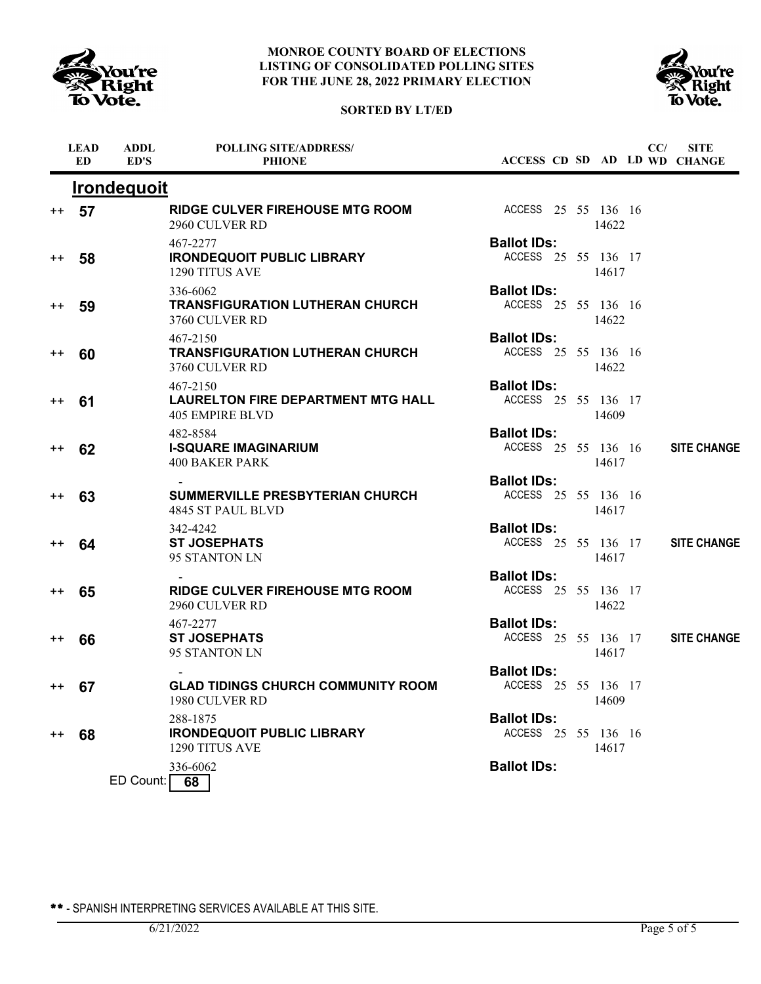





|                 | <b>LEAD</b><br><b>ED</b> | <b>ADDL</b><br>ED'S | <b>POLLING SITE/ADDRESS/</b><br><b>PHIONE</b>                            |                                           |  |       | CC/ | <b>SITE</b><br>ACCESS CD SD AD LD WD CHANGE |
|-----------------|--------------------------|---------------------|--------------------------------------------------------------------------|-------------------------------------------|--|-------|-----|---------------------------------------------|
|                 |                          | <b>Irondequoit</b>  |                                                                          |                                           |  |       |     |                                             |
| $^{++}$         | 57                       |                     | <b>RIDGE CULVER FIREHOUSE MTG ROOM</b><br>2960 CULVER RD                 | ACCESS 25 55 136 16                       |  | 14622 |     |                                             |
| $^{\mathrm{+}}$ | 58                       |                     | 467-2277<br><b>IRONDEQUOIT PUBLIC LIBRARY</b><br>1290 TITUS AVE          | <b>Ballot IDs:</b><br>ACCESS 25 55 136 17 |  | 14617 |     |                                             |
| $^{\mathrm{+}}$ | 59                       |                     | 336-6062<br><b>TRANSFIGURATION LUTHERAN CHURCH</b><br>3760 CULVER RD     | <b>Ballot IDs:</b><br>ACCESS 25 55 136 16 |  | 14622 |     |                                             |
| $^{++}$         | 60                       |                     | 467-2150<br><b>TRANSFIGURATION LUTHERAN CHURCH</b><br>3760 CULVER RD     | <b>Ballot IDs:</b><br>ACCESS 25 55 136 16 |  | 14622 |     |                                             |
| $^{++}$         | 61                       |                     | 467-2150<br><b>LAURELTON FIRE DEPARTMENT MTG HALL</b><br>405 EMPIRE BLVD | <b>Ballot IDs:</b><br>ACCESS 25 55 136 17 |  | 14609 |     |                                             |
| $^{++}$         | 62                       |                     | 482-8584<br><b>I-SQUARE IMAGINARIUM</b><br><b>400 BAKER PARK</b>         | <b>Ballot IDs:</b><br>ACCESS 25 55 136 16 |  | 14617 |     | <b>SITE CHANGE</b>                          |
| $^{\mathrm{+}}$ | 63                       |                     | <b>SUMMERVILLE PRESBYTERIAN CHURCH</b><br>4845 ST PAUL BLVD              | <b>Ballot IDs:</b><br>ACCESS 25 55 136 16 |  | 14617 |     |                                             |
| $^{\mathrm{+}}$ | 64                       |                     | 342-4242<br><b>ST JOSEPHATS</b><br>95 STANTON LN                         | <b>Ballot IDs:</b><br>ACCESS 25 55 136 17 |  | 14617 |     | <b>SITE CHANGE</b>                          |
| $^{\mathrm{+}}$ | 65                       |                     | <b>RIDGE CULVER FIREHOUSE MTG ROOM</b><br>2960 CULVER RD                 | <b>Ballot IDs:</b><br>ACCESS 25 55 136 17 |  | 14622 |     |                                             |
| $^{\mathrm{+}}$ | 66                       |                     | 467-2277<br><b>ST JOSEPHATS</b><br>95 STANTON LN                         | <b>Ballot IDs:</b><br>ACCESS 25 55 136 17 |  | 14617 |     | <b>SITE CHANGE</b>                          |
|                 | ++ 67                    |                     | <b>GLAD TIDINGS CHURCH COMMUNITY ROOM</b><br>1980 CULVER RD              | <b>Ballot IDs:</b><br>ACCESS 25 55 136 17 |  | 14609 |     |                                             |
| $^{\mathrm{+}}$ | 68                       |                     | 288-1875<br><b>IRONDEQUOIT PUBLIC LIBRARY</b><br>1290 TITUS AVE          | <b>Ballot IDs:</b><br>ACCESS 25 55 136 16 |  | 14617 |     |                                             |
|                 |                          | ED Count:           | 336-6062<br>68                                                           | <b>Ballot IDs:</b>                        |  |       |     |                                             |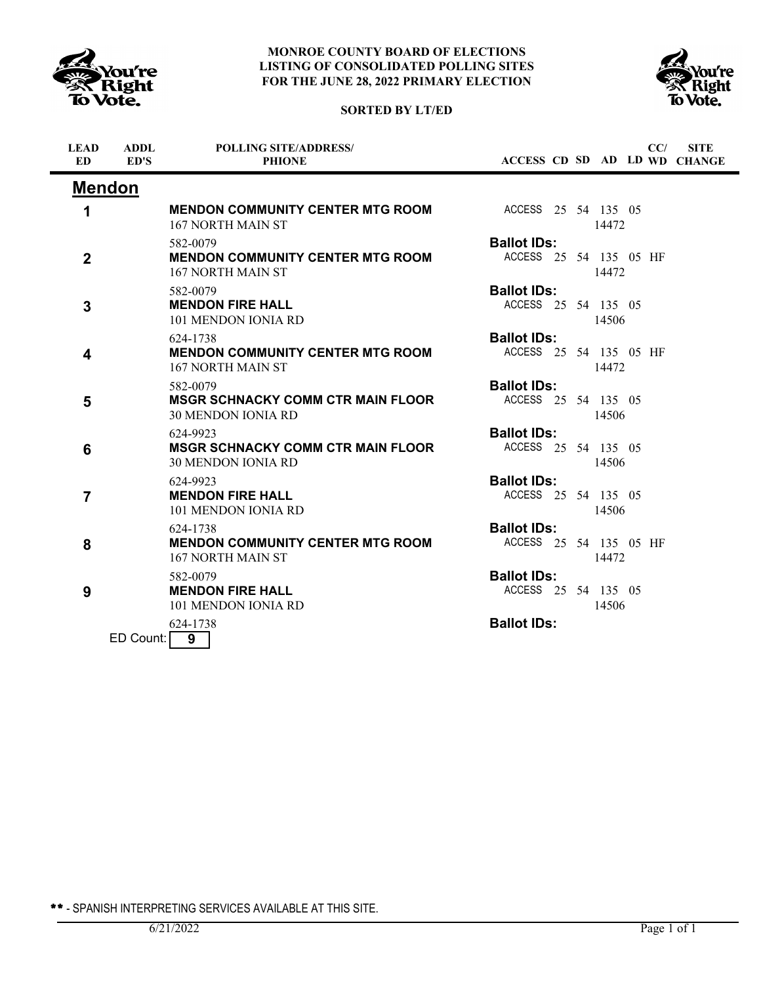





| <b>LEAD</b><br><b>ED</b> | <b>ADDL</b><br>ED'S | <b>POLLING SITE/ADDRESS/</b><br><b>PHIONE</b>                                     |                                              |  |       | CC/ | <b>SITE</b><br>ACCESS CD SD AD LD WD CHANGE |
|--------------------------|---------------------|-----------------------------------------------------------------------------------|----------------------------------------------|--|-------|-----|---------------------------------------------|
|                          | <b>Mendon</b>       |                                                                                   |                                              |  |       |     |                                             |
| 1                        |                     | <b>MENDON COMMUNITY CENTER MTG ROOM</b><br>167 NORTH MAIN ST                      | ACCESS 25 54 135 05                          |  | 14472 |     |                                             |
| $\mathbf 2$              |                     | 582-0079<br><b>MENDON COMMUNITY CENTER MTG ROOM</b><br>167 NORTH MAIN ST          | <b>Ballot IDs:</b><br>ACCESS 25 54 135 05 HF |  | 14472 |     |                                             |
| 3                        |                     | 582-0079<br><b>MENDON FIRE HALL</b><br>101 MENDON JONIA RD                        | <b>Ballot IDs:</b><br>ACCESS 25 54 135 05    |  | 14506 |     |                                             |
| 4                        |                     | 624-1738<br><b>MENDON COMMUNITY CENTER MTG ROOM</b><br>167 NORTH MAIN ST          | <b>Ballot IDs:</b><br>ACCESS 25 54 135 05 HF |  | 14472 |     |                                             |
| 5                        |                     | 582-0079<br><b>MSGR SCHNACKY COMM CTR MAIN FLOOR</b><br><b>30 MENDON IONIA RD</b> | <b>Ballot IDs:</b><br>ACCESS 25 54 135 05    |  | 14506 |     |                                             |
| 6                        |                     | 624-9923<br><b>MSGR SCHNACKY COMM CTR MAIN FLOOR</b><br><b>30 MENDON IONIA RD</b> | <b>Ballot IDs:</b><br>ACCESS 25 54 135 05    |  | 14506 |     |                                             |
| $\overline{7}$           |                     | 624-9923<br><b>MENDON FIRE HALL</b><br>101 MENDON JONIA RD                        | <b>Ballot IDs:</b><br>ACCESS 25 54 135 05    |  | 14506 |     |                                             |
| 8                        |                     | 624-1738<br><b>MENDON COMMUNITY CENTER MTG ROOM</b><br>167 NORTH MAIN ST          | <b>Ballot IDs:</b><br>ACCESS 25 54 135 05 HF |  | 14472 |     |                                             |
| 9                        |                     | 582-0079<br><b>MENDON FIRE HALL</b><br>101 MENDON JONIA RD                        | <b>Ballot IDs:</b><br>ACCESS 25 54 135 05    |  | 14506 |     |                                             |
|                          | ED Count:           | 624-1738<br>$\overline{9}$                                                        | <b>Ballot IDs:</b>                           |  |       |     |                                             |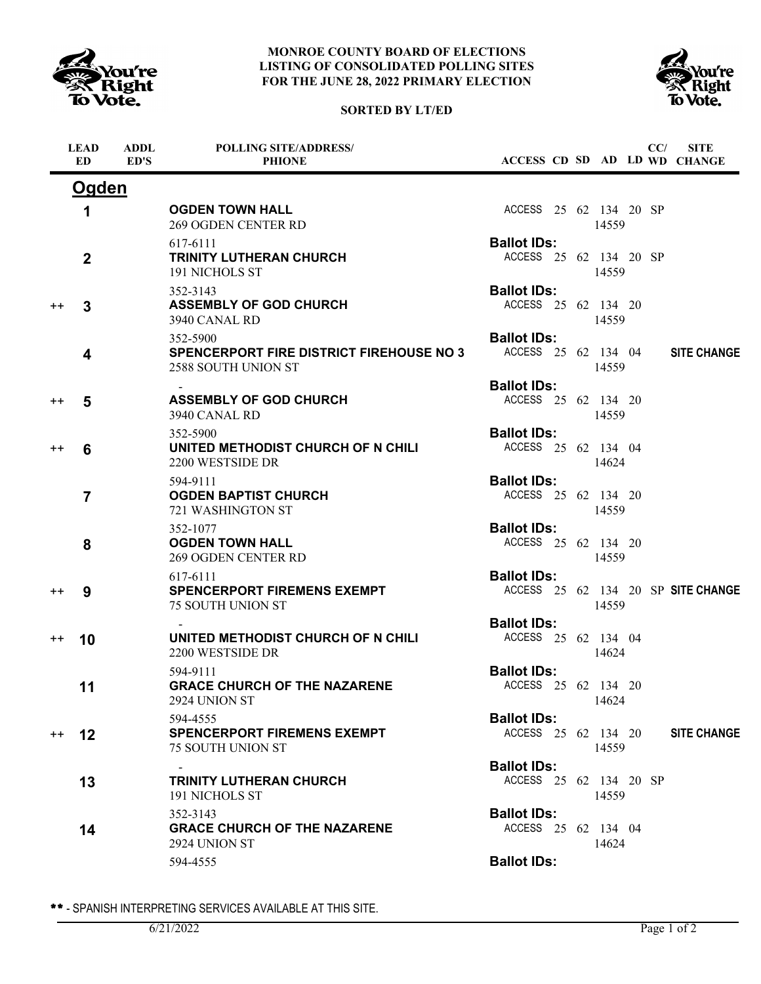

# **SORTED BY LT/ED**



|                 | <b>LEAD</b><br>ED. | <b>ADDL</b><br>ED'S | <b>POLLING SITE/ADDRESS/</b><br><b>PHIONE</b>                                      |                                              |  |       | CC/ | <b>SITE</b><br>ACCESS CD SD AD LD WD CHANGE |
|-----------------|--------------------|---------------------|------------------------------------------------------------------------------------|----------------------------------------------|--|-------|-----|---------------------------------------------|
|                 | <b>Ogden</b>       |                     |                                                                                    |                                              |  |       |     |                                             |
|                 | 1                  |                     | <b>OGDEN TOWN HALL</b><br><b>269 OGDEN CENTER RD</b>                               | ACCESS 25 62 134 20 SP                       |  | 14559 |     |                                             |
|                 | $\overline{2}$     |                     | 617-6111<br><b>TRINITY LUTHERAN CHURCH</b><br>191 NICHOLS ST                       | <b>Ballot IDs:</b><br>ACCESS 25 62 134 20 SP |  | 14559 |     |                                             |
| $^{\mathrm{+}}$ | 3                  |                     | 352-3143<br><b>ASSEMBLY OF GOD CHURCH</b><br>3940 CANAL RD                         | <b>Ballot IDs:</b><br>ACCESS 25 62 134 20    |  | 14559 |     |                                             |
|                 | 4                  |                     | 352-5900<br><b>SPENCERPORT FIRE DISTRICT FIREHOUSE NO 3</b><br>2588 SOUTH UNION ST | <b>Ballot IDs:</b><br>ACCESS 25 62 134 04    |  | 14559 |     | <b>SITE CHANGE</b>                          |
| $++$            | 5                  |                     | <b>ASSEMBLY OF GOD CHURCH</b><br>3940 CANAL RD                                     | <b>Ballot IDs:</b><br>ACCESS 25 62 134 20    |  | 14559 |     |                                             |
| $^{++}$         | 6                  |                     | 352-5900<br>UNITED METHODIST CHURCH OF N CHILI<br>2200 WESTSIDE DR                 | <b>Ballot IDs:</b><br>ACCESS 25 62 134 04    |  | 14624 |     |                                             |
|                 | $\overline{7}$     |                     | 594-9111<br><b>OGDEN BAPTIST CHURCH</b><br>721 WASHINGTON ST                       | <b>Ballot IDs:</b><br>ACCESS 25 62 134 20    |  | 14559 |     |                                             |
|                 | 8                  |                     | 352-1077<br><b>OGDEN TOWN HALL</b><br><b>269 OGDEN CENTER RD</b>                   | <b>Ballot IDs:</b><br>ACCESS 25 62 134 20    |  | 14559 |     |                                             |
| $^{++}$         | 9                  |                     | 617-6111<br><b>SPENCERPORT FIREMENS EXEMPT</b><br>75 SOUTH UNION ST                | <b>Ballot IDs:</b>                           |  | 14559 |     | ACCESS 25 62 134 20 SP SITE CHANGE          |
| $^{++}$         | 10                 |                     | UNITED METHODIST CHURCH OF N CHILI<br>2200 WESTSIDE DR                             | <b>Ballot IDs:</b><br>ACCESS 25 62 134 04    |  | 14624 |     |                                             |
|                 | 11                 |                     | 594-9111<br><b>GRACE CHURCH OF THE NAZARENE</b><br>2924 UNION ST                   | <b>Ballot IDs:</b><br>ACCESS 25 62 134 20    |  | 14624 |     |                                             |
| $^{++}$         | $12 \,$            |                     | 594-4555<br><b>SPENCERPORT FIREMENS EXEMPT</b><br>75 SOUTH UNION ST                | <b>Ballot IDs:</b><br>ACCESS 25 62 134 20    |  | 14559 |     | <b>SITE CHANGE</b>                          |
|                 | 13                 |                     | <b>TRINITY LUTHERAN CHURCH</b><br>191 NICHOLS ST                                   | <b>Ballot IDs:</b><br>ACCESS 25 62 134 20 SP |  | 14559 |     |                                             |
|                 | 14                 |                     | 352-3143<br><b>GRACE CHURCH OF THE NAZARENE</b><br>2924 UNION ST                   | <b>Ballot IDs:</b><br>ACCESS 25 62 134 04    |  | 14624 |     |                                             |
|                 |                    |                     | 594-4555                                                                           | <b>Ballot IDs:</b>                           |  |       |     |                                             |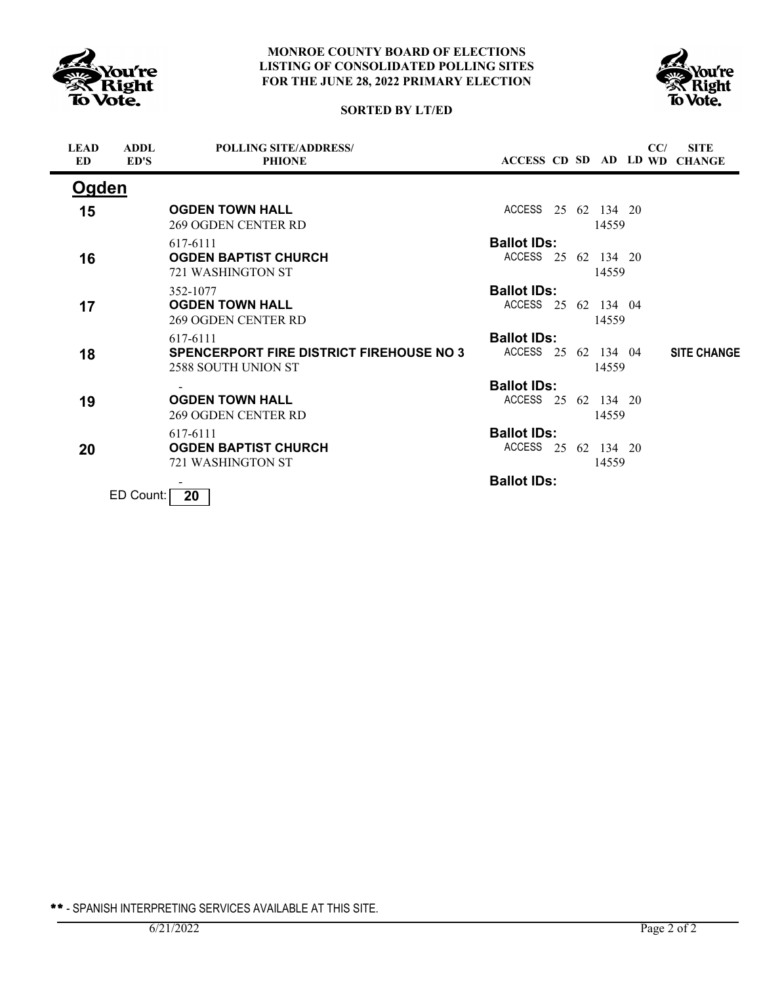



# **SORTED BY LT/ED**

| <b>LEAD</b><br>ED | <b>ADDL</b><br>ED'S | <b>POLLING SITE/ADDRESS/</b><br><b>PHIONE</b>                                      | ACCESS CD SD AD LD WD                     |  |       | CC/ | <b>SITE</b><br><b>CHANGE</b> |
|-------------------|---------------------|------------------------------------------------------------------------------------|-------------------------------------------|--|-------|-----|------------------------------|
| Ogden             |                     |                                                                                    |                                           |  |       |     |                              |
| 15                |                     | <b>OGDEN TOWN HALL</b><br><b>269 OGDEN CENTER RD</b>                               | ACCESS 25 62 134 20                       |  | 14559 |     |                              |
| 16                |                     | 617-6111<br><b>OGDEN BAPTIST CHURCH</b><br>721 WASHINGTON ST                       | <b>Ballot IDs:</b><br>ACCESS 25 62 134 20 |  | 14559 |     |                              |
| 17                |                     | 352-1077<br><b>OGDEN TOWN HALL</b><br><b>269 OGDEN CENTER RD</b>                   | <b>Ballot IDs:</b><br>ACCESS 25 62 134 04 |  | 14559 |     |                              |
| 18                |                     | 617-6111<br><b>SPENCERPORT FIRE DISTRICT FIREHOUSE NO 3</b><br>2588 SOUTH UNION ST | <b>Ballot IDs:</b><br>ACCESS 25 62 134 04 |  | 14559 |     | <b>SITE CHANGE</b>           |
| 19                |                     | <b>OGDEN TOWN HALL</b><br><b>269 OGDEN CENTER RD</b>                               | <b>Ballot IDs:</b><br>ACCESS 25 62 134 20 |  | 14559 |     |                              |
| 20                |                     | 617-6111<br><b>OGDEN BAPTIST CHURCH</b><br>721 WASHINGTON ST                       | <b>Ballot IDs:</b><br>ACCESS 25 62 134 20 |  | 14559 |     |                              |
|                   | $FD$ Count:         | 20 <sub>1</sub>                                                                    | <b>Ballot IDs:</b>                        |  |       |     |                              |

J Count: **20**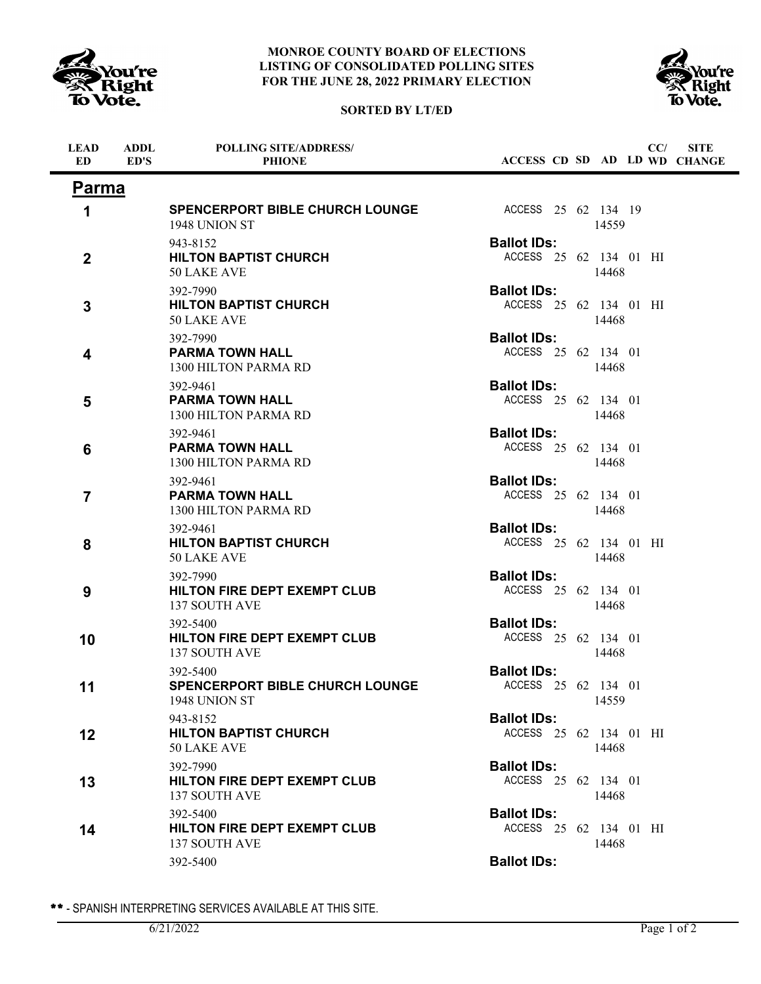

**ADDL**

**LEAD**

### **MONROE COUNTY BOARD OF ELECTIONS LISTING OF CONSOLIDATED POLLING SITES FOR THE JUNE 28, 2022 PRIMARY ELECTION**



**POLLING SITE/ADDRESS/**



**SITE**

**CC/**

| ED               | ED'S | <b>PHIONE</b>                                                    | ACCESS CD SD AD LD WD CHANGE                 |       |  |  |
|------------------|------|------------------------------------------------------------------|----------------------------------------------|-------|--|--|
| Parma            |      |                                                                  |                                              |       |  |  |
| 1                |      | SPENCERPORT BIBLE CHURCH LOUNGE<br>1948 UNION ST                 | ACCESS 25 62 134 19                          | 14559 |  |  |
| $\boldsymbol{2}$ |      | 943-8152<br><b>HILTON BAPTIST CHURCH</b><br>50 LAKE AVE          | <b>Ballot IDs:</b><br>ACCESS 25 62 134 01 HI | 14468 |  |  |
| 3                |      | 392-7990<br><b>HILTON BAPTIST CHURCH</b><br>50 LAKE AVE          | <b>Ballot IDs:</b><br>ACCESS 25 62 134 01 HI | 14468 |  |  |
| 4                |      | 392-7990<br><b>PARMA TOWN HALL</b><br>1300 HILTON PARMA RD       | <b>Ballot IDs:</b><br>ACCESS 25 62 134 01    | 14468 |  |  |
| 5                |      | 392-9461<br><b>PARMA TOWN HALL</b><br>1300 HILTON PARMA RD       | <b>Ballot IDs:</b><br>ACCESS 25 62 134 01    | 14468 |  |  |
| 6                |      | 392-9461<br><b>PARMA TOWN HALL</b><br>1300 HILTON PARMA RD       | <b>Ballot IDs:</b><br>ACCESS 25 62 134 01    | 14468 |  |  |
| $\overline{7}$   |      | 392-9461<br><b>PARMA TOWN HALL</b><br>1300 HILTON PARMA RD       | <b>Ballot IDs:</b><br>ACCESS 25 62 134 01    | 14468 |  |  |
| 8                |      | 392-9461<br><b>HILTON BAPTIST CHURCH</b><br>50 LAKE AVE          | <b>Ballot IDs:</b><br>ACCESS 25 62 134 01 HI | 14468 |  |  |
| 9                |      | 392-7990<br><b>HILTON FIRE DEPT EXEMPT CLUB</b><br>137 SOUTH AVE | <b>Ballot IDs:</b><br>ACCESS 25 62 134 01    | 14468 |  |  |
| 10               |      | 392-5400<br><b>HILTON FIRE DEPT EXEMPT CLUB</b><br>137 SOUTH AVE | <b>Ballot IDs:</b><br>ACCESS 25 62 134 01    | 14468 |  |  |
| 11               |      | 392-5400<br>SPENCERPORT BIBLE CHURCH LOUNGE<br>1948 UNION ST     | <b>Ballot IDs:</b><br>ACCESS 25 62 134 01    | 14559 |  |  |
| 12               |      | 943-8152<br><b>HILTON BAPTIST CHURCH</b><br>50 LAKE AVE          | <b>Ballot IDs:</b><br>ACCESS 25 62 134 01 HI | 14468 |  |  |
| 13               |      | 392-7990<br><b>HILTON FIRE DEPT EXEMPT CLUB</b><br>137 SOUTH AVE | <b>Ballot IDs:</b><br>ACCESS 25 62 134 01    | 14468 |  |  |
| 14               |      | 392-5400<br>HILTON FIRE DEPT EXEMPT CLUB<br>137 SOUTH AVE        | <b>Ballot IDs:</b><br>ACCESS 25 62 134 01 HI | 14468 |  |  |
|                  |      | 392-5400                                                         | <b>Ballot IDs:</b>                           |       |  |  |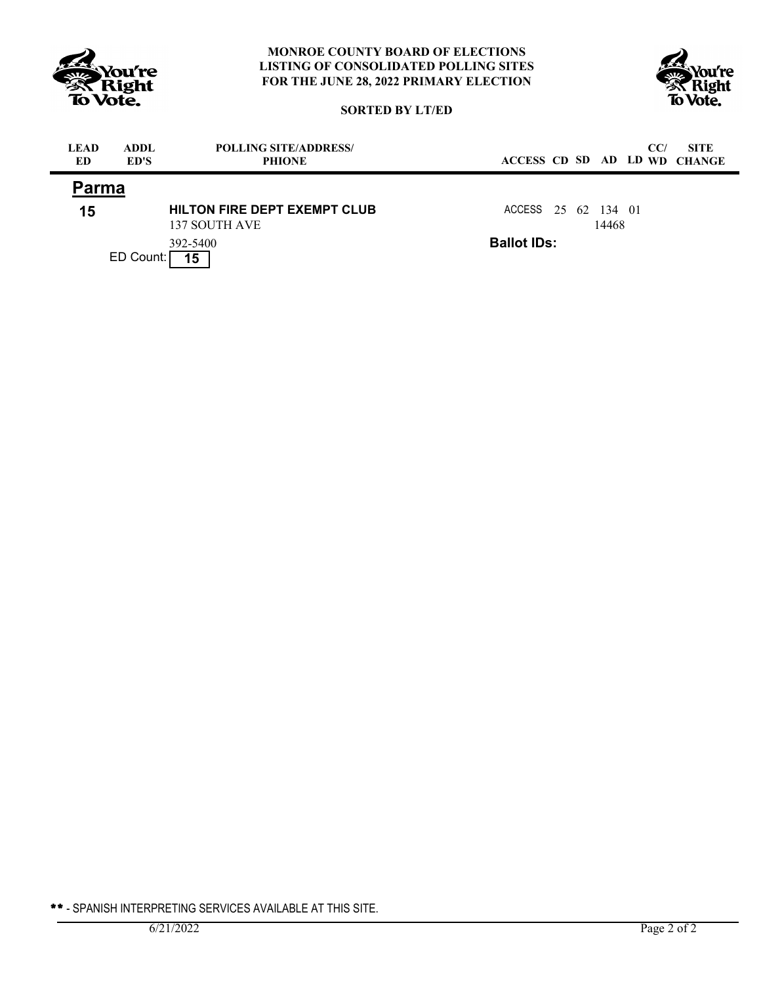



# **SORTED BY LT/ED**

| <b>LEAD</b><br>ED | <b>ADDL</b><br>ED'S | <b>POLLING SITE/ADDRESS/</b><br><b>PHIONE</b>        | ACCESS CD SD AD LD WD CHANGE |  |       | CC/ | <b>SITE</b> |
|-------------------|---------------------|------------------------------------------------------|------------------------------|--|-------|-----|-------------|
| Parma             |                     |                                                      |                              |  |       |     |             |
| 15                |                     | <b>HILTON FIRE DEPT EXEMPT CLUB</b><br>137 SOUTH AVE | ACCESS 25 62 134 01          |  | 14468 |     |             |
|                   | ED Count:           | 392-5400<br>15                                       | <b>Ballot IDs:</b>           |  |       |     |             |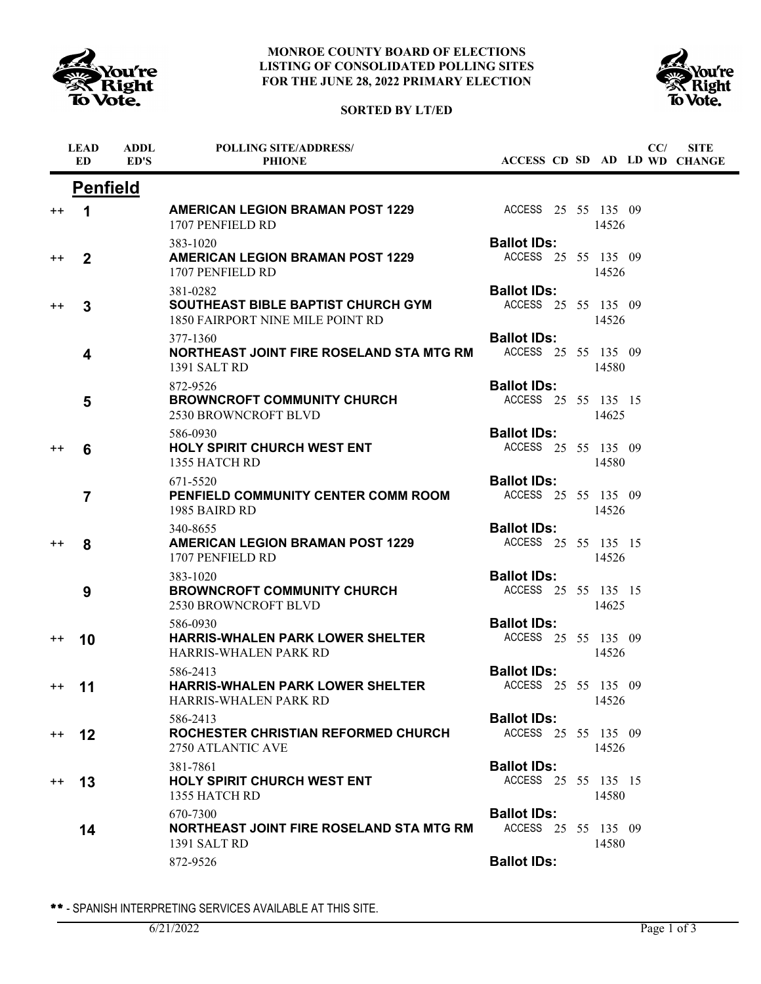

# **SORTED BY LT/ED**



|                 | <b>LEAD</b><br><b>ED</b> | <b>ADDL</b><br>ED'S | <b>POLLING SITE/ADDRESS/</b><br><b>PHIONE</b>                                             | ACCESS CD SD AD LD WD CHANGE              |  |       | CC/ | <b>SITE</b> |
|-----------------|--------------------------|---------------------|-------------------------------------------------------------------------------------------|-------------------------------------------|--|-------|-----|-------------|
|                 | <b>Penfield</b>          |                     |                                                                                           |                                           |  |       |     |             |
| $^{++}$         | 1                        |                     | <b>AMERICAN LEGION BRAMAN POST 1229</b><br>1707 PENFIELD RD                               | ACCESS 25 55 135 09                       |  | 14526 |     |             |
| $++$            | $\overline{2}$           |                     | 383-1020<br><b>AMERICAN LEGION BRAMAN POST 1229</b><br>1707 PENFIELD RD                   | <b>Ballot IDs:</b><br>ACCESS 25 55 135 09 |  | 14526 |     |             |
| $^{\mathrm{+}}$ | 3                        |                     | 381-0282<br><b>SOUTHEAST BIBLE BAPTIST CHURCH GYM</b><br>1850 FAIRPORT NINE MILE POINT RD | <b>Ballot IDs:</b><br>ACCESS 25 55 135 09 |  | 14526 |     |             |
|                 | 4                        |                     | 377-1360<br>NORTHEAST JOINT FIRE ROSELAND STA MTG RM<br>1391 SALT RD                      | <b>Ballot IDs:</b><br>ACCESS 25 55 135 09 |  | 14580 |     |             |
|                 | 5                        |                     | 872-9526<br><b>BROWNCROFT COMMUNITY CHURCH</b><br><b>2530 BROWNCROFT BLVD</b>             | <b>Ballot IDs:</b><br>ACCESS 25 55 135 15 |  | 14625 |     |             |
| $^{++}$         | 6                        |                     | 586-0930<br><b>HOLY SPIRIT CHURCH WEST ENT</b><br>1355 HATCH RD                           | <b>Ballot IDs:</b><br>ACCESS 25 55 135 09 |  | 14580 |     |             |
|                 | $\overline{7}$           |                     | 671-5520<br>PENFIELD COMMUNITY CENTER COMM ROOM<br>1985 BAIRD RD                          | <b>Ballot IDs:</b><br>ACCESS 25 55 135 09 |  | 14526 |     |             |
| $^{++}$         | 8                        |                     | 340-8655<br><b>AMERICAN LEGION BRAMAN POST 1229</b><br>1707 PENFIELD RD                   | <b>Ballot IDs:</b><br>ACCESS 25 55 135 15 |  | 14526 |     |             |
|                 | 9                        |                     | 383-1020<br><b>BROWNCROFT COMMUNITY CHURCH</b><br>2530 BROWNCROFT BLVD                    | <b>Ballot IDs:</b><br>ACCESS 25 55 135 15 |  | 14625 |     |             |
| $^{++}$         | 10                       |                     | 586-0930<br><b>HARRIS-WHALEN PARK LOWER SHELTER</b><br><b>HARRIS-WHALEN PARK RD</b>       | <b>Ballot IDs:</b><br>ACCESS 25 55 135 09 |  | 14526 |     |             |
| $^{++}$         | 11                       |                     | 586-2413<br><b>HARRIS-WHALEN PARK LOWER SHELTER</b><br>HARRIS-WHALEN PARK RD              | <b>Ballot IDs:</b><br>ACCESS 25 55 135 09 |  | 14526 |     |             |
| $^{++}$         | 12                       |                     | 586-2413<br>ROCHESTER CHRISTIAN REFORMED CHURCH<br>2750 ATLANTIC AVE                      | <b>Ballot IDs:</b><br>ACCESS 25 55 135 09 |  | 14526 |     |             |
| $^{++}$         | 13                       |                     | 381-7861<br>HOLY SPIRIT CHURCH WEST ENT<br>1355 HATCH RD                                  | <b>Ballot IDs:</b><br>ACCESS 25 55 135 15 |  | 14580 |     |             |
|                 | 14                       |                     | 670-7300<br>NORTHEAST JOINT FIRE ROSELAND STA MTG RM<br>1391 SALT RD                      | <b>Ballot IDs:</b><br>ACCESS 25 55 135 09 |  | 14580 |     |             |
|                 |                          |                     | 872-9526                                                                                  | <b>Ballot IDs:</b>                        |  |       |     |             |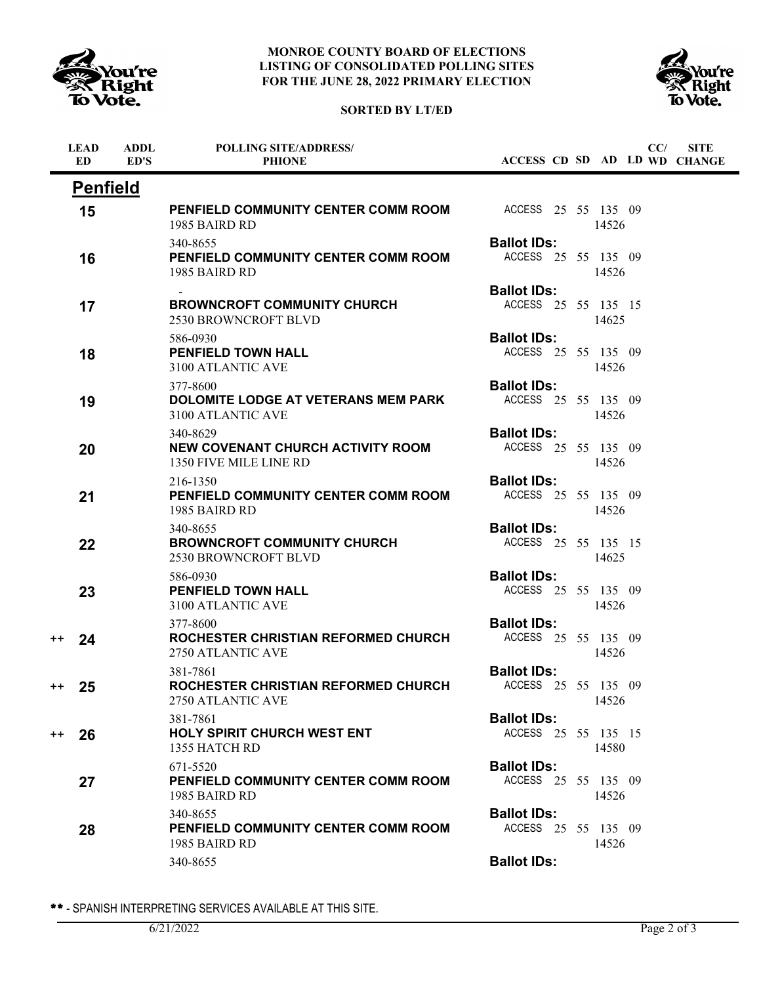





| <b>Penfield</b><br>PENFIELD COMMUNITY CENTER COMM ROOM<br>ACCESS 25 55 135 09<br>15<br>14526<br>1985 BAIRD RD<br><b>Ballot IDs:</b><br>340-8655<br>ACCESS 25 55 135 09<br>PENFIELD COMMUNITY CENTER COMM ROOM<br>16<br>1985 BAIRD RD<br>14526<br><b>Ballot IDs:</b><br><b>BROWNCROFT COMMUNITY CHURCH</b><br>ACCESS 25 55 135 15<br>17<br>2530 BROWNCROFT BLVD<br>14625<br><b>Ballot IDs:</b><br>586-0930<br>ACCESS 25 55 135 09<br><b>PENFIELD TOWN HALL</b><br>18<br>3100 ATLANTIC AVE<br>14526<br><b>Ballot IDs:</b><br>377-8600<br>ACCESS 25 55 135 09<br><b>DOLOMITE LODGE AT VETERANS MEM PARK</b><br>19<br>3100 ATLANTIC AVE<br>14526<br><b>Ballot IDs:</b><br>340-8629<br>ACCESS 25 55 135 09<br>NEW COVENANT CHURCH ACTIVITY ROOM<br>20<br>1350 FIVE MILE LINE RD<br>14526<br><b>Ballot IDs:</b><br>216-1350<br>ACCESS 25 55 135 09<br>PENFIELD COMMUNITY CENTER COMM ROOM<br>21<br>1985 BAIRD RD<br>14526<br><b>Ballot IDs:</b><br>340-8655<br>ACCESS 25 55 135 15<br><b>BROWNCROFT COMMUNITY CHURCH</b><br>22<br><b>2530 BROWNCROFT BLVD</b><br>14625<br><b>Ballot IDs:</b><br>586-0930<br>PENFIELD TOWN HALL<br>ACCESS 25 55 135 09<br>23<br>3100 ATLANTIC AVE<br>14526<br><b>Ballot IDs:</b><br>377-8600<br>ACCESS 25 55 135 09<br>ROCHESTER CHRISTIAN REFORMED CHURCH<br>24<br>$^{\mathrm{+}}$<br>2750 ATLANTIC AVE<br>14526<br><b>Ballot IDs:</b><br>381-7861<br>ROCHESTER CHRISTIAN REFORMED CHURCH<br>ACCESS 25 55 135 09<br>25<br>$^{++}$ |  |
|-------------------------------------------------------------------------------------------------------------------------------------------------------------------------------------------------------------------------------------------------------------------------------------------------------------------------------------------------------------------------------------------------------------------------------------------------------------------------------------------------------------------------------------------------------------------------------------------------------------------------------------------------------------------------------------------------------------------------------------------------------------------------------------------------------------------------------------------------------------------------------------------------------------------------------------------------------------------------------------------------------------------------------------------------------------------------------------------------------------------------------------------------------------------------------------------------------------------------------------------------------------------------------------------------------------------------------------------------------------------------------------------------------------------------------------------------------------|--|
|                                                                                                                                                                                                                                                                                                                                                                                                                                                                                                                                                                                                                                                                                                                                                                                                                                                                                                                                                                                                                                                                                                                                                                                                                                                                                                                                                                                                                                                             |  |
|                                                                                                                                                                                                                                                                                                                                                                                                                                                                                                                                                                                                                                                                                                                                                                                                                                                                                                                                                                                                                                                                                                                                                                                                                                                                                                                                                                                                                                                             |  |
|                                                                                                                                                                                                                                                                                                                                                                                                                                                                                                                                                                                                                                                                                                                                                                                                                                                                                                                                                                                                                                                                                                                                                                                                                                                                                                                                                                                                                                                             |  |
|                                                                                                                                                                                                                                                                                                                                                                                                                                                                                                                                                                                                                                                                                                                                                                                                                                                                                                                                                                                                                                                                                                                                                                                                                                                                                                                                                                                                                                                             |  |
|                                                                                                                                                                                                                                                                                                                                                                                                                                                                                                                                                                                                                                                                                                                                                                                                                                                                                                                                                                                                                                                                                                                                                                                                                                                                                                                                                                                                                                                             |  |
|                                                                                                                                                                                                                                                                                                                                                                                                                                                                                                                                                                                                                                                                                                                                                                                                                                                                                                                                                                                                                                                                                                                                                                                                                                                                                                                                                                                                                                                             |  |
|                                                                                                                                                                                                                                                                                                                                                                                                                                                                                                                                                                                                                                                                                                                                                                                                                                                                                                                                                                                                                                                                                                                                                                                                                                                                                                                                                                                                                                                             |  |
|                                                                                                                                                                                                                                                                                                                                                                                                                                                                                                                                                                                                                                                                                                                                                                                                                                                                                                                                                                                                                                                                                                                                                                                                                                                                                                                                                                                                                                                             |  |
|                                                                                                                                                                                                                                                                                                                                                                                                                                                                                                                                                                                                                                                                                                                                                                                                                                                                                                                                                                                                                                                                                                                                                                                                                                                                                                                                                                                                                                                             |  |
|                                                                                                                                                                                                                                                                                                                                                                                                                                                                                                                                                                                                                                                                                                                                                                                                                                                                                                                                                                                                                                                                                                                                                                                                                                                                                                                                                                                                                                                             |  |
|                                                                                                                                                                                                                                                                                                                                                                                                                                                                                                                                                                                                                                                                                                                                                                                                                                                                                                                                                                                                                                                                                                                                                                                                                                                                                                                                                                                                                                                             |  |
| 14526<br>2750 ATLANTIC AVE                                                                                                                                                                                                                                                                                                                                                                                                                                                                                                                                                                                                                                                                                                                                                                                                                                                                                                                                                                                                                                                                                                                                                                                                                                                                                                                                                                                                                                  |  |
| <b>Ballot IDs:</b><br>381-7861<br>ACCESS 25 55 135 15<br><b>HOLY SPIRIT CHURCH WEST ENT</b><br>26<br>$^{++}$<br>14580<br>1355 HATCH RD                                                                                                                                                                                                                                                                                                                                                                                                                                                                                                                                                                                                                                                                                                                                                                                                                                                                                                                                                                                                                                                                                                                                                                                                                                                                                                                      |  |
| <b>Ballot IDs:</b><br>671-5520<br>ACCESS 25 55 135 09<br>PENFIELD COMMUNITY CENTER COMM ROOM<br>27<br>1985 BAIRD RD<br>14526                                                                                                                                                                                                                                                                                                                                                                                                                                                                                                                                                                                                                                                                                                                                                                                                                                                                                                                                                                                                                                                                                                                                                                                                                                                                                                                                |  |
| <b>Ballot IDs:</b><br>340-8655<br>ACCESS 25 55 135 09<br>PENFIELD COMMUNITY CENTER COMM ROOM<br>28<br>14526<br>1985 BAIRD RD                                                                                                                                                                                                                                                                                                                                                                                                                                                                                                                                                                                                                                                                                                                                                                                                                                                                                                                                                                                                                                                                                                                                                                                                                                                                                                                                |  |
| <b>Ballot IDs:</b><br>340-8655                                                                                                                                                                                                                                                                                                                                                                                                                                                                                                                                                                                                                                                                                                                                                                                                                                                                                                                                                                                                                                                                                                                                                                                                                                                                                                                                                                                                                              |  |

\*\* - SPANISH INTERPRETING SERVICES AVAILABLE AT THIS SITE.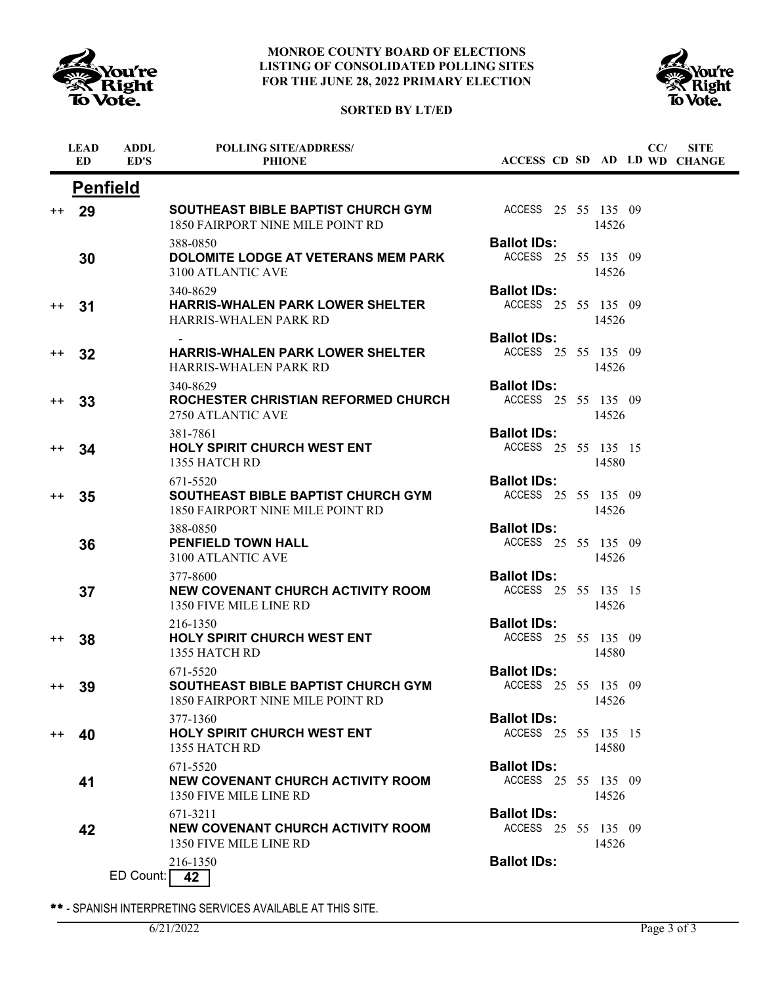

# **SORTED BY LT/ED**



|         | <b>LEAD</b><br><b>ED</b> | <b>ADDL</b><br>ED'S | <b>POLLING SITE/ADDRESS/</b><br><b>PHIONE</b>                                             | ACCESS CD SD AD LD WD CHANGE              |       | CC/ | <b>SITE</b> |
|---------|--------------------------|---------------------|-------------------------------------------------------------------------------------------|-------------------------------------------|-------|-----|-------------|
|         |                          | <b>Penfield</b>     |                                                                                           |                                           |       |     |             |
| $^{++}$ | 29                       |                     | <b>SOUTHEAST BIBLE BAPTIST CHURCH GYM</b><br>1850 FAIRPORT NINE MILE POINT RD             | ACCESS 25 55 135 09                       | 14526 |     |             |
|         | 30                       |                     | 388-0850<br><b>DOLOMITE LODGE AT VETERANS MEM PARK</b><br>3100 ATLANTIC AVE               | <b>Ballot IDs:</b><br>ACCESS 25 55 135 09 | 14526 |     |             |
| $^{++}$ | 31                       |                     | 340-8629<br><b>HARRIS-WHALEN PARK LOWER SHELTER</b><br><b>HARRIS-WHALEN PARK RD</b>       | <b>Ballot IDs:</b><br>ACCESS 25 55 135 09 | 14526 |     |             |
| $^{++}$ | 32                       |                     | <b>HARRIS-WHALEN PARK LOWER SHELTER</b><br><b>HARRIS-WHALEN PARK RD</b>                   | <b>Ballot IDs:</b><br>ACCESS 25 55 135 09 | 14526 |     |             |
| $^{++}$ | 33                       |                     | 340-8629<br>ROCHESTER CHRISTIAN REFORMED CHURCH<br>2750 ATLANTIC AVE                      | <b>Ballot IDs:</b><br>ACCESS 25 55 135 09 | 14526 |     |             |
| $^{++}$ | 34                       |                     | 381-7861<br><b>HOLY SPIRIT CHURCH WEST ENT</b><br>1355 HATCH RD                           | <b>Ballot IDs:</b><br>ACCESS 25 55 135 15 | 14580 |     |             |
| $++$    | 35                       |                     | 671-5520<br>SOUTHEAST BIBLE BAPTIST CHURCH GYM<br>1850 FAIRPORT NINE MILE POINT RD        | <b>Ballot IDs:</b><br>ACCESS 25 55 135 09 | 14526 |     |             |
|         | 36                       |                     | 388-0850<br><b>PENFIELD TOWN HALL</b><br>3100 ATLANTIC AVE                                | <b>Ballot IDs:</b><br>ACCESS 25 55 135 09 | 14526 |     |             |
|         | 37                       |                     | 377-8600<br>NEW COVENANT CHURCH ACTIVITY ROOM<br>1350 FIVE MILE LINE RD                   | <b>Ballot IDs:</b><br>ACCESS 25 55 135 15 | 14526 |     |             |
| $^{++}$ | 38                       |                     | 216-1350<br><b>HOLY SPIRIT CHURCH WEST ENT</b><br>1355 HATCH RD                           | <b>Ballot IDs:</b><br>ACCESS 25 55 135 09 | 14580 |     |             |
| $^{++}$ | 39                       |                     | 671-5520<br><b>SOUTHEAST BIBLE BAPTIST CHURCH GYM</b><br>1850 FAIRPORT NINE MILE POINT RD | <b>Ballot IDs:</b><br>ACCESS 25 55 135 09 | 14526 |     |             |
| $^{++}$ | 40                       |                     | 377-1360<br><b>HOLY SPIRIT CHURCH WEST ENT</b><br>1355 HATCH RD                           | <b>Ballot IDs:</b><br>ACCESS 25 55 135 15 | 14580 |     |             |
|         | 41                       |                     | 671-5520<br><b>NEW COVENANT CHURCH ACTIVITY ROOM</b><br>1350 FIVE MILE LINE RD            | <b>Ballot IDs:</b><br>ACCESS 25 55 135 09 | 14526 |     |             |
|         | 42                       |                     | 671-3211<br><b>NEW COVENANT CHURCH ACTIVITY ROOM</b><br>1350 FIVE MILE LINE RD            | <b>Ballot IDs:</b><br>ACCESS 25 55 135 09 | 14526 |     |             |
|         |                          | ED Count:           | 216-1350<br>42                                                                            | <b>Ballot IDs:</b>                        |       |     |             |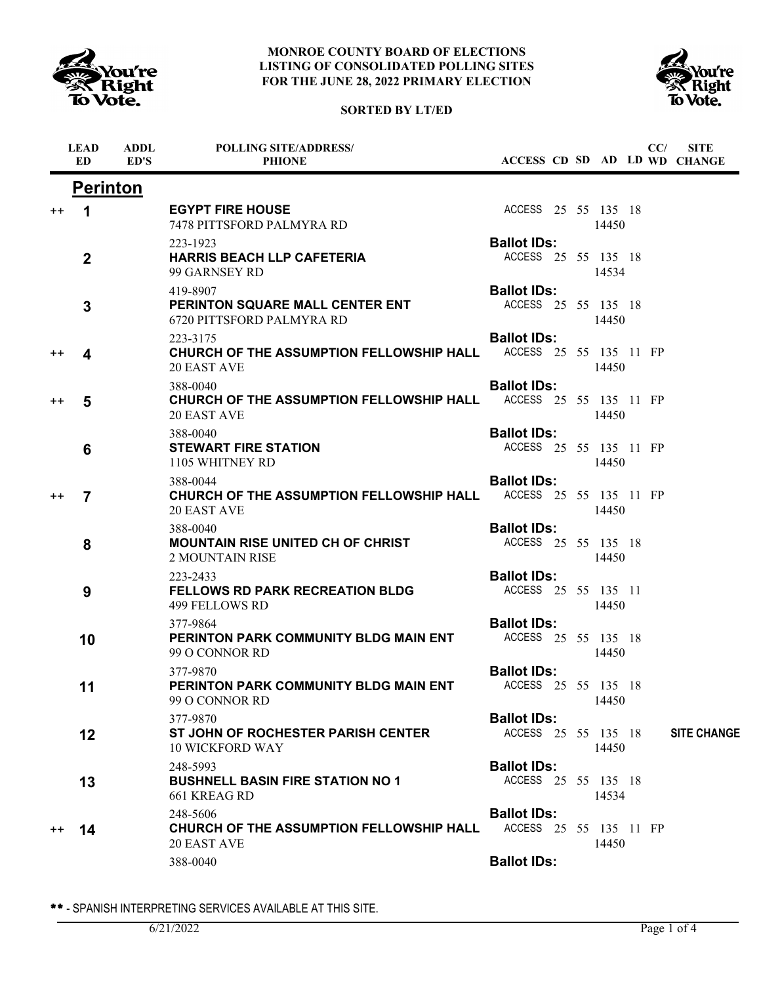





|                  | <b>LEAD</b><br><b>ED</b> | <b>ADDL</b><br>ED'S | <b>POLLING SITE/ADDRESS/</b><br><b>PHIONE</b>                                                            |                                              |  |       | CC/ | <b>SITE</b><br>ACCESS CD SD AD LD WD CHANGE |
|------------------|--------------------------|---------------------|----------------------------------------------------------------------------------------------------------|----------------------------------------------|--|-------|-----|---------------------------------------------|
|                  | <b>Perinton</b>          |                     |                                                                                                          |                                              |  |       |     |                                             |
| $^{\mathrm{+}}$  | 1                        |                     | <b>EGYPT FIRE HOUSE</b><br>7478 PITTSFORD PALMYRA RD                                                     | ACCESS 25 55 135 18                          |  | 14450 |     |                                             |
|                  | $\mathbf 2$              |                     | 223-1923<br><b>HARRIS BEACH LLP CAFETERIA</b><br>99 GARNSEY RD                                           | <b>Ballot IDs:</b><br>ACCESS 25 55 135 18    |  | 14534 |     |                                             |
|                  | 3                        |                     | 419-8907<br>PERINTON SQUARE MALL CENTER ENT<br>6720 PITTSFORD PALMYRA RD                                 | <b>Ballot IDs:</b><br>ACCESS 25 55 135 18    |  | 14450 |     |                                             |
| $^{\mathrm{++}}$ | 4                        |                     | 223-3175<br><b>CHURCH OF THE ASSUMPTION FELLOWSHIP HALL ACCESS 25 55 135 11 FP</b><br><b>20 EAST AVE</b> | <b>Ballot IDs:</b>                           |  | 14450 |     |                                             |
| $^{\mathrm{+}}$  | 5                        |                     | 388-0040<br>CHURCH OF THE ASSUMPTION FELLOWSHIP HALL<br>20 EAST AVE                                      | <b>Ballot IDs:</b><br>ACCESS 25 55 135 11 FP |  | 14450 |     |                                             |
|                  | 6                        |                     | 388-0040<br><b>STEWART FIRE STATION</b><br>1105 WHITNEY RD                                               | <b>Ballot IDs:</b><br>ACCESS 25 55 135 11 FP |  | 14450 |     |                                             |
| $^{++}$          | $\overline{7}$           |                     | 388-0044<br>CHURCH OF THE ASSUMPTION FELLOWSHIP HALL<br><b>20 EAST AVE</b>                               | <b>Ballot IDs:</b><br>ACCESS 25 55 135 11 FP |  | 14450 |     |                                             |
|                  | 8                        |                     | 388-0040<br><b>MOUNTAIN RISE UNITED CH OF CHRIST</b><br><b>2 MOUNTAIN RISE</b>                           | <b>Ballot IDs:</b><br>ACCESS 25 55 135 18    |  | 14450 |     |                                             |
|                  | 9                        |                     | 223-2433<br><b>FELLOWS RD PARK RECREATION BLDG</b><br>499 FELLOWS RD                                     | <b>Ballot IDs:</b><br>ACCESS 25 55 135 11    |  | 14450 |     |                                             |
|                  | 10                       |                     | 377-9864<br>PERINTON PARK COMMUNITY BLDG MAIN ENT<br>99 O CONNOR RD                                      | <b>Ballot IDs:</b><br>ACCESS 25 55 135 18    |  | 14450 |     |                                             |
|                  | 11                       |                     | 377-9870<br>PERINTON PARK COMMUNITY BLDG MAIN ENT<br>99 O CONNOR RD                                      | <b>Ballot IDs:</b><br>ACCESS 25 55 135 18    |  | 14450 |     |                                             |
|                  | 12                       |                     | 377-9870<br>ST JOHN OF ROCHESTER PARISH CENTER<br><b>10 WICKFORD WAY</b>                                 | <b>Ballot IDs:</b><br>ACCESS 25 55 135 18    |  | 14450 |     | <b>SITE CHANGE</b>                          |
|                  | 13                       |                     | 248-5993<br><b>BUSHNELL BASIN FIRE STATION NO 1</b><br>661 KREAG RD                                      | <b>Ballot IDs:</b><br>ACCESS 25 55 135 18    |  | 14534 |     |                                             |
| $^{++}$          | 14                       |                     | 248-5606<br><b>CHURCH OF THE ASSUMPTION FELLOWSHIP HALL</b><br>20 EAST AVE                               | <b>Ballot IDs:</b><br>ACCESS 25 55 135 11 FP |  | 14450 |     |                                             |
|                  |                          |                     | 388-0040                                                                                                 | <b>Ballot IDs:</b>                           |  |       |     |                                             |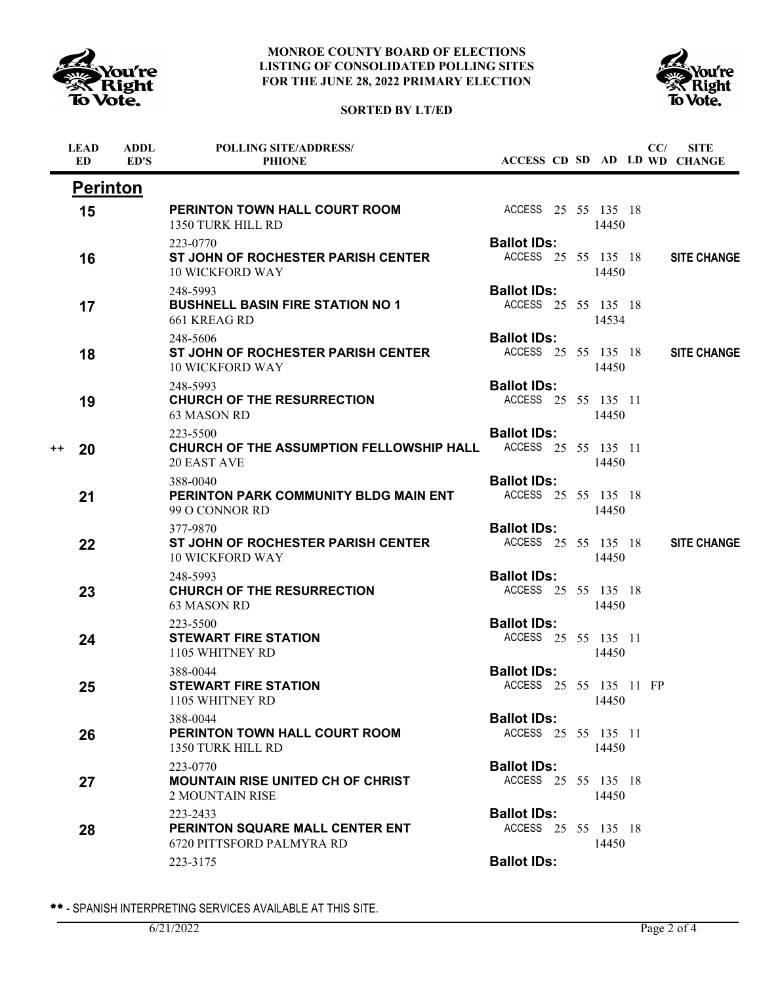





|      | <b>LEAD</b><br><b>ED</b> | <b>ADDL</b><br>ED'S | <b>POLLING SITE/ADDRESS/</b><br><b>PHIONE</b>                            |                                              |  |       | CC/ | <b>SITE</b><br>ACCESS CD SD AD LD WD CHANGE |
|------|--------------------------|---------------------|--------------------------------------------------------------------------|----------------------------------------------|--|-------|-----|---------------------------------------------|
|      | <b>Perinton</b>          |                     |                                                                          |                                              |  |       |     |                                             |
|      | 15                       |                     | PERINTON TOWN HALL COURT ROOM<br>1350 TURK HILL RD                       | ACCESS 25 55 135 18                          |  | 14450 |     |                                             |
|      | 16                       |                     | 223-0770<br>ST JOHN OF ROCHESTER PARISH CENTER<br><b>10 WICKFORD WAY</b> | <b>Ballot IDs:</b><br>ACCESS 25 55 135 18    |  | 14450 |     | <b>SITE CHANGE</b>                          |
|      | 17                       |                     | 248-5993<br><b>BUSHNELL BASIN FIRE STATION NO 1</b><br>661 KREAG RD      | <b>Ballot IDs:</b><br>ACCESS 25 55 135 18    |  | 14534 |     |                                             |
|      | 18                       |                     | 248-5606<br>ST JOHN OF ROCHESTER PARISH CENTER<br><b>10 WICKFORD WAY</b> | <b>Ballot IDs:</b><br>ACCESS 25 55 135 18    |  | 14450 |     | <b>SITE CHANGE</b>                          |
|      | 19                       |                     | 248-5993<br><b>CHURCH OF THE RESURRECTION</b><br>63 MASON RD             | <b>Ballot IDs:</b><br>ACCESS 25 55 135 11    |  | 14450 |     |                                             |
| $++$ | 20                       |                     | 223-5500<br>CHURCH OF THE ASSUMPTION FELLOWSHIP HALL<br>20 EAST AVE      | <b>Ballot IDs:</b><br>ACCESS 25 55 135 11    |  | 14450 |     |                                             |
|      | 21                       |                     | 388-0040<br>PERINTON PARK COMMUNITY BLDG MAIN ENT<br>99 O CONNOR RD      | <b>Ballot IDs:</b><br>ACCESS 25 55 135 18    |  | 14450 |     |                                             |
|      | 22                       |                     | 377-9870<br>ST JOHN OF ROCHESTER PARISH CENTER<br><b>10 WICKFORD WAY</b> | <b>Ballot IDs:</b><br>ACCESS 25 55 135 18    |  | 14450 |     | <b>SITE CHANGE</b>                          |
|      | 23                       |                     | 248-5993<br><b>CHURCH OF THE RESURRECTION</b><br>63 MASON RD             | <b>Ballot IDs:</b><br>ACCESS 25 55 135 18    |  | 14450 |     |                                             |
|      | 24                       |                     | 223-5500<br><b>STEWART FIRE STATION</b><br>1105 WHITNEY RD               | <b>Ballot IDs:</b><br>ACCESS 25 55 135 11    |  | 14450 |     |                                             |
|      | 25                       |                     | 388-0044<br><b>STEWART FIRE STATION</b><br>1105 WHITNEY RD               | <b>Ballot IDs:</b><br>ACCESS 25 55 135 11 FP |  | 14450 |     |                                             |
|      | 26                       |                     | 388-0044<br>PERINTON TOWN HALL COURT ROOM<br>1350 TURK HILL RD           | <b>Ballot IDs:</b><br>ACCESS 25 55 135 11    |  | 14450 |     |                                             |
|      | 27                       |                     | 223-0770<br><b>MOUNTAIN RISE UNITED CH OF CHRIST</b><br>2 MOUNTAIN RISE  | <b>Ballot IDs:</b><br>ACCESS 25 55 135 18    |  | 14450 |     |                                             |
|      | 28                       |                     | 223-2433<br>PERINTON SQUARE MALL CENTER ENT<br>6720 PITTSFORD PALMYRA RD | <b>Ballot IDs:</b><br>ACCESS 25 55 135 18    |  | 14450 |     |                                             |
|      |                          |                     | 223-3175                                                                 | <b>Ballot IDs:</b>                           |  |       |     |                                             |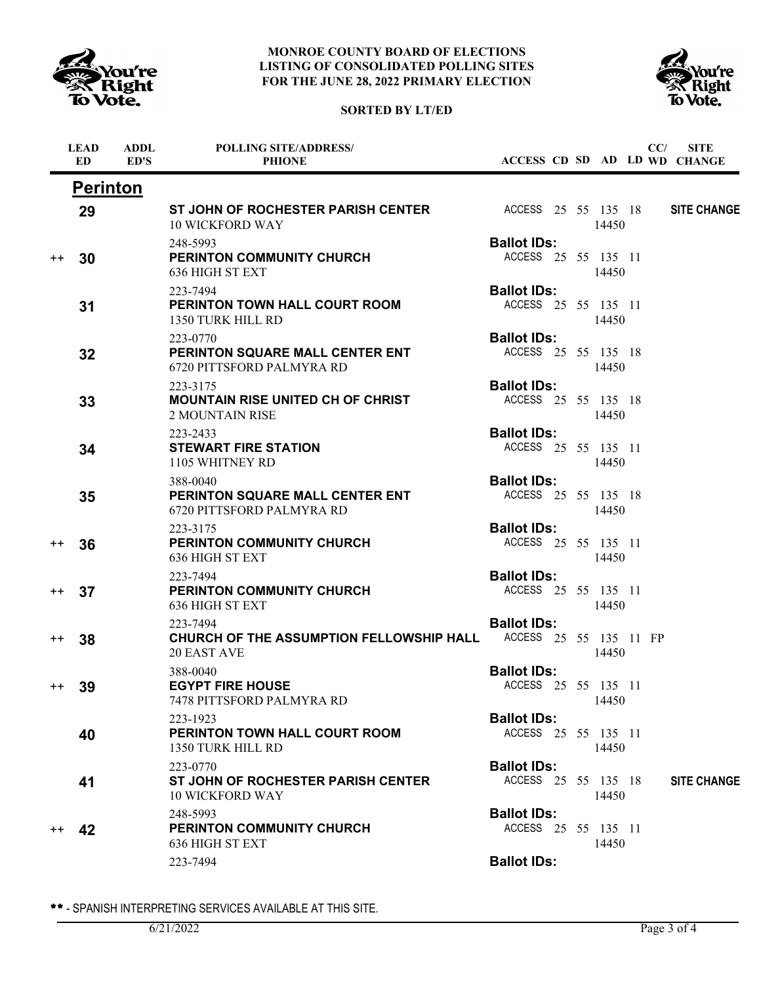





|                  | <b>LEAD</b><br>ED | <b>ADDL</b><br>ED'S | <b>POLLING SITE/ADDRESS/</b><br><b>PHIONE</b>                                  |                                              |  |       | CC/ | <b>SITE</b><br>ACCESS CD SD AD LD WD CHANGE |
|------------------|-------------------|---------------------|--------------------------------------------------------------------------------|----------------------------------------------|--|-------|-----|---------------------------------------------|
|                  | <b>Perinton</b>   |                     |                                                                                |                                              |  |       |     |                                             |
|                  | 29                |                     | ST JOHN OF ROCHESTER PARISH CENTER<br><b>10 WICKFORD WAY</b>                   | ACCESS 25 55 135 18                          |  | 14450 |     | <b>SITE CHANGE</b>                          |
| $^{++}$          | 30                |                     | 248-5993<br><b>PERINTON COMMUNITY CHURCH</b><br>636 HIGH ST EXT                | <b>Ballot IDs:</b><br>ACCESS 25 55 135 11    |  | 14450 |     |                                             |
|                  | 31                |                     | 223-7494<br>PERINTON TOWN HALL COURT ROOM<br>1350 TURK HILL RD                 | <b>Ballot IDs:</b><br>ACCESS 25 55 135 11    |  | 14450 |     |                                             |
|                  | 32                |                     | 223-0770<br>PERINTON SQUARE MALL CENTER ENT<br>6720 PITTSFORD PALMYRA RD       | <b>Ballot IDs:</b><br>ACCESS 25 55 135 18    |  | 14450 |     |                                             |
|                  | 33                |                     | 223-3175<br><b>MOUNTAIN RISE UNITED CH OF CHRIST</b><br><b>2 MOUNTAIN RISE</b> | <b>Ballot IDs:</b><br>ACCESS 25 55 135 18    |  | 14450 |     |                                             |
|                  | 34                |                     | 223-2433<br><b>STEWART FIRE STATION</b><br>1105 WHITNEY RD                     | <b>Ballot IDs:</b><br>ACCESS 25 55 135 11    |  | 14450 |     |                                             |
|                  | 35                |                     | 388-0040<br>PERINTON SQUARE MALL CENTER ENT<br>6720 PITTSFORD PALMYRA RD       | <b>Ballot IDs:</b><br>ACCESS 25 55 135 18    |  | 14450 |     |                                             |
| $^{\mathrm{+}}$  | 36                |                     | 223-3175<br>PERINTON COMMUNITY CHURCH<br>636 HIGH ST EXT                       | <b>Ballot IDs:</b><br>ACCESS 25 55 135 11    |  | 14450 |     |                                             |
| $^{\mathrm{+}}$  | 37                |                     | 223-7494<br><b>PERINTON COMMUNITY CHURCH</b><br>636 HIGH ST EXT                | <b>Ballot IDs:</b><br>ACCESS 25 55 135 11    |  | 14450 |     |                                             |
| $^{\mathrm{+}}$  | 38                |                     | 223-7494<br>CHURCH OF THE ASSUMPTION FELLOWSHIP HALL<br><b>20 EAST AVE</b>     | <b>Ballot IDs:</b><br>ACCESS 25 55 135 11 FP |  | 14450 |     |                                             |
| $^{\mathrm{++}}$ | 39                |                     | 388-0040<br><b>EGYPT FIRE HOUSE</b><br>7478 PITTSFORD PALMYRA RD               | <b>Ballot IDs:</b><br>ACCESS 25 55 135 11    |  | 14450 |     |                                             |
|                  | 40                |                     | 223-1923<br>PERINTON TOWN HALL COURT ROOM<br>1350 TURK HILL RD                 | <b>Ballot IDs:</b><br>ACCESS 25 55 135 11    |  | 14450 |     |                                             |
|                  | 41                |                     | 223-0770<br>ST JOHN OF ROCHESTER PARISH CENTER<br><b>10 WICKFORD WAY</b>       | <b>Ballot IDs:</b><br>ACCESS 25 55 135 18    |  | 14450 |     | <b>SITE CHANGE</b>                          |
| $^{++}$          | 42                |                     | 248-5993<br>PERINTON COMMUNITY CHURCH<br>636 HIGH ST EXT                       | <b>Ballot IDs:</b><br>ACCESS 25 55 135 11    |  | 14450 |     |                                             |
|                  |                   |                     | 223-7494                                                                       | <b>Ballot IDs:</b>                           |  |       |     |                                             |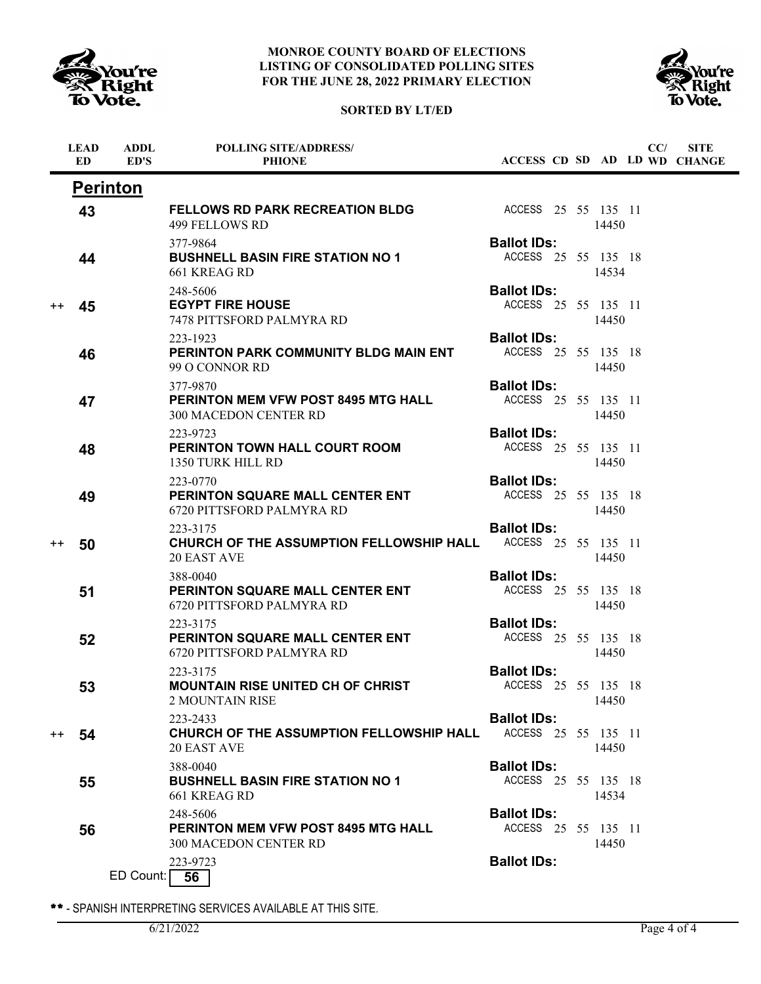

**ADDL**

**LEAD**

j,

### **MONROE COUNTY BOARD OF ELECTIONS LISTING OF CONSOLIDATED POLLING SITES FOR THE JUNE 28, 2022 PRIMARY ELECTION**



**POLLING SITE/ADDRESS/**



**SITE**

**CC/**

|                  | ED. | ED'S            | <b>PHIONE</b>                                                                   |                                           |  |       | ACCESS CD SD AD LD WD CHANGE |
|------------------|-----|-----------------|---------------------------------------------------------------------------------|-------------------------------------------|--|-------|------------------------------|
|                  |     | <b>Perinton</b> |                                                                                 |                                           |  |       |                              |
|                  | 43  |                 | <b>FELLOWS RD PARK RECREATION BLDG</b><br>499 FELLOWS RD                        | ACCESS 25 55 135 11                       |  | 14450 |                              |
|                  | 44  |                 | 377-9864<br><b>BUSHNELL BASIN FIRE STATION NO 1</b><br>661 KREAG RD             | <b>Ballot IDs:</b><br>ACCESS 25 55 135 18 |  | 14534 |                              |
| $^{\mathrm{++}}$ | 45  |                 | 248-5606<br><b>EGYPT FIRE HOUSE</b><br>7478 PITTSFORD PALMYRA RD                | <b>Ballot IDs:</b><br>ACCESS 25 55 135 11 |  | 14450 |                              |
|                  | 46  |                 | 223-1923<br>PERINTON PARK COMMUNITY BLDG MAIN ENT<br>99 O CONNOR RD             | <b>Ballot IDs:</b><br>ACCESS 25 55 135 18 |  | 14450 |                              |
|                  | 47  |                 | 377-9870<br><b>PERINTON MEM VFW POST 8495 MTG HALL</b><br>300 MACEDON CENTER RD | <b>Ballot IDs:</b><br>ACCESS 25 55 135 11 |  | 14450 |                              |
|                  | 48  |                 | 223-9723<br><b>PERINTON TOWN HALL COURT ROOM</b><br>1350 TURK HILL RD           | <b>Ballot IDs:</b><br>ACCESS 25 55 135 11 |  | 14450 |                              |
|                  | 49  |                 | 223-0770<br><b>PERINTON SQUARE MALL CENTER ENT</b><br>6720 PITTSFORD PALMYRA RD | <b>Ballot IDs:</b><br>ACCESS 25 55 135 18 |  | 14450 |                              |
| $^{\mathrm{+}}$  | 50  |                 | 223-3175<br>CHURCH OF THE ASSUMPTION FELLOWSHIP HALL<br><b>20 EAST AVE</b>      | <b>Ballot IDs:</b><br>ACCESS 25 55 135 11 |  | 14450 |                              |
|                  | 51  |                 | 388-0040<br>PERINTON SQUARE MALL CENTER ENT<br>6720 PITTSFORD PALMYRA RD        | <b>Ballot IDs:</b><br>ACCESS 25 55 135 18 |  | 14450 |                              |
|                  | 52  |                 | 223-3175<br>PERINTON SQUARE MALL CENTER ENT<br>6720 PITTSFORD PALMYRA RD        | <b>Ballot IDs:</b><br>ACCESS 25 55 135 18 |  | 14450 |                              |
|                  | 53  |                 | 223-3175<br><b>MOUNTAIN RISE UNITED CH OF CHRIST</b><br><b>2 MOUNTAIN RISE</b>  | <b>Ballot IDs:</b><br>ACCESS 25 55 135 18 |  | 14450 |                              |
| $^{++}$          | 54  |                 | 223-2433<br>CHURCH OF THE ASSUMPTION FELLOWSHIP HALL<br>20 EAST AVE             | <b>Ballot IDs:</b><br>ACCESS 25 55 135 11 |  | 14450 |                              |
|                  | 55  |                 | 388-0040<br><b>BUSHNELL BASIN FIRE STATION NO 1</b><br>661 KREAG RD             | <b>Ballot IDs:</b><br>ACCESS 25 55 135 18 |  | 14534 |                              |
|                  | 56  |                 | 248-5606<br><b>PERINTON MEM VFW POST 8495 MTG HALL</b><br>300 MACEDON CENTER RD | <b>Ballot IDs:</b><br>ACCESS 25 55 135 11 |  | 14450 |                              |
|                  |     | ED Count:       | 223-9723<br>56                                                                  | <b>Ballot IDs:</b>                        |  |       |                              |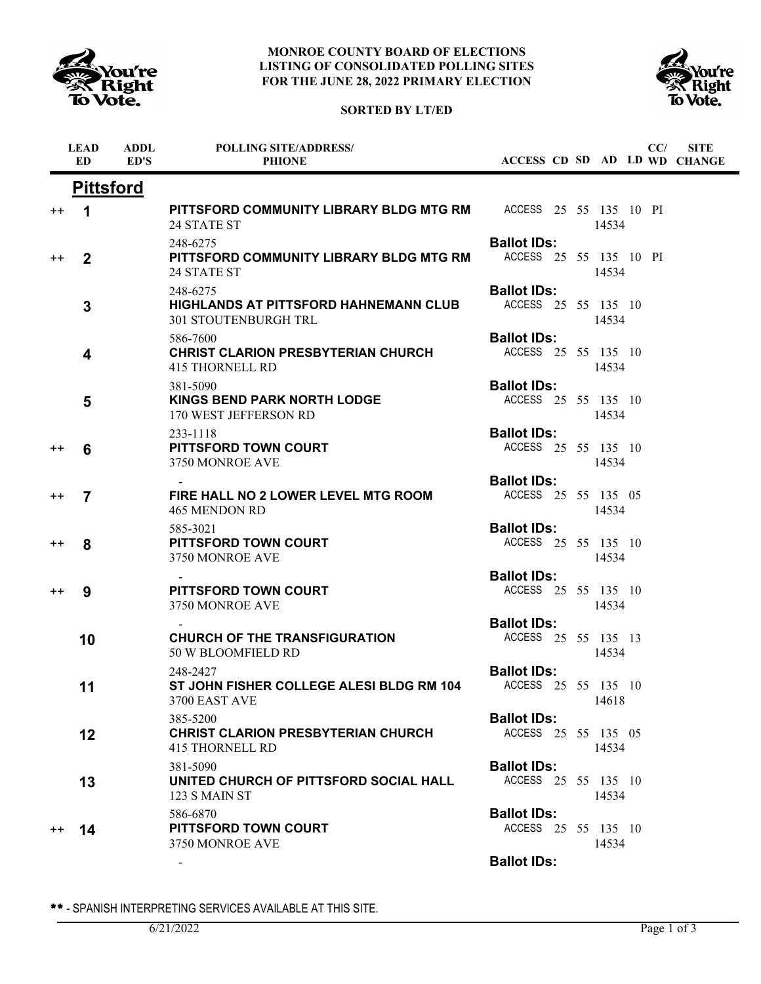





|                                   |                                                                                         |                                              |       |  | ACCESS CD SD AD LD WD CHANGE |
|-----------------------------------|-----------------------------------------------------------------------------------------|----------------------------------------------|-------|--|------------------------------|
| <b>Pittsford</b>                  |                                                                                         |                                              |       |  |                              |
| 1<br>$^{\mathrm{+}}$              | <b>PITTSFORD COMMUNITY LIBRARY BLDG MTG RM ACCESS 25 55 135 10 PI</b><br>24 STATE ST    |                                              | 14534 |  |                              |
| $\mathbf{2}$<br>$^{\mathrm{+}}$   | 248-6275<br>PITTSFORD COMMUNITY LIBRARY BLDG MTG RM<br>24 STATE ST                      | <b>Ballot IDs:</b><br>ACCESS 25 55 135 10 PI | 14534 |  |                              |
| 3                                 | 248-6275<br><b>HIGHLANDS AT PITTSFORD HAHNEMANN CLUB</b><br><b>301 STOUTENBURGH TRL</b> | <b>Ballot IDs:</b><br>ACCESS 25 55 135 10    | 14534 |  |                              |
| 4                                 | 586-7600<br><b>CHRIST CLARION PRESBYTERIAN CHURCH</b><br><b>415 THORNELL RD</b>         | <b>Ballot IDs:</b><br>ACCESS 25 55 135 10    | 14534 |  |                              |
| 5                                 | 381-5090<br><b>KINGS BEND PARK NORTH LODGE</b><br>170 WEST JEFFERSON RD                 | <b>Ballot IDs:</b><br>ACCESS 25 55 135 10    | 14534 |  |                              |
| 6<br>$^{\mathrm{+}}$              | 233-1118<br><b>PITTSFORD TOWN COURT</b><br>3750 MONROE AVE                              | <b>Ballot IDs:</b><br>ACCESS 25 55 135 10    | 14534 |  |                              |
| $\overline{7}$<br>$^{\mathrm{+}}$ | FIRE HALL NO 2 LOWER LEVEL MTG ROOM<br>465 MENDON RD                                    | <b>Ballot IDs:</b><br>ACCESS 25 55 135 05    | 14534 |  |                              |
| 8<br>$^{\mathrm{+}}$              | 585-3021<br><b>PITTSFORD TOWN COURT</b><br>3750 MONROE AVE                              | <b>Ballot IDs:</b><br>ACCESS 25 55 135 10    | 14534 |  |                              |
| 9<br>$^{\mathrm{+}}$              | <b>PITTSFORD TOWN COURT</b><br>3750 MONROE AVE                                          | <b>Ballot IDs:</b><br>ACCESS 25 55 135 10    | 14534 |  |                              |
| 10                                | <b>CHURCH OF THE TRANSFIGURATION</b><br>50 W BLOOMFIELD RD                              | <b>Ballot IDs:</b><br>ACCESS 25 55 135 13    | 14534 |  |                              |
| 11                                | 248-2427<br>ST JOHN FISHER COLLEGE ALESI BLDG RM 104<br>3700 EAST AVE                   | <b>Ballot IDs:</b><br>ACCESS 25 55 135 10    | 14618 |  |                              |
| 12                                | 385-5200<br><b>CHRIST CLARION PRESBYTERIAN CHURCH</b><br><b>415 THORNELL RD</b>         | <b>Ballot IDs:</b><br>ACCESS 25 55 135 05    | 14534 |  |                              |
| 13                                | 381-5090<br>UNITED CHURCH OF PITTSFORD SOCIAL HALL<br>123 S MAIN ST                     | <b>Ballot IDs:</b><br>ACCESS 25 55 135 10    | 14534 |  |                              |
| $^{\mathrm{+}}$<br>14             | 586-6870<br>PITTSFORD TOWN COURT<br>3750 MONROE AVE                                     | <b>Ballot IDs:</b><br>ACCESS 25 55 135 10    | 14534 |  |                              |
|                                   |                                                                                         | <b>Ballot IDs:</b>                           |       |  |                              |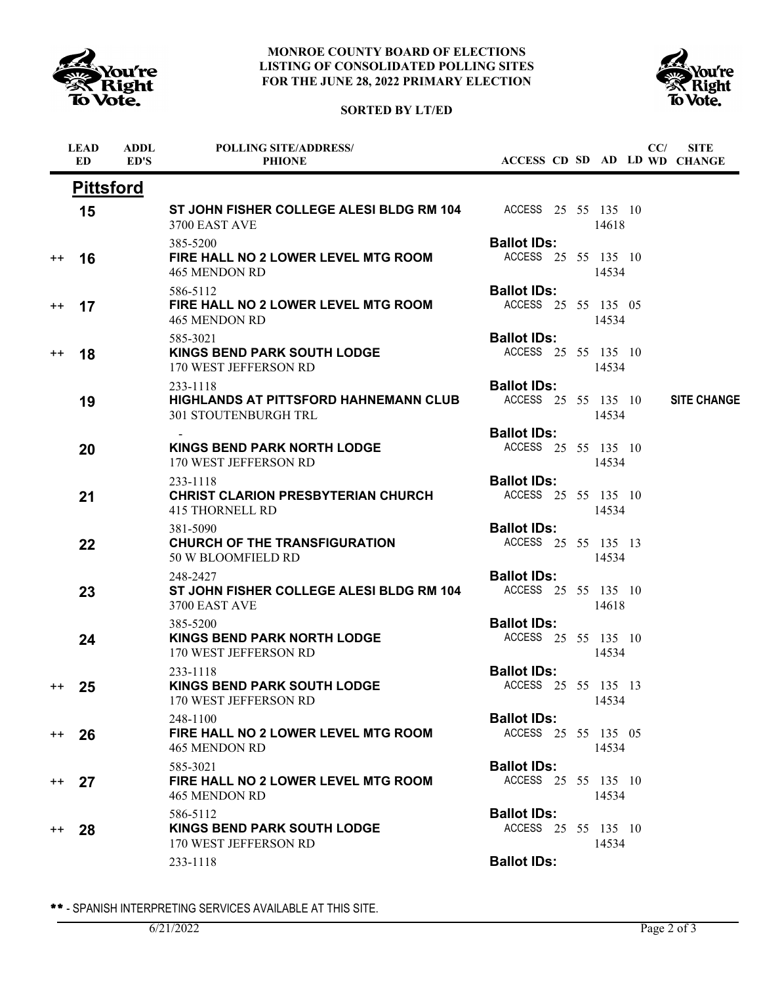

## **MONROE COUNTY BOARD OF ELECTIONS LISTING OF CONSOLIDATED POLLING SITES FOR THE JUNE 28, 2022 PRIMARY ELECTION**





|                  | <b>LEAD</b><br>ED. | <b>ADDL</b><br>ED'S | <b>POLLING SITE/ADDRESS/</b><br><b>PHIONE</b>                                    | ACCESS CD SD AD LD WD CHANGE              |       | CC/ | <b>SITE</b>        |
|------------------|--------------------|---------------------|----------------------------------------------------------------------------------|-------------------------------------------|-------|-----|--------------------|
|                  | <b>Pittsford</b>   |                     |                                                                                  |                                           |       |     |                    |
|                  | 15                 |                     | ST JOHN FISHER COLLEGE ALESI BLDG RM 104 ACCESS 25 55 135 10<br>3700 EAST AVE    |                                           | 14618 |     |                    |
| $^{\mathrm{++}}$ | 16                 |                     | 385-5200<br>FIRE HALL NO 2 LOWER LEVEL MTG ROOM<br><b>465 MENDON RD</b>          | <b>Ballot IDs:</b><br>ACCESS 25 55 135 10 | 14534 |     |                    |
| $^{\mathrm{+}}$  | 17                 |                     | 586-5112<br>FIRE HALL NO 2 LOWER LEVEL MTG ROOM<br>465 MENDON RD                 | <b>Ballot IDs:</b><br>ACCESS 25 55 135 05 | 14534 |     |                    |
| $^{++}$          | 18                 |                     | 585-3021<br><b>KINGS BEND PARK SOUTH LODGE</b><br>170 WEST JEFFERSON RD          | <b>Ballot IDs:</b><br>ACCESS 25 55 135 10 | 14534 |     |                    |
|                  | 19                 |                     | 233-1118<br>HIGHLANDS AT PITTSFORD HAHNEMANN CLUB<br><b>301 STOUTENBURGH TRL</b> | <b>Ballot IDs:</b><br>ACCESS 25 55 135 10 | 14534 |     | <b>SITE CHANGE</b> |
|                  | 20                 |                     | <b>KINGS BEND PARK NORTH LODGE</b><br>170 WEST JEFFERSON RD                      | <b>Ballot IDs:</b><br>ACCESS 25 55 135 10 | 14534 |     |                    |
|                  | 21                 |                     | 233-1118<br><b>CHRIST CLARION PRESBYTERIAN CHURCH</b><br><b>415 THORNELL RD</b>  | <b>Ballot IDs:</b><br>ACCESS 25 55 135 10 | 14534 |     |                    |
|                  | 22                 |                     | 381-5090<br><b>CHURCH OF THE TRANSFIGURATION</b><br>50 W BLOOMFIELD RD           | <b>Ballot IDs:</b><br>ACCESS 25 55 135 13 | 14534 |     |                    |
|                  | 23                 |                     | 248-2427<br>ST JOHN FISHER COLLEGE ALESI BLDG RM 104<br>3700 EAST AVE            | <b>Ballot IDs:</b><br>ACCESS 25 55 135 10 | 14618 |     |                    |
|                  | 24                 |                     | 385-5200<br><b>KINGS BEND PARK NORTH LODGE</b><br>170 WEST JEFFERSON RD          | <b>Ballot IDs:</b><br>ACCESS 25 55 135 10 | 14534 |     |                    |
| $^{\mathrm{+}}$  | 25                 |                     | 233-1118<br><b>KINGS BEND PARK SOUTH LODGE</b><br>170 WEST JEFFERSON RD          | <b>Ballot IDs:</b><br>ACCESS 25 55 135 13 | 14534 |     |                    |
| $++$             | 26                 |                     | 248-1100<br>FIRE HALL NO 2 LOWER LEVEL MTG ROOM<br><b>465 MENDON RD</b>          | <b>Ballot IDs:</b><br>ACCESS 25 55 135 05 | 14534 |     |                    |
| $^{++}$          | 27                 |                     | 585-3021<br>FIRE HALL NO 2 LOWER LEVEL MTG ROOM<br>465 MENDON RD                 | <b>Ballot IDs:</b><br>ACCESS 25 55 135 10 | 14534 |     |                    |
| $^{++}$          | 28                 |                     | 586-5112<br><b>KINGS BEND PARK SOUTH LODGE</b><br>170 WEST JEFFERSON RD          | <b>Ballot IDs:</b><br>ACCESS 25 55 135 10 | 14534 |     |                    |
|                  |                    |                     | 233-1118                                                                         | <b>Ballot IDs:</b>                        |       |     |                    |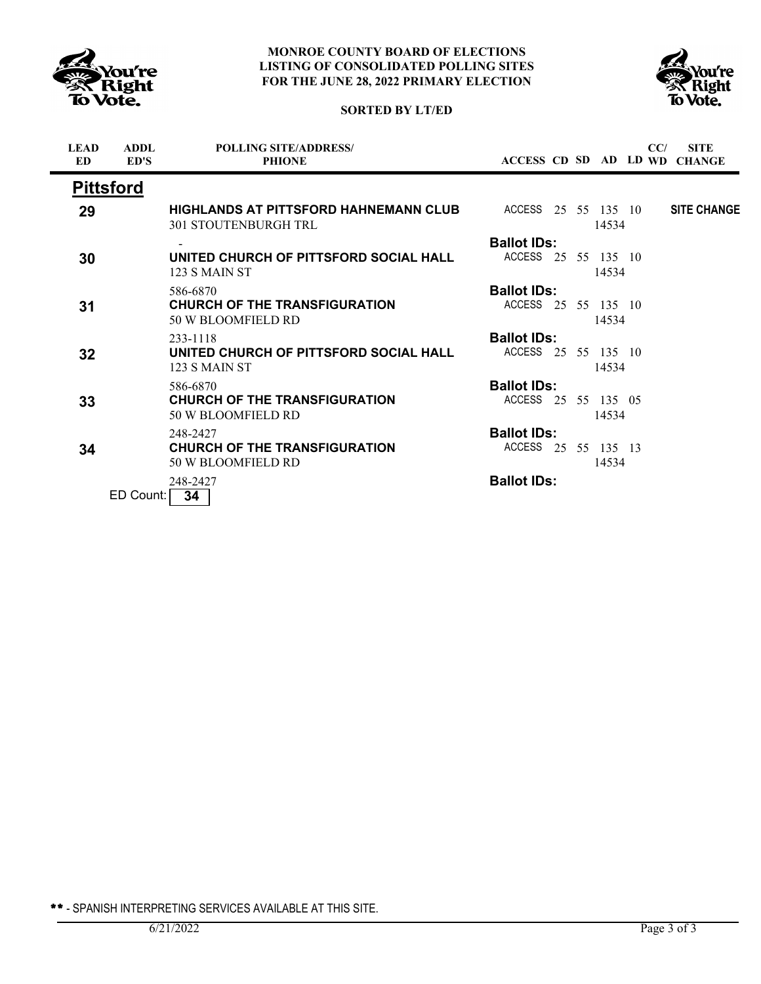



## **SORTED BY LT/ED**

| <b>LEAD</b><br><b>ED</b> | <b>ADDL</b><br>ED'S | <b>POLLING SITE/ADDRESS/</b><br><b>PHIONE</b>                                                   |                     |  |       | CC/ | <b>SITE</b><br>ACCESS CD SD AD LD WD CHANGE |
|--------------------------|---------------------|-------------------------------------------------------------------------------------------------|---------------------|--|-------|-----|---------------------------------------------|
|                          | <b>Pittsford</b>    |                                                                                                 |                     |  |       |     |                                             |
| 29                       |                     | <b>HIGHLANDS AT PITTSFORD HAHNEMANN CLUB</b> ACCESS 25 55 135 10<br><b>301 STOUTENBURGH TRL</b> |                     |  | 14534 |     | <b>SITE CHANGE</b>                          |
|                          |                     |                                                                                                 | <b>Ballot IDs:</b>  |  |       |     |                                             |
| 30                       |                     | UNITED CHURCH OF PITTSFORD SOCIAL HALL<br>123 S MAIN ST                                         | ACCESS 25 55 135 10 |  | 14534 |     |                                             |
|                          |                     | 586-6870                                                                                        | <b>Ballot IDs:</b>  |  |       |     |                                             |
| 31                       |                     | <b>CHURCH OF THE TRANSFIGURATION</b><br>50 W BLOOMFIELD RD                                      | ACCESS 25 55 135 10 |  | 14534 |     |                                             |
|                          |                     | 233-1118                                                                                        | <b>Ballot IDs:</b>  |  |       |     |                                             |
| 32                       |                     | UNITED CHURCH OF PITTSFORD SOCIAL HALL<br>123 S MAIN ST                                         | ACCESS 25 55 135 10 |  | 14534 |     |                                             |
|                          |                     | 586-6870                                                                                        | <b>Ballot IDs:</b>  |  |       |     |                                             |
| 33                       |                     | <b>CHURCH OF THE TRANSFIGURATION</b><br>50 W BLOOMFIELD RD                                      | ACCESS 25 55 135 05 |  | 14534 |     |                                             |
|                          |                     | 248-2427                                                                                        | <b>Ballot IDs:</b>  |  |       |     |                                             |
| 34                       |                     | <b>CHURCH OF THE TRANSFIGURATION</b><br>50 W BLOOMFIELD RD                                      | ACCESS 25 55 135 13 |  | 14534 |     |                                             |
|                          | ED Count:           | 248-2427<br>34                                                                                  | <b>Ballot IDs:</b>  |  |       |     |                                             |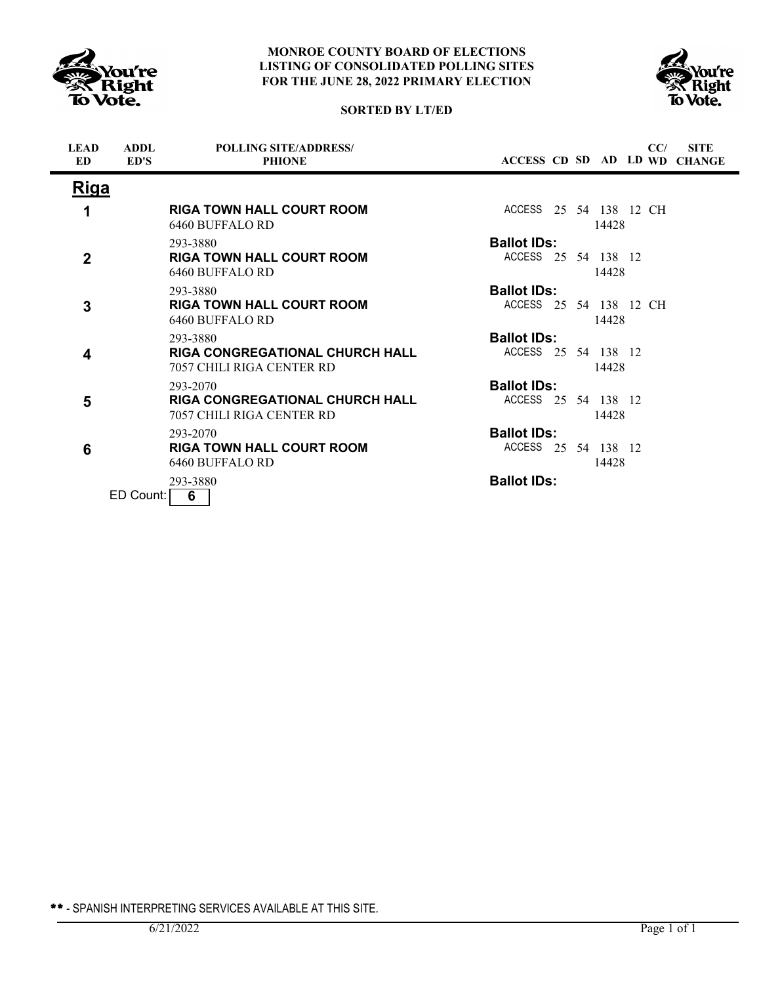





| <b>LEAD</b><br><b>ED</b> | <b>ADDL</b><br>ED'S | <b>POLLING SITE/ADDRESS/</b><br><b>PHIONE</b>                                   | <b>SITE</b><br>CC/<br>ACCESS CD SD AD LD WD CHANGE    |
|--------------------------|---------------------|---------------------------------------------------------------------------------|-------------------------------------------------------|
| Riga                     |                     |                                                                                 |                                                       |
| 1                        |                     | <b>RIGA TOWN HALL COURT ROOM</b><br>6460 BUFFALO RD                             | ACCESS 25 54 138 12 CH<br>14428                       |
| $\overline{2}$           |                     | 293-3880<br><b>RIGA TOWN HALL COURT ROOM</b><br>6460 BUFFALO RD                 | <b>Ballot IDs:</b><br>ACCESS 25 54 138 12<br>14428    |
| 3                        |                     | 293-3880<br><b>RIGA TOWN HALL COURT ROOM</b><br>6460 BUFFALO RD                 | <b>Ballot IDs:</b><br>ACCESS 25 54 138 12 CH<br>14428 |
| 4                        |                     | 293-3880<br><b>RIGA CONGREGATIONAL CHURCH HALL</b><br>7057 CHILI RIGA CENTER RD | <b>Ballot IDs:</b><br>ACCESS 25 54 138 12<br>14428    |
| 5                        |                     | 293-2070<br><b>RIGA CONGREGATIONAL CHURCH HALL</b><br>7057 CHILI RIGA CENTER RD | <b>Ballot IDs:</b><br>ACCESS 25 54 138 12<br>14428    |
| 6                        |                     | 293-2070<br><b>RIGA TOWN HALL COURT ROOM</b><br>6460 BUFFALO RD                 | <b>Ballot IDs:</b><br>ACCESS 25 54 138 12<br>14428    |
|                          | ED Count:           | 293-3880<br>6                                                                   | <b>Ballot IDs:</b>                                    |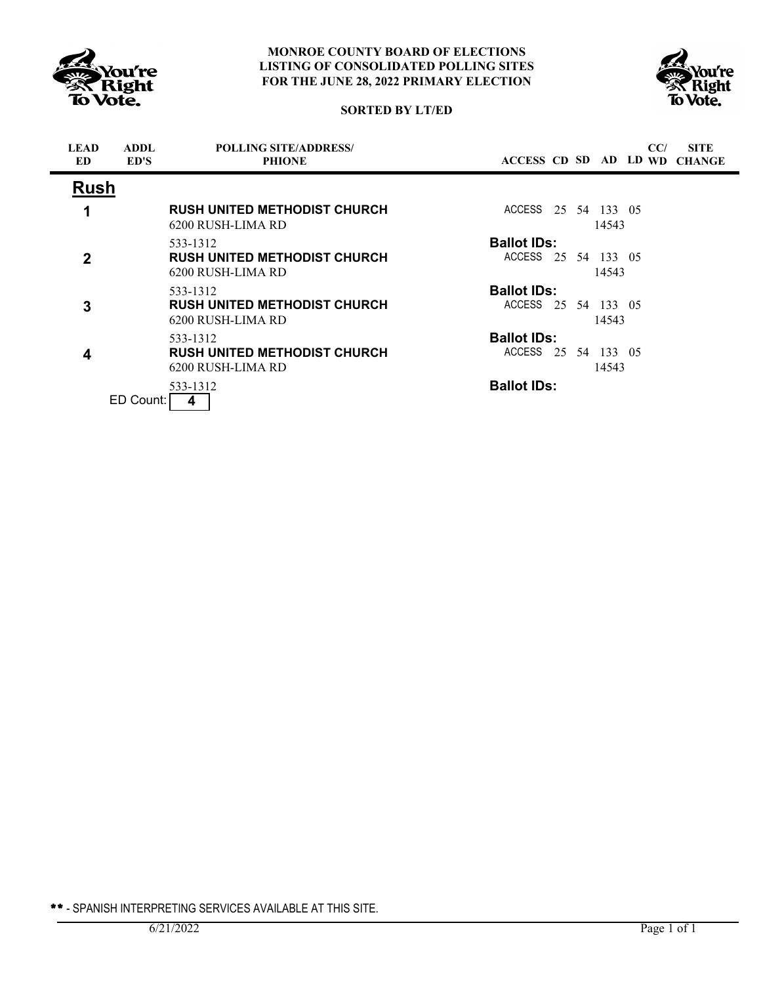





| <b>LEAD</b><br><b>ED</b> | <b>ADDL</b><br>ED'S | <b>POLLING SITE/ADDRESS/</b><br><b>PHIONE</b>                        | CC/<br><b>SITE</b><br>ACCESS CD SD AD LD WD CHANGE |  |
|--------------------------|---------------------|----------------------------------------------------------------------|----------------------------------------------------|--|
| <b>Rush</b>              |                     |                                                                      |                                                    |  |
|                          |                     | <b>RUSH UNITED METHODIST CHURCH</b><br>6200 RUSH-LIMA RD             | ACCESS 25 54 133 05<br>14543                       |  |
| $\mathbf{2}$             |                     | 533-1312<br><b>RUSH UNITED METHODIST CHURCH</b><br>6200 RUSH-LIMA RD | <b>Ballot IDs:</b><br>ACCESS 25 54 133 05<br>14543 |  |
| 3                        |                     | 533-1312<br><b>RUSH UNITED METHODIST CHURCH</b><br>6200 RUSH-LIMA RD | <b>Ballot IDs:</b><br>ACCESS 25 54 133 05<br>14543 |  |
| 4                        |                     | 533-1312<br><b>RUSH UNITED METHODIST CHURCH</b><br>6200 RUSH-LIMA RD | <b>Ballot IDs:</b><br>ACCESS 25 54 133 05<br>14543 |  |
|                          | ED Count:           | 533-1312<br>4                                                        | <b>Ballot IDs:</b>                                 |  |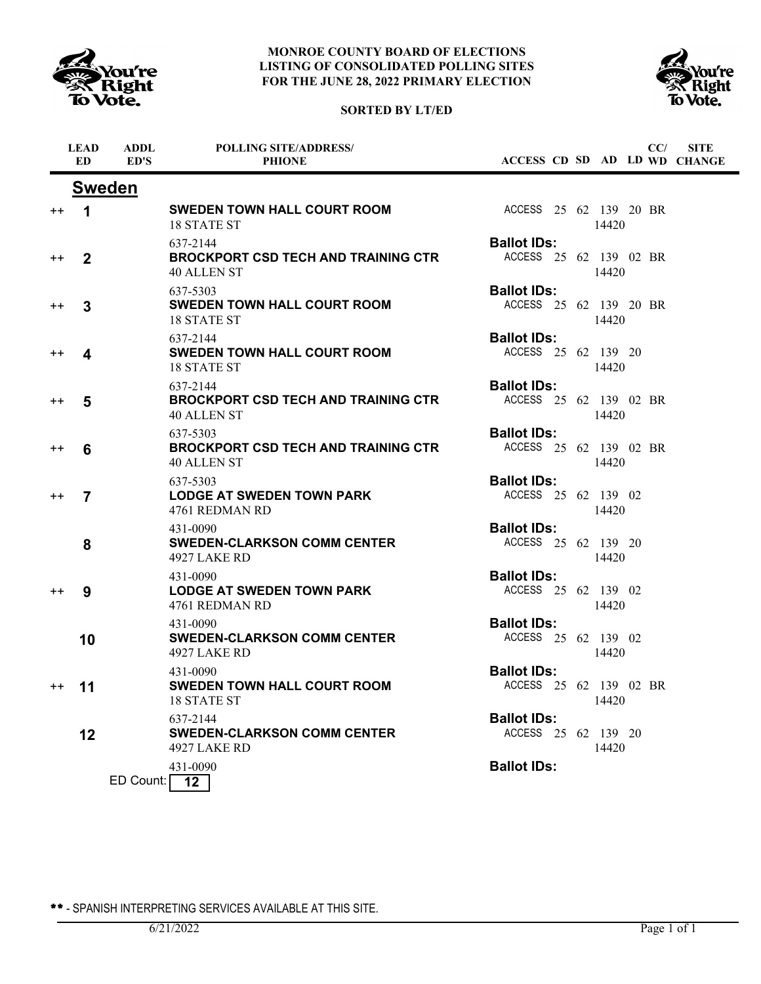

# **SORTED BY LT/ED**



|                 | <b>LEAD</b><br><b>ED</b> | <b>ADDL</b><br>ED'S | POLLING SITE/ADDRESS/<br><b>PHIONE</b>                                       | ACCESS CD SD AD LD WD CHANGE                 |       | CC/ | <b>SITE</b> |
|-----------------|--------------------------|---------------------|------------------------------------------------------------------------------|----------------------------------------------|-------|-----|-------------|
|                 |                          | <b>Sweden</b>       |                                                                              |                                              |       |     |             |
| $++$            | $\mathbf 1$              |                     | <b>SWEDEN TOWN HALL COURT ROOM</b><br>18 STATE ST                            | ACCESS 25 62 139 20 BR                       | 14420 |     |             |
| $^{\mathrm{+}}$ | $\mathbf{2}$             |                     | 637-2144<br><b>BROCKPORT CSD TECH AND TRAINING CTR</b><br>40 ALLEN ST        | <b>Ballot IDs:</b><br>ACCESS 25 62 139 02 BR | 14420 |     |             |
| $^{++}$         | 3                        |                     | 637-5303<br><b>SWEDEN TOWN HALL COURT ROOM</b><br>18 STATE ST                | <b>Ballot IDs:</b><br>ACCESS 25 62 139 20 BR | 14420 |     |             |
| $^{++}$         | 4                        |                     | 637-2144<br><b>SWEDEN TOWN HALL COURT ROOM</b><br>18 STATE ST                | <b>Ballot IDs:</b><br>ACCESS 25 62 139 20    | 14420 |     |             |
| $++$            | 5                        |                     | 637-2144<br><b>BROCKPORT CSD TECH AND TRAINING CTR</b><br><b>40 ALLEN ST</b> | <b>Ballot IDs:</b><br>ACCESS 25 62 139 02 BR | 14420 |     |             |
| $^{++}$         | 6                        |                     | 637-5303<br><b>BROCKPORT CSD TECH AND TRAINING CTR</b><br>40 ALLEN ST        | <b>Ballot IDs:</b><br>ACCESS 25 62 139 02 BR | 14420 |     |             |
| $++$            | 7                        |                     | 637-5303<br><b>LODGE AT SWEDEN TOWN PARK</b><br>4761 REDMAN RD               | <b>Ballot IDs:</b><br>ACCESS 25 62 139 02    | 14420 |     |             |
|                 | 8                        |                     | 431-0090<br><b>SWEDEN-CLARKSON COMM CENTER</b><br>4927 LAKE RD               | <b>Ballot IDs:</b><br>ACCESS 25 62 139 20    | 14420 |     |             |
| $++$            | 9                        |                     | 431-0090<br><b>LODGE AT SWEDEN TOWN PARK</b><br>4761 REDMAN RD               | <b>Ballot IDs:</b><br>ACCESS 25 62 139 02    | 14420 |     |             |
|                 | 10                       |                     | 431-0090<br><b>SWEDEN-CLARKSON COMM CENTER</b><br>4927 LAKE RD               | <b>Ballot IDs:</b><br>ACCESS 25 62 139 02    | 14420 |     |             |
| $++$            | 11                       |                     | 431-0090<br><b>SWEDEN TOWN HALL COURT ROOM</b><br>18 STATE ST                | <b>Ballot IDs:</b><br>ACCESS 25 62 139 02 BR | 14420 |     |             |
|                 | 12                       |                     | 637-2144<br><b>SWEDEN-CLARKSON COMM CENTER</b><br>4927 LAKE RD               | <b>Ballot IDs:</b><br>ACCESS 25 62 139 20    | 14420 |     |             |
|                 |                          | ED Count:           | 431-0090<br>$\overline{12}$                                                  | <b>Ballot IDs:</b>                           |       |     |             |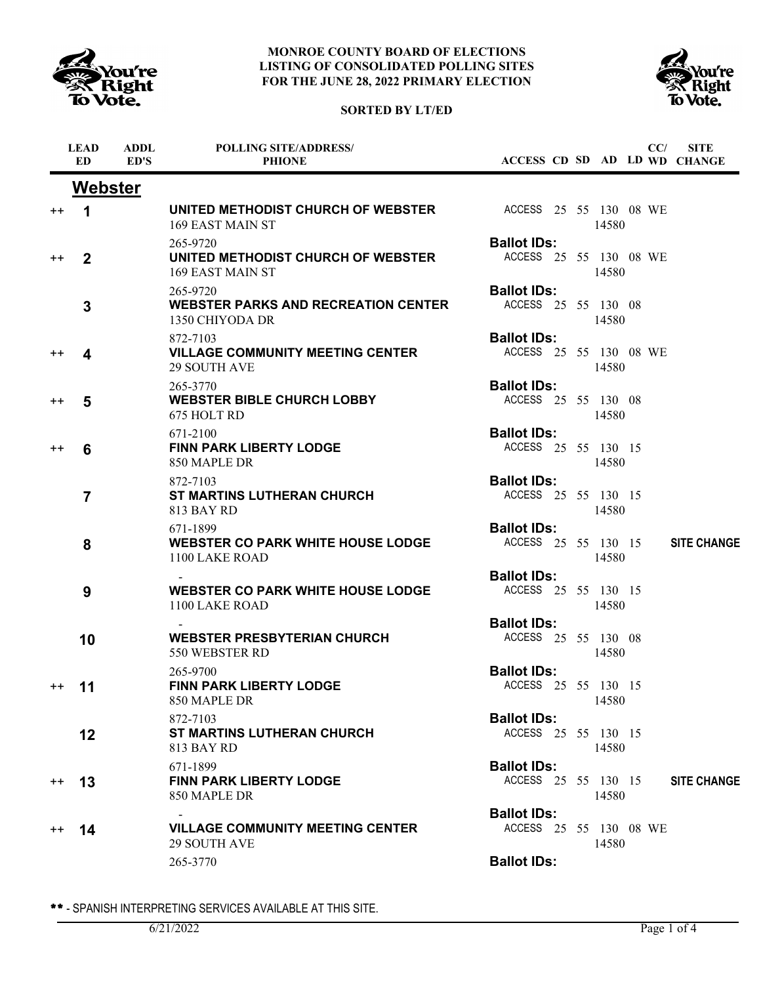





|                 | <b>LEAD</b><br><b>ED</b> | <b>ADDL</b><br>ED'S | <b>POLLING SITE/ADDRESS/</b><br><b>PHIONE</b>                              | ACCESS CD SD AD LD WD CHANGE                 |  |       | CC/ | <b>SITE</b>        |
|-----------------|--------------------------|---------------------|----------------------------------------------------------------------------|----------------------------------------------|--|-------|-----|--------------------|
|                 | <b>Webster</b>           |                     |                                                                            |                                              |  |       |     |                    |
| $^{\mathrm{+}}$ | $\blacktriangleleft$     |                     | UNITED METHODIST CHURCH OF WEBSTER<br>169 EAST MAIN ST                     | ACCESS 25 55 130 08 WE                       |  | 14580 |     |                    |
| $^{\mathrm{+}}$ | $\overline{2}$           |                     | 265-9720<br>UNITED METHODIST CHURCH OF WEBSTER<br>169 EAST MAIN ST         | <b>Ballot IDs:</b><br>ACCESS 25 55 130 08 WE |  | 14580 |     |                    |
|                 | 3                        |                     | 265-9720<br><b>WEBSTER PARKS AND RECREATION CENTER</b><br>1350 CHIYODA DR  | <b>Ballot IDs:</b><br>ACCESS 25 55 130 08    |  | 14580 |     |                    |
| $^{\mathrm{+}}$ | 4                        |                     | 872-7103<br><b>VILLAGE COMMUNITY MEETING CENTER</b><br><b>29 SOUTH AVE</b> | <b>Ballot IDs:</b><br>ACCESS 25 55 130 08 WE |  | 14580 |     |                    |
| $^{\mathrm{+}}$ | 5                        |                     | 265-3770<br><b>WEBSTER BIBLE CHURCH LOBBY</b><br>675 HOLT RD               | <b>Ballot IDs:</b><br>ACCESS 25 55 130 08    |  | 14580 |     |                    |
| $^{\mathrm{+}}$ | 6                        |                     | 671-2100<br><b>FINN PARK LIBERTY LODGE</b><br>850 MAPLE DR                 | <b>Ballot IDs:</b><br>ACCESS 25 55 130 15    |  | 14580 |     |                    |
|                 | $\overline{7}$           |                     | 872-7103<br><b>ST MARTINS LUTHERAN CHURCH</b><br>813 BAY RD                | <b>Ballot IDs:</b><br>ACCESS 25 55 130 15    |  | 14580 |     |                    |
|                 | 8                        |                     | 671-1899<br><b>WEBSTER CO PARK WHITE HOUSE LODGE</b><br>1100 LAKE ROAD     | <b>Ballot IDs:</b><br>ACCESS 25 55 130 15    |  | 14580 |     | <b>SITE CHANGE</b> |
|                 | 9                        |                     | <b>WEBSTER CO PARK WHITE HOUSE LODGE</b><br>1100 LAKE ROAD                 | <b>Ballot IDs:</b><br>ACCESS 25 55 130 15    |  | 14580 |     |                    |
|                 | 10                       |                     | <b>WEBSTER PRESBYTERIAN CHURCH</b><br>550 WEBSTER RD                       | <b>Ballot IDs:</b><br>ACCESS 25 55 130 08    |  | 14580 |     |                    |
| $^{\mathrm{+}}$ | 11                       |                     | 265-9700<br><b>FINN PARK LIBERTY LODGE</b><br>850 MAPLE DR                 | <b>Ballot IDs:</b><br>ACCESS 25 55 130 15    |  | 14580 |     |                    |
|                 | 12                       |                     | 872-7103<br><b>ST MARTINS LUTHERAN CHURCH</b><br>813 BAY RD                | <b>Ballot IDs:</b><br>ACCESS 25 55 130 15    |  | 14580 |     |                    |
| $^{++}$         | 13                       |                     | 671-1899<br><b>FINN PARK LIBERTY LODGE</b><br>850 MAPLE DR                 | <b>Ballot IDs:</b><br>ACCESS 25 55 130 15    |  | 14580 |     | <b>SITE CHANGE</b> |
| $^{++}$         | 14                       |                     | <b>VILLAGE COMMUNITY MEETING CENTER</b><br><b>29 SOUTH AVE</b>             | <b>Ballot IDs:</b><br>ACCESS 25 55 130 08 WE |  | 14580 |     |                    |
|                 |                          |                     | 265-3770                                                                   | <b>Ballot IDs:</b>                           |  |       |     |                    |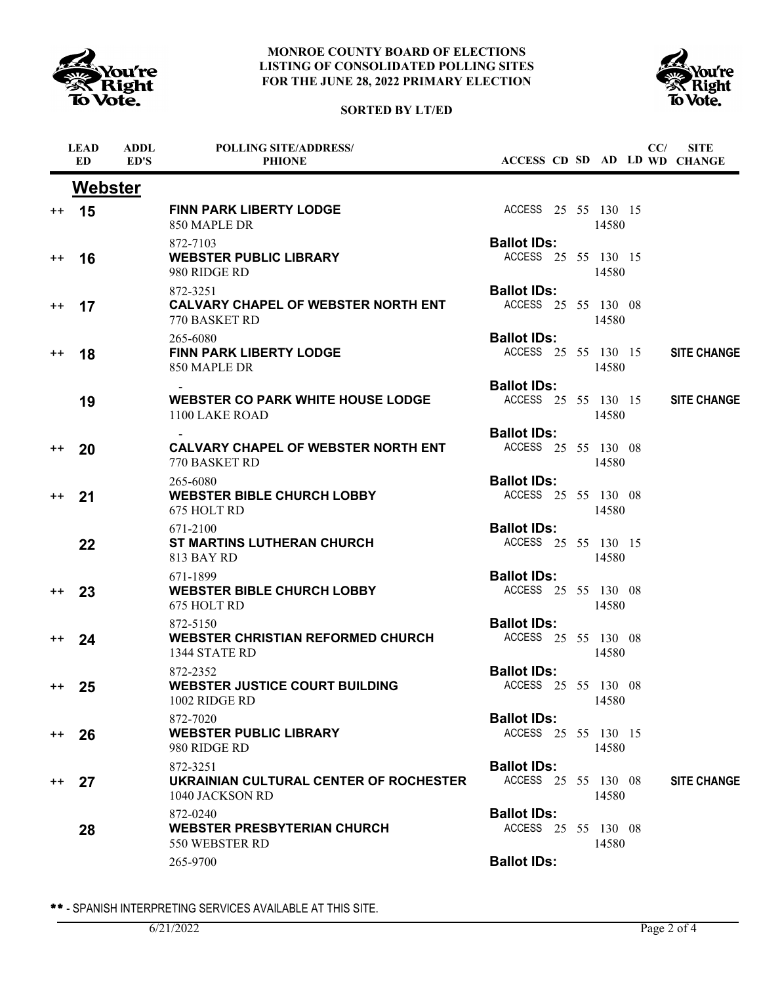





|         | <b>LEAD</b><br><b>ED</b> | <b>ADDL</b><br>ED'S | <b>POLLING SITE/ADDRESS/</b><br><b>PHIONE</b>                           | ACCESS CD SD AD LD WD CHANGE              |  |       | CC/ | <b>SITE</b>        |
|---------|--------------------------|---------------------|-------------------------------------------------------------------------|-------------------------------------------|--|-------|-----|--------------------|
|         | <b>Webster</b>           |                     |                                                                         |                                           |  |       |     |                    |
|         | $++$ 15                  |                     | <b>FINN PARK LIBERTY LODGE</b><br>850 MAPLE DR                          | ACCESS 25 55 130 15                       |  | 14580 |     |                    |
| $^{++}$ | 16                       |                     | 872-7103<br><b>WEBSTER PUBLIC LIBRARY</b><br>980 RIDGE RD               | <b>Ballot IDs:</b><br>ACCESS 25 55 130 15 |  | 14580 |     |                    |
| $^{++}$ | 17                       |                     | 872-3251<br><b>CALVARY CHAPEL OF WEBSTER NORTH ENT</b><br>770 BASKET RD | <b>Ballot IDs:</b><br>ACCESS 25 55 130 08 |  | 14580 |     |                    |
| $^{++}$ | 18                       |                     | 265-6080<br><b>FINN PARK LIBERTY LODGE</b><br>850 MAPLE DR              | <b>Ballot IDs:</b><br>ACCESS 25 55 130 15 |  | 14580 |     | <b>SITE CHANGE</b> |
|         | 19                       |                     | <b>WEBSTER CO PARK WHITE HOUSE LODGE</b><br>1100 LAKE ROAD              | <b>Ballot IDs:</b><br>ACCESS 25 55 130 15 |  | 14580 |     | <b>SITE CHANGE</b> |
| $++$    | 20                       |                     | <b>CALVARY CHAPEL OF WEBSTER NORTH ENT</b><br>770 BASKET RD             | <b>Ballot IDs:</b><br>ACCESS 25 55 130 08 |  | 14580 |     |                    |
| $^{++}$ | 21                       |                     | 265-6080<br><b>WEBSTER BIBLE CHURCH LOBBY</b><br>675 HOLT RD            | <b>Ballot IDs:</b><br>ACCESS 25 55 130 08 |  | 14580 |     |                    |
|         | 22                       |                     | 671-2100<br><b>ST MARTINS LUTHERAN CHURCH</b><br>813 BAY RD             | <b>Ballot IDs:</b><br>ACCESS 25 55 130 15 |  | 14580 |     |                    |
| $^{++}$ | 23                       |                     | 671-1899<br><b>WEBSTER BIBLE CHURCH LOBBY</b><br>675 HOLT RD            | <b>Ballot IDs:</b><br>ACCESS 25 55 130 08 |  | 14580 |     |                    |
| $^{++}$ | 24                       |                     | 872-5150<br><b>WEBSTER CHRISTIAN REFORMED CHURCH</b><br>1344 STATE RD   | <b>Ballot IDs:</b><br>ACCESS 25 55 130 08 |  | 14580 |     |                    |
| $^{++}$ | 25                       |                     | 872-2352<br><b>WEBSTER JUSTICE COURT BUILDING</b><br>1002 RIDGE RD      | <b>Ballot IDs:</b><br>ACCESS 25 55 130 08 |  | 14580 |     |                    |
| $^{++}$ | 26                       |                     | 872-7020<br><b>WEBSTER PUBLIC LIBRARY</b><br>980 RIDGE RD               | <b>Ballot IDs:</b><br>ACCESS 25 55 130 15 |  | 14580 |     |                    |
| $^{++}$ | 27                       |                     | 872-3251<br>UKRAINIAN CULTURAL CENTER OF ROCHESTER<br>1040 JACKSON RD   | <b>Ballot IDs:</b><br>ACCESS 25 55 130 08 |  | 14580 |     | <b>SITE CHANGE</b> |
|         | 28                       |                     | 872-0240<br><b>WEBSTER PRESBYTERIAN CHURCH</b><br>550 WEBSTER RD        | <b>Ballot IDs:</b><br>ACCESS 25 55 130 08 |  | 14580 |     |                    |
|         |                          |                     | 265-9700                                                                | <b>Ballot IDs:</b>                        |  |       |     |                    |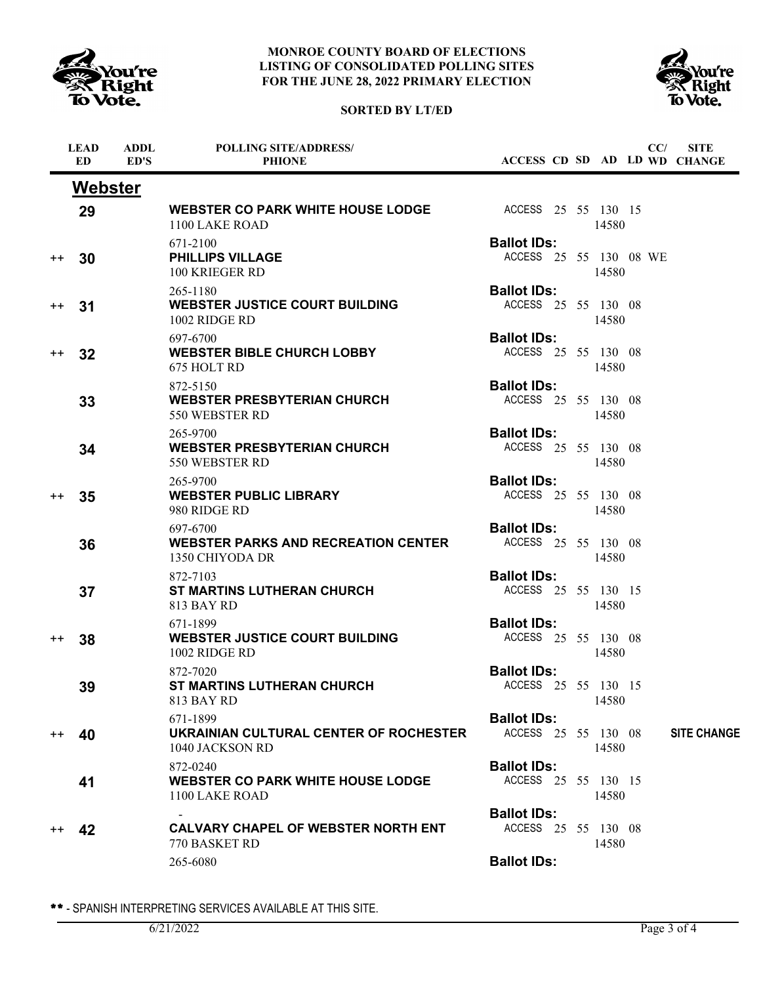





|                 | <b>LEAD</b><br>ED | <b>ADDL</b><br>ED'S | <b>POLLING SITE/ADDRESS/</b><br><b>PHIONE</b>                             |                                              |  |       | CC/ | <b>SITE</b><br>ACCESS CD SD AD LD WD CHANGE |
|-----------------|-------------------|---------------------|---------------------------------------------------------------------------|----------------------------------------------|--|-------|-----|---------------------------------------------|
|                 | <b>Webster</b>    |                     |                                                                           |                                              |  |       |     |                                             |
|                 | 29                |                     | <b>WEBSTER CO PARK WHITE HOUSE LODGE</b><br>1100 LAKE ROAD                | ACCESS 25 55 130 15                          |  | 14580 |     |                                             |
| $^{++}$         | 30                |                     | 671-2100<br><b>PHILLIPS VILLAGE</b><br>100 KRIEGER RD                     | <b>Ballot IDs:</b><br>ACCESS 25 55 130 08 WE |  | 14580 |     |                                             |
| $^{\mathrm{+}}$ | 31                |                     | 265-1180<br>WEBSTER JUSTICE COURT BUILDING<br>1002 RIDGE RD               | <b>Ballot IDs:</b><br>ACCESS 25 55 130 08    |  | 14580 |     |                                             |
| $^{++}$         | 32                |                     | 697-6700<br><b>WEBSTER BIBLE CHURCH LOBBY</b><br>675 HOLT RD              | <b>Ballot IDs:</b><br>ACCESS 25 55 130 08    |  | 14580 |     |                                             |
|                 | 33                |                     | 872-5150<br><b>WEBSTER PRESBYTERIAN CHURCH</b><br>550 WEBSTER RD          | <b>Ballot IDs:</b><br>ACCESS 25 55 130 08    |  | 14580 |     |                                             |
|                 | 34                |                     | 265-9700<br><b>WEBSTER PRESBYTERIAN CHURCH</b><br>550 WEBSTER RD          | <b>Ballot IDs:</b><br>ACCESS 25 55 130 08    |  | 14580 |     |                                             |
| $^{\mathrm{+}}$ | 35                |                     | 265-9700<br><b>WEBSTER PUBLIC LIBRARY</b><br>980 RIDGE RD                 | <b>Ballot IDs:</b><br>ACCESS 25 55 130 08    |  | 14580 |     |                                             |
|                 | 36                |                     | 697-6700<br><b>WEBSTER PARKS AND RECREATION CENTER</b><br>1350 CHIYODA DR | <b>Ballot IDs:</b><br>ACCESS 25 55 130 08    |  | 14580 |     |                                             |
|                 | 37                |                     | 872-7103<br><b>ST MARTINS LUTHERAN CHURCH</b><br>813 BAY RD               | <b>Ballot IDs:</b><br>ACCESS 25 55 130 15    |  | 14580 |     |                                             |
| $^{\mathrm{+}}$ | 38                |                     | 671-1899<br><b>WEBSTER JUSTICE COURT BUILDING</b><br>1002 RIDGE RD        | <b>Ballot IDs:</b><br>ACCESS 25 55 130 08    |  | 14580 |     |                                             |
|                 | 39                |                     | 872-7020<br><b>ST MARTINS LUTHERAN CHURCH</b><br>813 BAY RD               | <b>Ballot IDs:</b><br>ACCESS 25 55 130 15    |  | 14580 |     |                                             |
| $^{++}$         | 40                |                     | 671-1899<br>UKRAINIAN CULTURAL CENTER OF ROCHESTER<br>1040 JACKSON RD     | <b>Ballot IDs:</b><br>ACCESS 25 55 130 08    |  | 14580 |     | <b>SITE CHANGE</b>                          |
|                 | 41                |                     | 872-0240<br><b>WEBSTER CO PARK WHITE HOUSE LODGE</b><br>1100 LAKE ROAD    | <b>Ballot IDs:</b><br>ACCESS 25 55 130 15    |  | 14580 |     |                                             |
| $^{\mathrm{+}}$ | 42                |                     | <b>CALVARY CHAPEL OF WEBSTER NORTH ENT</b><br>770 BASKET RD               | <b>Ballot IDs:</b><br>ACCESS 25 55 130 08    |  | 14580 |     |                                             |
|                 |                   |                     | 265-6080                                                                  | <b>Ballot IDs:</b>                           |  |       |     |                                             |

\*\* - SPANISH INTERPRETING SERVICES AVAILABLE AT THIS SITE.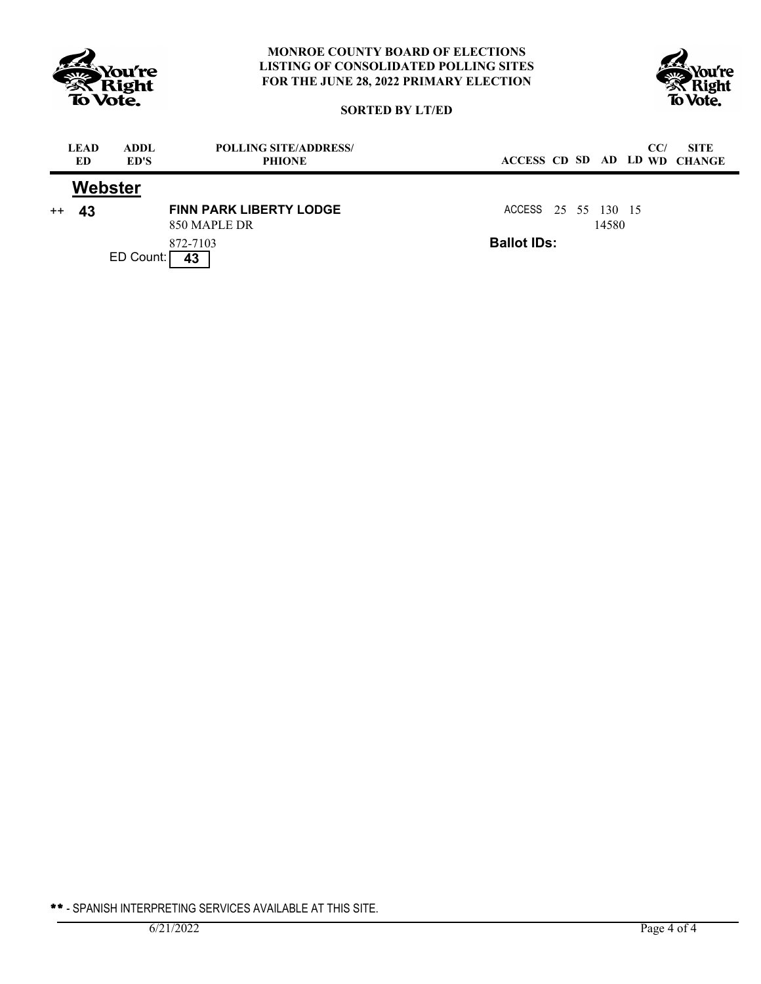



# **SORTED BY LT/ED**

|      | <b>LEAD</b><br>ED | ADDL.<br>ED'S | <b>POLLING SITE/ADDRESS/</b><br><b>PHIONE</b>  | CC/<br><b>SITE</b><br>ACCESS CD SD AD LD WD CHANGE |  |
|------|-------------------|---------------|------------------------------------------------|----------------------------------------------------|--|
|      |                   | Webster       |                                                |                                                    |  |
| $++$ | 43                |               | <b>FINN PARK LIBERTY LODGE</b><br>850 MAPLE DR | ACCESS 25 55 130 15<br>14580                       |  |
|      |                   | ED Count:     | 872-7103<br>43                                 | <b>Ballot IDs:</b>                                 |  |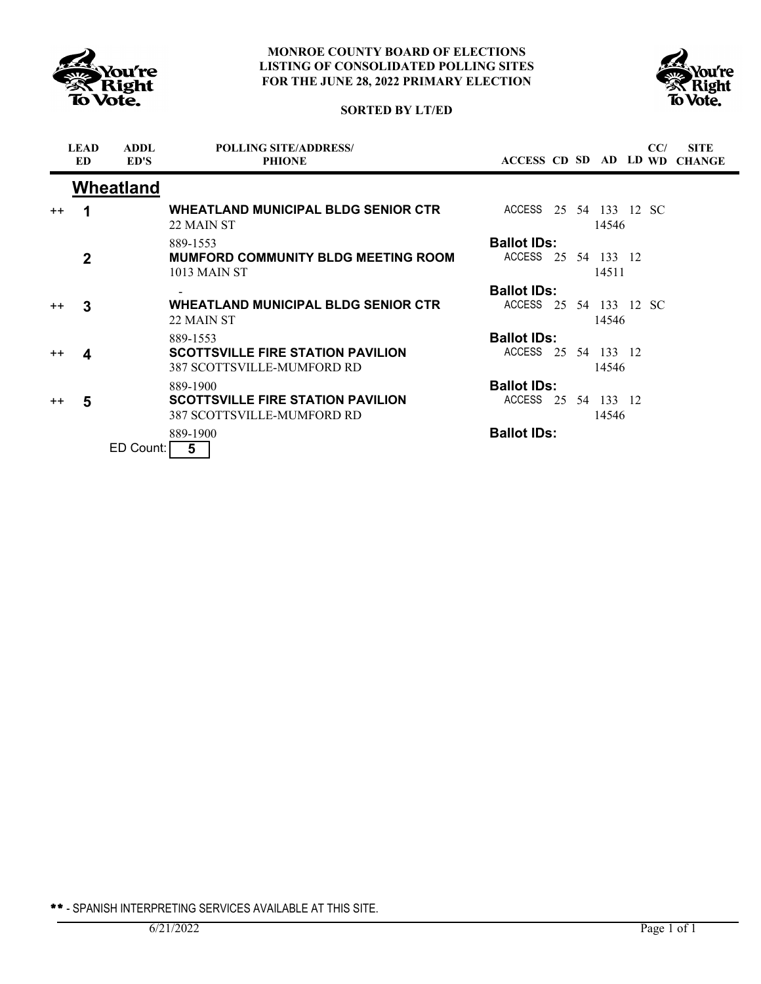



## **SORTED BY LT/ED**

|         | <b>LEAD</b><br><b>ED</b> | <b>ADDL</b><br>ED'S | <b>POLLING SITE/ADDRESS/</b><br><b>PHIONE</b>                          | ACCESS CD SD AD LD WD  |    |      |                    | CC/ | <b>SITE</b><br><b>CHANGE</b> |
|---------|--------------------------|---------------------|------------------------------------------------------------------------|------------------------|----|------|--------------------|-----|------------------------------|
|         |                          | Wheatland           |                                                                        |                        |    |      |                    |     |                              |
| $++$    |                          |                     | <b>WHEATLAND MUNICIPAL BLDG SENIOR CTR</b><br>22 MAIN ST               | ACCESS 25 54 133 12 SC |    |      | 14546              |     |                              |
|         |                          |                     | 889-1553                                                               | <b>Ballot IDs:</b>     |    |      |                    |     |                              |
|         | $\mathbf 2$              |                     | <b>MUMFORD COMMUNITY BLDG MEETING ROOM</b><br>1013 MAIN ST             | ACCESS 25 54 133 12    |    |      | 14511              |     |                              |
|         |                          |                     |                                                                        | <b>Ballot IDs:</b>     |    |      |                    |     |                              |
| $^{++}$ | 3                        |                     | <b>WHEATLAND MUNICIPAL BLDG SENIOR CTR</b><br>22 MAIN ST               | ACCESS 25 54 133 12 SC |    |      | 14546              |     |                              |
|         |                          |                     | 889-1553                                                               | <b>Ballot IDs:</b>     |    |      |                    |     |                              |
| $++$    | 4                        |                     | <b>SCOTTSVILLE FIRE STATION PAVILION</b><br>387 SCOTTSVILLE-MUMFORD RD | ACCESS                 | 25 | - 54 | 133 12<br>14546    |     |                              |
|         |                          |                     | 889-1900                                                               | <b>Ballot IDs:</b>     |    |      |                    |     |                              |
| $++$    | 5                        |                     | <b>SCOTTSVILLE FIRE STATION PAVILION</b><br>387 SCOTTSVILLE-MUMFORD RD | ACCESS                 | 25 |      | 54 133 12<br>14546 |     |                              |
|         |                          | ED Count:           | 889-1900<br>5                                                          | <b>Ballot IDs:</b>     |    |      |                    |     |                              |